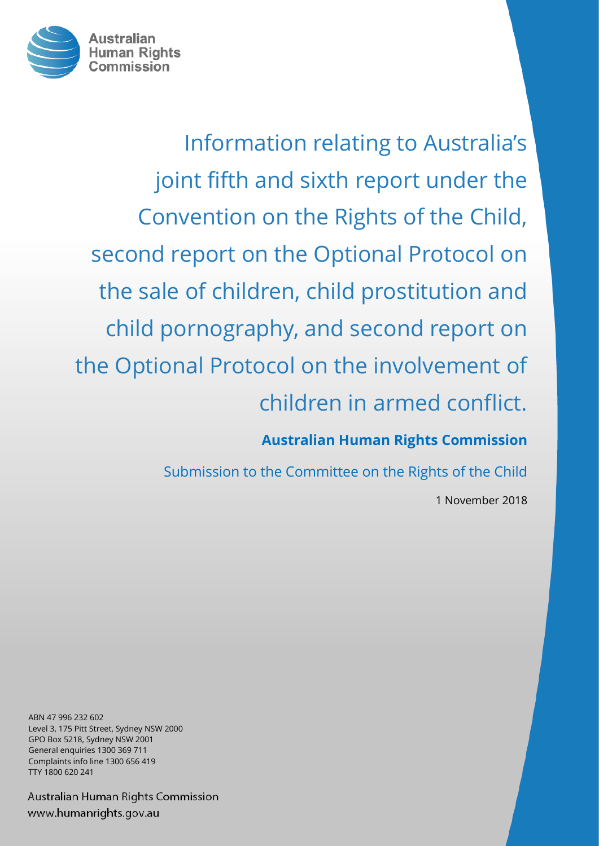

Information relating to Australia's joint fifth and sixth report under the Convention on the Rights of the Child, second report on the Optional Protocol on the sale of children, child prostitution and child pornography, and second report on the Optional Protocol on the involvement of children in armed conflict.

**Australian Human Rights Commission**

Submission to the Committee on the Rights of the Child

1 November 2018

ABN 47 996 232 602 Level 3, 175 Pitt Street, Sydney NSW 2000 GPO Box 5218, Sydney NSW 2001 General enquiries 1300 369 711 Complaints info line 1300 656 419 TTY 1800 620 241

Australian Human Rights Commission www.humanrights.gov.au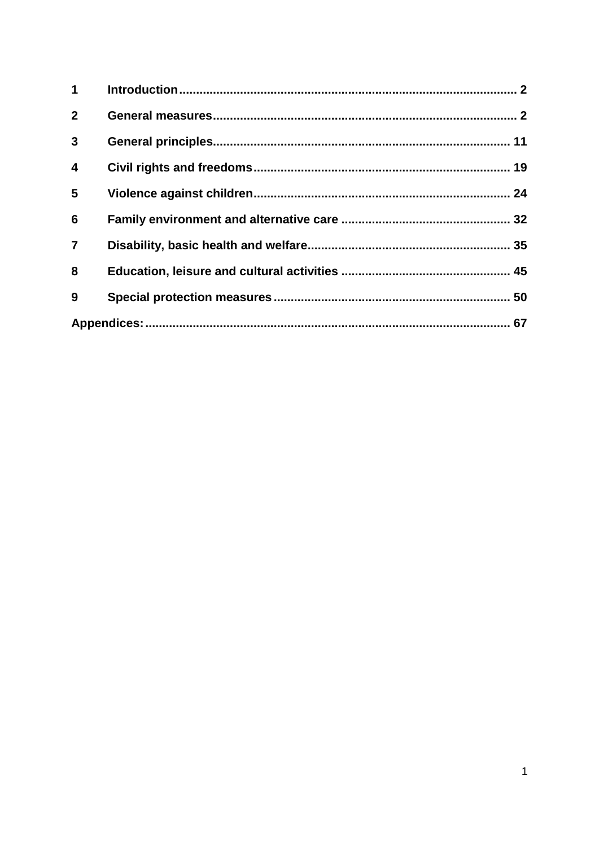| $\mathbf 1$             |  |  |
|-------------------------|--|--|
| $\mathbf{2}$            |  |  |
| $\mathbf{3}$            |  |  |
| $\overline{\mathbf{4}}$ |  |  |
| 5                       |  |  |
| 6                       |  |  |
| $\overline{7}$          |  |  |
| 8                       |  |  |
| 9                       |  |  |
|                         |  |  |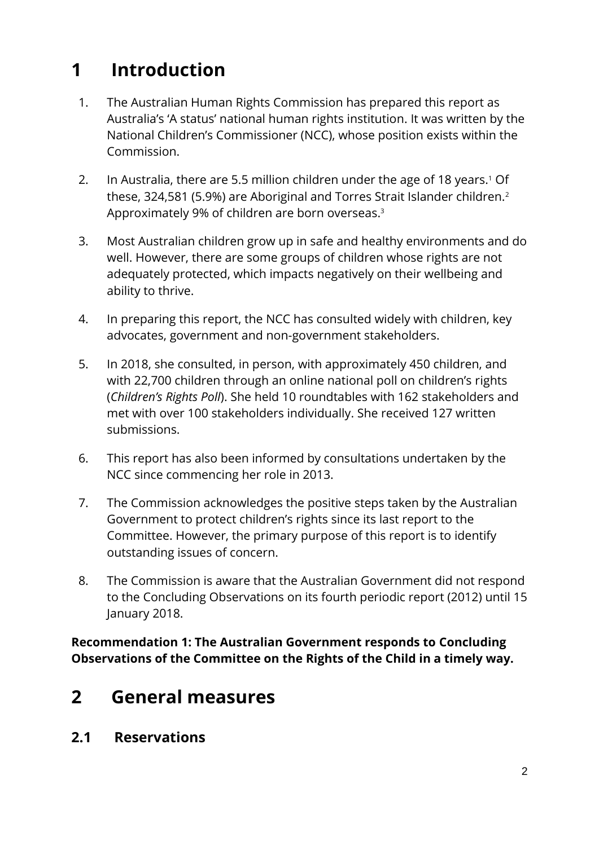# <span id="page-2-0"></span>**1 Introduction**

- 1. The Australian Human Rights Commission has prepared this report as Australia's 'A status' national human rights institution. It was written by the National Children's Commissioner (NCC), whose position exists within the Commission.
- 2. In Australia, there are 5.5 million children under the age of 18 years.<sup>1</sup> Of these, 324,581 (5.9%) are Aboriginal and Torres Strait Islander children.<sup>2</sup> Approximately 9% of children are born overseas.<sup>3</sup>
- 3. Most Australian children grow up in safe and healthy environments and do well. However, there are some groups of children whose rights are not adequately protected, which impacts negatively on their wellbeing and ability to thrive.
- 4. In preparing this report, the NCC has consulted widely with children, key advocates, government and non-government stakeholders.
- 5. In 2018, she consulted, in person, with approximately 450 children, and with 22,700 children through an online national poll on children's rights (*Children's Rights Poll*). She held 10 roundtables with 162 stakeholders and met with over 100 stakeholders individually. She received 127 written submissions.
- 6. This report has also been informed by consultations undertaken by the NCC since commencing her role in 2013.
- 7. The Commission acknowledges the positive steps taken by the Australian Government to protect children's rights since its last report to the Committee. However, the primary purpose of this report is to identify outstanding issues of concern.
- 8. The Commission is aware that the Australian Government did not respond to the Concluding Observations on its fourth periodic report (2012) until 15 January 2018.

**Recommendation 1: The Australian Government responds to Concluding Observations of the Committee on the Rights of the Child in a timely way.**

# <span id="page-2-1"></span>**2 General measures**

**2.1 Reservations**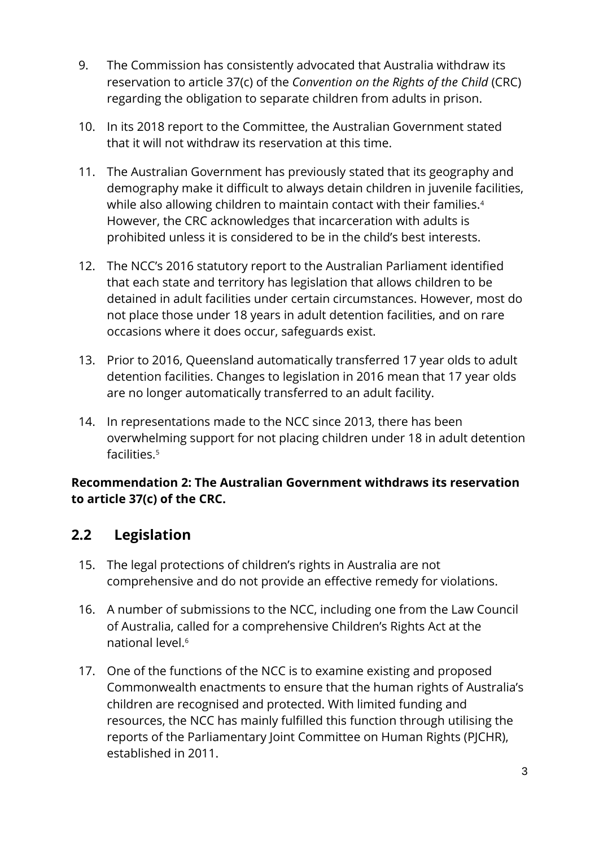- 9. The Commission has consistently advocated that Australia withdraw its reservation to article 37(c) of the *Convention on the Rights of the Child* (CRC) regarding the obligation to separate children from adults in prison.
- 10. In its 2018 report to the Committee, the Australian Government stated that it will not withdraw its reservation at this time.
- 11. The Australian Government has previously stated that its geography and demography make it difficult to always detain children in juvenile facilities, while also allowing children to maintain contact with their families.<sup>4</sup> However, the CRC acknowledges that incarceration with adults is prohibited unless it is considered to be in the child's best interests.
- 12. The NCC's 2016 statutory report to the Australian Parliament identified that each state and territory has legislation that allows children to be detained in adult facilities under certain circumstances. However, most do not place those under 18 years in adult detention facilities, and on rare occasions where it does occur, safeguards exist.
- 13. Prior to 2016, Queensland automatically transferred 17 year olds to adult detention facilities. Changes to legislation in 2016 mean that 17 year olds are no longer automatically transferred to an adult facility.
- 14. In representations made to the NCC since 2013, there has been overwhelming support for not placing children under 18 in adult detention facilities.<sup>5</sup>

#### **Recommendation 2: The Australian Government withdraws its reservation to article 37(c) of the CRC.**

## **2.2 Legislation**

- 15. The legal protections of children's rights in Australia are not comprehensive and do not provide an effective remedy for violations.
- 16. A number of submissions to the NCC, including one from the Law Council of Australia, called for a comprehensive Children's Rights Act at the national level.<sup>6</sup>
- 17. One of the functions of the NCC is to examine existing and proposed Commonwealth enactments to ensure that the human rights of Australia's children are recognised and protected. With limited funding and resources, the NCC has mainly fulfilled this function through utilising the reports of the Parliamentary Joint Committee on Human Rights (PJCHR), established in 2011.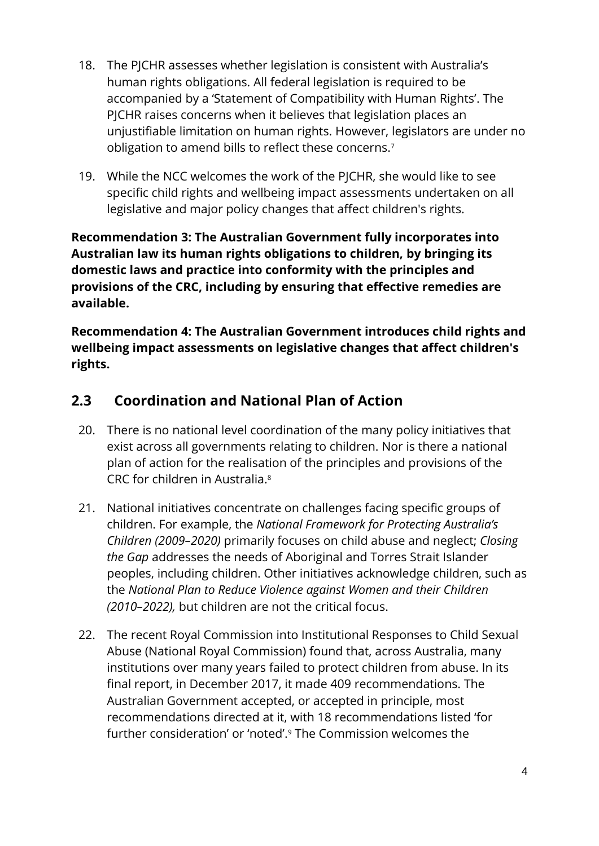- 18. The PJCHR assesses whether legislation is consistent with Australia's human rights obligations. All federal legislation is required to be accompanied by a 'Statement of Compatibility with Human Rights'. The PJCHR raises concerns when it believes that legislation places an unjustifiable limitation on human rights. However, legislators are under no obligation to amend bills to reflect these concerns.<sup>7</sup>
- 19. While the NCC welcomes the work of the PJCHR, she would like to see specific child rights and wellbeing impact assessments undertaken on all legislative and major policy changes that affect children's rights.

**Recommendation 3: The Australian Government fully incorporates into Australian law its human rights obligations to children, by bringing its domestic laws and practice into conformity with the principles and provisions of the CRC, including by ensuring that effective remedies are available.**

**Recommendation 4: The Australian Government introduces child rights and wellbeing impact assessments on legislative changes that affect children's rights.**

## **2.3 Coordination and National Plan of Action**

- 20. There is no national level coordination of the many policy initiatives that exist across all governments relating to children. Nor is there a national plan of action for the realisation of the principles and provisions of the CRC for children in Australia<sup>8</sup>
- 21. National initiatives concentrate on challenges facing specific groups of children. For example, the *National Framework for Protecting Australia's Children (2009–2020)* primarily focuses on child abuse and neglect; *Closing the Gap* addresses the needs of Aboriginal and Torres Strait Islander peoples, including children. Other initiatives acknowledge children, such as the *National Plan to Reduce Violence against Women and their Children (2010–2022),* but children are not the critical focus.
- 22. The recent Royal Commission into Institutional Responses to Child Sexual Abuse (National Royal Commission) found that, across Australia, many institutions over many years failed to protect children from abuse. In its final report, in December 2017, it made 409 recommendations. The Australian Government accepted, or accepted in principle, most recommendations directed at it, with 18 recommendations listed 'for further consideration' or 'noted'.<sup>9</sup> The Commission welcomes the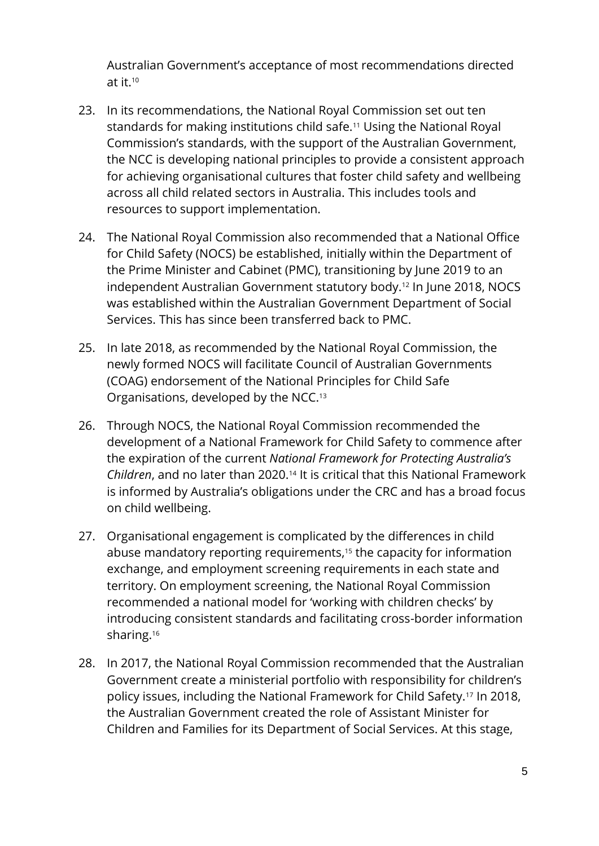Australian Government's acceptance of most recommendations directed at it. 10

- 23. In its recommendations, the National Royal Commission set out ten standards for making institutions child safe.<sup>11</sup> Using the National Royal Commission's standards, with the support of the Australian Government, the NCC is developing national principles to provide a consistent approach for achieving organisational cultures that foster child safety and wellbeing across all child related sectors in Australia. This includes tools and resources to support implementation.
- 24. The National Royal Commission also recommended that a National Office for Child Safety (NOCS) be established, initially within the Department of the Prime Minister and Cabinet (PMC), transitioning by June 2019 to an independent Australian Government statutory body.<sup>12</sup> In June 2018, NOCS was established within the Australian Government Department of Social Services. This has since been transferred back to PMC.
- 25. In late 2018, as recommended by the National Royal Commission, the newly formed NOCS will facilitate Council of Australian Governments (COAG) endorsement of the National Principles for Child Safe Organisations, developed by the NCC.<sup>13</sup>
- 26. Through NOCS, the National Royal Commission recommended the development of a National Framework for Child Safety to commence after the expiration of the current *National Framework for Protecting Australia's*  Children, and no later than 2020.<sup>14</sup> It is critical that this National Framework is informed by Australia's obligations under the CRC and has a broad focus on child wellbeing.
- 27. Organisational engagement is complicated by the differences in child abuse mandatory reporting requirements, <sup>15</sup> the capacity for information exchange, and employment screening requirements in each state and territory. On employment screening, the National Royal Commission recommended a national model for 'working with children checks' by introducing consistent standards and facilitating cross-border information sharing.<sup>16</sup>
- 28. In 2017, the National Royal Commission recommended that the Australian Government create a ministerial portfolio with responsibility for children's policy issues, including the National Framework for Child Safety.<sup>17</sup> In 2018, the Australian Government created the role of Assistant Minister for Children and Families for its Department of Social Services. At this stage,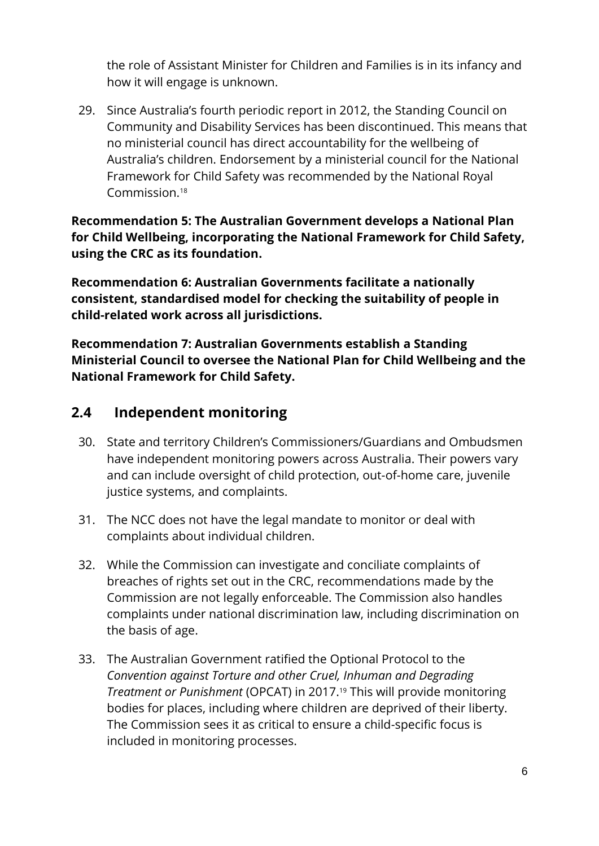the role of Assistant Minister for Children and Families is in its infancy and how it will engage is unknown.

29. Since Australia's fourth periodic report in 2012, the Standing Council on Community and Disability Services has been discontinued. This means that no ministerial council has direct accountability for the wellbeing of Australia's children. Endorsement by a ministerial council for the National Framework for Child Safety was recommended by the National Royal Commission. 18

**Recommendation 5: The Australian Government develops a National Plan for Child Wellbeing, incorporating the National Framework for Child Safety, using the CRC as its foundation.**

**Recommendation 6: Australian Governments facilitate a nationally consistent, standardised model for checking the suitability of people in child-related work across all jurisdictions.**

**Recommendation 7: Australian Governments establish a Standing Ministerial Council to oversee the National Plan for Child Wellbeing and the National Framework for Child Safety.**

#### **2.4 Independent monitoring**

- 30. State and territory Children's Commissioners/Guardians and Ombudsmen have independent monitoring powers across Australia. Their powers vary and can include oversight of child protection, out-of-home care, juvenile justice systems, and complaints.
- 31. The NCC does not have the legal mandate to monitor or deal with complaints about individual children.
- 32. While the Commission can investigate and conciliate complaints of breaches of rights set out in the CRC, recommendations made by the Commission are not legally enforceable. The Commission also handles complaints under national discrimination law, including discrimination on the basis of age.
- 33. The Australian Government ratified the Optional Protocol to the *Convention against Torture and other Cruel, Inhuman and Degrading Treatment or Punishment* (OPCAT) in 2017.<sup>19</sup> This will provide monitoring bodies for places, including where children are deprived of their liberty. The Commission sees it as critical to ensure a child-specific focus is included in monitoring processes.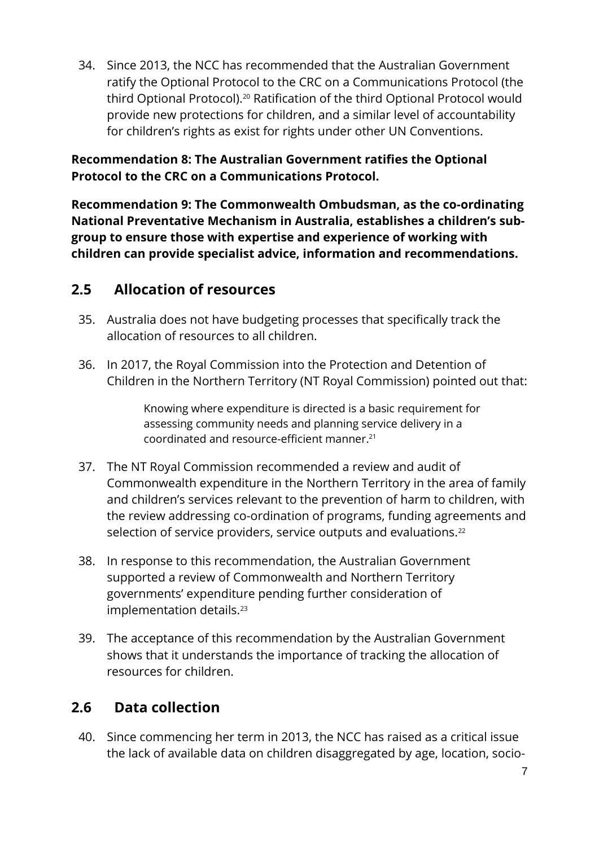34. Since 2013, the NCC has recommended that the Australian Government ratify the Optional Protocol to the CRC on a Communications Protocol (the third Optional Protocol).<sup>20</sup> Ratification of the third Optional Protocol would provide new protections for children, and a similar level of accountability for children's rights as exist for rights under other UN Conventions.

**Recommendation 8: The Australian Government ratifies the Optional Protocol to the CRC on a Communications Protocol.**

**Recommendation 9: The Commonwealth Ombudsman, as the co-ordinating National Preventative Mechanism in Australia, establishes a children's subgroup to ensure those with expertise and experience of working with children can provide specialist advice, information and recommendations.**

#### **2.5 Allocation of resources**

- 35. Australia does not have budgeting processes that specifically track the allocation of resources to all children.
- 36. In 2017, the Royal Commission into the Protection and Detention of Children in the Northern Territory (NT Royal Commission) pointed out that:

Knowing where expenditure is directed is a basic requirement for assessing community needs and planning service delivery in a coordinated and resource-efficient manner. 21

- 37. The NT Royal Commission recommended a review and audit of Commonwealth expenditure in the Northern Territory in the area of family and children's services relevant to the prevention of harm to children, with the review addressing co-ordination of programs, funding agreements and selection of service providers, service outputs and evaluations.<sup>22</sup>
- 38. In response to this recommendation, the Australian Government supported a review of Commonwealth and Northern Territory governments' expenditure pending further consideration of implementation details.<sup>23</sup>
- 39. The acceptance of this recommendation by the Australian Government shows that it understands the importance of tracking the allocation of resources for children.

## **2.6 Data collection**

40. Since commencing her term in 2013, the NCC has raised as a critical issue the lack of available data on children disaggregated by age, location, socio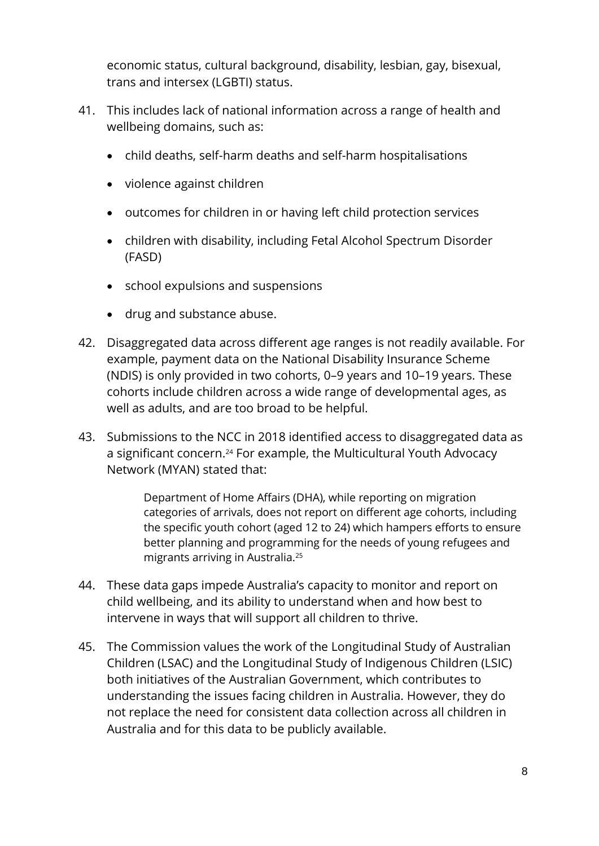economic status, cultural background, disability, lesbian, gay, bisexual, trans and intersex (LGBTI) status.

- 41. This includes lack of national information across a range of health and wellbeing domains, such as:
	- child deaths, self-harm deaths and self-harm hospitalisations
	- violence against children
	- outcomes for children in or having left child protection services
	- children with disability, including Fetal Alcohol Spectrum Disorder (FASD)
	- school expulsions and suspensions
	- drug and substance abuse.
- 42. Disaggregated data across different age ranges is not readily available. For example, payment data on the National Disability Insurance Scheme (NDIS) is only provided in two cohorts, 0–9 years and 10–19 years. These cohorts include children across a wide range of developmental ages, as well as adults, and are too broad to be helpful.
- 43. Submissions to the NCC in 2018 identified access to disaggregated data as a significant concern.<sup>24</sup> For example, the Multicultural Youth Advocacy Network (MYAN) stated that:

Department of Home Affairs (DHA), while reporting on migration categories of arrivals, does not report on different age cohorts, including the specific youth cohort (aged 12 to 24) which hampers efforts to ensure better planning and programming for the needs of young refugees and migrants arriving in Australia.<sup>25</sup>

- 44. These data gaps impede Australia's capacity to monitor and report on child wellbeing, and its ability to understand when and how best to intervene in ways that will support all children to thrive.
- 45. The Commission values the work of the Longitudinal Study of Australian Children (LSAC) and the Longitudinal Study of Indigenous Children (LSIC) both initiatives of the Australian Government, which contributes to understanding the issues facing children in Australia. However, they do not replace the need for consistent data collection across all children in Australia and for this data to be publicly available.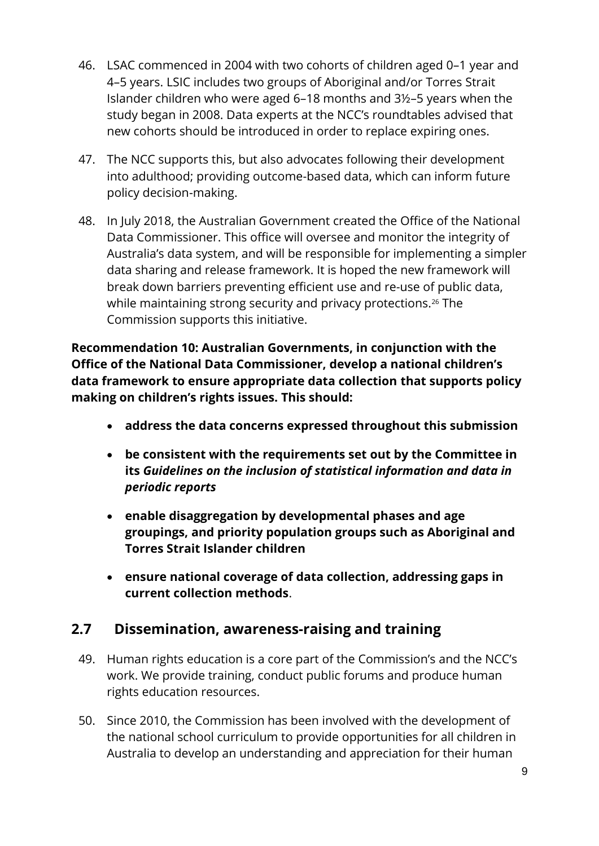- 46. LSAC commenced in 2004 with two cohorts of children aged 0–1 year and 4–5 years. LSIC includes two groups of Aboriginal and/or Torres Strait Islander children who were aged 6–18 months and 3½–5 years when the study began in 2008. Data experts at the NCC's roundtables advised that new cohorts should be introduced in order to replace expiring ones.
- 47. The NCC supports this, but also advocates following their development into adulthood; providing outcome-based data, which can inform future policy decision-making.
- 48. In July 2018, the Australian Government created the Office of the National Data Commissioner. This office will oversee and monitor the integrity of Australia's data system, and will be responsible for implementing a simpler data sharing and release framework. It is hoped the new framework will break down barriers preventing efficient use and re-use of public data, while maintaining strong security and privacy protections.<sup>26</sup> The Commission supports this initiative.

**Recommendation 10: Australian Governments, in conjunction with the Office of the National Data Commissioner, develop a national children's data framework to ensure appropriate data collection that supports policy making on children's rights issues. This should:**

- **address the data concerns expressed throughout this submission**
- **be consistent with the requirements set out by the Committee in its** *Guidelines on the inclusion of statistical information and data in periodic reports*
- **enable disaggregation by developmental phases and age groupings, and priority population groups such as Aboriginal and Torres Strait Islander children**
- **ensure national coverage of data collection, addressing gaps in current collection methods**.

#### **2.7 Dissemination, awareness-raising and training**

- 49. Human rights education is a core part of the Commission's and the NCC's work. We provide training, conduct public forums and produce human rights education resources.
- 50. Since 2010, the Commission has been involved with the development of the national school curriculum to provide opportunities for all children in Australia to develop an understanding and appreciation for their human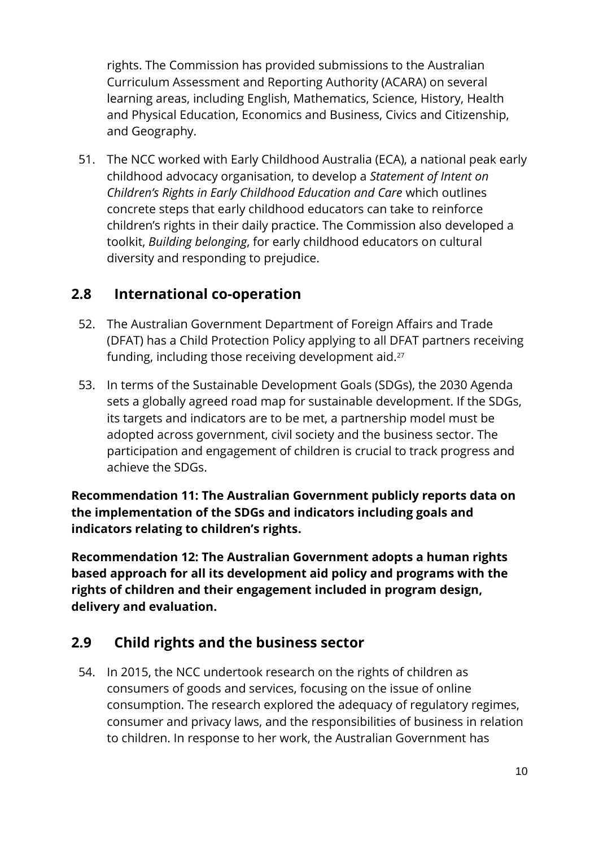rights. The Commission has provided submissions to the Australian Curriculum Assessment and Reporting Authority (ACARA) on several learning areas, including English, Mathematics, Science, History, Health and Physical Education, Economics and Business, Civics and Citizenship, and Geography.

51. The NCC worked with Early Childhood Australia (ECA), a national peak early childhood advocacy organisation, to develop a *Statement of Intent on Children's Rights in Early Childhood Education and Care* which outlines concrete steps that early childhood educators can take to reinforce children's rights in their daily practice. The Commission also developed a toolkit, *Building belonging*, for early childhood educators on cultural diversity and responding to prejudice.

#### **2.8 International co-operation**

- 52. The Australian Government Department of Foreign Affairs and Trade (DFAT) has a Child Protection Policy applying to all DFAT partners receiving funding, including those receiving development aid.<sup>27</sup>
- 53. In terms of the Sustainable Development Goals (SDGs), the 2030 Agenda sets a globally agreed road map for sustainable development. If the SDGs, its targets and indicators are to be met, a partnership model must be adopted across government, civil society and the business sector. The participation and engagement of children is crucial to track progress and achieve the SDGs.

**Recommendation 11: The Australian Government publicly reports data on the implementation of the SDGs and indicators including goals and indicators relating to children's rights.**

**Recommendation 12: The Australian Government adopts a human rights based approach for all its development aid policy and programs with the rights of children and their engagement included in program design, delivery and evaluation.**

## **2.9 Child rights and the business sector**

54. In 2015, the NCC undertook research on the rights of children as consumers of goods and services, focusing on the issue of online consumption. The research explored the adequacy of regulatory regimes, consumer and privacy laws, and the responsibilities of business in relation to children. In response to her work, the Australian Government has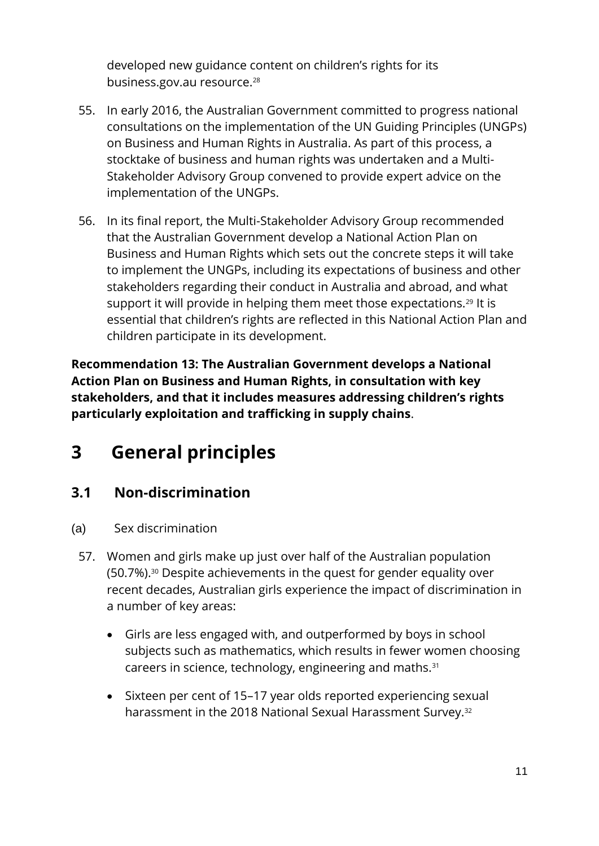developed new guidance content on children's rights for its business.gov.au resource.<sup>28</sup>

- 55. In early 2016, the Australian Government committed to progress national consultations on the implementation of the UN Guiding Principles (UNGPs) on Business and Human Rights in Australia. As part of this process, a stocktake of business and human rights was undertaken and a Multi-Stakeholder Advisory Group convened to provide expert advice on the implementation of the UNGPs.
- 56. In its final report, the Multi-Stakeholder Advisory Group recommended that the Australian Government develop a National Action Plan on Business and Human Rights which sets out the concrete steps it will take to implement the UNGPs, including its expectations of business and other stakeholders regarding their conduct in Australia and abroad, and what support it will provide in helping them meet those expectations.<sup>29</sup> It is essential that children's rights are reflected in this National Action Plan and children participate in its development.

**Recommendation 13: The Australian Government develops a National Action Plan on Business and Human Rights, in consultation with key stakeholders, and that it includes measures addressing children's rights particularly exploitation and trafficking in supply chains**.

# <span id="page-11-0"></span>**3 General principles**

## **3.1 Non-discrimination**

- (a) Sex discrimination
	- 57. Women and girls make up just over half of the Australian population (50.7%).<sup>30</sup> Despite achievements in the quest for gender equality over recent decades, Australian girls experience the impact of discrimination in a number of key areas:
		- Girls are less engaged with, and outperformed by boys in school subjects such as mathematics, which results in fewer women choosing careers in science, technology, engineering and maths.<sup>31</sup>
		- Sixteen per cent of 15–17 year olds reported experiencing sexual harassment in the 2018 National Sexual Harassment Survey.<sup>32</sup>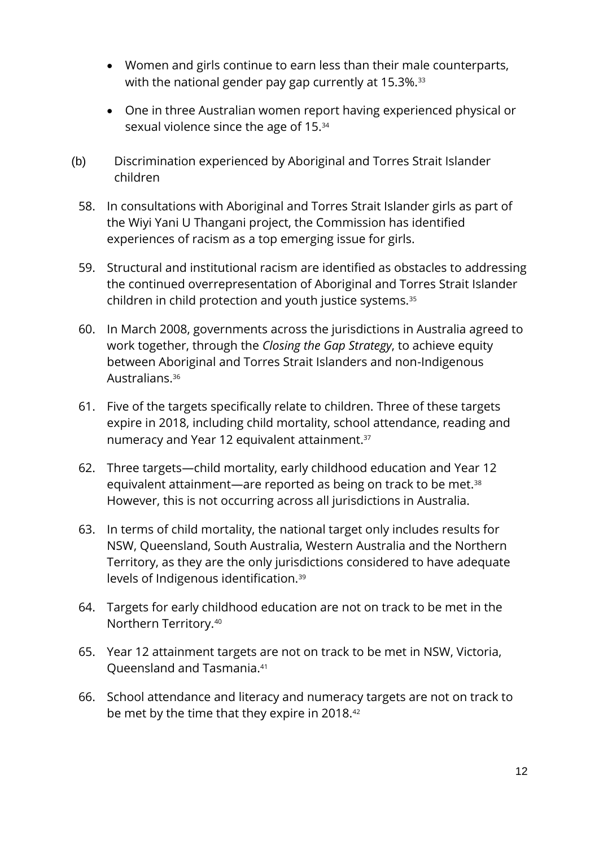- Women and girls continue to earn less than their male counterparts, with the national gender pay gap currently at 15.3%.<sup>33</sup>
- One in three Australian women report having experienced physical or sexual violence since the age of 15.<sup>34</sup>
- (b) Discrimination experienced by Aboriginal and Torres Strait Islander children
	- 58. In consultations with Aboriginal and Torres Strait Islander girls as part of the Wiyi Yani U Thangani project, the Commission has identified experiences of racism as a top emerging issue for girls.
	- 59. Structural and institutional racism are identified as obstacles to addressing the continued overrepresentation of Aboriginal and Torres Strait Islander children in child protection and youth justice systems.<sup>35</sup>
	- 60. In March 2008, governments across the jurisdictions in Australia agreed to work together, through the *Closing the Gap Strategy*, to achieve equity between Aboriginal and Torres Strait Islanders and non-Indigenous Australians.<sup>36</sup>
	- 61. Five of the targets specifically relate to children. Three of these targets expire in 2018, including child mortality, school attendance, reading and numeracy and Year 12 equivalent attainment.<sup>37</sup>
	- 62. Three targets—child mortality, early childhood education and Year 12 equivalent attainment—are reported as being on track to be met.<sup>38</sup> However, this is not occurring across all jurisdictions in Australia.
	- 63. In terms of child mortality, the national target only includes results for NSW, Queensland, South Australia, Western Australia and the Northern Territory, as they are the only jurisdictions considered to have adequate levels of Indigenous identification.<sup>39</sup>
	- 64. Targets for early childhood education are not on track to be met in the Northern Territory.<sup>40</sup>
	- 65. Year 12 attainment targets are not on track to be met in NSW, Victoria, Queensland and Tasmania.<sup>41</sup>
	- 66. School attendance and literacy and numeracy targets are not on track to be met by the time that they expire in 2018.42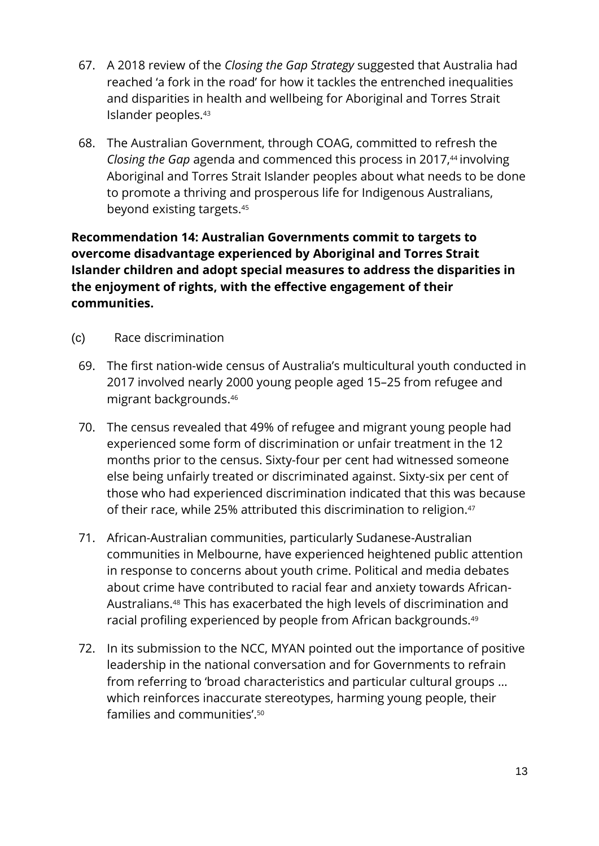- 67. A 2018 review of the *Closing the Gap Strategy* suggested that Australia had reached 'a fork in the road' for how it tackles the entrenched inequalities and disparities in health and wellbeing for Aboriginal and Torres Strait Islander peoples.<sup>43</sup>
- 68. The Australian Government, through COAG, committed to refresh the *Closing the Gap* agenda and commenced this process in 2017,<sup>44</sup> involving Aboriginal and Torres Strait Islander peoples about what needs to be done to promote a thriving and prosperous life for Indigenous Australians, beyond existing targets.<sup>45</sup>

#### **Recommendation 14: Australian Governments commit to targets to overcome disadvantage experienced by Aboriginal and Torres Strait Islander children and adopt special measures to address the disparities in the enjoyment of rights, with the effective engagement of their communities.**

- (c) Race discrimination
	- 69. The first nation-wide census of Australia's multicultural youth conducted in 2017 involved nearly 2000 young people aged 15–25 from refugee and migrant backgrounds.<sup>46</sup>
	- 70. The census revealed that 49% of refugee and migrant young people had experienced some form of discrimination or unfair treatment in the 12 months prior to the census. Sixty-four per cent had witnessed someone else being unfairly treated or discriminated against. Sixty-six per cent of those who had experienced discrimination indicated that this was because of their race, while 25% attributed this discrimination to religion. 47
	- 71. African-Australian communities, particularly Sudanese-Australian communities in Melbourne, have experienced heightened public attention in response to concerns about youth crime. Political and media debates about crime have contributed to racial fear and anxiety towards African-Australians.<sup>48</sup> This has exacerbated the high levels of discrimination and racial profiling experienced by people from African backgrounds.<sup>49</sup>
	- 72. In its submission to the NCC, MYAN pointed out the importance of positive leadership in the national conversation and for Governments to refrain from referring to 'broad characteristics and particular cultural groups … which reinforces inaccurate stereotypes, harming young people, their families and communities'. 50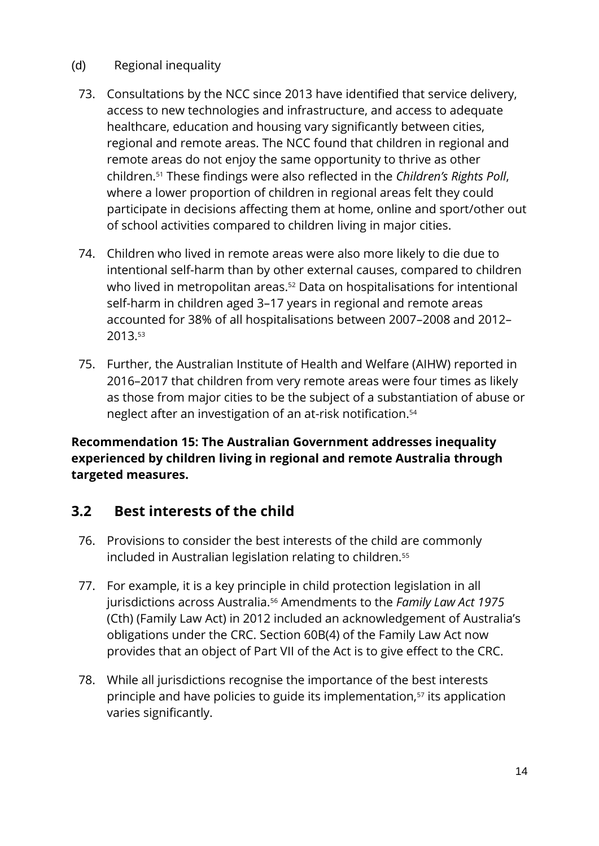#### (d) Regional inequality

- 73. Consultations by the NCC since 2013 have identified that service delivery, access to new technologies and infrastructure, and access to adequate healthcare, education and housing vary significantly between cities, regional and remote areas. The NCC found that children in regional and remote areas do not enjoy the same opportunity to thrive as other children.<sup>51</sup> These findings were also reflected in the *Children's Rights Poll*, where a lower proportion of children in regional areas felt they could participate in decisions affecting them at home, online and sport/other out of school activities compared to children living in major cities.
- 74. Children who lived in remote areas were also more likely to die due to intentional self-harm than by other external causes, compared to children who lived in metropolitan areas.<sup>52</sup> Data on hospitalisations for intentional self-harm in children aged 3–17 years in regional and remote areas accounted for 38% of all hospitalisations between 2007–2008 and 2012– 2013.<sup>53</sup>
- 75. Further, the Australian Institute of Health and Welfare (AIHW) reported in 2016–2017 that children from very remote areas were four times as likely as those from major cities to be the subject of a substantiation of abuse or neglect after an investigation of an at-risk notification.<sup>54</sup>

**Recommendation 15: The Australian Government addresses inequality experienced by children living in regional and remote Australia through targeted measures.**

## **3.2 Best interests of the child**

- 76. Provisions to consider the best interests of the child are commonly included in Australian legislation relating to children.<sup>55</sup>
- 77. For example, it is a key principle in child protection legislation in all jurisdictions across Australia.<sup>56</sup> Amendments to the *Family Law Act 1975* (Cth) (Family Law Act) in 2012 included an acknowledgement of Australia's obligations under the CRC. Section 60B(4) of the Family Law Act now provides that an object of Part VII of the Act is to give effect to the CRC.
- 78. While all jurisdictions recognise the importance of the best interests principle and have policies to guide its implementation,<sup>57</sup> its application varies significantly.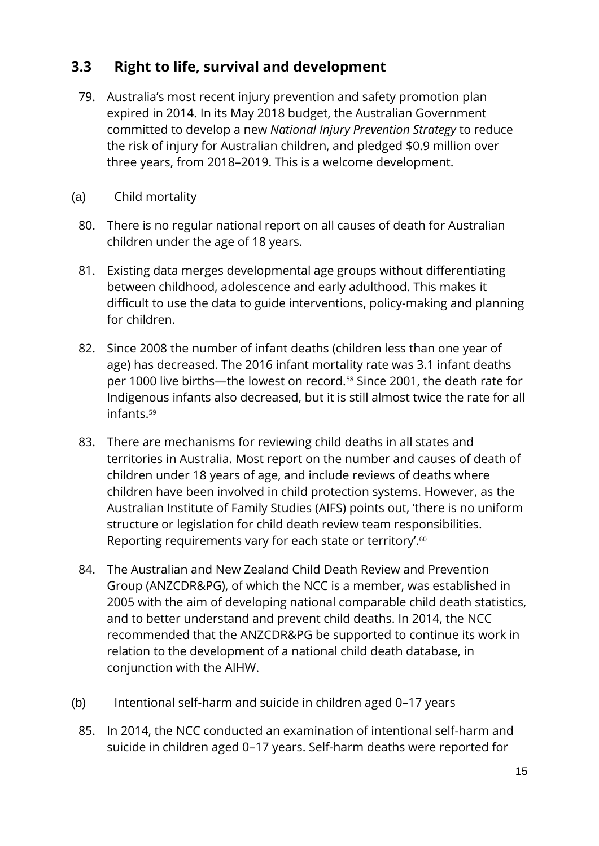## **3.3 Right to life, survival and development**

- 79. Australia's most recent injury prevention and safety promotion plan expired in 2014. In its May 2018 budget, the Australian Government committed to develop a new *National Injury Prevention Strategy* to reduce the risk of injury for Australian children, and pledged \$0.9 million over three years, from 2018–2019. This is a welcome development.
- (a) Child mortality
	- 80. There is no regular national report on all causes of death for Australian children under the age of 18 years.
	- 81. Existing data merges developmental age groups without differentiating between childhood, adolescence and early adulthood. This makes it difficult to use the data to guide interventions, policy-making and planning for children.
	- 82. Since 2008 the number of infant deaths (children less than one year of age) has decreased. The 2016 infant mortality rate was 3.1 infant deaths per 1000 live births—the lowest on record.<sup>58</sup> Since 2001, the death rate for Indigenous infants also decreased, but it is still almost twice the rate for all infants.<sup>59</sup>
	- 83. There are mechanisms for reviewing child deaths in all states and territories in Australia. Most report on the number and causes of death of children under 18 years of age, and include reviews of deaths where children have been involved in child protection systems. However, as the Australian Institute of Family Studies (AIFS) points out, 'there is no uniform structure or legislation for child death review team responsibilities. Reporting requirements vary for each state or territory'.<sup>60</sup>
	- 84. The Australian and New Zealand Child Death Review and Prevention Group (ANZCDR&PG), of which the NCC is a member, was established in 2005 with the aim of developing national comparable child death statistics, and to better understand and prevent child deaths. In 2014, the NCC recommended that the ANZCDR&PG be supported to continue its work in relation to the development of a national child death database, in conjunction with the AIHW.
- (b) Intentional self-harm and suicide in children aged 0–17 years
- 85. In 2014, the NCC conducted an examination of intentional self-harm and suicide in children aged 0–17 years. Self-harm deaths were reported for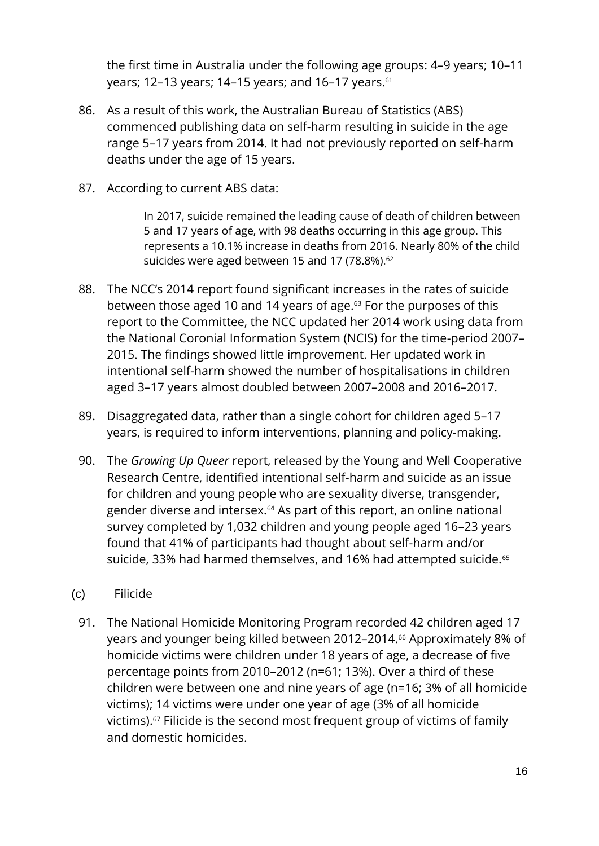the first time in Australia under the following age groups: 4–9 years; 10–11 years; 12–13 years; 14–15 years; and 16–17 years.<sup>61</sup>

- 86. As a result of this work, the Australian Bureau of Statistics (ABS) commenced publishing data on self-harm resulting in suicide in the age range 5–17 years from 2014. It had not previously reported on self-harm deaths under the age of 15 years.
- 87. According to current ABS data:

In 2017, suicide remained the leading cause of death of children between 5 and 17 years of age, with 98 deaths occurring in this age group. This represents a 10.1% increase in deaths from 2016. Nearly 80% of the child suicides were aged between 15 and 17 (78.8%).<sup>62</sup>

- 88. The NCC's 2014 report found significant increases in the rates of suicide between those aged 10 and 14 years of age. <sup>63</sup> For the purposes of this report to the Committee, the NCC updated her 2014 work using data from the National Coronial Information System (NCIS) for the time-period 2007– 2015. The findings showed little improvement. Her updated work in intentional self-harm showed the number of hospitalisations in children aged 3–17 years almost doubled between 2007–2008 and 2016–2017.
- 89. Disaggregated data, rather than a single cohort for children aged 5–17 years, is required to inform interventions, planning and policy-making.
- 90. The *Growing Up Queer* report, released by the Young and Well Cooperative Research Centre, identified intentional self-harm and suicide as an issue for children and young people who are sexuality diverse, transgender, gender diverse and intersex.<sup>64</sup> As part of this report, an online national survey completed by 1,032 children and young people aged 16–23 years found that 41% of participants had thought about self-harm and/or suicide, 33% had harmed themselves, and 16% had attempted suicide.<sup>65</sup>
- (c) Filicide
	- 91. The National Homicide Monitoring Program recorded 42 children aged 17 years and younger being killed between 2012–2014. <sup>66</sup> Approximately 8% of homicide victims were children under 18 years of age, a decrease of five percentage points from 2010–2012 (n=61; 13%). Over a third of these children were between one and nine years of age (n=16; 3% of all homicide victims); 14 victims were under one year of age (3% of all homicide victims).<sup>67</sup> Filicide is the second most frequent group of victims of family and domestic homicides.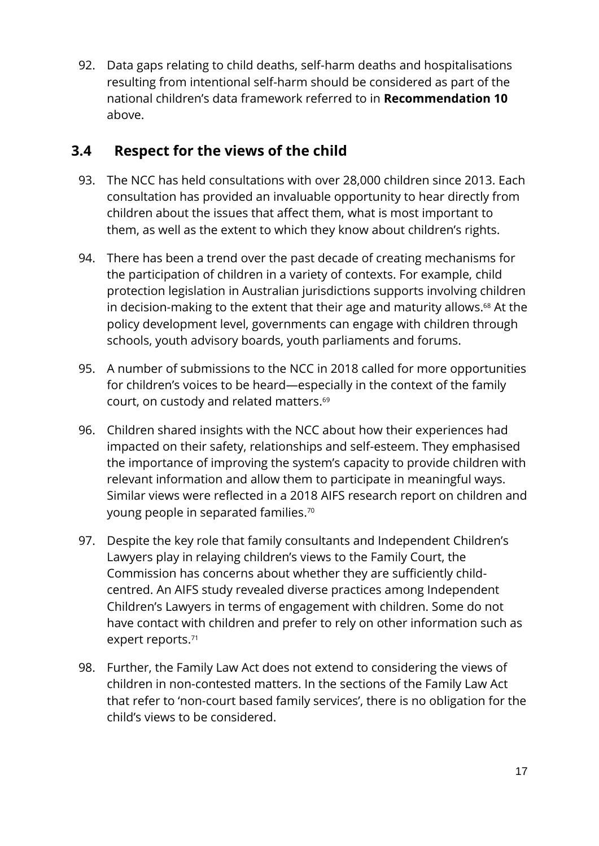92. Data gaps relating to child deaths, self-harm deaths and hospitalisations resulting from intentional self-harm should be considered as part of the national children's data framework referred to in **Recommendation 10** above.

#### **3.4 Respect for the views of the child**

- 93. The NCC has held consultations with over 28,000 children since 2013. Each consultation has provided an invaluable opportunity to hear directly from children about the issues that affect them, what is most important to them, as well as the extent to which they know about children's rights.
- 94. There has been a trend over the past decade of creating mechanisms for the participation of children in a variety of contexts. For example, child protection legislation in Australian jurisdictions supports involving children in decision-making to the extent that their age and maturity allows.<sup>68</sup> At the policy development level, governments can engage with children through schools, youth advisory boards, youth parliaments and forums.
- 95. A number of submissions to the NCC in 2018 called for more opportunities for children's voices to be heard—especially in the context of the family court, on custody and related matters. 69
- 96. Children shared insights with the NCC about how their experiences had impacted on their safety, relationships and self-esteem. They emphasised the importance of improving the system's capacity to provide children with relevant information and allow them to participate in meaningful ways. Similar views were reflected in a 2018 AIFS research report on children and young people in separated families. $^{70}$
- 97. Despite the key role that family consultants and Independent Children's Lawyers play in relaying children's views to the Family Court, the Commission has concerns about whether they are sufficiently childcentred. An AIFS study revealed diverse practices among Independent Children's Lawyers in terms of engagement with children. Some do not have contact with children and prefer to rely on other information such as expert reports. 71
- 98. Further, the Family Law Act does not extend to considering the views of children in non-contested matters. In the sections of the Family Law Act that refer to 'non-court based family services', there is no obligation for the child's views to be considered.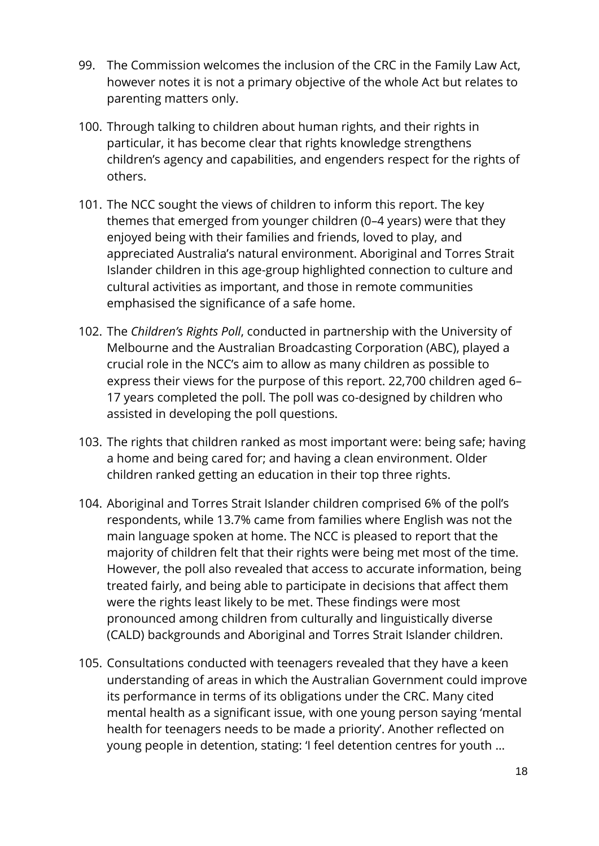- 99. The Commission welcomes the inclusion of the CRC in the Family Law Act, however notes it is not a primary objective of the whole Act but relates to parenting matters only.
- 100. Through talking to children about human rights, and their rights in particular, it has become clear that rights knowledge strengthens children's agency and capabilities, and engenders respect for the rights of others.
- 101. The NCC sought the views of children to inform this report. The key themes that emerged from younger children (0–4 years) were that they enjoyed being with their families and friends, loved to play, and appreciated Australia's natural environment. Aboriginal and Torres Strait Islander children in this age-group highlighted connection to culture and cultural activities as important, and those in remote communities emphasised the significance of a safe home.
- 102. The *Children's Rights Poll*, conducted in partnership with the University of Melbourne and the Australian Broadcasting Corporation (ABC), played a crucial role in the NCC's aim to allow as many children as possible to express their views for the purpose of this report. 22,700 children aged 6– 17 years completed the poll. The poll was co-designed by children who assisted in developing the poll questions.
- 103. The rights that children ranked as most important were: being safe; having a home and being cared for; and having a clean environment. Older children ranked getting an education in their top three rights.
- 104. Aboriginal and Torres Strait Islander children comprised 6% of the poll's respondents, while 13.7% came from families where English was not the main language spoken at home. The NCC is pleased to report that the majority of children felt that their rights were being met most of the time. However, the poll also revealed that access to accurate information, being treated fairly, and being able to participate in decisions that affect them were the rights least likely to be met. These findings were most pronounced among children from culturally and linguistically diverse (CALD) backgrounds and Aboriginal and Torres Strait Islander children.
- 105. Consultations conducted with teenagers revealed that they have a keen understanding of areas in which the Australian Government could improve its performance in terms of its obligations under the CRC. Many cited mental health as a significant issue, with one young person saying 'mental health for teenagers needs to be made a priority'. Another reflected on young people in detention, stating: 'I feel detention centres for youth …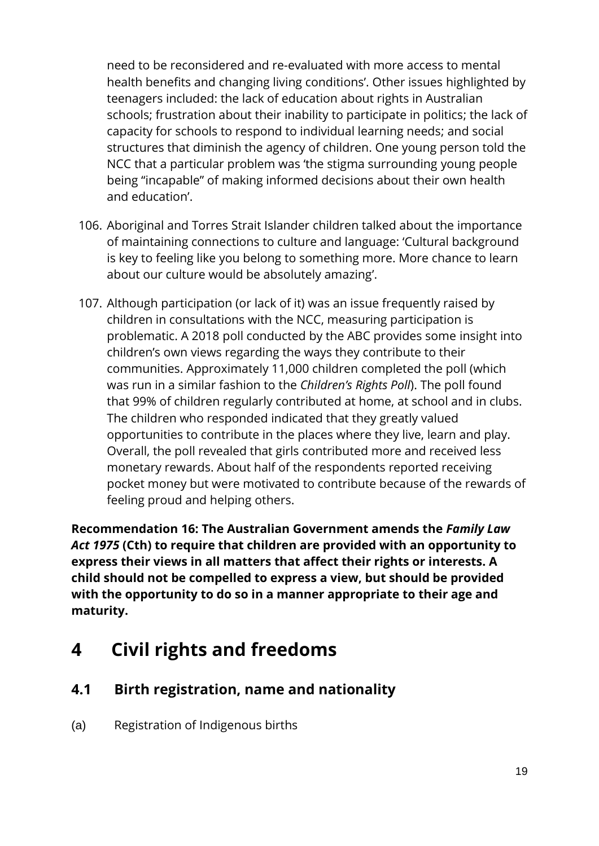need to be reconsidered and re-evaluated with more access to mental health benefits and changing living conditions'. Other issues highlighted by teenagers included: the lack of education about rights in Australian schools; frustration about their inability to participate in politics; the lack of capacity for schools to respond to individual learning needs; and social structures that diminish the agency of children. One young person told the NCC that a particular problem was 'the stigma surrounding young people being "incapable" of making informed decisions about their own health and education'.

- 106. Aboriginal and Torres Strait Islander children talked about the importance of maintaining connections to culture and language: 'Cultural background is key to feeling like you belong to something more. More chance to learn about our culture would be absolutely amazing'.
- 107. Although participation (or lack of it) was an issue frequently raised by children in consultations with the NCC, measuring participation is problematic. A 2018 poll conducted by the ABC provides some insight into children's own views regarding the ways they contribute to their communities. Approximately 11,000 children completed the poll (which was run in a similar fashion to the *Children's Rights Poll*). The poll found that 99% of children regularly contributed at home, at school and in clubs. The children who responded indicated that they greatly valued opportunities to contribute in the places where they live, learn and play. Overall, the poll revealed that girls contributed more and received less monetary rewards. About half of the respondents reported receiving pocket money but were motivated to contribute because of the rewards of feeling proud and helping others.

**Recommendation 16: The Australian Government amends the** *Family Law Act 1975* **(Cth) to require that children are provided with an opportunity to express their views in all matters that affect their rights or interests. A child should not be compelled to express a view, but should be provided with the opportunity to do so in a manner appropriate to their age and maturity.**

# <span id="page-19-0"></span>**4 Civil rights and freedoms**

## **4.1 Birth registration, name and nationality**

(a) Registration of Indigenous births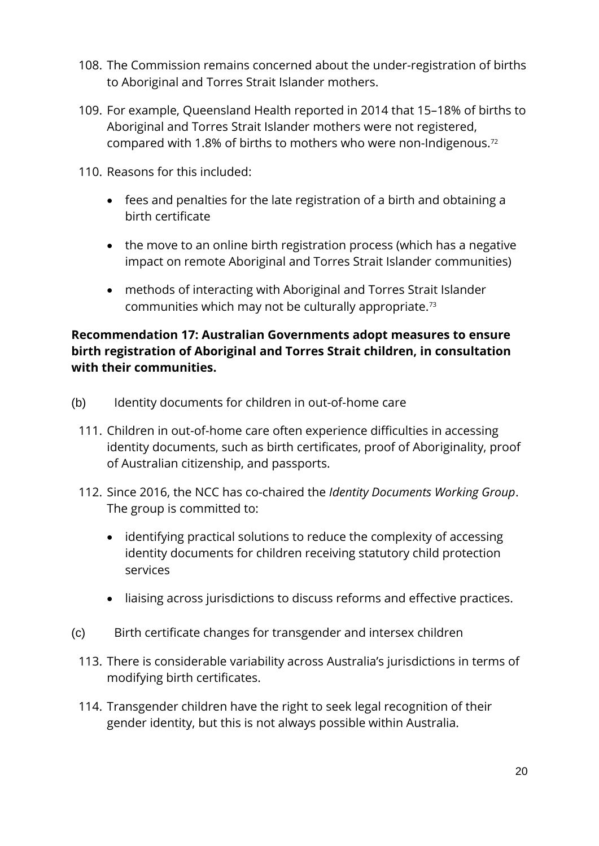- 108. The Commission remains concerned about the under-registration of births to Aboriginal and Torres Strait Islander mothers.
- 109. For example, Queensland Health reported in 2014 that 15–18% of births to Aboriginal and Torres Strait Islander mothers were not registered, compared with 1.8% of births to mothers who were non-Indigenous.<sup>72</sup>
- 110. Reasons for this included:
	- fees and penalties for the late registration of a birth and obtaining a birth certificate
	- the move to an online birth registration process (which has a negative impact on remote Aboriginal and Torres Strait Islander communities)
	- methods of interacting with Aboriginal and Torres Strait Islander communities which may not be culturally appropriate.<sup>73</sup>

#### **Recommendation 17: Australian Governments adopt measures to ensure birth registration of Aboriginal and Torres Strait children, in consultation with their communities.**

- (b) Identity documents for children in out-of-home care
	- 111. Children in out-of-home care often experience difficulties in accessing identity documents, such as birth certificates, proof of Aboriginality, proof of Australian citizenship, and passports.
	- 112. Since 2016, the NCC has co-chaired the *Identity Documents Working Group*. The group is committed to:
		- identifying practical solutions to reduce the complexity of accessing identity documents for children receiving statutory child protection services
		- liaising across jurisdictions to discuss reforms and effective practices.
- (c) Birth certificate changes for transgender and intersex children
- 113. There is considerable variability across Australia's jurisdictions in terms of modifying birth certificates.
- 114. Transgender children have the right to seek legal recognition of their gender identity, but this is not always possible within Australia.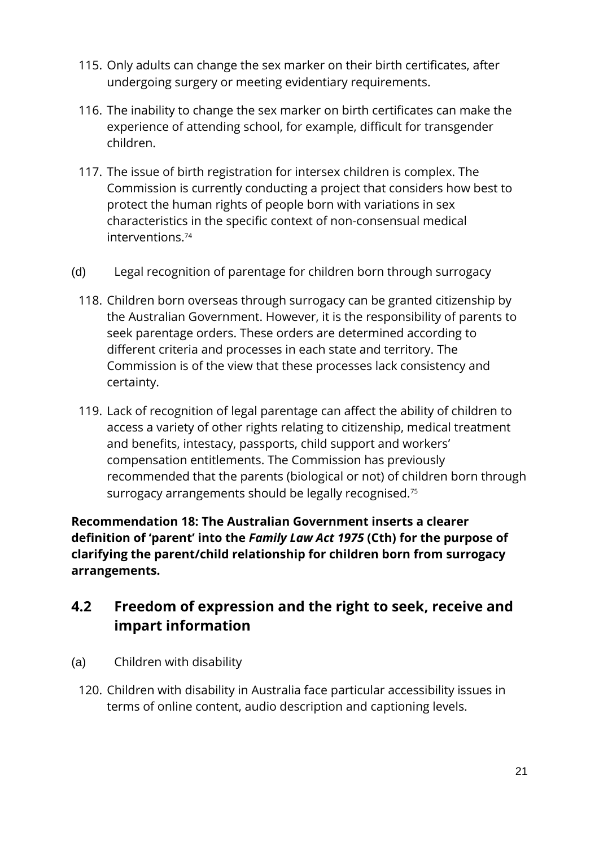- 115. Only adults can change the sex marker on their birth certificates, after undergoing surgery or meeting evidentiary requirements.
- 116. The inability to change the sex marker on birth certificates can make the experience of attending school, for example, difficult for transgender children.
- 117. The issue of birth registration for intersex children is complex. The Commission is currently conducting a project that considers how best to protect the human rights of people born with variations in sex characteristics in the specific context of non-consensual medical interventions.<sup>74</sup>
- (d) Legal recognition of parentage for children born through surrogacy
	- 118. Children born overseas through surrogacy can be granted citizenship by the Australian Government. However, it is the responsibility of parents to seek parentage orders. These orders are determined according to different criteria and processes in each state and territory. The Commission is of the view that these processes lack consistency and certainty.
	- 119. Lack of recognition of legal parentage can affect the ability of children to access a variety of other rights relating to citizenship, medical treatment and benefits, intestacy, passports, child support and workers' compensation entitlements. The Commission has previously recommended that the parents (biological or not) of children born through surrogacy arrangements should be legally recognised.<sup>75</sup>

**Recommendation 18: The Australian Government inserts a clearer definition of 'parent' into the** *Family Law Act 1975* **(Cth) for the purpose of clarifying the parent/child relationship for children born from surrogacy arrangements.**

## **4.2 Freedom of expression and the right to seek, receive and impart information**

- (a) Children with disability
	- 120. Children with disability in Australia face particular accessibility issues in terms of online content, audio description and captioning levels.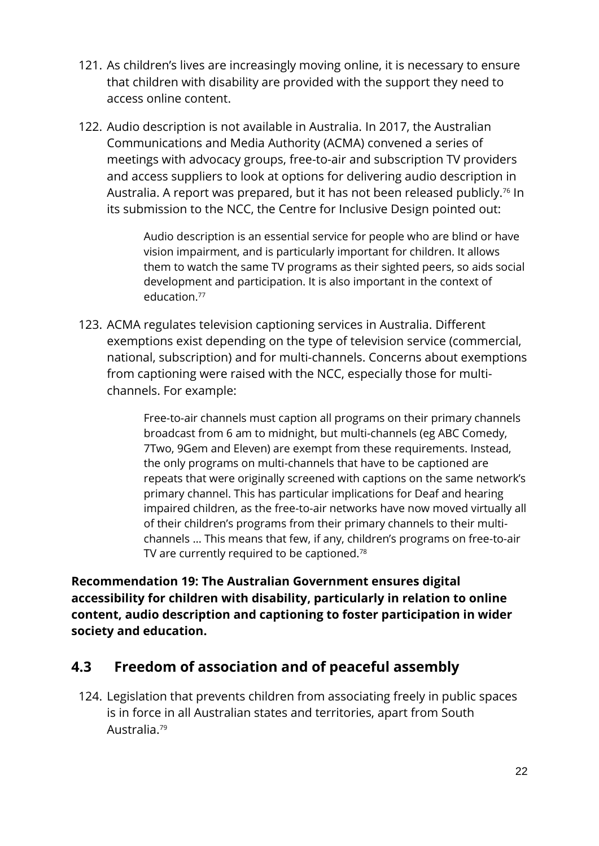- 121. As children's lives are increasingly moving online, it is necessary to ensure that children with disability are provided with the support they need to access online content.
- 122. Audio description is not available in Australia. In 2017, the Australian Communications and Media Authority (ACMA) convened a series of meetings with advocacy groups, free-to-air and subscription TV providers and access suppliers to look at options for delivering audio description in Australia. A report was prepared, but it has not been released publicly. <sup>76</sup> In its submission to the NCC, the Centre for Inclusive Design pointed out:

Audio description is an essential service for people who are blind or have vision impairment, and is particularly important for children. It allows them to watch the same TV programs as their sighted peers, so aids social development and participation. It is also important in the context of education<sup>77</sup>

123. ACMA regulates television captioning services in Australia. Different exemptions exist depending on the type of television service (commercial, national, subscription) and for multi-channels. Concerns about exemptions from captioning were raised with the NCC, especially those for multichannels. For example:

> Free-to-air channels must caption all programs on their primary channels broadcast from 6 am to midnight, but multi-channels (eg ABC Comedy, 7Two, 9Gem and Eleven) are exempt from these requirements. Instead, the only programs on multi-channels that have to be captioned are repeats that were originally screened with captions on the same network's primary channel. This has particular implications for Deaf and hearing impaired children, as the free-to-air networks have now moved virtually all of their children's programs from their primary channels to their multichannels … This means that few, if any, children's programs on free-to-air TV are currently required to be captioned.<sup>78</sup>

**Recommendation 19: The Australian Government ensures digital accessibility for children with disability, particularly in relation to online content, audio description and captioning to foster participation in wider society and education.**

## **4.3 Freedom of association and of peaceful assembly**

124. Legislation that prevents children from associating freely in public spaces is in force in all Australian states and territories, apart from South Australia.79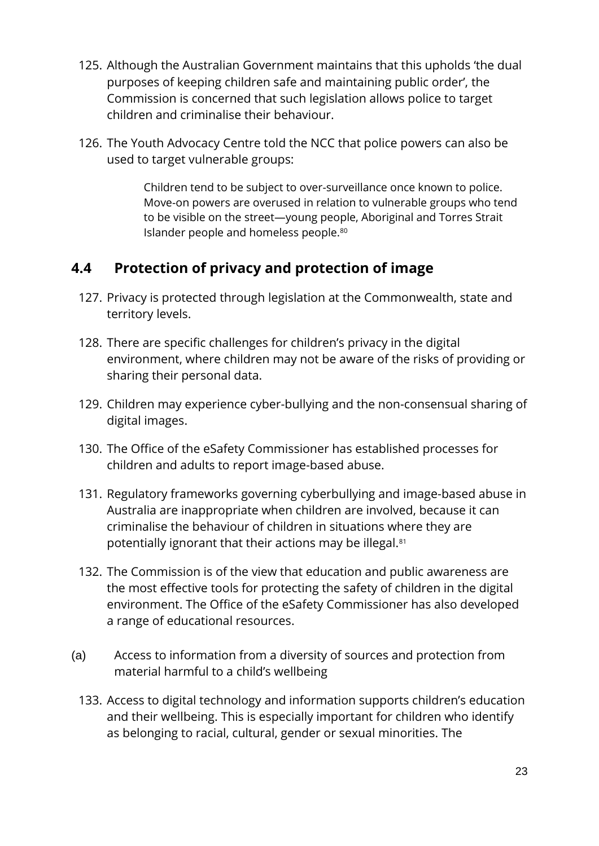- 125. Although the Australian Government maintains that this upholds 'the dual purposes of keeping children safe and maintaining public order', the Commission is concerned that such legislation allows police to target children and criminalise their behaviour.
- 126. The Youth Advocacy Centre told the NCC that police powers can also be used to target vulnerable groups:

Children tend to be subject to over-surveillance once known to police. Move-on powers are overused in relation to vulnerable groups who tend to be visible on the street—young people, Aboriginal and Torres Strait Islander people and homeless people.<sup>80</sup>

## **4.4 Protection of privacy and protection of image**

- 127. Privacy is protected through legislation at the Commonwealth, state and territory levels.
- 128. There are specific challenges for children's privacy in the digital environment, where children may not be aware of the risks of providing or sharing their personal data.
- 129. Children may experience cyber-bullying and the non-consensual sharing of digital images.
- 130. The Office of the eSafety Commissioner has established processes for children and adults to report image-based abuse.
- 131. Regulatory frameworks governing cyberbullying and image-based abuse in Australia are inappropriate when children are involved, because it can criminalise the behaviour of children in situations where they are potentially ignorant that their actions may be illegal.<sup>81</sup>
- 132. The Commission is of the view that education and public awareness are the most effective tools for protecting the safety of children in the digital environment. The Office of the eSafety Commissioner has also developed a range of educational resources.
- (a) Access to information from a diversity of sources and protection from material harmful to a child's wellbeing
	- 133. Access to digital technology and information supports children's education and their wellbeing. This is especially important for children who identify as belonging to racial, cultural, gender or sexual minorities. The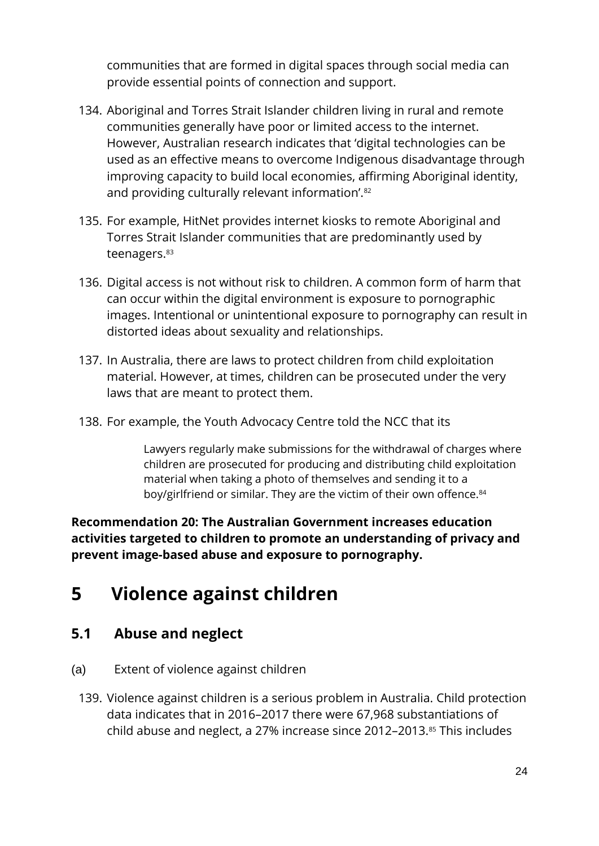communities that are formed in digital spaces through social media can provide essential points of connection and support.

- 134. Aboriginal and Torres Strait Islander children living in rural and remote communities generally have poor or limited access to the internet. However, Australian research indicates that 'digital technologies can be used as an effective means to overcome Indigenous disadvantage through improving capacity to build local economies, affirming Aboriginal identity, and providing culturally relevant information'.<sup>82</sup>
- 135. For example, HitNet provides internet kiosks to remote Aboriginal and Torres Strait Islander communities that are predominantly used by teenagers. 83
- 136. Digital access is not without risk to children. A common form of harm that can occur within the digital environment is exposure to pornographic images. Intentional or unintentional exposure to pornography can result in distorted ideas about sexuality and relationships.
- 137. In Australia, there are laws to protect children from child exploitation material. However, at times, children can be prosecuted under the very laws that are meant to protect them.
- 138. For example, the Youth Advocacy Centre told the NCC that its

Lawyers regularly make submissions for the withdrawal of charges where children are prosecuted for producing and distributing child exploitation material when taking a photo of themselves and sending it to a boy/girlfriend or similar. They are the victim of their own offence.<sup>84</sup>

**Recommendation 20: The Australian Government increases education activities targeted to children to promote an understanding of privacy and prevent image-based abuse and exposure to pornography.**

# <span id="page-24-0"></span>**5 Violence against children**

#### **5.1 Abuse and neglect**

- (a) Extent of violence against children
	- 139. Violence against children is a serious problem in Australia. Child protection data indicates that in 2016–2017 there were 67,968 substantiations of child abuse and neglect, a 27% increase since 2012–2013.<sup>85</sup> This includes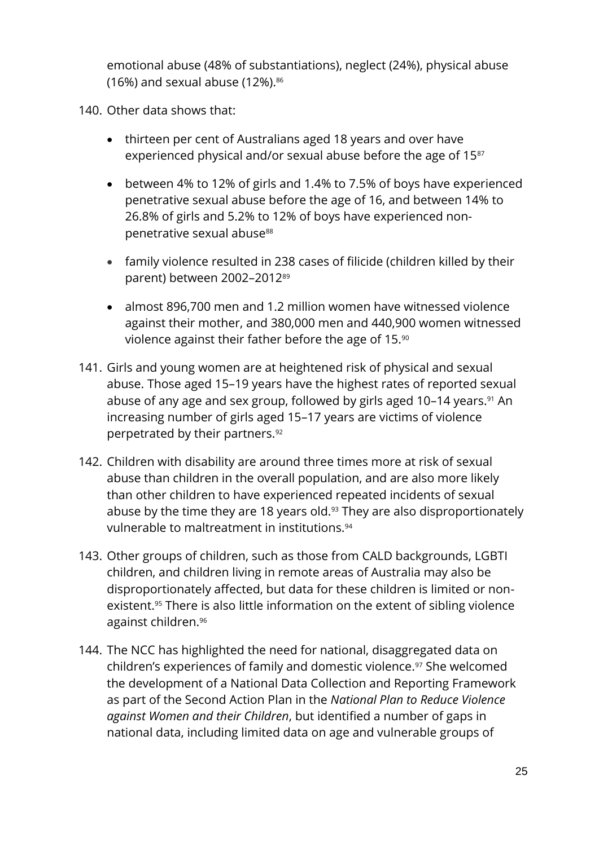emotional abuse (48% of substantiations), neglect (24%), physical abuse (16%) and sexual abuse (12%). $86$ 

140. Other data shows that:

- thirteen per cent of Australians aged 18 years and over have experienced physical and/or sexual abuse before the age of 15<sup>87</sup>
- between 4% to 12% of girls and 1.4% to 7.5% of boys have experienced penetrative sexual abuse before the age of 16, and between 14% to 26.8% of girls and 5.2% to 12% of boys have experienced nonpenetrative sexual abuse<sup>88</sup>
- family violence resulted in 238 cases of filicide (children killed by their parent) between 2002–2012<sup>89</sup>
- almost 896,700 men and 1.2 million women have witnessed violence against their mother, and 380,000 men and 440,900 women witnessed violence against their father before the age of 15.<sup>90</sup>
- 141. Girls and young women are at heightened risk of physical and sexual abuse. Those aged 15–19 years have the highest rates of reported sexual abuse of any age and sex group, followed by girls aged 10–14 years.<sup>91</sup> An increasing number of girls aged 15–17 years are victims of violence perpetrated by their partners.<sup>92</sup>
- 142. Children with disability are around three times more at risk of sexual abuse than children in the overall population, and are also more likely than other children to have experienced repeated incidents of sexual abuse by the time they are 18 years old.<sup>93</sup> They are also disproportionately vulnerable to maltreatment in institutions.<sup>94</sup>
- 143. Other groups of children, such as those from CALD backgrounds, LGBTI children, and children living in remote areas of Australia may also be disproportionately affected, but data for these children is limited or nonexistent. <sup>95</sup> There is also little information on the extent of sibling violence against children.<sup>96</sup>
- 144. The NCC has highlighted the need for national, disaggregated data on children's experiences of family and domestic violence. <sup>97</sup> She welcomed the development of a National Data Collection and Reporting Framework as part of the Second Action Plan in the *National Plan to Reduce Violence against Women and their Children*, but identified a number of gaps in national data, including limited data on age and vulnerable groups of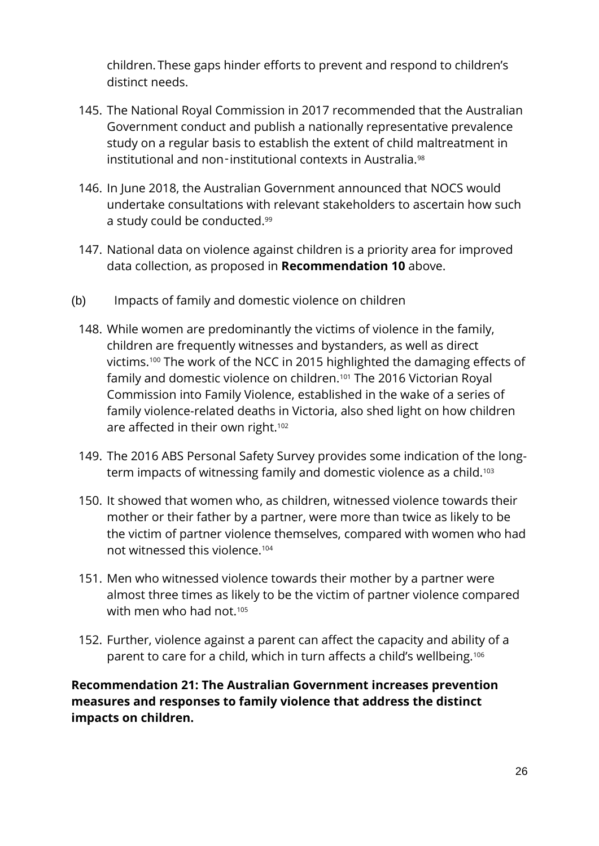children. These gaps hinder efforts to prevent and respond to children's distinct needs.

- 145. The National Royal Commission in 2017 recommended that the Australian Government conduct and publish a nationally representative prevalence study on a regular basis to establish the extent of child maltreatment in institutional and non-institutional contexts in Australia.<sup>98</sup>
- 146. In June 2018, the Australian Government announced that NOCS would undertake consultations with relevant stakeholders to ascertain how such a study could be conducted.<sup>99</sup>
- 147. National data on violence against children is a priority area for improved data collection, as proposed in **Recommendation 10** above.
- (b) Impacts of family and domestic violence on children
	- 148. While women are predominantly the victims of violence in the family, children are frequently witnesses and bystanders, as well as direct victims. <sup>100</sup> The work of the NCC in 2015 highlighted the damaging effects of family and domestic violence on children.<sup>101</sup> The 2016 Victorian Royal Commission into Family Violence, established in the wake of a series of family violence-related deaths in Victoria, also shed light on how children are affected in their own right.<sup>102</sup>
	- 149. The 2016 ABS Personal Safety Survey provides some indication of the longterm impacts of witnessing family and domestic violence as a child.<sup>103</sup>
	- 150. It showed that women who, as children, witnessed violence towards their mother or their father by a partner, were more than twice as likely to be the victim of partner violence themselves, compared with women who had not witnessed this violence.<sup>104</sup>
	- 151. Men who witnessed violence towards their mother by a partner were almost three times as likely to be the victim of partner violence compared with men who had not  $105$
	- 152. Further, violence against a parent can affect the capacity and ability of a parent to care for a child, which in turn affects a child's wellbeing.<sup>106</sup>

**Recommendation 21: The Australian Government increases prevention measures and responses to family violence that address the distinct impacts on children.**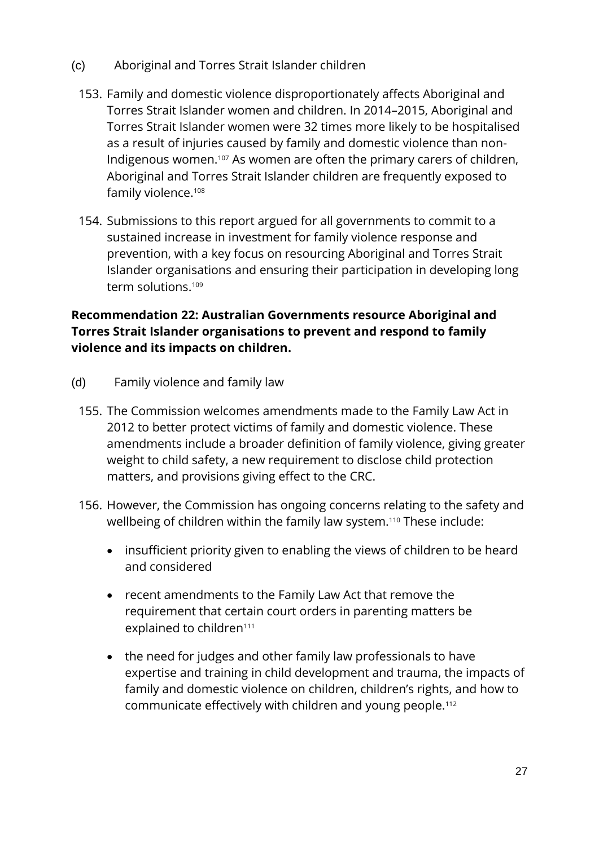- (c) Aboriginal and Torres Strait Islander children
	- 153. Family and domestic violence disproportionately affects Aboriginal and Torres Strait Islander women and children. In 2014–2015, Aboriginal and Torres Strait Islander women were 32 times more likely to be hospitalised as a result of injuries caused by family and domestic violence than non-Indigenous women.<sup>107</sup> As women are often the primary carers of children, Aboriginal and Torres Strait Islander children are frequently exposed to family violence.<sup>108</sup>
	- 154. Submissions to this report argued for all governments to commit to a sustained increase in investment for family violence response and prevention, with a key focus on resourcing Aboriginal and Torres Strait Islander organisations and ensuring their participation in developing long term solutions. 109

#### **Recommendation 22: Australian Governments resource Aboriginal and Torres Strait Islander organisations to prevent and respond to family violence and its impacts on children.**

- (d) Family violence and family law
	- 155. The Commission welcomes amendments made to the Family Law Act in 2012 to better protect victims of family and domestic violence. These amendments include a broader definition of family violence, giving greater weight to child safety, a new requirement to disclose child protection matters, and provisions giving effect to the CRC.
	- 156. However, the Commission has ongoing concerns relating to the safety and wellbeing of children within the family law system.<sup>110</sup> These include:
		- insufficient priority given to enabling the views of children to be heard and considered
		- recent amendments to the Family Law Act that remove the requirement that certain court orders in parenting matters be explained to children<sup>111</sup>
		- the need for judges and other family law professionals to have expertise and training in child development and trauma, the impacts of family and domestic violence on children, children's rights, and how to communicate effectively with children and young people.112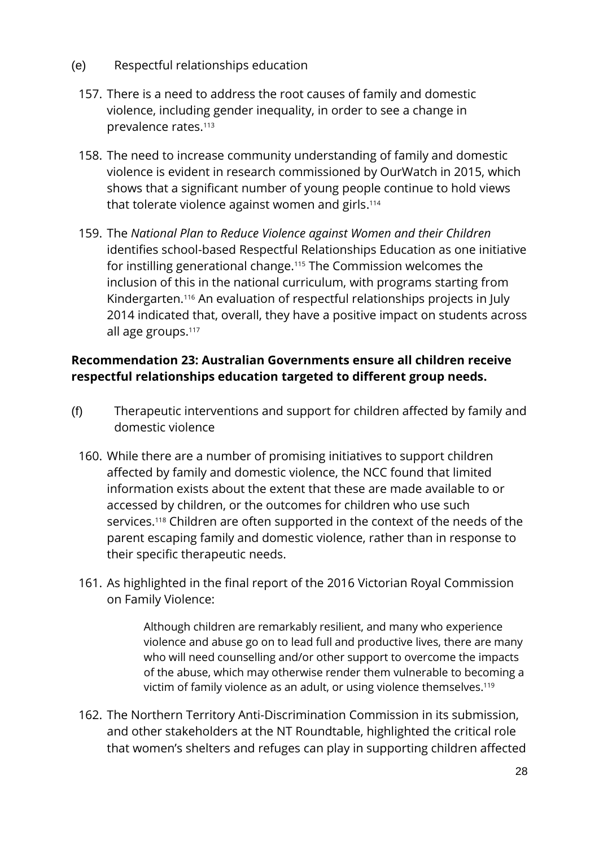- (e) Respectful relationships education
	- 157. There is a need to address the root causes of family and domestic violence, including gender inequality, in order to see a change in prevalence rates.<sup>113</sup>
	- 158. The need to increase community understanding of family and domestic violence is evident in research commissioned by OurWatch in 2015, which shows that a significant number of young people continue to hold views that tolerate violence against women and girls. 114
	- 159. The *National Plan to Reduce Violence against Women and their Children* identifies school-based Respectful Relationships Education as one initiative for instilling generational change.<sup>115</sup> The Commission welcomes the inclusion of this in the national curriculum, with programs starting from Kindergarten. <sup>116</sup> An evaluation of respectful relationships projects in July 2014 indicated that, overall, they have a positive impact on students across all age groups.<sup>117</sup>

#### **Recommendation 23: Australian Governments ensure all children receive respectful relationships education targeted to different group needs.**

- (f) Therapeutic interventions and support for children affected by family and domestic violence
	- 160. While there are a number of promising initiatives to support children affected by family and domestic violence, the NCC found that limited information exists about the extent that these are made available to or accessed by children, or the outcomes for children who use such services.<sup>118</sup> Children are often supported in the context of the needs of the parent escaping family and domestic violence, rather than in response to their specific therapeutic needs.
	- 161. As highlighted in the final report of the 2016 Victorian Royal Commission on Family Violence:

Although children are remarkably resilient, and many who experience violence and abuse go on to lead full and productive lives, there are many who will need counselling and/or other support to overcome the impacts of the abuse, which may otherwise render them vulnerable to becoming a victim of family violence as an adult, or using violence themselves.<sup>119</sup>

162. The Northern Territory Anti-Discrimination Commission in its submission, and other stakeholders at the NT Roundtable, highlighted the critical role that women's shelters and refuges can play in supporting children affected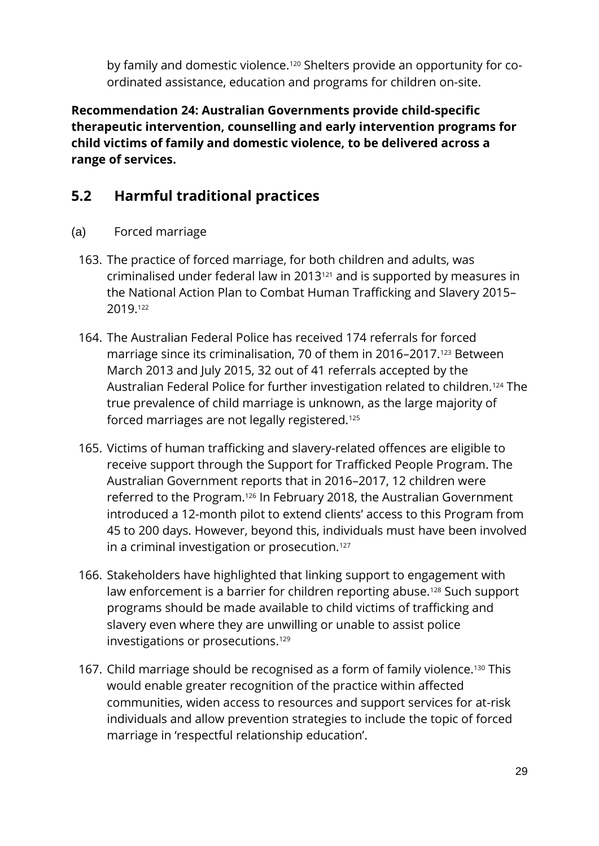by family and domestic violence.<sup>120</sup> Shelters provide an opportunity for coordinated assistance, education and programs for children on-site.

**Recommendation 24: Australian Governments provide child-specific therapeutic intervention, counselling and early intervention programs for child victims of family and domestic violence, to be delivered across a range of services.**

## **5.2 Harmful traditional practices**

- (a) Forced marriage
	- 163. The practice of forced marriage, for both children and adults, was criminalised under federal law in 2013<sup>121</sup> and is supported by measures in the National Action Plan to Combat Human Trafficking and Slavery 2015– 2019. 122
	- 164. The Australian Federal Police has received 174 referrals for forced marriage since its criminalisation, 70 of them in 2016–2017.<sup>123</sup> Between March 2013 and July 2015, 32 out of 41 referrals accepted by the Australian Federal Police for further investigation related to children.<sup>124</sup> The true prevalence of child marriage is unknown, as the large majority of forced marriages are not legally registered.<sup>125</sup>
	- 165. Victims of human trafficking and slavery-related offences are eligible to receive support through the Support for Trafficked People Program. The Australian Government reports that in 2016–2017, 12 children were referred to the Program.<sup>126</sup> In February 2018, the Australian Government introduced a 12-month pilot to extend clients' access to this Program from 45 to 200 days. However, beyond this, individuals must have been involved in a criminal investigation or prosecution.<sup>127</sup>
	- 166. Stakeholders have highlighted that linking support to engagement with law enforcement is a barrier for children reporting abuse.<sup>128</sup> Such support programs should be made available to child victims of trafficking and slavery even where they are unwilling or unable to assist police investigations or prosecutions. 129
	- 167. Child marriage should be recognised as a form of family violence.<sup>130</sup> This would enable greater recognition of the practice within affected communities, widen access to resources and support services for at-risk individuals and allow prevention strategies to include the topic of forced marriage in 'respectful relationship education'.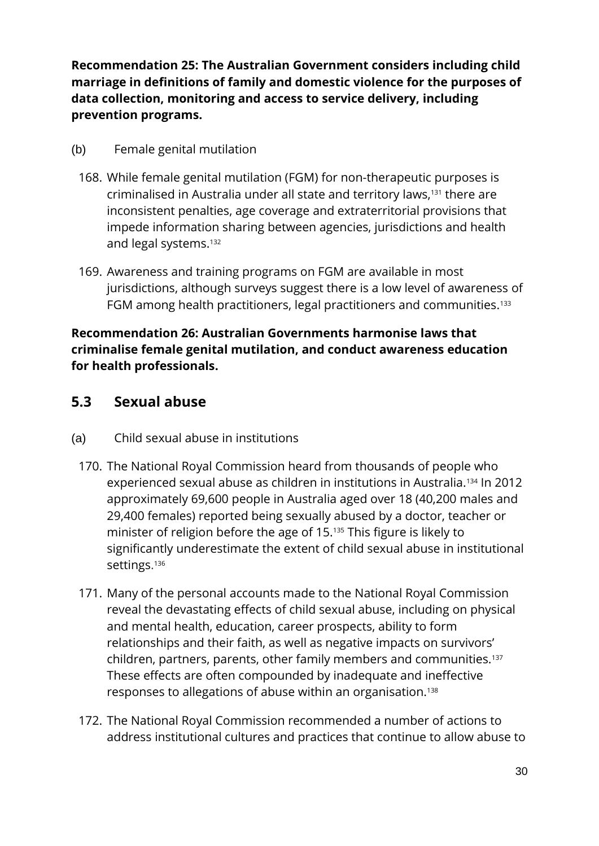**Recommendation 25: The Australian Government considers including child marriage in definitions of family and domestic violence for the purposes of data collection, monitoring and access to service delivery, including prevention programs.**

- (b) Female genital mutilation
	- 168. While female genital mutilation (FGM) for non-therapeutic purposes is criminalised in Australia under all state and territory laws,<sup>131</sup> there are inconsistent penalties, age coverage and extraterritorial provisions that impede information sharing between agencies, jurisdictions and health and legal systems.<sup>132</sup>
	- 169. Awareness and training programs on FGM are available in most jurisdictions, although surveys suggest there is a low level of awareness of FGM among health practitioners, legal practitioners and communities.<sup>133</sup>

#### **Recommendation 26: Australian Governments harmonise laws that criminalise female genital mutilation, and conduct awareness education for health professionals.**

#### **5.3 Sexual abuse**

- (a) Child sexual abuse in institutions
	- 170. The National Royal Commission heard from thousands of people who experienced sexual abuse as children in institutions in Australia.<sup>134</sup> In 2012 approximately 69,600 people in Australia aged over 18 (40,200 males and 29,400 females) reported being sexually abused by a doctor, teacher or minister of religion before the age of 15.<sup>135</sup> This figure is likely to significantly underestimate the extent of child sexual abuse in institutional settings.<sup>136</sup>
	- 171. Many of the personal accounts made to the National Royal Commission reveal the devastating effects of child sexual abuse, including on physical and mental health, education, career prospects, ability to form relationships and their faith, as well as negative impacts on survivors' children, partners, parents, other family members and communities.<sup>137</sup> These effects are often compounded by inadequate and ineffective responses to allegations of abuse within an organisation.<sup>138</sup>
	- 172. The National Royal Commission recommended a number of actions to address institutional cultures and practices that continue to allow abuse to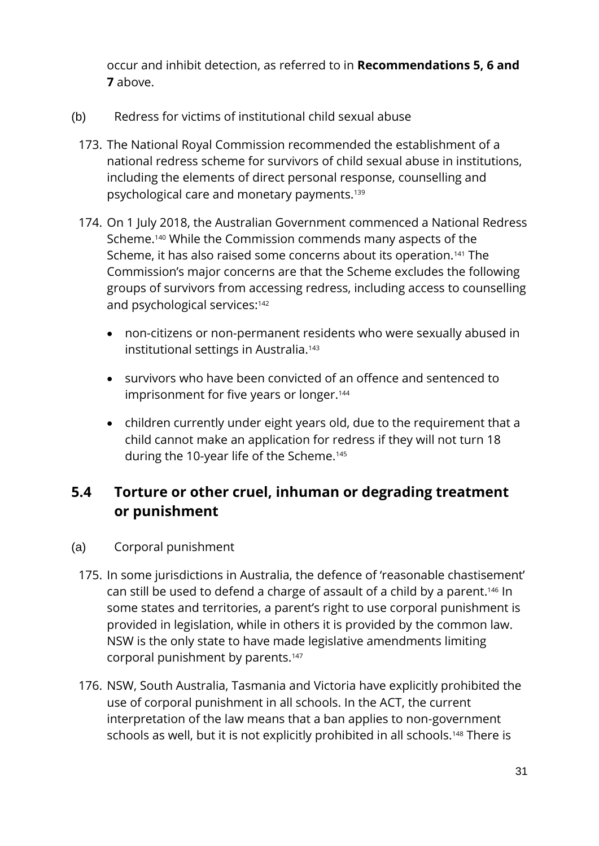occur and inhibit detection, as referred to in **Recommendations 5, 6 and 7** above.

- (b) Redress for victims of institutional child sexual abuse
	- 173. The National Royal Commission recommended the establishment of a national redress scheme for survivors of child sexual abuse in institutions, including the elements of direct personal response, counselling and psychological care and monetary payments.<sup>139</sup>
	- 174. On 1 July 2018, the Australian Government commenced a National Redress Scheme.<sup>140</sup> While the Commission commends many aspects of the Scheme, it has also raised some concerns about its operation.<sup>141</sup> The Commission's major concerns are that the Scheme excludes the following groups of survivors from accessing redress, including access to counselling and psychological services:<sup>142</sup>
		- non-citizens or non-permanent residents who were sexually abused in institutional settings in Australia.<sup>143</sup>
		- survivors who have been convicted of an offence and sentenced to imprisonment for five years or longer.<sup>144</sup>
		- children currently under eight years old, due to the requirement that a child cannot make an application for redress if they will not turn 18 during the 10-year life of the Scheme.<sup>145</sup>

## **5.4 Torture or other cruel, inhuman or degrading treatment or punishment**

- (a) Corporal punishment
	- 175. In some jurisdictions in Australia, the defence of 'reasonable chastisement' can still be used to defend a charge of assault of a child by a parent.<sup>146</sup> In some states and territories, a parent's right to use corporal punishment is provided in legislation, while in others it is provided by the common law. NSW is the only state to have made legislative amendments limiting corporal punishment by parents.<sup>147</sup>
	- 176. NSW, South Australia, Tasmania and Victoria have explicitly prohibited the use of corporal punishment in all schools. In the ACT, the current interpretation of the law means that a ban applies to non-government schools as well, but it is not explicitly prohibited in all schools.<sup>148</sup> There is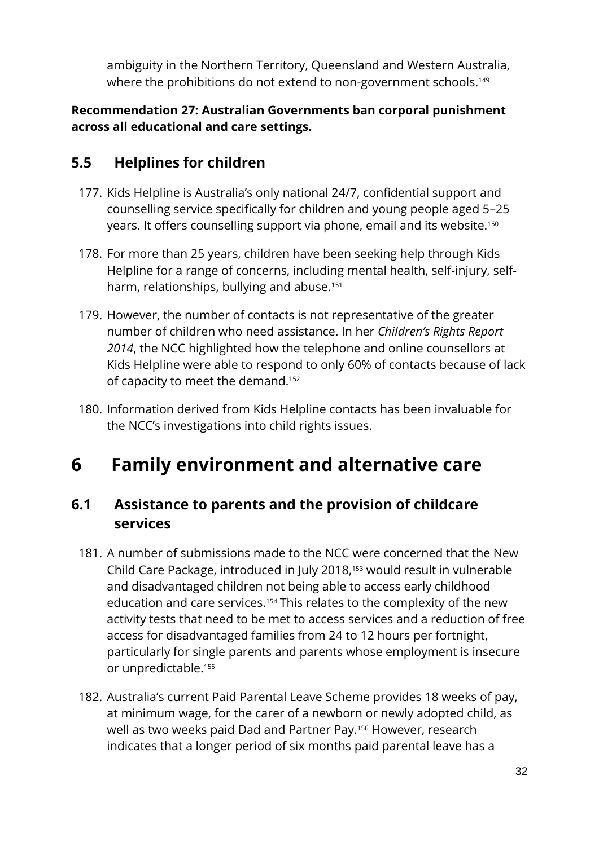ambiguity in the Northern Territory, Queensland and Western Australia, where the prohibitions do not extend to non-government schools.<sup>149</sup>

#### **Recommendation 27: Australian Governments ban corporal punishment across all educational and care settings.**

## **5.5 Helplines for children**

- 177. Kids Helpline is Australia's only national 24/7, confidential support and counselling service specifically for children and young people aged 5–25 years. It offers counselling support via phone, email and its website.<sup>150</sup>
- 178. For more than 25 years, children have been seeking help through Kids Helpline for a range of concerns, including mental health, self-injury, selfharm, relationships, bullying and abuse.<sup>151</sup>
- 179. However, the number of contacts is not representative of the greater number of children who need assistance. In her *Children's Rights Report 2014*, the NCC highlighted how the telephone and online counsellors at Kids Helpline were able to respond to only 60% of contacts because of lack of capacity to meet the demand.<sup>152</sup>
- 180. Information derived from Kids Helpline contacts has been invaluable for the NCC's investigations into child rights issues.

# <span id="page-32-0"></span>**6 Family environment and alternative care**

#### **6.1 Assistance to parents and the provision of childcare services**

- 181. A number of submissions made to the NCC were concerned that the New Child Care Package, introduced in July 2018, <sup>153</sup> would result in vulnerable and disadvantaged children not being able to access early childhood education and care services. <sup>154</sup> This relates to the complexity of the new activity tests that need to be met to access services and a reduction of free access for disadvantaged families from 24 to 12 hours per fortnight, particularly for single parents and parents whose employment is insecure or unpredictable.<sup>155</sup>
- 182. Australia's current Paid Parental Leave Scheme provides 18 weeks of pay, at minimum wage, for the carer of a newborn or newly adopted child, as well as two weeks paid Dad and Partner Pay.<sup>156</sup> However, research indicates that a longer period of six months paid parental leave has a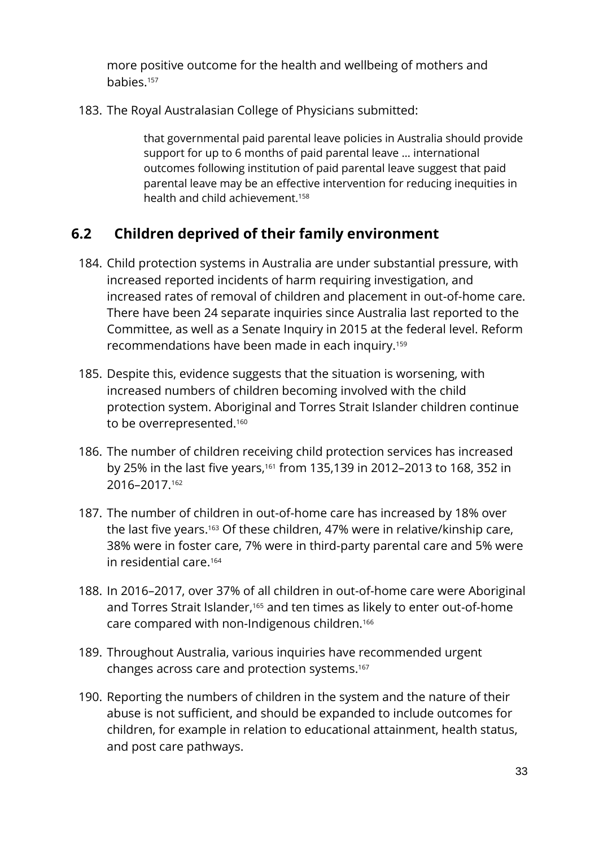more positive outcome for the health and wellbeing of mothers and babies.<sup>157</sup>

183. The Royal Australasian College of Physicians submitted:

that governmental paid parental leave policies in Australia should provide support for up to 6 months of paid parental leave … international outcomes following institution of paid parental leave suggest that paid parental leave may be an effective intervention for reducing inequities in health and child achievement.<sup>158</sup>

## **6.2 Children deprived of their family environment**

- 184. Child protection systems in Australia are under substantial pressure, with increased reported incidents of harm requiring investigation, and increased rates of removal of children and placement in out-of-home care. There have been 24 separate inquiries since Australia last reported to the Committee, as well as a Senate Inquiry in 2015 at the federal level. Reform recommendations have been made in each inquiry.<sup>159</sup>
- 185. Despite this, evidence suggests that the situation is worsening, with increased numbers of children becoming involved with the child protection system. Aboriginal and Torres Strait Islander children continue to be overrepresented.<sup>160</sup>
- 186. The number of children receiving child protection services has increased by 25% in the last five years,<sup>161</sup> from 135,139 in 2012-2013 to 168, 352 in 2016–2017.<sup>162</sup>
- 187. The number of children in out-of-home care has increased by 18% over the last five years. <sup>163</sup> Of these children, 47% were in [relative/kinship](https://www.aihw.gov.au/reports-statistics/health-welfare-services/child-protection/glossary#relative) care, 38% were in [foster care,](https://www.aihw.gov.au/reports-statistics/health-welfare-services/child-protection/glossary#foster) 7% were in [third-party parental care](https://www.aihw.gov.au/reports-statistics/health-welfare-services/child-protection/glossary#third-party-care) and 5% were in [residential care.](https://www.aihw.gov.au/reports-statistics/health-welfare-services/child-protection/glossary#residential) 164
- 188. In 2016–2017, over 37% of all children in out-of-home care were Aboriginal and Torres Strait Islander,<sup>165</sup> and ten times as likely to enter out-of-home care compared with non-Indigenous children.<sup>166</sup>
- 189. Throughout Australia, various inquiries have recommended urgent changes across care and protection systems. 167
- 190. Reporting the numbers of children in the system and the nature of their abuse is not sufficient, and should be expanded to include outcomes for children, for example in relation to educational attainment, health status, and post care pathways.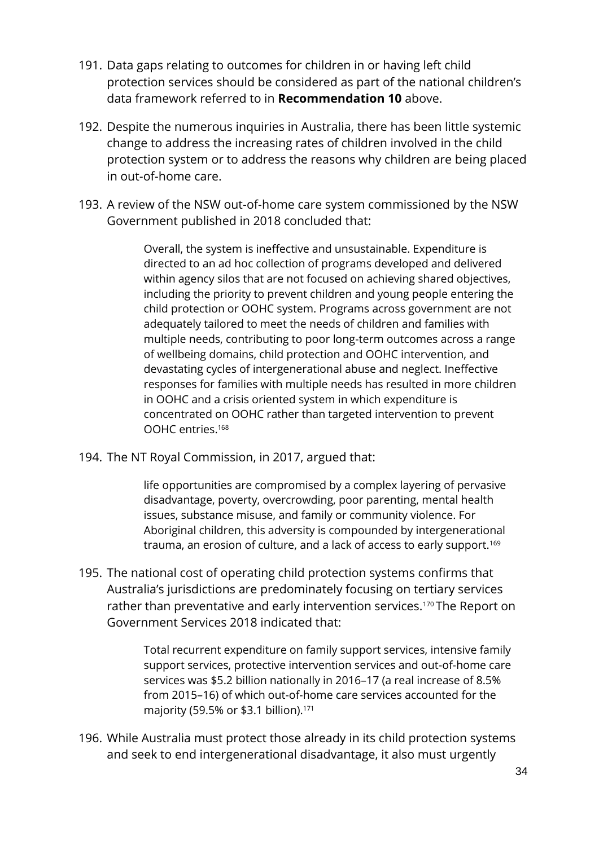- 191. Data gaps relating to outcomes for children in or having left child protection services should be considered as part of the national children's data framework referred to in **Recommendation 10** above.
- 192. Despite the numerous inquiries in Australia, there has been little systemic change to address the increasing rates of children involved in the child protection system or to address the reasons why children are being placed in out-of-home care.
- 193. A review of the NSW out-of-home care system commissioned by the NSW Government published in 2018 concluded that:

Overall, the system is ineffective and unsustainable. Expenditure is directed to an ad hoc collection of programs developed and delivered within agency silos that are not focused on achieving shared objectives, including the priority to prevent children and young people entering the child protection or OOHC system. Programs across government are not adequately tailored to meet the needs of children and families with multiple needs, contributing to poor long-term outcomes across a range of wellbeing domains, child protection and OOHC intervention, and devastating cycles of intergenerational abuse and neglect. Ineffective responses for families with multiple needs has resulted in more children in OOHC and a crisis oriented system in which expenditure is concentrated on OOHC rather than targeted intervention to prevent OOHC entries.<sup>168</sup>

194. The NT Royal Commission, in 2017, argued that:

life opportunities are compromised by a complex layering of pervasive disadvantage, poverty, overcrowding, poor parenting, mental health issues, substance misuse, and family or community violence. For Aboriginal children, this adversity is compounded by intergenerational trauma, an erosion of culture, and a lack of access to early support.<sup>169</sup>

195. The national cost of operating child protection systems confirms that Australia's jurisdictions are predominately focusing on tertiary services rather than preventative and early intervention services.<sup>170</sup> The Report on Government Services 2018 indicated that:

> Total recurrent expenditure on family support services, intensive family support services, protective intervention services and out-of-home care services was \$5.2 billion nationally in 2016–17 (a real increase of 8.5% from 2015–16) of which out-of-home care services accounted for the majority (59.5% or \$3.1 billion). 171

196. While Australia must protect those already in its child protection systems and seek to end intergenerational disadvantage, it also must urgently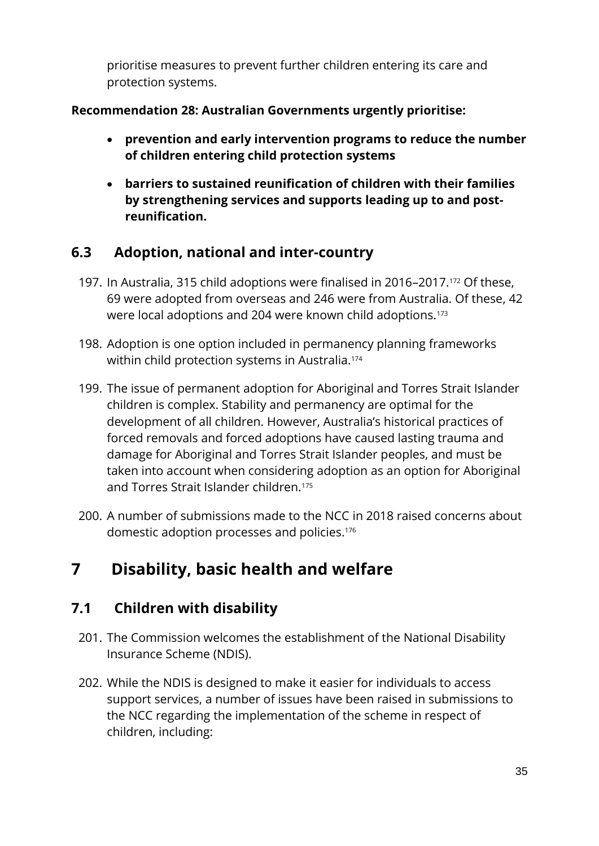prioritise measures to prevent further children entering its care and protection systems.

#### **Recommendation 28: Australian Governments urgently prioritise:**

- **prevention and early intervention programs to reduce the number of children entering child protection systems**
- **barriers to sustained reunification of children with their families by strengthening services and supports leading up to and postreunification.**

## **6.3 Adoption, national and inter-country**

- 197. In Australia, 315 child adoptions were finalised in 2016–2017.<sup>172</sup> Of these, 69 were adopted from overseas and 246 were from Australia. Of these, 42 were local adoptions and 204 were known child adoptions.<sup>173</sup>
- 198. Adoption is one option included in permanency planning frameworks within child protection systems in Australia.<sup>174</sup>
- 199. The issue of permanent adoption for Aboriginal and Torres Strait Islander children is complex. Stability and permanency are optimal for the development of all children. However, Australia's historical practices of forced removals and forced adoptions have caused lasting trauma and damage for Aboriginal and Torres Strait Islander peoples, and must be taken into account when considering adoption as an option for Aboriginal and Torres Strait Islander children.<sup>175</sup>
- 200. A number of submissions made to the NCC in 2018 raised concerns about domestic adoption processes and policies. 176

# <span id="page-35-0"></span>**7 Disability, basic health and welfare**

## **7.1 Children with disability**

- 201. The Commission welcomes the establishment of the National Disability Insurance Scheme (NDIS).
- 202. While the NDIS is designed to make it easier for individuals to access support services, a number of issues have been raised in submissions to the NCC regarding the implementation of the scheme in respect of children, including: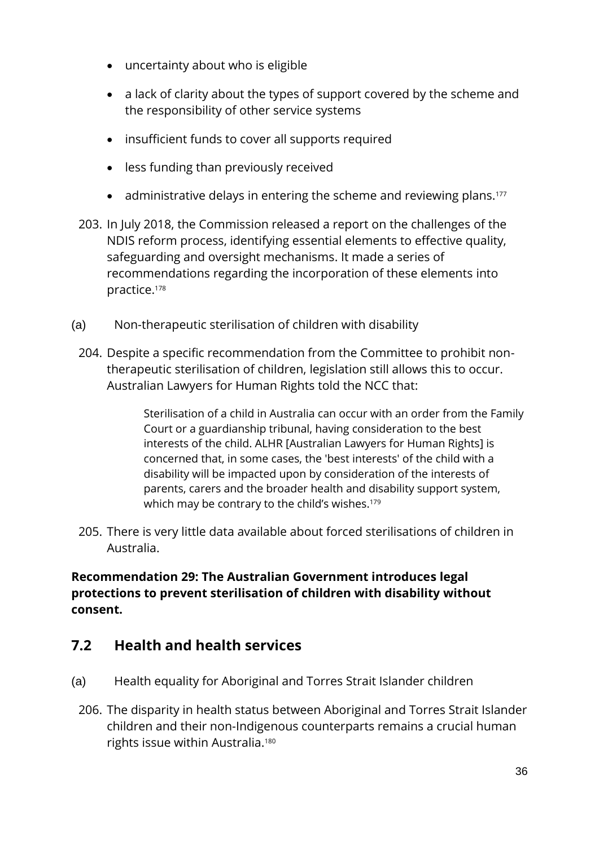- uncertainty about who is eligible
- a lack of clarity about the types of support covered by the scheme and the responsibility of other service systems
- insufficient funds to cover all supports required
- less funding than previously received
- administrative delays in entering the scheme and reviewing plans.<sup>177</sup>
- 203. In July 2018, the Commission released a report on the challenges of the NDIS reform process, identifying essential elements to effective quality, safeguarding and oversight mechanisms. It made a series of recommendations regarding the incorporation of these elements into practice.<sup>178</sup>
- (a) Non-therapeutic sterilisation of children with disability
	- 204. Despite a specific recommendation from the Committee to prohibit nontherapeutic sterilisation of children, legislation still allows this to occur. Australian Lawyers for Human Rights told the NCC that:

Sterilisation of a child in Australia can occur with an order from the Family Court or a guardianship tribunal, having consideration to the best interests of the child. ALHR [Australian Lawyers for Human Rights] is concerned that, in some cases, the 'best interests' of the child with a disability will be impacted upon by consideration of the interests of parents, carers and the broader health and disability support system, which may be contrary to the child's wishes.<sup>179</sup>

205. There is very little data available about forced sterilisations of children in Australia.

#### **Recommendation 29: The Australian Government introduces legal protections to prevent sterilisation of children with disability without consent.**

#### **7.2 Health and health services**

- (a) Health equality for Aboriginal and Torres Strait Islander children
	- 206. The disparity in health status between Aboriginal and Torres Strait Islander children and their non-Indigenous counterparts remains a crucial human rights issue within Australia.<sup>180</sup>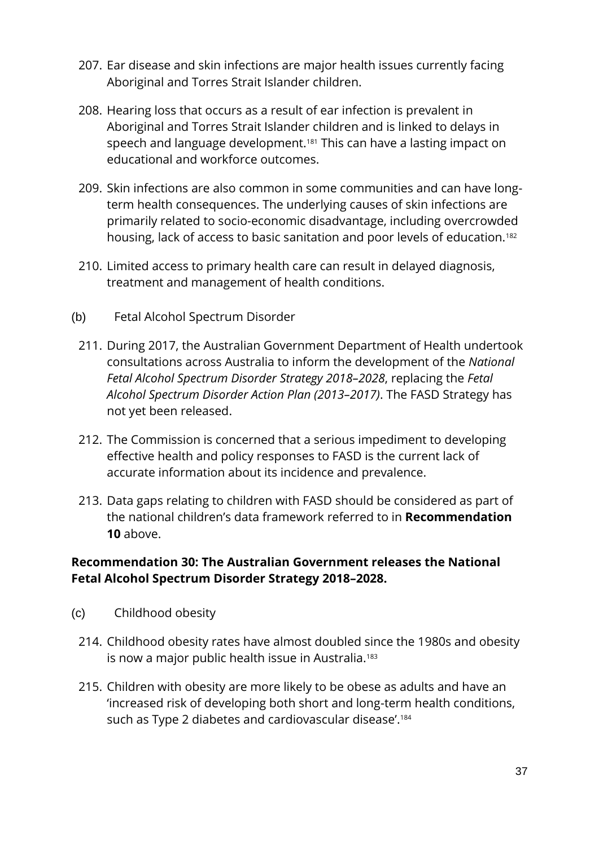- 207. Ear disease and skin infections are major health issues currently facing Aboriginal and Torres Strait Islander children.
- 208. Hearing loss that occurs as a result of ear infection is prevalent in Aboriginal and Torres Strait Islander children and is linked to delays in speech and language development. <sup>181</sup> This can have a lasting impact on educational and workforce outcomes.
- 209. Skin infections are also common in some communities and can have longterm health consequences. The underlying causes of skin infections are primarily related to socio-economic disadvantage, including overcrowded housing, lack of access to basic sanitation and poor levels of education.<sup>182</sup>
- 210. Limited access to primary health care can result in delayed diagnosis, treatment and management of health conditions.
- (b) Fetal Alcohol Spectrum Disorder
	- 211. During 2017, the Australian Government Department of Health undertook consultations across Australia to inform the development of the *National Fetal Alcohol Spectrum Disorder Strategy 2018–2028*, replacing the *Fetal Alcohol Spectrum Disorder Action Plan (2013–2017)*. The FASD Strategy has not yet been released.
	- 212. The Commission is concerned that a serious impediment to developing effective health and policy responses to FASD is the current lack of accurate information about its incidence and prevalence.
	- 213. Data gaps relating to children with FASD should be considered as part of the national children's data framework referred to in **Recommendation 10** above.

#### **Recommendation 30: The Australian Government releases the National Fetal Alcohol Spectrum Disorder Strategy 2018–2028.**

- (c) Childhood obesity
	- 214. Childhood obesity rates have almost doubled since the 1980s and obesity is now a major public health issue in Australia.<sup>183</sup>
	- 215. Children with obesity are more likely to be obese as adults and have an 'increased risk of developing both short and long-term health conditions, such as Type 2 diabetes and cardiovascular disease'.<sup>184</sup>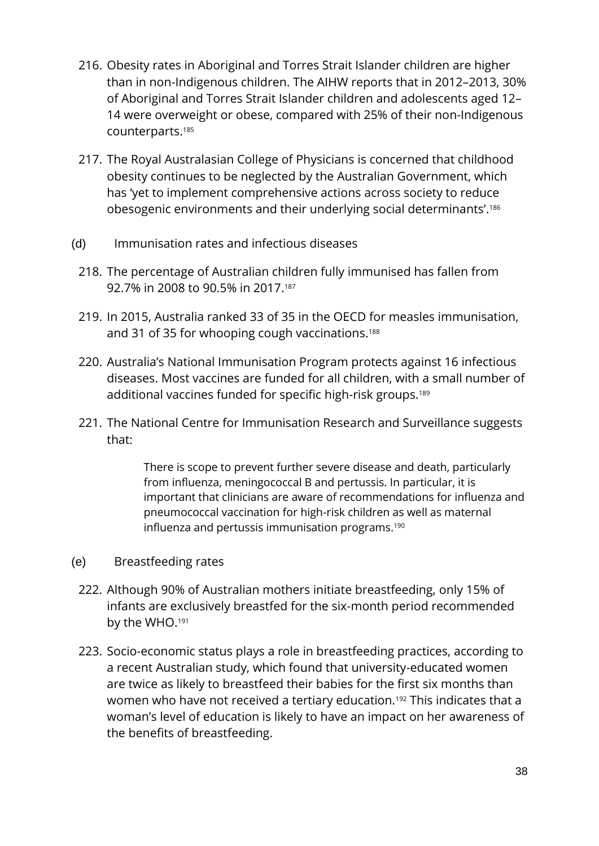- 216. Obesity rates in Aboriginal and Torres Strait Islander children are higher than in non-Indigenous children. The AIHW reports that in 2012–2013, 30% of Aboriginal and Torres Strait Islander children and adolescents aged 12– 14 were overweight or obese, compared with 25% of their non-Indigenous counterparts.<sup>185</sup>
- 217. The Royal Australasian College of Physicians is concerned that childhood obesity continues to be neglected by the Australian Government, which has 'yet to implement comprehensive actions across society to reduce obesogenic environments and their underlying social determinants'. 186
- (d) Immunisation rates and infectious diseases
- 218. The percentage of Australian children fully immunised has fallen from 92.7% in 2008 to 90.5% in 2017. 187
- 219. In 2015, Australia ranked 33 of 35 in the OECD for measles immunisation, and 31 of 35 for whooping cough vaccinations.<sup>188</sup>
- 220. Australia's National Immunisation Program protects against 16 infectious diseases. Most vaccines are funded for all children, with a small number of additional vaccines funded for specific high-risk groups.<sup>189</sup>
- 221. The National Centre for Immunisation Research and Surveillance suggests that:

There is scope to prevent further severe disease and death, particularly from influenza, meningococcal B and pertussis. In particular, it is important that clinicians are aware of recommendations for influenza and pneumococcal vaccination for high-risk children as well as maternal influenza and pertussis immunisation programs.<sup>190</sup>

- (e) Breastfeeding rates
	- 222. Although 90% of Australian mothers initiate breastfeeding, only 15% of infants are exclusively breastfed for the six-month period recommended by the WHO.<sup>191</sup>
	- 223. Socio-economic status plays a role in breastfeeding practices, according to a recent Australian study, which found that university-educated women are twice as likely to breastfeed their babies for the first six months than women who have not received a tertiary education.<sup>192</sup> This indicates that a woman's level of education is likely to have an impact on her awareness of the benefits of breastfeeding.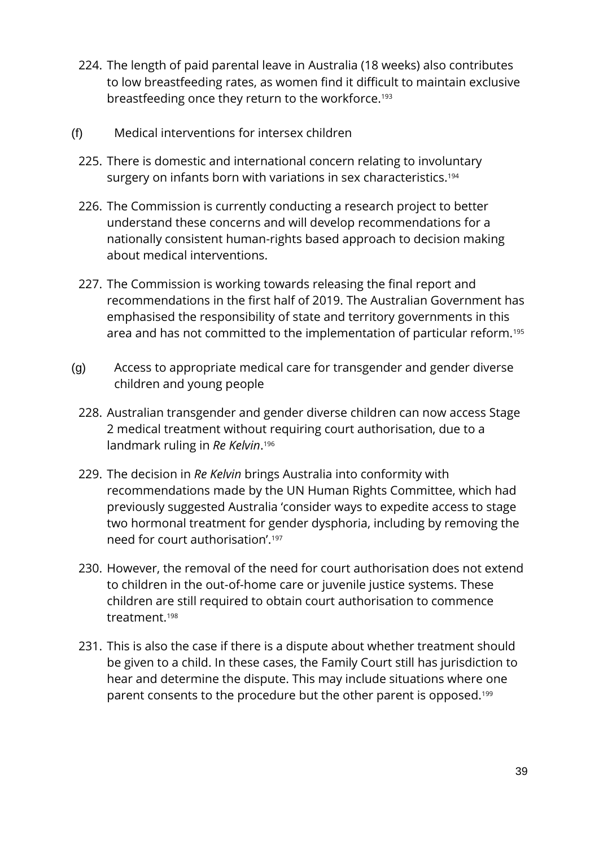- 224. The length of paid parental leave in Australia (18 weeks) also contributes to low breastfeeding rates, as women find it difficult to maintain exclusive breastfeeding once they return to the workforce.<sup>193</sup>
- (f) Medical interventions for intersex children
	- 225. There is domestic and international concern relating to involuntary surgery on infants born with variations in sex characteristics.<sup>194</sup>
	- 226. The Commission is currently conducting a research project to better understand these concerns and will develop recommendations for a nationally consistent human-rights based approach to decision making about medical interventions.
	- 227. The Commission is working towards releasing the final report and recommendations in the first half of 2019. The Australian Government has emphasised the responsibility of state and territory governments in this area and has not committed to the implementation of particular reform.<sup>195</sup>
- (g) Access to appropriate medical care for transgender and gender diverse children and young people
	- 228. Australian transgender and gender diverse children can now access Stage 2 medical treatment without requiring court authorisation, due to a landmark ruling in *Re Kelvin*. 196
	- 229. The decision in *Re Kelvin* brings Australia into conformity with recommendations made by the UN Human Rights Committee, which had previously suggested Australia 'consider ways to expedite access to stage two hormonal treatment for gender dysphoria, including by removing the need for court authorisation'.<sup>197</sup>
	- 230. However, the removal of the need for court authorisation does not extend to children in the out-of-home care or juvenile justice systems. These children are still required to obtain court authorisation to commence treatment.<sup>198</sup>
	- 231. This is also the case if there is a dispute about whether treatment should be given to a child. In these cases, the Family Court still has jurisdiction to hear and determine the dispute. This may include situations where one parent consents to the procedure but the other parent is opposed.199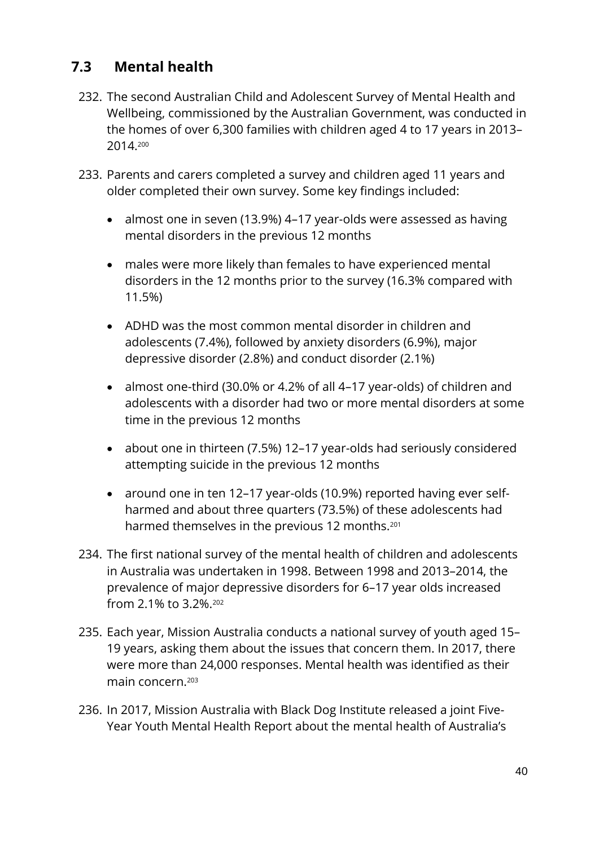### **7.3 Mental health**

- 232. The second Australian Child and Adolescent Survey of Mental Health and Wellbeing, commissioned by the Australian Government, was conducted in the homes of over 6,300 families with children aged 4 to 17 years in 2013– 2014. 200
- 233. Parents and carers completed a survey and children aged 11 years and older completed their own survey. Some key findings included:
	- almost one in seven (13.9%) 4–17 year-olds were assessed as having mental disorders in the previous 12 months
	- males were more likely than females to have experienced mental disorders in the 12 months prior to the survey (16.3% compared with 11.5%)
	- ADHD was the most common mental disorder in children and adolescents (7.4%), followed by anxiety disorders (6.9%), major depressive disorder (2.8%) and conduct disorder (2.1%)
	- almost one-third (30.0% or 4.2% of all 4–17 year-olds) of children and adolescents with a disorder had two or more mental disorders at some time in the previous 12 months
	- about one in thirteen (7.5%) 12–17 year-olds had seriously considered attempting suicide in the previous 12 months
	- around one in ten 12–17 year-olds (10.9%) reported having ever selfharmed and about three quarters (73.5%) of these adolescents had harmed themselves in the previous 12 months.<sup>201</sup>
- 234. The first national survey of the mental health of children and adolescents in Australia was undertaken in 1998. Between 1998 and 2013–2014, the prevalence of major depressive disorders for 6–17 year olds increased from 2.1% to 3.2%.<sup>202</sup>
- 235. Each year, Mission Australia conducts a national survey of youth aged 15– 19 years, asking them about the issues that concern them. In 2017, there were more than 24,000 responses. Mental health was identified as their main concern.<sup>203</sup>
- 236. In 2017, Mission Australia with Black Dog Institute released a joint Five-Year Youth Mental Health Report about the mental health of Australia's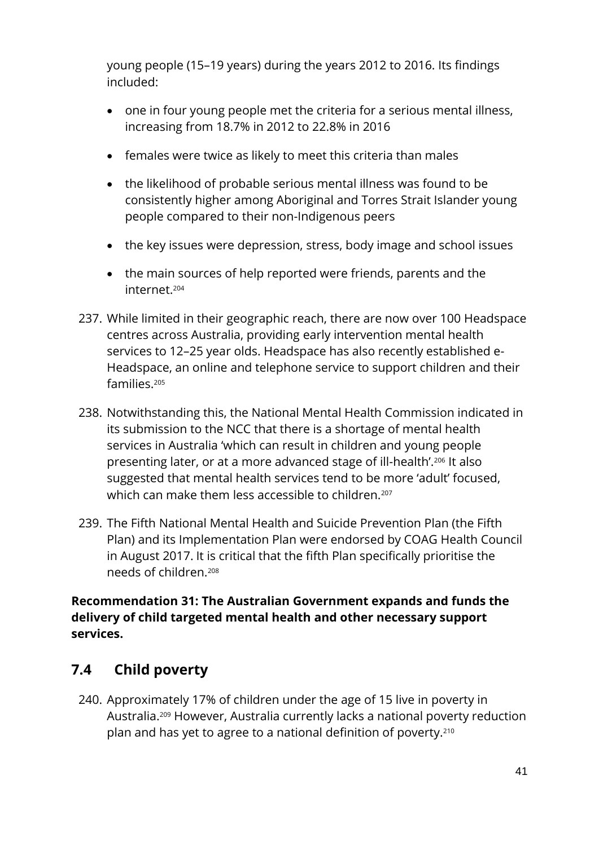young people (15–19 years) during the years 2012 to 2016. Its findings included:

- one in four young people met the criteria for a serious mental illness, increasing from 18.7% in 2012 to 22.8% in 2016
- females were twice as likely to meet this criteria than males
- the likelihood of probable serious mental illness was found to be consistently higher among Aboriginal and Torres Strait Islander young people compared to their non-Indigenous peers
- the key issues were depression, stress, body image and school issues
- the main sources of help reported were friends, parents and the internet.<sup>204</sup>
- 237. While limited in their geographic reach, there are now over 100 Headspace centres across Australia, providing early intervention mental health services to 12–25 year olds. Headspace has also recently established e-Headspace, an online and telephone service to support children and their families.<sup>205</sup>
- 238. Notwithstanding this, the National Mental Health Commission indicated in its submission to the NCC that there is a shortage of mental health services in Australia 'which can result in children and young people presenting later, or at a more advanced stage of ill-health'.<sup>206</sup> It also suggested that mental health services tend to be more 'adult' focused, which can make them less accessible to children.<sup>207</sup>
- 239. The Fifth National Mental Health and Suicide Prevention Plan (the Fifth Plan) and its Implementation Plan were endorsed by COAG Health Council in August 2017. It is critical that the fifth Plan specifically prioritise the needs of children.<sup>208</sup>

**Recommendation 31: The Australian Government expands and funds the delivery of child targeted mental health and other necessary support services.**

### **7.4 Child poverty**

240. Approximately 17% of children under the age of 15 live in poverty in Australia. <sup>209</sup> However, Australia currently lacks a national poverty reduction plan and has yet to agree to a national definition of poverty.210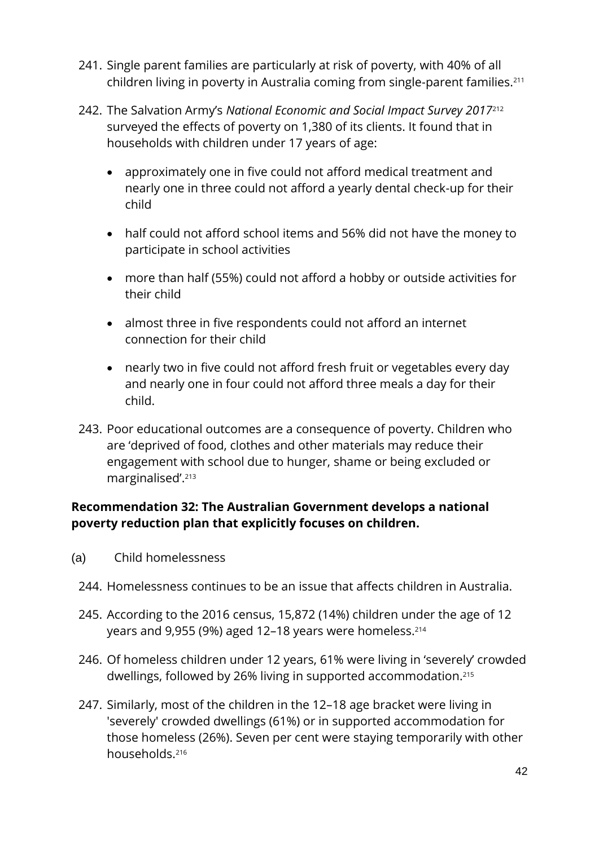- 241. Single parent families are particularly at risk of poverty, with 40% of all children living in poverty in Australia coming from single-parent families.<sup>211</sup>
- 242. The Salvation Army's *National Economic and Social Impact Survey 2017*<sup>212</sup> surveyed the effects of poverty on 1,380 of its clients. It found that in households with children under 17 years of age:
	- approximately one in five could not afford medical treatment and nearly one in three could not afford a yearly dental check-up for their child
	- half could not afford school items and 56% did not have the money to participate in school activities
	- more than half (55%) could not afford a hobby or outside activities for their child
	- almost three in five respondents could not afford an internet connection for their child
	- nearly two in five could not afford fresh fruit or vegetables every day and nearly one in four could not afford three meals a day for their child.
- 243. Poor educational outcomes are a consequence of poverty. Children who are 'deprived of food, clothes and other materials may reduce their engagement with school due to hunger, shame or being excluded or marginalised'.<sup>213</sup>

#### **Recommendation 32: The Australian Government develops a national poverty reduction plan that explicitly focuses on children.**

- (a) Child homelessness
	- 244. Homelessness continues to be an issue that affects children in Australia.
	- 245. According to the 2016 census, 15,872 (14%) children under the age of 12 years and 9,955 (9%) aged 12–18 years were homeless.<sup>214</sup>
	- 246. Of homeless children under 12 years, 61% were living in 'severely' crowded dwellings, followed by 26% living in supported accommodation. 215
	- 247. Similarly, most of the children in the 12–18 age bracket were living in 'severely' crowded dwellings (61%) or in supported accommodation for those homeless (26%). Seven per cent were staying temporarily with other households.216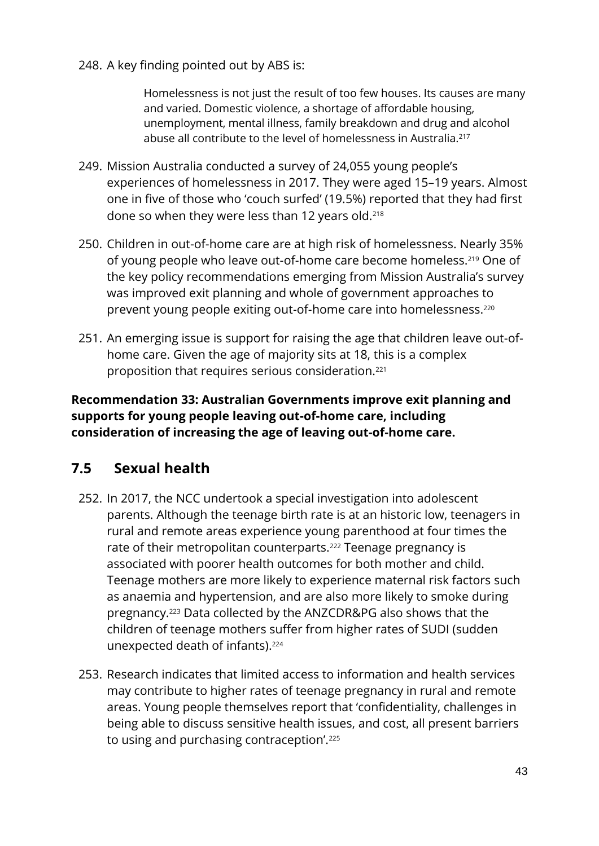248. A key finding pointed out by ABS is:

Homelessness is not just the result of too few houses. Its causes are many and varied. Domestic violence, a shortage of affordable housing, unemployment, mental illness, family breakdown and drug and alcohol abuse all contribute to the level of homelessness in Australia.<sup>217</sup>

- 249. Mission Australia conducted a survey of 24,055 young people's experiences of homelessness in 2017. They were aged 15–19 years. Almost one in five of those who 'couch surfed' (19.5%) reported that they had first done so when they were less than 12 years old.<sup>218</sup>
- 250. Children in out-of-home care are at high risk of homelessness. Nearly 35% of young people who leave out-of-home care become homeless.<sup>219</sup> One of the key policy recommendations emerging from Mission Australia's survey was improved exit planning and whole of government approaches to prevent young people exiting out-of-home care into homelessness.<sup>220</sup>
- 251. An emerging issue is support for raising the age that children leave out-ofhome care. Given the age of majority sits at 18, this is a complex proposition that requires serious consideration.<sup>221</sup>

#### **Recommendation 33: Australian Governments improve exit planning and supports for young people leaving out-of-home care, including consideration of increasing the age of leaving out-of-home care.**

### **7.5 Sexual health**

- 252. In 2017, the NCC undertook a special investigation into adolescent parents. Although the teenage birth rate is at an historic low, teenagers in rural and remote areas experience young parenthood at four times the rate of their metropolitan counterparts.<sup>222</sup> Teenage pregnancy is associated with poorer health outcomes for both mother and child. Teenage mothers are more likely to experience maternal risk factors such as anaemia and hypertension, and are also more likely to smoke during pregnancy.<sup>223</sup> Data collected by the ANZCDR&PG also shows that the children of teenage mothers suffer from higher rates of SUDI (sudden unexpected death of infants).<sup>224</sup>
- 253. Research indicates that limited access to information and health services may contribute to higher rates of teenage pregnancy in rural and remote areas. Young people themselves report that 'confidentiality, challenges in being able to discuss sensitive health issues, and cost, all present barriers to using and purchasing contraception'.225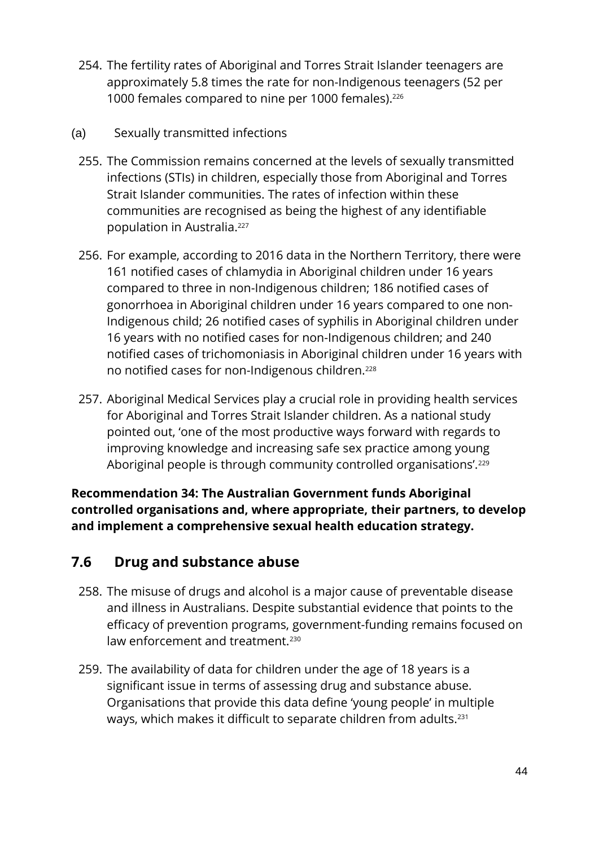- 254. The fertility rates of Aboriginal and Torres Strait Islander teenagers are approximately 5.8 times the rate for non-Indigenous teenagers (52 per 1000 females compared to nine per 1000 females).<sup>226</sup>
- (a) Sexually transmitted infections
	- 255. The Commission remains concerned at the levels of sexually transmitted infections (STIs) in children, especially those from Aboriginal and Torres Strait Islander communities. The rates of infection within these communities are recognised as being the highest of any identifiable population in Australia.<sup>227</sup>
	- 256. For example, according to 2016 data in the Northern Territory, there were 161 notified cases of chlamydia in Aboriginal children under 16 years compared to three in non-Indigenous children; 186 notified cases of gonorrhoea in Aboriginal children under 16 years compared to one non-Indigenous child; 26 notified cases of syphilis in Aboriginal children under 16 years with no notified cases for non-Indigenous children; and 240 notified cases of trichomoniasis in Aboriginal children under 16 years with no notified cases for non-Indigenous children.<sup>228</sup>
	- 257. Aboriginal Medical Services play a crucial role in providing health services for Aboriginal and Torres Strait Islander children. As a national study pointed out, 'one of the most productive ways forward with regards to improving knowledge and increasing safe sex practice among young Aboriginal people is through community controlled organisations'.<sup>229</sup>

**Recommendation 34: The Australian Government funds Aboriginal controlled organisations and, where appropriate, their partners, to develop and implement a comprehensive sexual health education strategy.**

### **7.6 Drug and substance abuse**

- 258. The misuse of drugs and alcohol is a major cause of preventable disease and illness in Australians. Despite substantial evidence that points to the efficacy of prevention programs, government-funding remains focused on law enforcement and treatment.<sup>230</sup>
- 259. The availability of data for children under the age of 18 years is a significant issue in terms of assessing drug and substance abuse. Organisations that provide this data define 'young people' in multiple ways, which makes it difficult to separate children from adults.231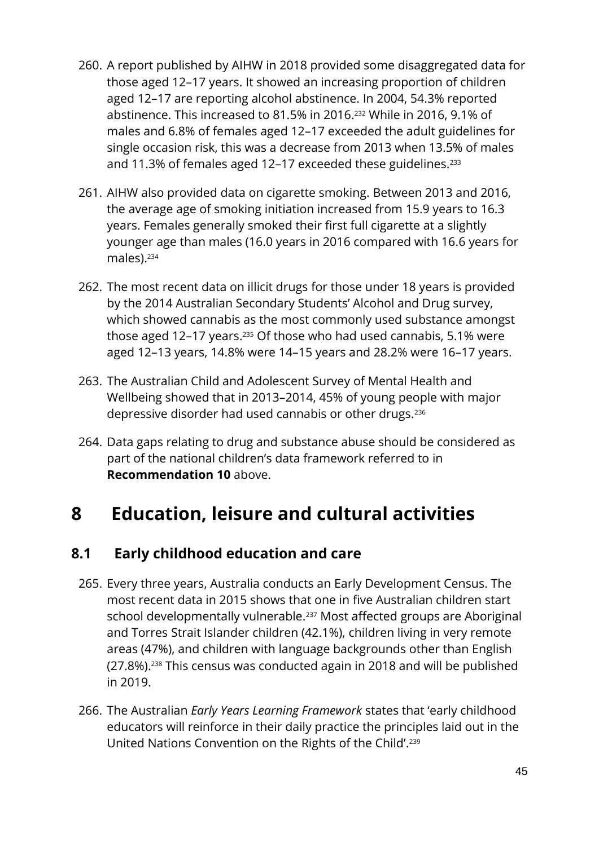- 260. A report published by AIHW in 2018 provided some disaggregated data for those aged 12–17 years. It showed an increasing proportion of children aged 12–17 are reporting alcohol abstinence. In 2004, 54.3% reported abstinence. This increased to 81.5% in 2016.<sup>232</sup> While in 2016, 9.1% of males and 6.8% of females aged 12–17 exceeded the adult guidelines for single occasion risk, this was a decrease from 2013 when 13.5% of males and 11.3% of females aged 12-17 exceeded these guidelines.<sup>233</sup>
- 261. AIHW also provided data on cigarette smoking. Between 2013 and 2016, the average age of smoking initiation increased from 15.9 years to 16.3 years. Females generally smoked their first full cigarette at a slightly younger age than males (16.0 years in 2016 compared with 16.6 years for males).<sup>234</sup>
- 262. The most recent data on illicit drugs for those under 18 years is provided by the 2014 Australian Secondary Students' Alcohol and Drug survey, which showed cannabis as the most commonly used substance amongst those aged 12–17 years.<sup>235</sup> Of those who had used cannabis, 5.1% were aged 12–13 years, 14.8% were 14–15 years and 28.2% were 16–17 years.
- 263. The Australian Child and Adolescent Survey of Mental Health and Wellbeing showed that in 2013–2014, 45% of young people with major depressive disorder had used cannabis or other drugs.<sup>236</sup>
- 264. Data gaps relating to drug and substance abuse should be considered as part of the national children's data framework referred to in **Recommendation 10** above.

## **8 Education, leisure and cultural activities**

### **8.1 Early childhood education and care**

- 265. Every three years, Australia conducts an Early Development Census. The most recent data in 2015 shows that one in five Australian children start school developmentally vulnerable. <sup>237</sup> Most affected groups are Aboriginal and Torres Strait Islander children (42.1%), children living in very remote areas (47%), and children with language backgrounds other than English (27.8%).<sup>238</sup> This census was conducted again in 2018 and will be published in 2019.
- 266. The Australian *Early Years Learning Framework* states that 'early childhood educators will reinforce in their daily practice the principles laid out in the United Nations Convention on the Rights of the Child'. 239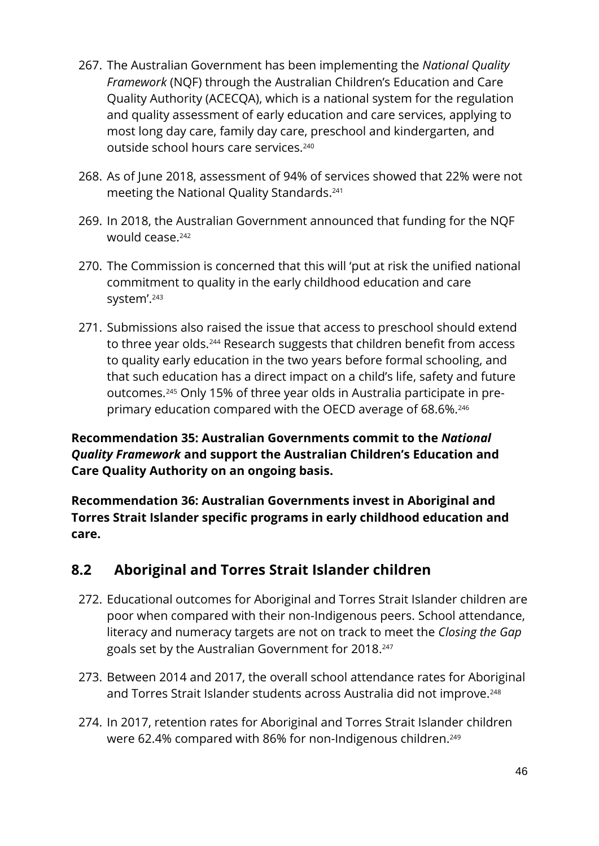- 267. The Australian Government has been implementing the *National Quality Framework* (NQF) through the Australian Children's Education and Care Quality Authority (ACECQA), which is a national system for the regulation and quality assessment of early education and care services, applying to most long day care, family day care, preschool and kindergarten, and outside school hours care services.<sup>240</sup>
- 268. As of June 2018, assessment of 94% of services showed that 22% were not meeting the National Quality Standards. 241
- 269. In 2018, the Australian Government announced that funding for the NQF would cease.<sup>242</sup>
- 270. The Commission is concerned that this will 'put at risk the unified national commitment to quality in the early childhood education and care system'.<sup>243</sup>
- 271. Submissions also raised the issue that access to preschool should extend to three year olds.<sup>244</sup> Research suggests that children benefit from access to quality early education in the two years before formal schooling, and that such education has a direct impact on a child's life, safety and future outcomes.<sup>245</sup> Only 15% of three year olds in Australia participate in preprimary education compared with the OECD average of 68.6%.<sup>246</sup>

#### **Recommendation 35: Australian Governments commit to the** *National Quality Framework* **and support the Australian Children's Education and Care Quality Authority on an ongoing basis.**

**Recommendation 36: Australian Governments invest in Aboriginal and Torres Strait Islander specific programs in early childhood education and care.**

### **8.2 Aboriginal and Torres Strait Islander children**

- 272. Educational outcomes for Aboriginal and Torres Strait Islander children are poor when compared with their non-Indigenous peers. School attendance, literacy and numeracy targets are not on track to meet the *Closing the Gap* goals set by the Australian Government for 2018. 247
- 273. Between 2014 and 2017, the overall school attendance rates for Aboriginal and Torres Strait Islander students across Australia did not improve.<sup>248</sup>
- 274. In 2017, retention rates for Aboriginal and Torres Strait Islander children were 62.4% compared with 86% for non-Indigenous children. 249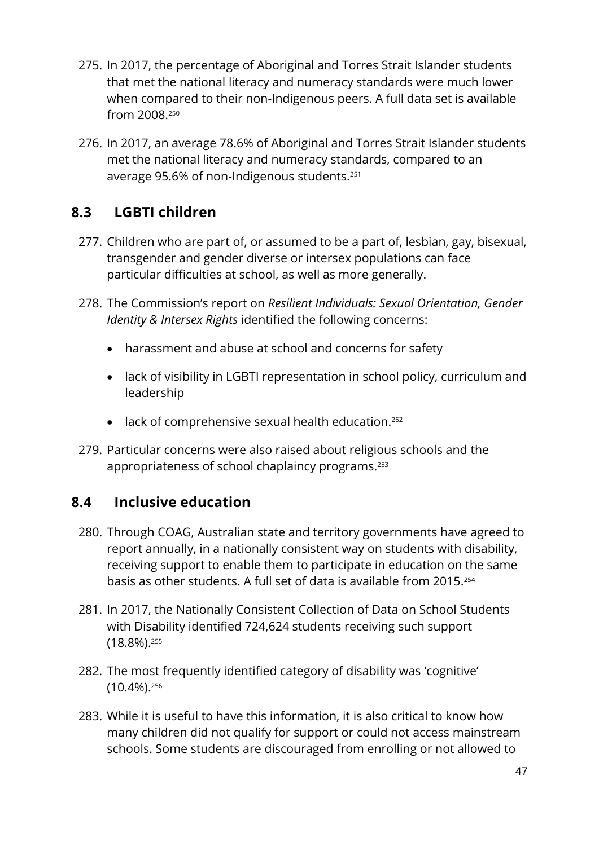- 275. In 2017, the percentage of Aboriginal and Torres Strait Islander students that met the national literacy and numeracy standards were much lower when compared to their non-Indigenous peers. A full data set is available from 2008.<sup>250</sup>
- 276. In 2017, an average 78.6% of Aboriginal and Torres Strait Islander students met the national literacy and numeracy standards, compared to an average 95.6% of non-Indigenous students. 251

### **8.3 LGBTI children**

- 277. Children who are part of, or assumed to be a part of, lesbian, gay, bisexual, transgender and gender diverse or intersex populations can face particular difficulties at school, as well as more generally.
- 278. The Commission's report on *Resilient Individuals: Sexual Orientation, Gender Identity & Intersex Rights* identified the following concerns:
	- harassment and abuse at school and concerns for safety
	- lack of visibility in LGBTI representation in school policy, curriculum and leadership
	- lack of comprehensive sexual health education.<sup>252</sup>
- 279. Particular concerns were also raised about religious schools and the appropriateness of school chaplaincy programs.<sup>253</sup>

#### **8.4 Inclusive education**

- 280. Through COAG, Australian state and territory governments have agreed to report annually, in a nationally consistent way on students with disability, receiving support to enable them to participate in education on the same basis as other students. A full set of data is available from 2015. 254
- 281. In 2017, the Nationally Consistent Collection of Data on School Students with Disability identified 724,624 students receiving such support (18.8%). 255
- 282. The most frequently identified category of disability was 'cognitive' (10.4%). 256
- 283. While it is useful to have this information, it is also critical to know how many children did not qualify for support or could not access mainstream schools. Some students are discouraged from enrolling or not allowed to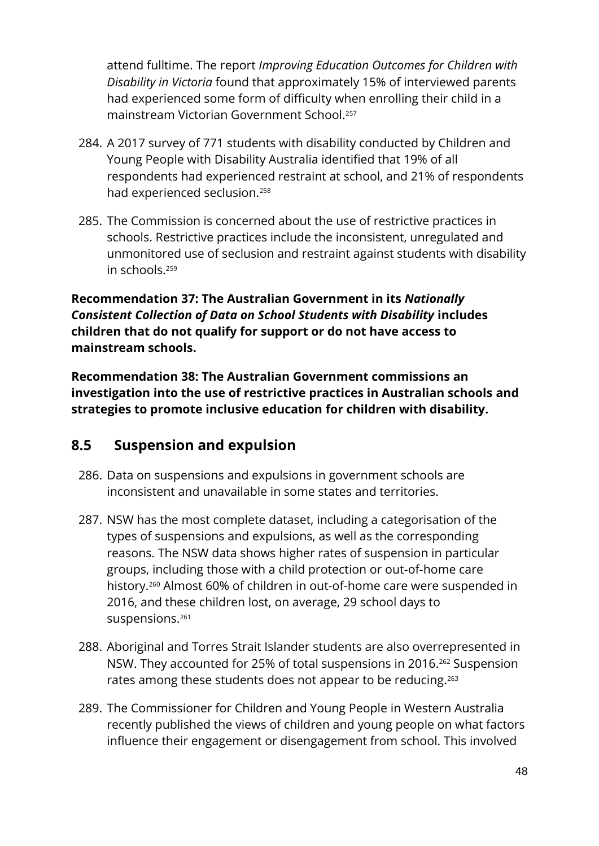attend fulltime. The report *Improving Education Outcomes for Children with Disability in Victoria* found that approximately 15% of interviewed parents had experienced some form of difficulty when enrolling their child in a mainstream Victorian Government School.<sup>257</sup>

- 284. A 2017 survey of 771 students with disability conducted by Children and Young People with Disability Australia identified that 19% of all respondents had experienced restraint at school, and 21% of respondents had experienced seclusion.<sup>258</sup>
- 285. The Commission is concerned about the use of restrictive practices in schools. Restrictive practices include the inconsistent, unregulated and unmonitored use of seclusion and restraint against students with disability in schools.<sup>259</sup>

**Recommendation 37: The Australian Government in its** *Nationally Consistent Collection of Data on School Students with Disability* **includes children that do not qualify for support or do not have access to mainstream schools.**

**Recommendation 38: The Australian Government commissions an investigation into the use of restrictive practices in Australian schools and strategies to promote inclusive education for children with disability.**

### **8.5 Suspension and expulsion**

- 286. Data on suspensions and expulsions in government schools are inconsistent and unavailable in some states and territories.
- 287. NSW has the most complete dataset, including a categorisation of the types of suspensions and expulsions, as well as the corresponding reasons. The NSW data shows higher rates of suspension in particular groups, including those with a child protection or out-of-home care history. <sup>260</sup> Almost 60% of children in out-of-home care were suspended in 2016, and these children lost, on average, 29 school days to suspensions.<sup>261</sup>
- 288. Aboriginal and Torres Strait Islander students are also overrepresented in NSW. They accounted for 25% of total suspensions in 2016. <sup>262</sup> Suspension rates among these students does not appear to be reducing.<sup>263</sup>
- 289. The Commissioner for Children and Young People in Western Australia recently published the views of children and young people on what factors influence their engagement or disengagement from school. This involved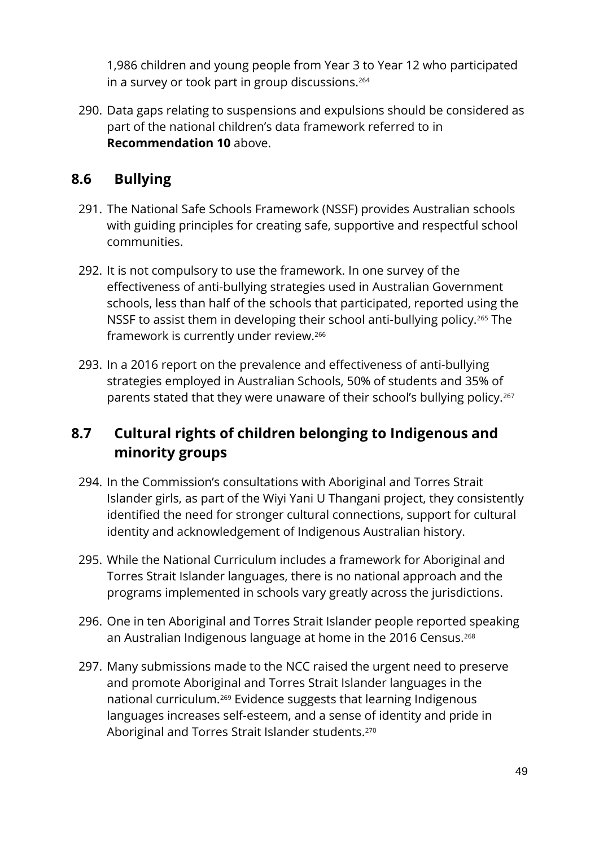1,986 children and young people from Year 3 to Year 12 who participated in a survey or took part in group discussions.<sup>264</sup>

290. Data gaps relating to suspensions and expulsions should be considered as part of the national children's data framework referred to in **Recommendation 10** above.

### **8.6 Bullying**

- 291. The National Safe Schools Framework (NSSF) provides Australian schools with guiding principles for creating safe, supportive and respectful school communities.
- 292. It is not compulsory to use the framework. In one survey of the effectiveness of anti-bullying strategies used in Australian Government schools, less than half of the schools that participated, reported using the NSSF to assist them in developing their school anti-bullying policy.<sup>265</sup> The framework is currently under review.<sup>266</sup>
- 293. In a 2016 report on the prevalence and effectiveness of anti-bullying strategies employed in Australian Schools, 50% of students and 35% of parents stated that they were unaware of their school's bullying policy.<sup>267</sup>

### **8.7 Cultural rights of children belonging to Indigenous and minority groups**

- 294. In the Commission's consultations with Aboriginal and Torres Strait Islander girls, as part of the Wiyi Yani U Thangani project, they consistently identified the need for stronger cultural connections, support for cultural identity and acknowledgement of Indigenous Australian history.
- 295. While the National Curriculum includes a framework for Aboriginal and Torres Strait Islander languages, there is no national approach and the programs implemented in schools vary greatly across the jurisdictions.
- 296. One in ten Aboriginal and Torres Strait Islander people reported speaking an Australian Indigenous language at home in the 2016 Census.<sup>268</sup>
- 297. Many submissions made to the NCC raised the urgent need to preserve and promote Aboriginal and Torres Strait Islander languages in the national curriculum.<sup>269</sup> Evidence suggests that learning Indigenous languages increases self-esteem, and a sense of identity and pride in Aboriginal and Torres Strait Islander students.<sup>270</sup>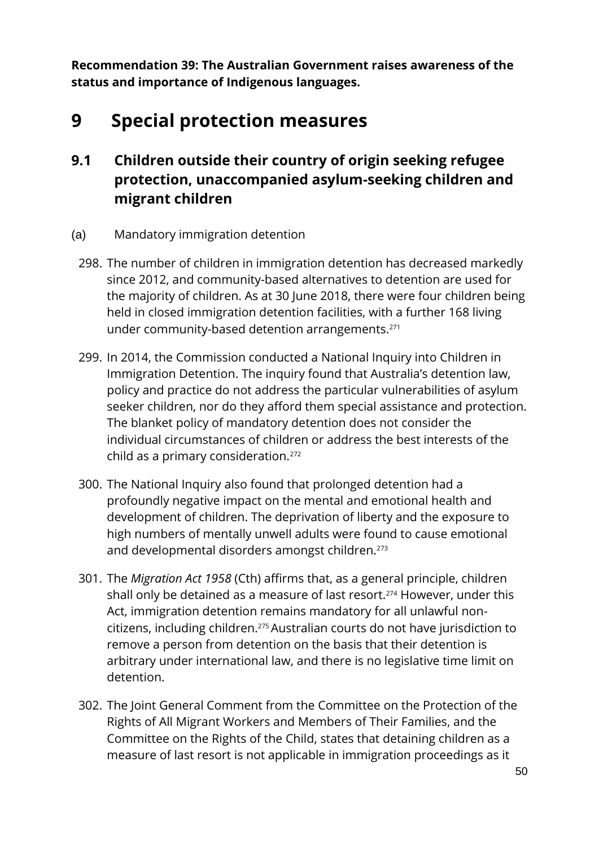**Recommendation 39: The Australian Government raises awareness of the status and importance of Indigenous languages.**

## **9 Special protection measures**

### **9.1 Children outside their country of origin seeking refugee protection, unaccompanied asylum-seeking children and migrant children**

- (a) Mandatory immigration detention
	- 298. The number of children in immigration detention has decreased markedly since 2012, and community-based alternatives to detention are used for the majority of children. As at 30 June 2018, there were four children being held in closed immigration detention facilities, with a further 168 living under community-based detention arrangements.<sup>271</sup>
	- 299. In 2014, the Commission conducted a National Inquiry into Children in Immigration Detention. The inquiry found that Australia's detention law, policy and practice do not address the particular vulnerabilities of asylum seeker children, nor do they afford them special assistance and protection. The blanket policy of mandatory detention does not consider the individual circumstances of children or address the best interests of the child as a primary consideration.<sup>272</sup>
	- 300. The National Inquiry also found that prolonged detention had a profoundly negative impact on the mental and emotional health and development of children. The deprivation of liberty and the exposure to high numbers of mentally unwell adults were found to cause emotional and developmental disorders amongst children.<sup>273</sup>
	- 301. The *Migration Act 1958* (Cth) affirms that, as a general principle, children shall only be detained as a measure of last resort.<sup>274</sup> However, under this Act, immigration detention remains mandatory for all unlawful noncitizens, including children.275Australian courts do not have jurisdiction to remove a person from detention on the basis that their detention is arbitrary under international law, and there is no legislative time limit on detention.
	- 302. The Joint General Comment from the Committee on the Protection of the Rights of All Migrant Workers and Members of Their Families, and the Committee on the Rights of the Child, states that detaining children as a measure of last resort is not applicable in immigration proceedings as it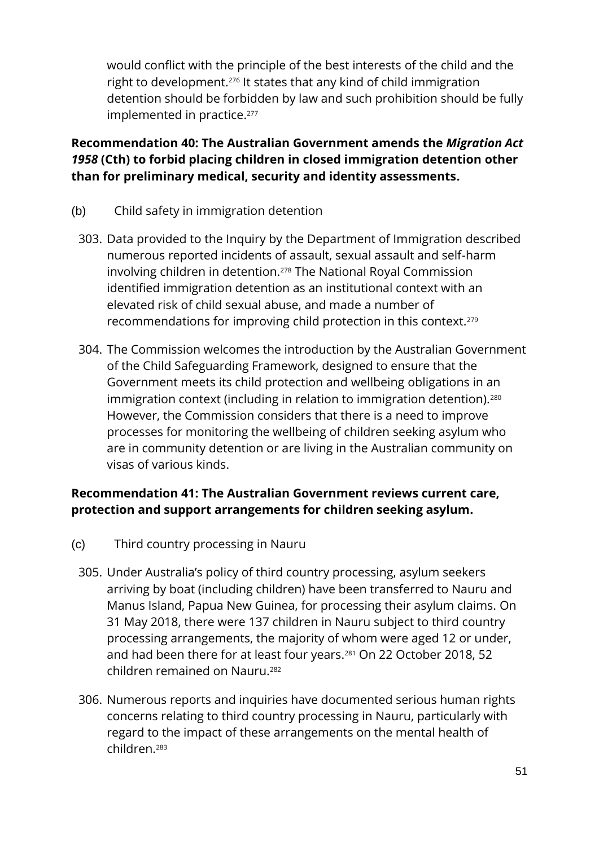would conflict with the principle of the best interests of the child and the right to development.<sup>276</sup> It states that any kind of child immigration detention should be forbidden by law and such prohibition should be fully implemented in practice. 277

#### **Recommendation 40: The Australian Government amends the** *Migration Act 1958* **(Cth) to forbid placing children in closed immigration detention other than for preliminary medical, security and identity assessments.**

- (b) Child safety in immigration detention
	- 303. Data provided to the Inquiry by the Department of Immigration described numerous reported incidents of assault, sexual assault and self-harm involving children in detention.<sup>278</sup> The National Royal Commission identified immigration detention as an institutional context with an elevated risk of child sexual abuse, and made a number of recommendations for improving child protection in this context.<sup>279</sup>
	- 304. The Commission welcomes the introduction by the Australian Government of the Child Safeguarding Framework, designed to ensure that the Government meets its child protection and wellbeing obligations in an immigration context (including in relation to immigration detention).<sup>280</sup> However, the Commission considers that there is a need to improve processes for monitoring the wellbeing of children seeking asylum who are in community detention or are living in the Australian community on visas of various kinds.

#### **Recommendation 41: The Australian Government reviews current care, protection and support arrangements for children seeking asylum.**

- (c) Third country processing in Nauru
	- 305. Under Australia's policy of third country processing, asylum seekers arriving by boat (including children) have been transferred to Nauru and Manus Island, Papua New Guinea, for processing their asylum claims. On 31 May 2018, there were 137 children in Nauru subject to third country processing arrangements, the majority of whom were aged 12 or under, and had been there for at least four years. <sup>281</sup> On 22 October 2018, 52 children remained on Nauru.<sup>282</sup>
	- 306. Numerous reports and inquiries have documented serious human rights concerns relating to third country processing in Nauru, particularly with regard to the impact of these arrangements on the mental health of children.283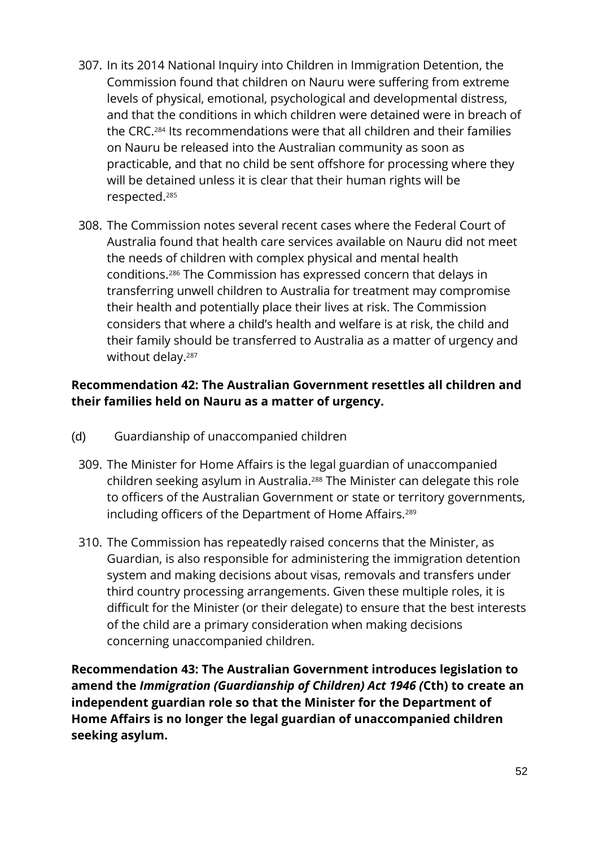- 307. In its 2014 National Inquiry into Children in Immigration Detention, the Commission found that children on Nauru were suffering from extreme levels of physical, emotional, psychological and developmental distress, and that the conditions in which children were detained were in breach of the CRC.<sup>284</sup> Its recommendations were that all children and their families on Nauru be released into the Australian community as soon as practicable, and that no child be sent offshore for processing where they will be detained unless it is clear that their human rights will be respected.<sup>285</sup>
- 308. The Commission notes several recent cases where the Federal Court of Australia found that health care services available on Nauru did not meet the needs of children with complex physical and mental health conditions.<sup>286</sup> The Commission has expressed concern that delays in transferring unwell children to Australia for treatment may compromise their health and potentially place their lives at risk. The Commission considers that where a child's health and welfare is at risk, the child and their family should be transferred to Australia as a matter of urgency and without delay.<sup>287</sup>

#### **Recommendation 42: The Australian Government resettles all children and their families held on Nauru as a matter of urgency.**

- (d) Guardianship of unaccompanied children
	- 309. The Minister for Home Affairs is the legal guardian of unaccompanied children seeking asylum in Australia.<sup>288</sup> The Minister can delegate this role to officers of the Australian Government or state or territory governments, including officers of the Department of Home Affairs.<sup>289</sup>
	- 310. The Commission has repeatedly raised concerns that the Minister, as Guardian, is also responsible for administering the immigration detention system and making decisions about visas, removals and transfers under third country processing arrangements. Given these multiple roles, it is difficult for the Minister (or their delegate) to ensure that the best interests of the child are a primary consideration when making decisions concerning unaccompanied children.

**Recommendation 43: The Australian Government introduces legislation to amend the** *Immigration (Guardianship of Children) Act 1946 (***Cth) to create an independent guardian role so that the Minister for the Department of Home Affairs is no longer the legal guardian of unaccompanied children seeking asylum.**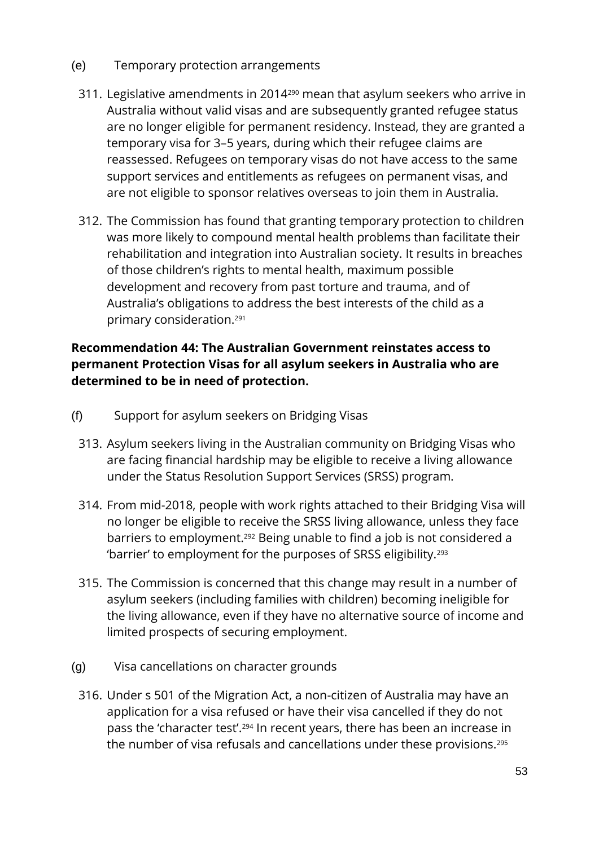- (e) Temporary protection arrangements
	- 311. Legislative amendments in 2014<sup>290</sup> mean that asylum seekers who arrive in Australia without valid visas and are subsequently granted refugee status are no longer eligible for permanent residency. Instead, they are granted a temporary visa for 3–5 years, during which their refugee claims are reassessed. Refugees on temporary visas do not have access to the same support services and entitlements as refugees on permanent visas, and are not eligible to sponsor relatives overseas to join them in Australia.
	- 312. The Commission has found that granting temporary protection to children was more likely to compound mental health problems than facilitate their rehabilitation and integration into Australian society. It results in breaches of those children's rights to mental health, maximum possible development and recovery from past torture and trauma, and of Australia's obligations to address the best interests of the child as a primary consideration.<sup>291</sup>

#### **Recommendation 44: The Australian Government reinstates access to permanent Protection Visas for all asylum seekers in Australia who are determined to be in need of protection.**

- (f) Support for asylum seekers on Bridging Visas
	- 313. Asylum seekers living in the Australian community on Bridging Visas who are facing financial hardship may be eligible to receive a living allowance under the Status Resolution Support Services (SRSS) program.
	- 314. From mid-2018, people with work rights attached to their Bridging Visa will no longer be eligible to receive the SRSS living allowance, unless they face barriers to employment.<sup>292</sup> Being unable to find a job is not considered a 'barrier' to employment for the purposes of SRSS eligibility.<sup>293</sup>
	- 315. The Commission is concerned that this change may result in a number of asylum seekers (including families with children) becoming ineligible for the living allowance, even if they have no alternative source of income and limited prospects of securing employment.
- (g) Visa cancellations on character grounds
- 316. Under s 501 of the Migration Act, a non-citizen of Australia may have an application for a visa refused or have their visa cancelled if they do not pass the 'character test'.<sup>294</sup> In recent years, there has been an increase in the number of visa refusals and cancellations under these provisions.295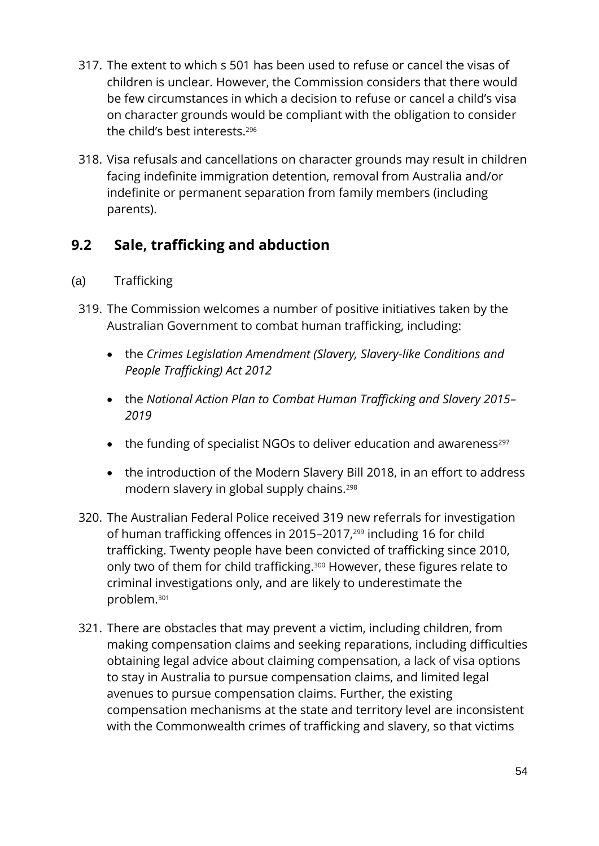- 317. The extent to which s 501 has been used to refuse or cancel the visas of children is unclear. However, the Commission considers that there would be few circumstances in which a decision to refuse or cancel a child's visa on character grounds would be compliant with the obligation to consider the child's best interests. 296
- 318. Visa refusals and cancellations on character grounds may result in children facing indefinite immigration detention, removal from Australia and/or indefinite or permanent separation from family members (including parents).

### **9.2 Sale, trafficking and abduction**

- (a) Trafficking
- 319. The Commission welcomes a number of positive initiatives taken by the Australian Government to combat human trafficking, including:
	- the *Crimes Legislation Amendment (Slavery, Slavery-like Conditions and People Trafficking) Act 2012*
	- the *National Action Plan to Combat Human Trafficking and Slavery 2015– 2019*
	- the funding of specialist NGOs to deliver education and awareness<sup>297</sup>
	- the introduction of the Modern Slavery Bill 2018, in an effort to address modern slavery in global supply chains.<sup>298</sup>
- 320. The Australian Federal Police received 319 new referrals for investigation of human trafficking offences in 2015–2017,<sup>299</sup> including 16 for child trafficking. Twenty people have been convicted of trafficking since 2010, only two of them for child trafficking.<sup>300</sup> However, these figures relate to criminal investigations only, and are likely to underestimate the problem.<sup>301</sup>
- 321. There are obstacles that may prevent a victim, including children, from making compensation claims and seeking reparations, including difficulties obtaining legal advice about claiming compensation, a lack of visa options to stay in Australia to pursue compensation claims, and limited legal avenues to pursue compensation claims. Further, the existing compensation mechanisms at the state and territory level are inconsistent with the Commonwealth crimes of trafficking and slavery, so that victims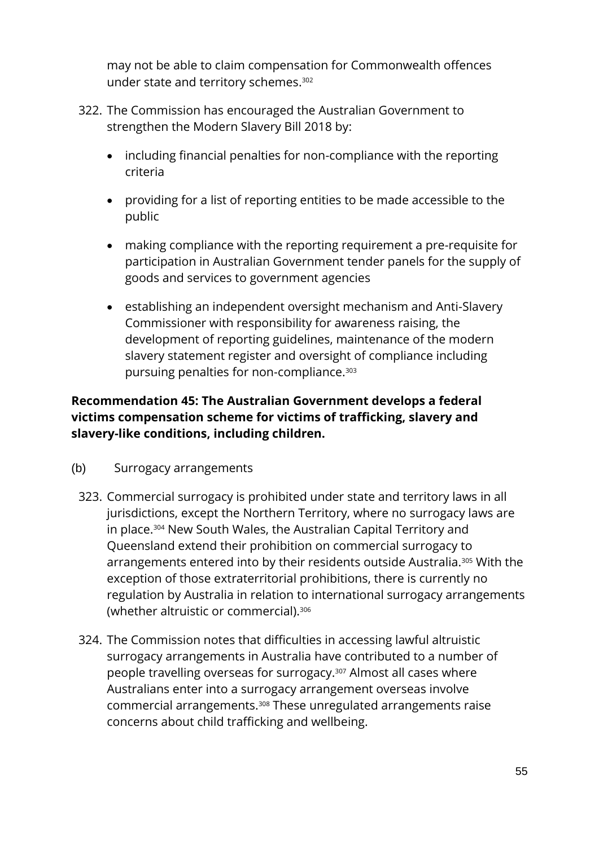may not be able to claim compensation for Commonwealth offences under state and territory schemes. 302

- 322. The Commission has encouraged the Australian Government to strengthen the Modern Slavery Bill 2018 by:
	- including financial penalties for non-compliance with the reporting criteria
	- providing for a list of reporting entities to be made accessible to the public
	- making compliance with the reporting requirement a pre-requisite for participation in Australian Government tender panels for the supply of goods and services to government agencies
	- establishing an independent oversight mechanism and Anti-Slavery Commissioner with responsibility for awareness raising, the development of reporting guidelines, maintenance of the modern slavery statement register and oversight of compliance including pursuing penalties for non-compliance.<sup>303</sup>

#### **Recommendation 45: The Australian Government develops a federal victims compensation scheme for victims of trafficking, slavery and slavery-like conditions, including children.**

- (b) Surrogacy arrangements
	- 323. Commercial surrogacy is prohibited under state and territory laws in all jurisdictions, except the Northern Territory, where no surrogacy laws are in place.<sup>304</sup> New South Wales, the Australian Capital Territory and Queensland extend their prohibition on commercial surrogacy to arrangements entered into by their residents outside Australia.<sup>305</sup> With the exception of those extraterritorial prohibitions, there is currently no regulation by Australia in relation to international surrogacy arrangements (whether altruistic or commercial).<sup>306</sup>
	- 324. The Commission notes that difficulties in accessing lawful altruistic surrogacy arrangements in Australia have contributed to a number of people travelling overseas for surrogacy.<sup>307</sup> Almost all cases where Australians enter into a surrogacy arrangement overseas involve commercial arrangements.<sup>308</sup> These unregulated arrangements raise concerns about child trafficking and wellbeing.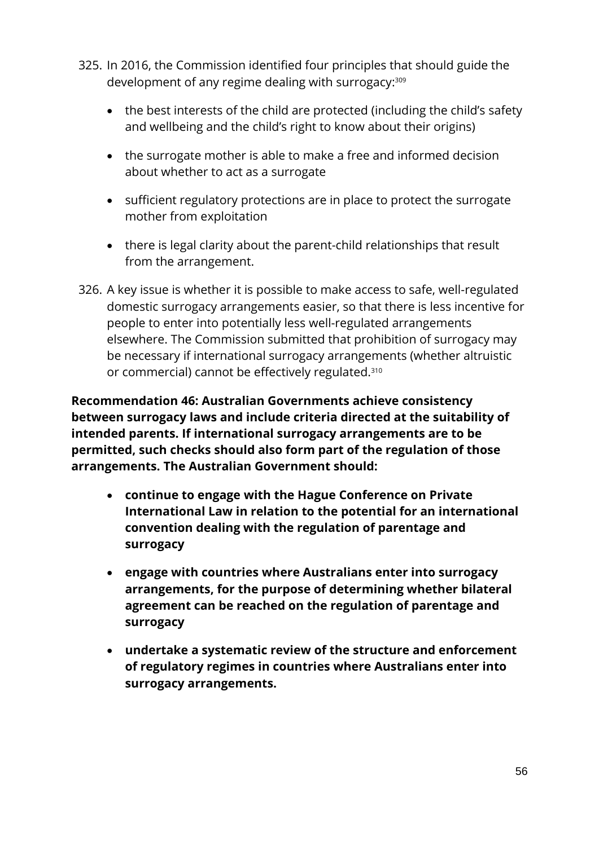- 325. In 2016, the Commission identified four principles that should guide the development of any regime dealing with surrogacy: 309
	- the best interests of the child are protected (including the child's safety and wellbeing and the child's right to know about their origins)
	- the surrogate mother is able to make a free and informed decision about whether to act as a surrogate
	- sufficient regulatory protections are in place to protect the surrogate mother from exploitation
	- there is legal clarity about the parent-child relationships that result from the arrangement.
- 326. A key issue is whether it is possible to make access to safe, well-regulated domestic surrogacy arrangements easier, so that there is less incentive for people to enter into potentially less well-regulated arrangements elsewhere. The Commission submitted that prohibition of surrogacy may be necessary if international surrogacy arrangements (whether altruistic or commercial) cannot be effectively regulated.<sup>310</sup>

**Recommendation 46: Australian Governments achieve consistency between surrogacy laws and include criteria directed at the suitability of intended parents. If international surrogacy arrangements are to be permitted, such checks should also form part of the regulation of those arrangements. The Australian Government should:**

- **continue to engage with the Hague Conference on Private International Law in relation to the potential for an international convention dealing with the regulation of parentage and surrogacy**
- **engage with countries where Australians enter into surrogacy arrangements, for the purpose of determining whether bilateral agreement can be reached on the regulation of parentage and surrogacy**
- **undertake a systematic review of the structure and enforcement of regulatory regimes in countries where Australians enter into surrogacy arrangements.**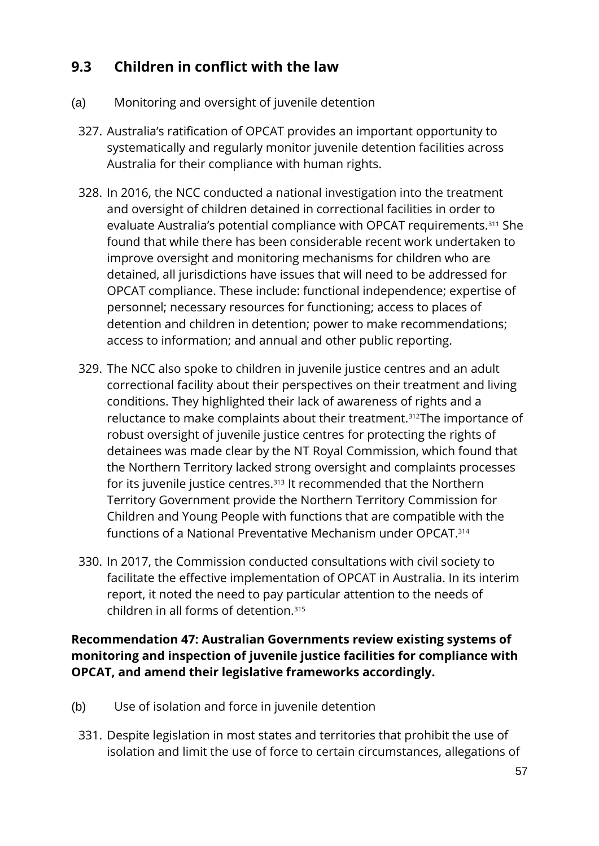### **9.3 Children in conflict with the law**

- (a) Monitoring and oversight of juvenile detention
- 327. Australia's ratification of OPCAT provides an important opportunity to systematically and regularly monitor juvenile detention facilities across Australia for their compliance with human rights.
- 328. In 2016, the NCC conducted a national investigation into the treatment and oversight of children detained in correctional facilities in order to evaluate Australia's potential compliance with OPCAT requirements.<sup>311</sup> She found that while there has been considerable recent work undertaken to improve oversight and monitoring mechanisms for children who are detained, all jurisdictions have issues that will need to be addressed for OPCAT compliance. These include: functional independence; expertise of personnel; necessary resources for functioning; access to places of detention and children in detention; power to make recommendations; access to information; and annual and other public reporting.
- 329. The NCC also spoke to children in juvenile justice centres and an adult correctional facility about their perspectives on their treatment and living conditions. They highlighted their lack of awareness of rights and a reluctance to make complaints about their treatment.312The importance of robust oversight of juvenile justice centres for protecting the rights of detainees was made clear by the NT Royal Commission, which found that the Northern Territory lacked strong oversight and complaints processes for its juvenile justice centres.<sup>313</sup> It recommended that the Northern Territory Government provide the Northern Territory Commission for Children and Young People with functions that are compatible with the functions of a National Preventative Mechanism under OPCAT.<sup>314</sup>
- 330. In 2017, the Commission conducted consultations with civil society to facilitate the effective implementation of OPCAT in Australia. In its interim report, it noted the need to pay particular attention to the needs of children in all forms of detention.<sup>315</sup>

**Recommendation 47: Australian Governments review existing systems of monitoring and inspection of juvenile justice facilities for compliance with OPCAT, and amend their legislative frameworks accordingly.**

- (b) Use of isolation and force in juvenile detention
- 331. Despite legislation in most states and territories that prohibit the use of isolation and limit the use of force to certain circumstances, allegations of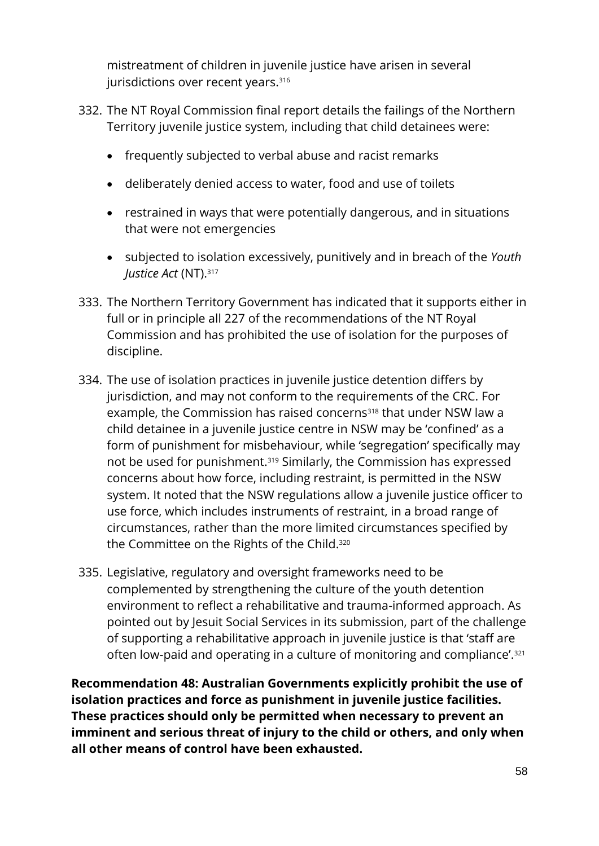mistreatment of children in juvenile justice have arisen in several jurisdictions over recent years.<sup>316</sup>

- 332. The NT Royal Commission final report details the failings of the Northern Territory juvenile justice system, including that child detainees were:
	- frequently subjected to verbal abuse and racist remarks
	- deliberately denied access to water, food and use of toilets
	- restrained in ways that were potentially dangerous, and in situations that were not emergencies
	- subjected to isolation excessively, punitively and in breach of the *Youth Justice Act* (NT).<sup>317</sup>
- 333. The Northern Territory Government has indicated that it supports either in full or in principle all 227 of the recommendations of the NT Royal Commission and has prohibited the use of isolation for the purposes of discipline.
- 334. The use of isolation practices in juvenile justice detention differs by jurisdiction, and may not conform to the requirements of the CRC. For example, the Commission has raised concerns<sup>318</sup> that under NSW law a child detainee in a juvenile justice centre in NSW may be 'confined' as a form of punishment for misbehaviour, while 'segregation' specifically may not be used for punishment.<sup>319</sup> Similarly, the Commission has expressed concerns about how force, including restraint, is permitted in the NSW system. It noted that the NSW regulations allow a juvenile justice officer to use force, which includes instruments of restraint, in a broad range of circumstances, rather than the more limited circumstances specified by the Committee on the Rights of the Child.<sup>320</sup>
- 335. Legislative, regulatory and oversight frameworks need to be complemented by strengthening the culture of the youth detention environment to reflect a rehabilitative and trauma-informed approach. As pointed out by Jesuit Social Services in its submission, part of the challenge of supporting a rehabilitative approach in juvenile justice is that 'staff are often low-paid and operating in a culture of monitoring and compliance'.<sup>321</sup>

**Recommendation 48: Australian Governments explicitly prohibit the use of isolation practices and force as punishment in juvenile justice facilities. These practices should only be permitted when necessary to prevent an imminent and serious threat of injury to the child or others, and only when all other means of control have been exhausted.**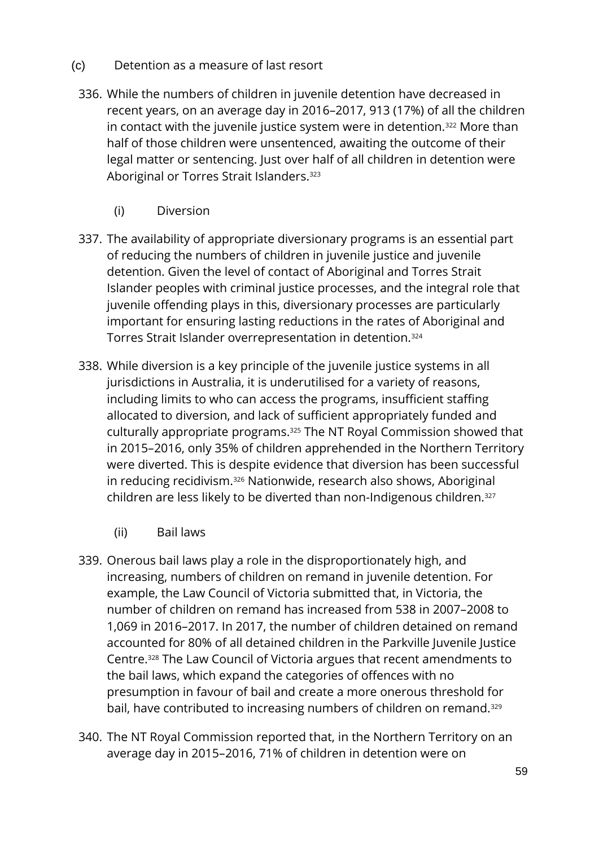- (c) Detention as a measure of last resort
	- 336. While the numbers of children in juvenile detention have decreased in recent years, on an average day in 2016–2017, 913 (17%) of all the children in contact with the juvenile justice system were in detention.<sup>322</sup> More than half of those children were unsentenced, awaiting the outcome of their legal matter or sentencing. Just over half of all children in detention were Aboriginal or Torres Strait Islanders. 323
		- (i) Diversion
	- 337. The availability of appropriate diversionary programs is an essential part of reducing the numbers of children in juvenile justice and juvenile detention. Given the level of contact of Aboriginal and Torres Strait Islander peoples with criminal justice processes, and the integral role that juvenile offending plays in this, diversionary processes are particularly important for ensuring lasting reductions in the rates of Aboriginal and Torres Strait Islander overrepresentation in detention.<sup>324</sup>
	- 338. While diversion is a key principle of the juvenile justice systems in all jurisdictions in Australia, it is underutilised for a variety of reasons, including limits to who can access the programs, insufficient staffing allocated to diversion, and lack of sufficient appropriately funded and culturally appropriate programs.<sup>325</sup> The NT Royal Commission showed that in 2015–2016, only 35% of children apprehended in the Northern Territory were diverted. This is despite evidence that diversion has been successful in reducing recidivism.<sup>326</sup> Nationwide, research also shows, Aboriginal children are less likely to be diverted than non-Indigenous children.<sup>327</sup>
		- (ii) Bail laws
	- 339. Onerous bail laws play a role in the disproportionately high, and increasing, numbers of children on remand in juvenile detention. For example, the Law Council of Victoria submitted that, in Victoria, the number of children on remand has increased from 538 in 2007–2008 to 1,069 in 2016–2017. In 2017, the number of children detained on remand accounted for 80% of all detained children in the Parkville Juvenile Justice Centre.<sup>328</sup> The Law Council of Victoria argues that recent amendments to the bail laws, which expand the categories of offences with no presumption in favour of bail and create a more onerous threshold for bail, have contributed to increasing numbers of children on remand.<sup>329</sup>
	- 340. The NT Royal Commission reported that, in the Northern Territory on an average day in 2015–2016, 71% of children in detention were on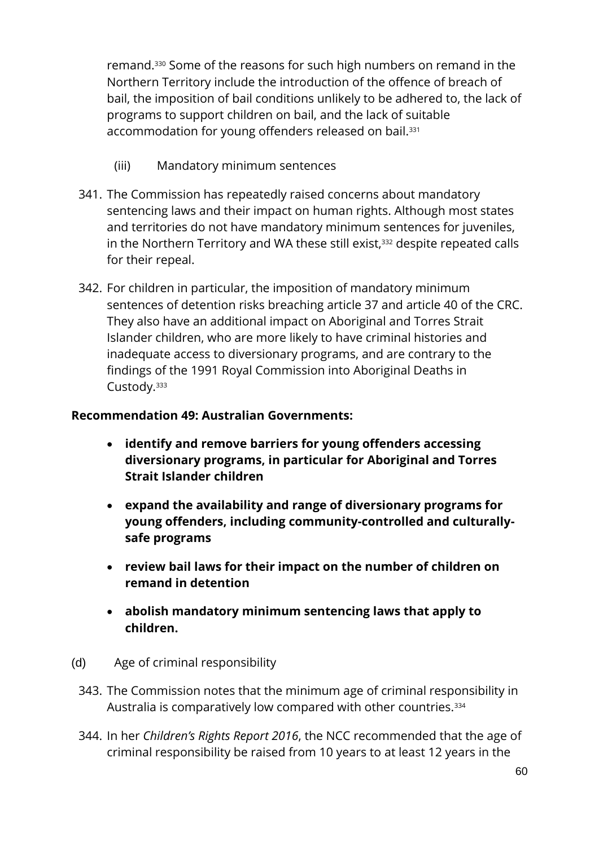remand.<sup>330</sup> Some of the reasons for such high numbers on remand in the Northern Territory include the introduction of the offence of breach of bail, the imposition of bail conditions unlikely to be adhered to, the lack of programs to support children on bail, and the lack of suitable accommodation for young offenders released on bail.<sup>331</sup>

- (iii) Mandatory minimum sentences
- 341. The Commission has repeatedly raised concerns about mandatory sentencing laws and their impact on human rights. Although most states and territories do not have mandatory minimum sentences for juveniles, in the Northern Territory and WA these still exist,<sup>332</sup> despite repeated calls for their repeal.
- 342. For children in particular, the imposition of mandatory minimum sentences of detention risks breaching article 37 and article 40 of the CRC. They also have an additional impact on Aboriginal and Torres Strait Islander children, who are more likely to have criminal histories and inadequate access to diversionary programs, and are contrary to the findings of the 1991 Royal Commission into Aboriginal Deaths in Custody.<sup>333</sup>

#### **Recommendation 49: Australian Governments:**

- **identify and remove barriers for young offenders accessing diversionary programs, in particular for Aboriginal and Torres Strait Islander children**
- **expand the availability and range of diversionary programs for young offenders, including community-controlled and culturallysafe programs**
- **review bail laws for their impact on the number of children on remand in detention**
- **abolish mandatory minimum sentencing laws that apply to children.**
- (d) Age of criminal responsibility
	- 343. The Commission notes that the minimum age of criminal responsibility in Australia is comparatively low compared with other countries.<sup>334</sup>
	- 344. In her *Children's Rights Report 2016*, the NCC recommended that the age of criminal responsibility be raised from 10 years to at least 12 years in the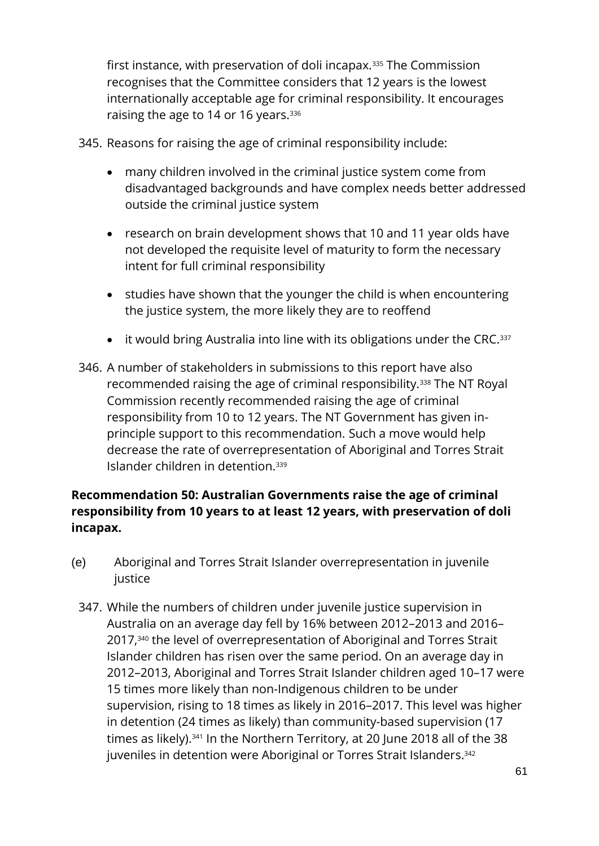first instance, with preservation of doli incapax.<sup>335</sup> The Commission recognises that the Committee considers that 12 years is the lowest internationally acceptable age for criminal responsibility. It encourages raising the age to 14 or 16 years.<sup>336</sup>

345. Reasons for raising the age of criminal responsibility include:

- many children involved in the criminal justice system come from disadvantaged backgrounds and have complex needs better addressed outside the criminal justice system
- research on brain development shows that 10 and 11 year olds have not developed the requisite level of maturity to form the necessary intent for full criminal responsibility
- studies have shown that the younger the child is when encountering the justice system, the more likely they are to reoffend
- $\bullet$  it would bring Australia into line with its obligations under the CRC. 337
- 346. A number of stakeholders in submissions to this report have also recommended raising the age of criminal responsibility.<sup>338</sup> The NT Royal Commission recently recommended raising the age of criminal responsibility from 10 to 12 years. The NT Government has given inprinciple support to this recommendation. Such a move would help decrease the rate of overrepresentation of Aboriginal and Torres Strait Islander children in detention. 339

#### **Recommendation 50: Australian Governments raise the age of criminal responsibility from 10 years to at least 12 years, with preservation of doli incapax.**

- (e) Aboriginal and Torres Strait Islander overrepresentation in juvenile justice
	- 347. While the numbers of children under juvenile justice supervision in Australia on an average day fell by 16% between 2012–2013 and 2016– 2017,<sup>340</sup> the level of overrepresentation of Aboriginal and Torres Strait Islander children has risen over the same period. On an average day in 2012–2013, Aboriginal and Torres Strait Islander children aged 10–17 were 15 times more likely than non-Indigenous children to be under supervision, rising to 18 times as likely in 2016–2017. This level was higher in detention (24 times as likely) than community-based supervision (17 times as likely).<sup>341</sup> In the Northern Territory, at 20 June 2018 all of the 38 juveniles in detention were Aboriginal or Torres Strait Islanders. 342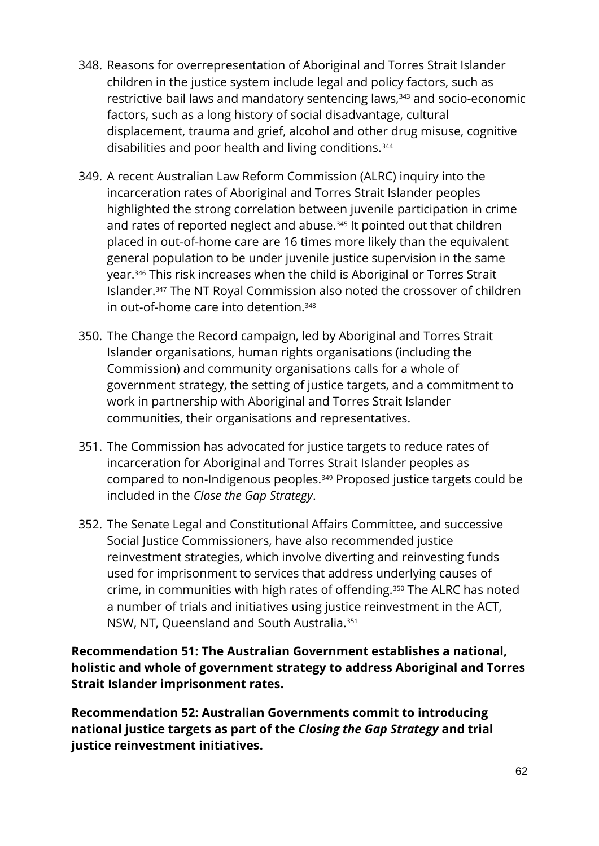- 348. Reasons for overrepresentation of Aboriginal and Torres Strait Islander children in the justice system include legal and policy factors, such as restrictive bail laws and mandatory sentencing laws,<sup>343</sup> and socio-economic factors, such as a long history of social disadvantage, cultural displacement, trauma and grief, alcohol and other drug misuse, cognitive disabilities and poor health and living conditions.<sup>344</sup>
- 349. A recent Australian Law Reform Commission (ALRC) inquiry into the incarceration rates of Aboriginal and Torres Strait Islander peoples highlighted the strong correlation between juvenile participation in crime and rates of reported neglect and abuse.<sup>345</sup> It pointed out that children placed in out-of-home care are 16 times more likely than the equivalent general population to be under juvenile justice supervision in the same year.<sup>346</sup> This risk increases when the child is Aboriginal or Torres Strait Islander.<sup>347</sup> The NT Royal Commission also noted the crossover of children in out-of-home care into detention.<sup>348</sup>
- 350. The Change the Record campaign, led by Aboriginal and Torres Strait Islander organisations, human rights organisations (including the Commission) and community organisations calls for a whole of government strategy, the setting of justice targets, and a commitment to work in partnership with Aboriginal and Torres Strait Islander communities, their organisations and representatives.
- 351. The Commission has advocated for justice targets to reduce rates of incarceration for Aboriginal and Torres Strait Islander peoples as compared to non-Indigenous peoples.<sup>349</sup> Proposed justice targets could be included in the *Close the Gap Strategy*.
- 352. The Senate Legal and Constitutional Affairs Committee, and successive Social Justice Commissioners, have also recommended justice reinvestment strategies, which involve diverting and reinvesting funds used for imprisonment to services that address underlying causes of crime, in communities with high rates of offending.<sup>350</sup> The ALRC has noted a number of trials and initiatives using justice reinvestment in the ACT, NSW, NT, Queensland and South Australia.<sup>351</sup>

**Recommendation 51: The Australian Government establishes a national, holistic and whole of government strategy to address Aboriginal and Torres Strait Islander imprisonment rates.**

**Recommendation 52: Australian Governments commit to introducing national justice targets as part of the** *Closing the Gap Strategy* **and trial justice reinvestment initiatives.**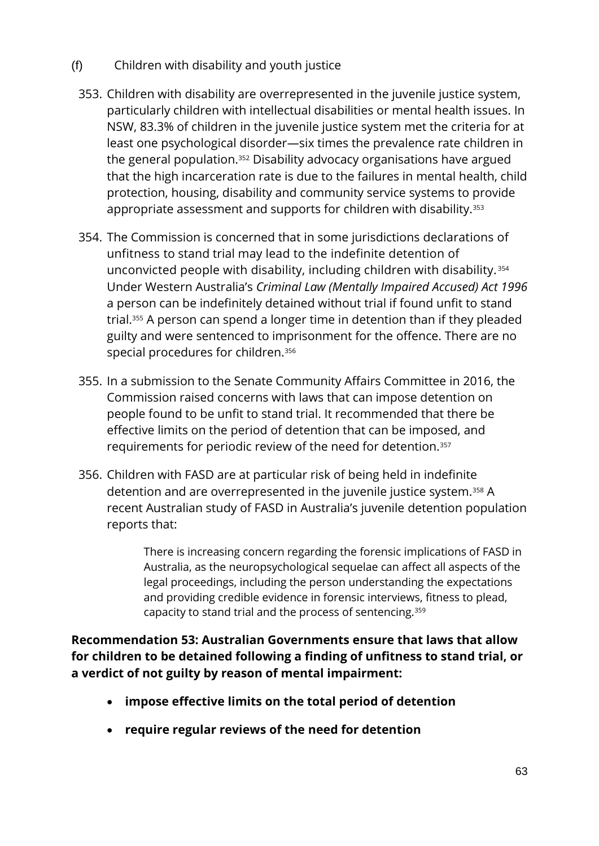- (f) Children with disability and youth justice
	- 353. Children with disability are overrepresented in the juvenile justice system, particularly children with intellectual disabilities or mental health issues. In NSW, 83.3% of children in the juvenile justice system met the criteria for at least one psychological disorder—six times the prevalence rate children in the general population.<sup>352</sup> Disability advocacy organisations have argued that the high incarceration rate is due to the failures in mental health, child protection, housing, disability and community service systems to provide appropriate assessment and supports for children with disability.<sup>353</sup>
	- 354. The Commission is concerned that in some jurisdictions declarations of unfitness to stand trial may lead to the indefinite detention of unconvicted people with disability, including children with disability. <sup>354</sup> Under Western Australia's *Criminal Law (Mentally Impaired Accused) Act 1996*  a person can be indefinitely detained without trial if found unfit to stand trial.<sup>355</sup> A person can spend a longer time in detention than if they pleaded guilty and were sentenced to imprisonment for the offence. There are no special procedures for children.<sup>356</sup>
	- 355. In a submission to the Senate Community Affairs Committee in 2016, the Commission raised concerns with laws that can impose detention on people found to be unfit to stand trial. It recommended that there be effective limits on the period of detention that can be imposed, and requirements for periodic review of the need for detention. 357
	- 356. Children with FASD are at particular risk of being held in indefinite detention and are overrepresented in the juvenile justice system.<sup>358</sup> A recent Australian study of FASD in Australia's juvenile detention population reports that:

There is increasing concern regarding the forensic implications of FASD in Australia, as the neuropsychological sequelae can affect all aspects of the legal proceedings, including the person understanding the expectations and providing credible evidence in forensic interviews, fitness to plead, capacity to stand trial and the process of sentencing.<sup>359</sup>

**Recommendation 53: Australian Governments ensure that laws that allow for children to be detained following a finding of unfitness to stand trial, or a verdict of not guilty by reason of mental impairment:**

- **impose effective limits on the total period of detention**
- **require regular reviews of the need for detention**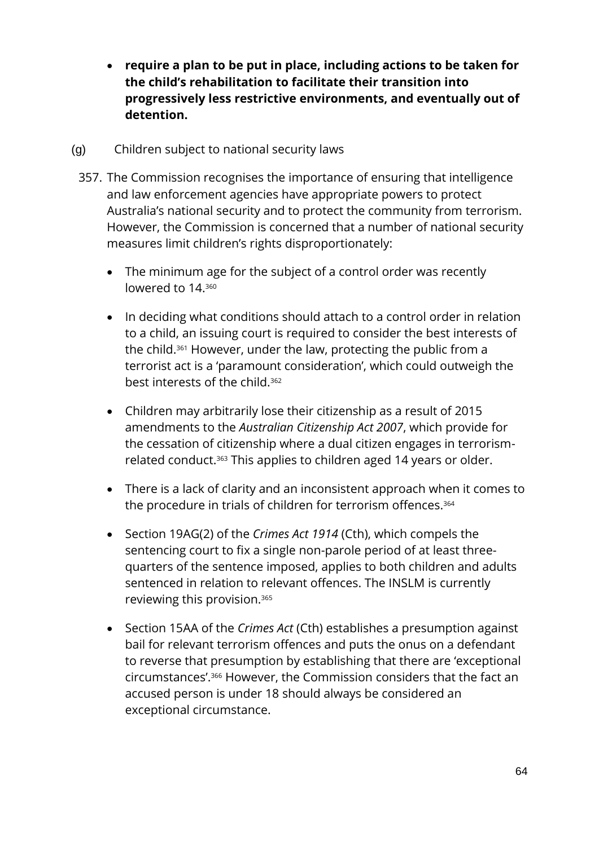- **require a plan to be put in place, including actions to be taken for the child's rehabilitation to facilitate their transition into progressively less restrictive environments, and eventually out of detention.**
- (g) Children subject to national security laws
	- 357. The Commission recognises the importance of ensuring that intelligence and law enforcement agencies have appropriate powers to protect Australia's national security and to protect the community from terrorism. However, the Commission is concerned that a number of national security measures limit children's rights disproportionately:
		- The minimum age for the subject of a control order was recently lowered to 14.360
		- In deciding what conditions should attach to a control order in relation to a child, an issuing court is required to consider the best interests of the child.<sup>361</sup> However, under the law, protecting the public from a terrorist act is a 'paramount consideration', which could outweigh the best interests of the child.<sup>362</sup>
		- Children may arbitrarily lose their citizenship as a result of 2015 amendments to the *Australian Citizenship Act 2007*, which provide for the cessation of citizenship where a dual citizen engages in terrorismrelated conduct.<sup>363</sup> This applies to children aged 14 years or older.
		- There is a lack of clarity and an inconsistent approach when it comes to the procedure in trials of children for terrorism offences.<sup>364</sup>
		- Section 19AG(2) of the *Crimes Act 1914* (Cth), which compels the sentencing court to fix a single non-parole period of at least threequarters of the sentence imposed, applies to both children and adults sentenced in relation to relevant offences. The INSLM is currently reviewing this provision.<sup>365</sup>
		- Section 15AA of the *Crimes Act* (Cth) establishes a presumption against bail for relevant terrorism offences and puts the onus on a defendant to reverse that presumption by establishing that there are 'exceptional circumstances'.<sup>366</sup> However, the Commission considers that the fact an accused person is under 18 should always be considered an exceptional circumstance.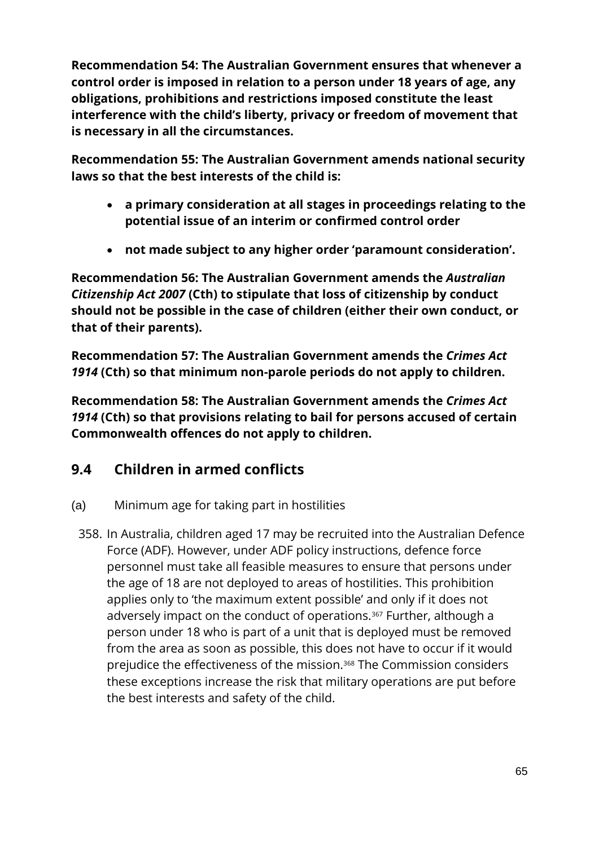**Recommendation 54: The Australian Government ensures that whenever a control order is imposed in relation to a person under 18 years of age, any obligations, prohibitions and restrictions imposed constitute the least interference with the child's liberty, privacy or freedom of movement that is necessary in all the circumstances.**

**Recommendation 55: The Australian Government amends national security laws so that the best interests of the child is:**

- **a primary consideration at all stages in proceedings relating to the potential issue of an interim or confirmed control order**
- **not made subject to any higher order 'paramount consideration'.**

**Recommendation 56: The Australian Government amends the** *Australian Citizenship Act 2007* **(Cth) to stipulate that loss of citizenship by conduct should not be possible in the case of children (either their own conduct, or that of their parents).**

**Recommendation 57: The Australian Government amends the** *Crimes Act 1914* **(Cth) so that minimum non-parole periods do not apply to children.**

**Recommendation 58: The Australian Government amends the** *Crimes Act 1914* **(Cth) so that provisions relating to bail for persons accused of certain Commonwealth offences do not apply to children.**

### **9.4 Children in armed conflicts**

- (a) Minimum age for taking part in hostilities
	- 358. In Australia, children aged 17 may be recruited into the Australian Defence Force (ADF). However, under ADF policy instructions, defence force personnel must take all feasible measures to ensure that persons under the age of 18 are not deployed to areas of hostilities. This prohibition applies only to 'the maximum extent possible' and only if it does not adversely impact on the conduct of operations.<sup>367</sup> Further, although a person under 18 who is part of a unit that is deployed must be removed from the area as soon as possible, this does not have to occur if it would prejudice the effectiveness of the mission.<sup>368</sup> The Commission considers these exceptions increase the risk that military operations are put before the best interests and safety of the child.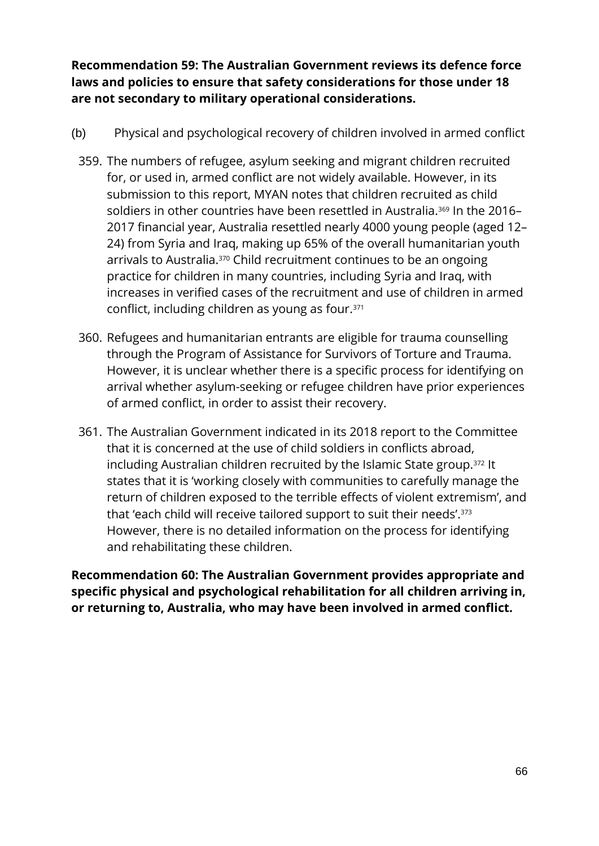**Recommendation 59: The Australian Government reviews its defence force laws and policies to ensure that safety considerations for those under 18 are not secondary to military operational considerations.**

- (b) Physical and psychological recovery of children involved in armed conflict
	- 359. The numbers of refugee, asylum seeking and migrant children recruited for, or used in, armed conflict are not widely available. However, in its submission to this report, MYAN notes that children recruited as child soldiers in other countries have been resettled in Australia.<sup>369</sup> In the 2016– 2017 financial year, Australia resettled nearly 4000 young people (aged 12– 24) from Syria and Iraq, making up 65% of the overall humanitarian youth arrivals to Australia.<sup>370</sup> Child recruitment continues to be an ongoing practice for children in many countries, including Syria and Iraq, with increases in verified cases of the recruitment and use of children in armed conflict, including children as young as four.<sup>371</sup>
	- 360. Refugees and humanitarian entrants are eligible for trauma counselling through the Program of Assistance for Survivors of Torture and Trauma. However, it is unclear whether there is a specific process for identifying on arrival whether asylum-seeking or refugee children have prior experiences of armed conflict, in order to assist their recovery.
	- 361. The Australian Government indicated in its 2018 report to the Committee that it is concerned at the use of child soldiers in conflicts abroad, including Australian children recruited by the Islamic State group.<sup>372</sup> It states that it is 'working closely with communities to carefully manage the return of children exposed to the terrible effects of violent extremism', and that 'each child will receive tailored support to suit their needs'.<sup>373</sup> However, there is no detailed information on the process for identifying and rehabilitating these children.

**Recommendation 60: The Australian Government provides appropriate and specific physical and psychological rehabilitation for all children arriving in, or returning to, Australia, who may have been involved in armed conflict.**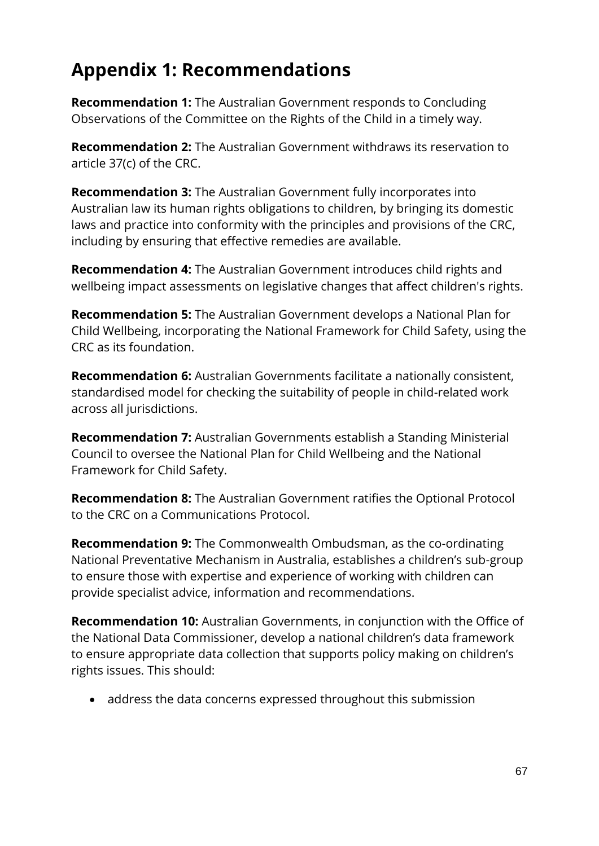# **Appendix 1: Recommendations**

**Recommendation 1:** The Australian Government responds to Concluding Observations of the Committee on the Rights of the Child in a timely way.

**Recommendation 2:** The Australian Government withdraws its reservation to article 37(c) of the CRC.

**Recommendation 3:** The Australian Government fully incorporates into Australian law its human rights obligations to children, by bringing its domestic laws and practice into conformity with the principles and provisions of the CRC, including by ensuring that effective remedies are available.

**Recommendation 4:** The Australian Government introduces child rights and wellbeing impact assessments on legislative changes that affect children's rights.

**Recommendation 5:** The Australian Government develops a National Plan for Child Wellbeing, incorporating the National Framework for Child Safety, using the CRC as its foundation.

**Recommendation 6:** Australian Governments facilitate a nationally consistent, standardised model for checking the suitability of people in child-related work across all jurisdictions.

**Recommendation 7:** Australian Governments establish a Standing Ministerial Council to oversee the National Plan for Child Wellbeing and the National Framework for Child Safety.

**Recommendation 8:** The Australian Government ratifies the Optional Protocol to the CRC on a Communications Protocol.

**Recommendation 9:** The Commonwealth Ombudsman, as the co-ordinating National Preventative Mechanism in Australia, establishes a children's sub-group to ensure those with expertise and experience of working with children can provide specialist advice, information and recommendations.

**Recommendation 10:** Australian Governments, in conjunction with the Office of the National Data Commissioner, develop a national children's data framework to ensure appropriate data collection that supports policy making on children's rights issues. This should:

address the data concerns expressed throughout this submission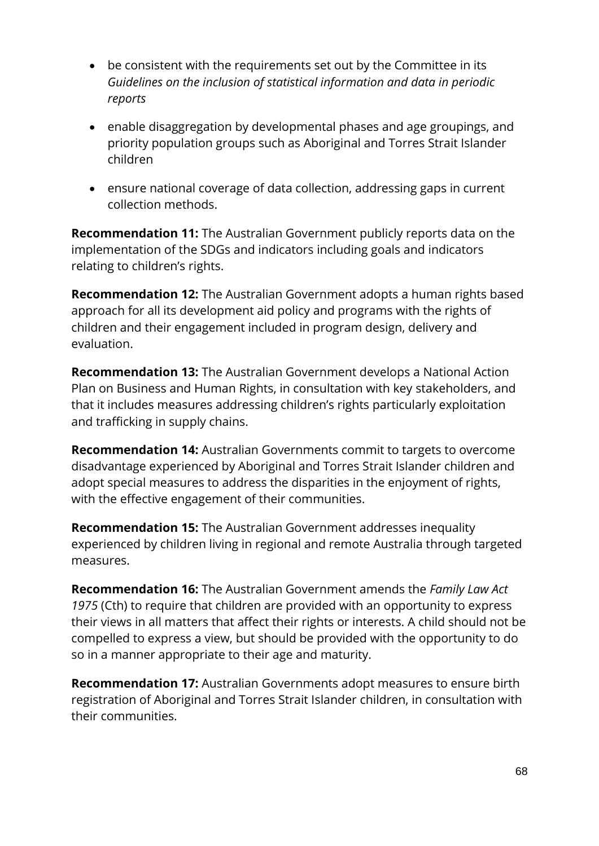- be consistent with the requirements set out by the Committee in its *Guidelines on the inclusion of statistical information and data in periodic reports*
- enable disaggregation by developmental phases and age groupings, and priority population groups such as Aboriginal and Torres Strait Islander children
- ensure national coverage of data collection, addressing gaps in current collection methods.

**Recommendation 11:** The Australian Government publicly reports data on the implementation of the SDGs and indicators including goals and indicators relating to children's rights.

**Recommendation 12:** The Australian Government adopts a human rights based approach for all its development aid policy and programs with the rights of children and their engagement included in program design, delivery and evaluation.

**Recommendation 13:** The Australian Government develops a National Action Plan on Business and Human Rights, in consultation with key stakeholders, and that it includes measures addressing children's rights particularly exploitation and trafficking in supply chains.

**Recommendation 14:** Australian Governments commit to targets to overcome disadvantage experienced by Aboriginal and Torres Strait Islander children and adopt special measures to address the disparities in the enjoyment of rights, with the effective engagement of their communities.

**Recommendation 15:** The Australian Government addresses inequality experienced by children living in regional and remote Australia through targeted measures.

**Recommendation 16:** The Australian Government amends the *Family Law Act 1975* (Cth) to require that children are provided with an opportunity to express their views in all matters that affect their rights or interests. A child should not be compelled to express a view, but should be provided with the opportunity to do so in a manner appropriate to their age and maturity.

**Recommendation 17:** Australian Governments adopt measures to ensure birth registration of Aboriginal and Torres Strait Islander children, in consultation with their communities.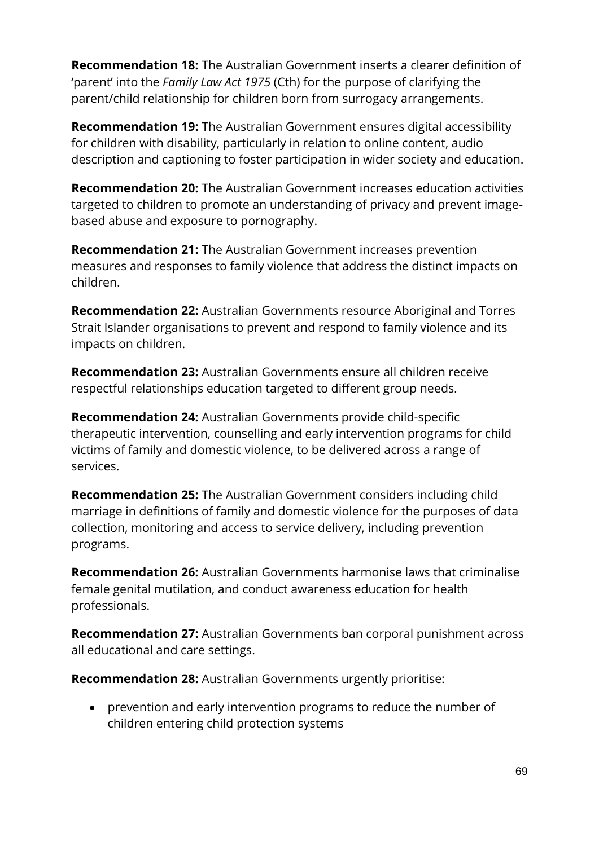**Recommendation 18:** The Australian Government inserts a clearer definition of 'parent' into the *Family Law Act 1975* (Cth) for the purpose of clarifying the parent/child relationship for children born from surrogacy arrangements.

**Recommendation 19:** The Australian Government ensures digital accessibility for children with disability, particularly in relation to online content, audio description and captioning to foster participation in wider society and education.

**Recommendation 20:** The Australian Government increases education activities targeted to children to promote an understanding of privacy and prevent imagebased abuse and exposure to pornography.

**Recommendation 21:** The Australian Government increases prevention measures and responses to family violence that address the distinct impacts on children.

**Recommendation 22:** Australian Governments resource Aboriginal and Torres Strait Islander organisations to prevent and respond to family violence and its impacts on children.

**Recommendation 23:** Australian Governments ensure all children receive respectful relationships education targeted to different group needs.

**Recommendation 24:** Australian Governments provide child-specific therapeutic intervention, counselling and early intervention programs for child victims of family and domestic violence, to be delivered across a range of services.

**Recommendation 25:** The Australian Government considers including child marriage in definitions of family and domestic violence for the purposes of data collection, monitoring and access to service delivery, including prevention programs.

**Recommendation 26:** Australian Governments harmonise laws that criminalise female genital mutilation, and conduct awareness education for health professionals.

**Recommendation 27:** Australian Governments ban corporal punishment across all educational and care settings.

**Recommendation 28:** Australian Governments urgently prioritise:

 prevention and early intervention programs to reduce the number of children entering child protection systems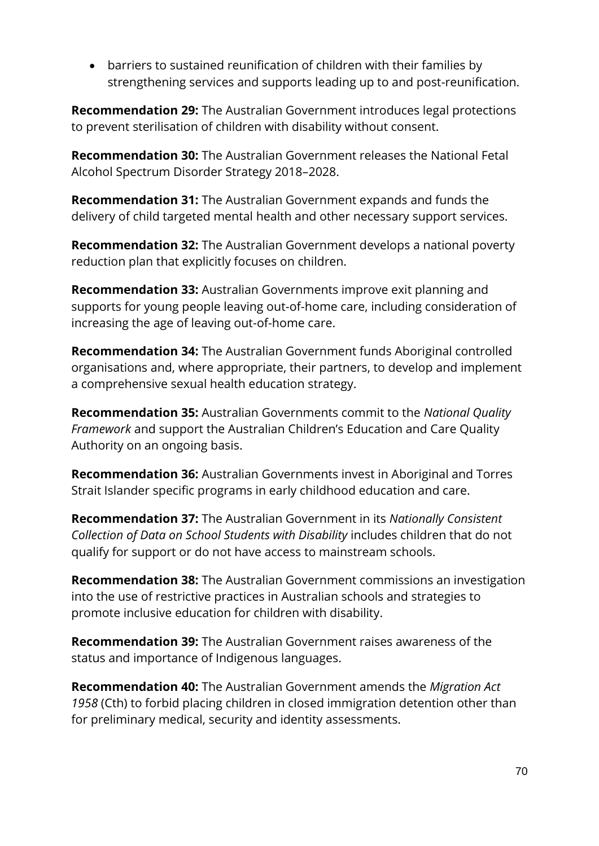barriers to sustained reunification of children with their families by strengthening services and supports leading up to and post-reunification.

**Recommendation 29:** The Australian Government introduces legal protections to prevent sterilisation of children with disability without consent.

**Recommendation 30:** The Australian Government releases the National Fetal Alcohol Spectrum Disorder Strategy 2018–2028.

**Recommendation 31:** The Australian Government expands and funds the delivery of child targeted mental health and other necessary support services.

**Recommendation 32:** The Australian Government develops a national poverty reduction plan that explicitly focuses on children.

**Recommendation 33:** Australian Governments improve exit planning and supports for young people leaving out-of-home care, including consideration of increasing the age of leaving out-of-home care.

**Recommendation 34:** The Australian Government funds Aboriginal controlled organisations and, where appropriate, their partners, to develop and implement a comprehensive sexual health education strategy.

**Recommendation 35:** Australian Governments commit to the *National Quality Framework* and support the Australian Children's Education and Care Quality Authority on an ongoing basis.

**Recommendation 36:** Australian Governments invest in Aboriginal and Torres Strait Islander specific programs in early childhood education and care.

**Recommendation 37:** The Australian Government in its *Nationally Consistent Collection of Data on School Students with Disability* includes children that do not qualify for support or do not have access to mainstream schools.

**Recommendation 38:** The Australian Government commissions an investigation into the use of restrictive practices in Australian schools and strategies to promote inclusive education for children with disability.

**Recommendation 39:** The Australian Government raises awareness of the status and importance of Indigenous languages.

**Recommendation 40:** The Australian Government amends the *Migration Act 1958* (Cth) to forbid placing children in closed immigration detention other than for preliminary medical, security and identity assessments.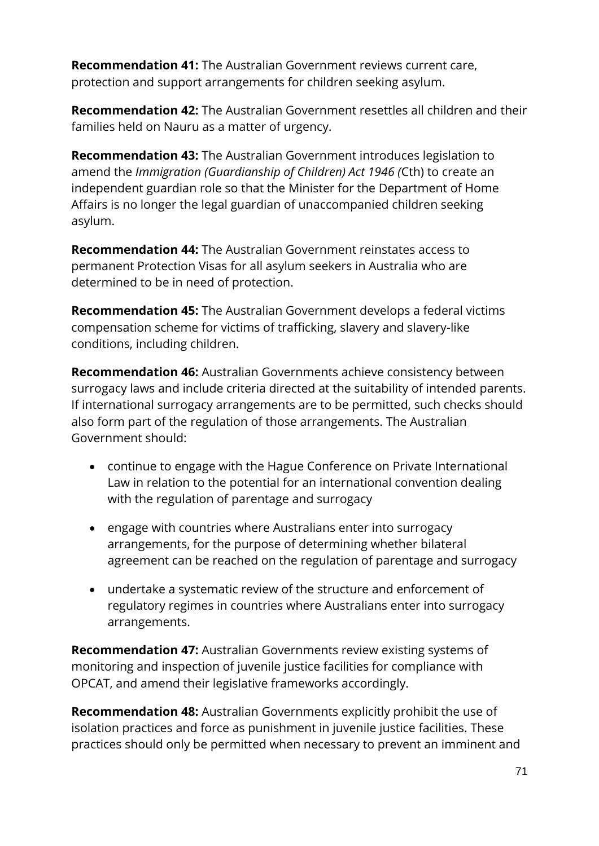**Recommendation 41:** The Australian Government reviews current care, protection and support arrangements for children seeking asylum.

**Recommendation 42:** The Australian Government resettles all children and their families held on Nauru as a matter of urgency.

**Recommendation 43:** The Australian Government introduces legislation to amend the *Immigration (Guardianship of Children) Act 1946 (*Cth) to create an independent guardian role so that the Minister for the Department of Home Affairs is no longer the legal guardian of unaccompanied children seeking asylum.

**Recommendation 44:** The Australian Government reinstates access to permanent Protection Visas for all asylum seekers in Australia who are determined to be in need of protection.

**Recommendation 45:** The Australian Government develops a federal victims compensation scheme for victims of trafficking, slavery and slavery-like conditions, including children.

**Recommendation 46:** Australian Governments achieve consistency between surrogacy laws and include criteria directed at the suitability of intended parents. If international surrogacy arrangements are to be permitted, such checks should also form part of the regulation of those arrangements. The Australian Government should:

- continue to engage with the Hague Conference on Private International Law in relation to the potential for an international convention dealing with the regulation of parentage and surrogacy
- engage with countries where Australians enter into surrogacy arrangements, for the purpose of determining whether bilateral agreement can be reached on the regulation of parentage and surrogacy
- undertake a systematic review of the structure and enforcement of regulatory regimes in countries where Australians enter into surrogacy arrangements.

**Recommendation 47:** Australian Governments review existing systems of monitoring and inspection of juvenile justice facilities for compliance with OPCAT, and amend their legislative frameworks accordingly.

**Recommendation 48:** Australian Governments explicitly prohibit the use of isolation practices and force as punishment in juvenile justice facilities. These practices should only be permitted when necessary to prevent an imminent and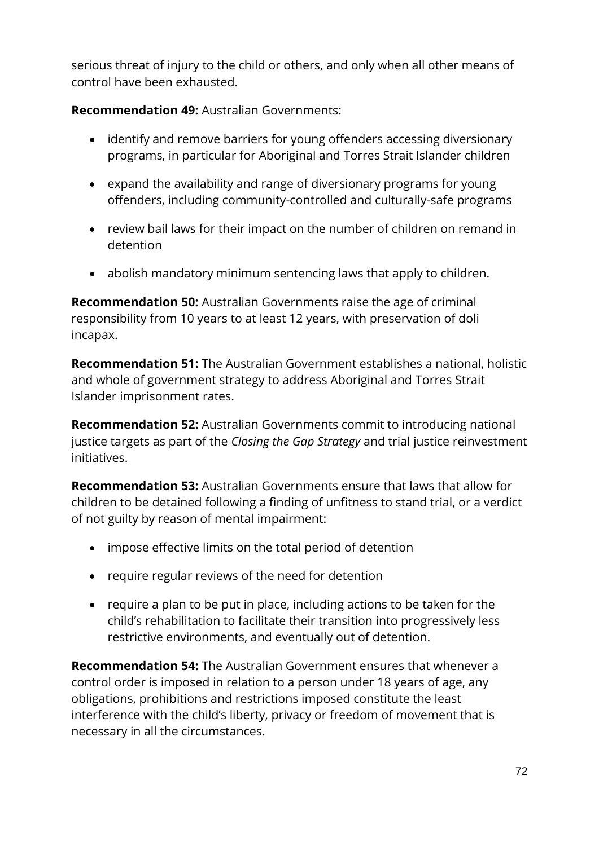serious threat of injury to the child or others, and only when all other means of control have been exhausted.

**Recommendation 49:** Australian Governments:

- identify and remove barriers for young offenders accessing diversionary programs, in particular for Aboriginal and Torres Strait Islander children
- expand the availability and range of diversionary programs for young offenders, including community-controlled and culturally-safe programs
- review bail laws for their impact on the number of children on remand in detention
- abolish mandatory minimum sentencing laws that apply to children.

**Recommendation 50:** Australian Governments raise the age of criminal responsibility from 10 years to at least 12 years, with preservation of doli incapax.

**Recommendation 51:** The Australian Government establishes a national, holistic and whole of government strategy to address Aboriginal and Torres Strait Islander imprisonment rates.

**Recommendation 52:** Australian Governments commit to introducing national justice targets as part of the *Closing the Gap Strategy* and trial justice reinvestment initiatives.

**Recommendation 53:** Australian Governments ensure that laws that allow for children to be detained following a finding of unfitness to stand trial, or a verdict of not guilty by reason of mental impairment:

- impose effective limits on the total period of detention
- require regular reviews of the need for detention
- require a plan to be put in place, including actions to be taken for the child's rehabilitation to facilitate their transition into progressively less restrictive environments, and eventually out of detention.

**Recommendation 54:** The Australian Government ensures that whenever a control order is imposed in relation to a person under 18 years of age, any obligations, prohibitions and restrictions imposed constitute the least interference with the child's liberty, privacy or freedom of movement that is necessary in all the circumstances.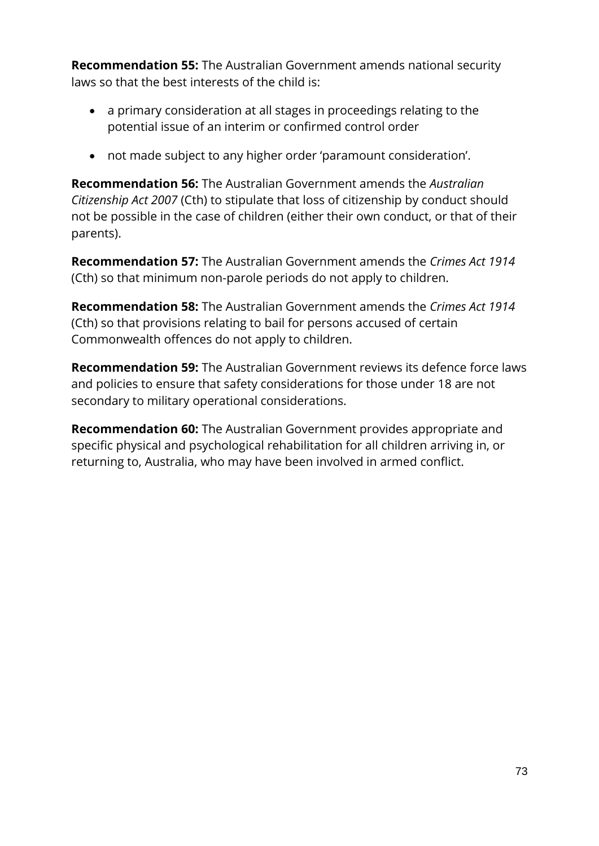**Recommendation 55:** The Australian Government amends national security laws so that the best interests of the child is:

- a primary consideration at all stages in proceedings relating to the potential issue of an interim or confirmed control order
- not made subject to any higher order 'paramount consideration'.

**Recommendation 56:** The Australian Government amends the *Australian Citizenship Act 2007* (Cth) to stipulate that loss of citizenship by conduct should not be possible in the case of children (either their own conduct, or that of their parents).

**Recommendation 57:** The Australian Government amends the *Crimes Act 1914* (Cth) so that minimum non-parole periods do not apply to children.

**Recommendation 58:** The Australian Government amends the *Crimes Act 1914* (Cth) so that provisions relating to bail for persons accused of certain Commonwealth offences do not apply to children.

**Recommendation 59:** The Australian Government reviews its defence force laws and policies to ensure that safety considerations for those under 18 are not secondary to military operational considerations.

**Recommendation 60:** The Australian Government provides appropriate and specific physical and psychological rehabilitation for all children arriving in, or returning to, Australia, who may have been involved in armed conflict.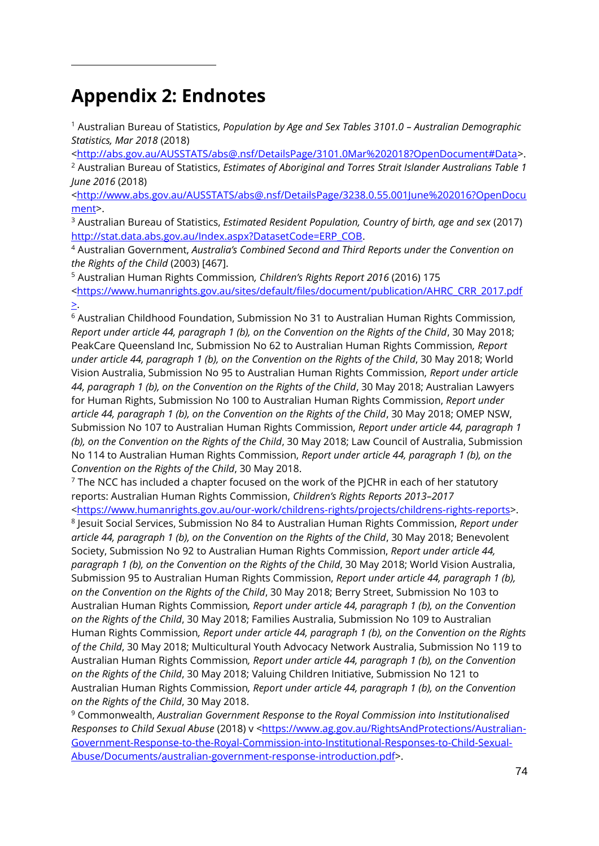## **Appendix 2: Endnotes**

 $\overline{a}$ 

<sup>1</sup> Australian Bureau of Statistics, *Population by Age and Sex Tables 3101.0 – Australian Demographic Statistics, Mar 2018* (2018)

[<http://abs.gov.au/AUSSTATS/abs@.nsf/DetailsPage/3101.0Mar%202018?OpenDocument#Data>](http://abs.gov.au/AUSSTATS/abs@.nsf/DetailsPage/3101.0Mar%202018?OpenDocument#Data).

<sup>2</sup> Australian Bureau of Statistics, *Estimates of Aboriginal and Torres Strait Islander Australians Table 1 June 2016* (2018)

[<http://www.abs.gov.au/AUSSTATS/abs@.nsf/DetailsPage/3238.0.55.001June%202016?OpenDocu](http://www.abs.gov.au/AUSSTATS/abs@.nsf/DetailsPage/3238.0.55.001June%202016?OpenDocument) [ment>](http://www.abs.gov.au/AUSSTATS/abs@.nsf/DetailsPage/3238.0.55.001June%202016?OpenDocument).

<sup>3</sup> Australian Bureau of Statistics, *Estimated Resident Population, Country of birth, age and sex* (2017) [http://stat.data.abs.gov.au/Index.aspx?DatasetCode=ERP\\_COB.](http://stat.data.abs.gov.au/Index.aspx?DatasetCode=ERP_COB)

<sup>4</sup> Australian Government, *Australia's Combined Second and Third Reports under the Convention on the Rights of the Child* (2003) [467].

<sup>5</sup> Australian Human Rights Commission*, Children's Rights Report 2016* (2016) 175 [<https://www.humanrights.gov.au/sites/default/files/document/publication/AHRC\\_CRR\\_2017.pdf](https://www.humanrights.gov.au/sites/default/files/document/publication/AHRC_CRR_2017.pdf) >.

<sup>6</sup> Australian Childhood Foundation, Submission No 31 to Australian Human Rights Commission*, Report under article 44, paragraph 1 (b), on the Convention on the Rights of the Child*, 30 May 2018; PeakCare Queensland Inc, Submission No 62 to Australian Human Rights Commission*, Report under article 44, paragraph 1 (b), on the Convention on the Rights of the Child*, 30 May 2018; World Vision Australia, Submission No 95 to Australian Human Rights Commission, *Report under article 44, paragraph 1 (b), on the Convention on the Rights of the Child*, 30 May 2018; Australian Lawyers for Human Rights, Submission No 100 to Australian Human Rights Commission, *Report under article 44, paragraph 1 (b), on the Convention on the Rights of the Child*, 30 May 2018; OMEP NSW, Submission No 107 to Australian Human Rights Commission, *Report under article 44, paragraph 1 (b), on the Convention on the Rights of the Child*, 30 May 2018; Law Council of Australia, Submission No 114 to Australian Human Rights Commission, *Report under article 44, paragraph 1 (b), on the Convention on the Rights of the Child*, 30 May 2018.

 $7$  The NCC has included a chapter focused on the work of the PJCHR in each of her statutory reports: Australian Human Rights Commission, *Children's Rights Reports 2013–2017*

[<https://www.humanrights.gov.au/our-work/childrens-rights/projects/childrens-rights-reports>](https://www.humanrights.gov.au/our-work/childrens-rights/projects/childrens-rights-reports). 8 Jesuit Social Services, Submission No 84 to Australian Human Rights Commission, *Report under article 44, paragraph 1 (b), on the Convention on the Rights of the Child*, 30 May 2018; Benevolent Society, Submission No 92 to Australian Human Rights Commission, *Report under article 44, paragraph 1 (b), on the Convention on the Rights of the Child*, 30 May 2018; World Vision Australia, Submission 95 to Australian Human Rights Commission, *Report under article 44, paragraph 1 (b), on the Convention on the Rights of the Child*, 30 May 2018; Berry Street, Submission No 103 to Australian Human Rights Commission*, Report under article 44, paragraph 1 (b), on the Convention on the Rights of the Child*, 30 May 2018; Families Australia, Submission No 109 to Australian Human Rights Commission*, Report under article 44, paragraph 1 (b), on the Convention on the Rights of the Child*, 30 May 2018; Multicultural Youth Advocacy Network Australia, Submission No 119 to Australian Human Rights Commission*, Report under article 44, paragraph 1 (b), on the Convention on the Rights of the Child*, 30 May 2018; Valuing Children Initiative, Submission No 121 to Australian Human Rights Commission*, Report under article 44, paragraph 1 (b), on the Convention on the Rights of the Child*, 30 May 2018.

<sup>9</sup> Commonwealth, *Australian Government Response to the Royal Commission into Institutionalised*  Responses to Child Sexual Abuse (2018) v [<https://www.ag.gov.au/RightsAndProtections/Australian-](https://www.ag.gov.au/RightsAndProtections/Australian-Government-Response-to-the-Royal-Commission-into-Institutional-Responses-to-Child-Sexual-Abuse/Documents/australian-government-response-introduction.pdf)[Government-Response-to-the-Royal-Commission-into-Institutional-Responses-to-Child-Sexual-](https://www.ag.gov.au/RightsAndProtections/Australian-Government-Response-to-the-Royal-Commission-into-Institutional-Responses-to-Child-Sexual-Abuse/Documents/australian-government-response-introduction.pdf)[Abuse/Documents/australian-government-response-introduction.pdf>](https://www.ag.gov.au/RightsAndProtections/Australian-Government-Response-to-the-Royal-Commission-into-Institutional-Responses-to-Child-Sexual-Abuse/Documents/australian-government-response-introduction.pdf).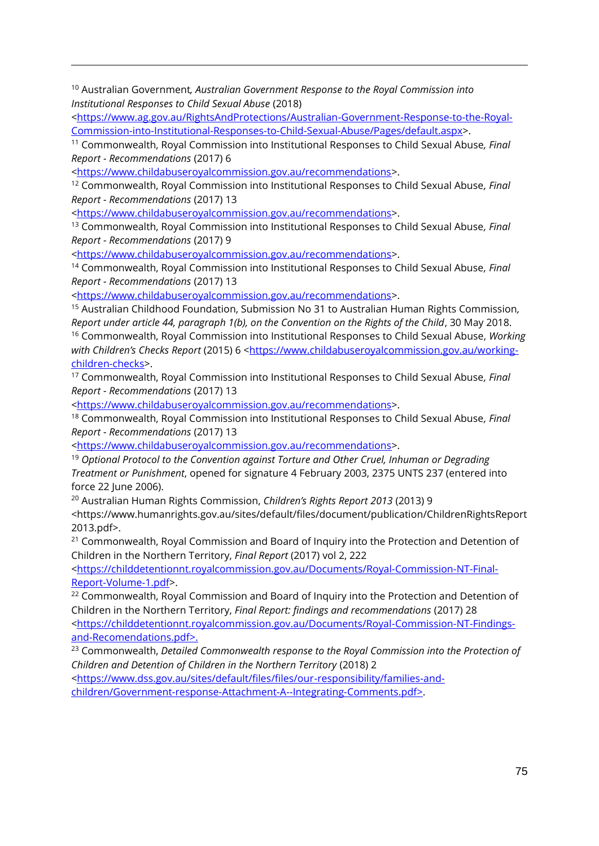<sup>10</sup> Australian Government*, Australian Government Response to the Royal Commission into Institutional Responses to Child Sexual Abuse* (2018)

[<https://www.ag.gov.au/RightsAndProtections/Australian-Government-Response-to-the-Royal-](https://www.ag.gov.au/RightsAndProtections/Australian-Government-Response-to-the-Royal-Commission-into-Institutional-Responses-to-Child-Sexual-Abuse/Pages/default.aspx)[Commission-into-Institutional-Responses-to-Child-Sexual-Abuse/Pages/default.aspx>](https://www.ag.gov.au/RightsAndProtections/Australian-Government-Response-to-the-Royal-Commission-into-Institutional-Responses-to-Child-Sexual-Abuse/Pages/default.aspx).

<sup>11</sup> Commonwealth, Royal Commission into Institutional Responses to Child Sexual Abuse*, Final Report - Recommendations* (2017) 6

[<https://www.childabuseroyalcommission.gov.au/recommendations>](https://www.childabuseroyalcommission.gov.au/recommendations).

 $\overline{a}$ 

<sup>12</sup> Commonwealth, Royal Commission into Institutional Responses to Child Sexual Abuse*, Final Report - Recommendations* (2017) 13

[<https://www.childabuseroyalcommission.gov.au/recommendations>](https://www.childabuseroyalcommission.gov.au/recommendations).

<sup>13</sup> Commonwealth, Royal Commission into Institutional Responses to Child Sexual Abuse*, Final Report - Recommendations* (2017) 9

[<https://www.childabuseroyalcommission.gov.au/recommendations>](https://www.childabuseroyalcommission.gov.au/recommendations).

<sup>14</sup> Commonwealth, Royal Commission into Institutional Responses to Child Sexual Abuse*, Final Report - Recommendations* (2017) 13

[<https://www.childabuseroyalcommission.gov.au/recommendations>](https://www.childabuseroyalcommission.gov.au/recommendations).

<sup>15</sup> Australian Childhood Foundation, Submission No 31 to Australian Human Rights Commission*, Report under article 44, paragraph 1(b), on the Convention on the Rights of the Child*, 30 May 2018. <sup>16</sup> Commonwealth, Royal Commission into Institutional Responses to Child Sexual Abuse, *Working*  with Children's Checks Report (2015) 6 [<https://www.childabuseroyalcommission.gov.au/working](https://www.childabuseroyalcommission.gov.au/working-children-checks)[children-checks>](https://www.childabuseroyalcommission.gov.au/working-children-checks).

<sup>17</sup> Commonwealth, Royal Commission into Institutional Responses to Child Sexual Abuse*, Final Report - Recommendations* (2017) 13

[<https://www.childabuseroyalcommission.gov.au/recommendations>](https://www.childabuseroyalcommission.gov.au/recommendations).

<sup>18</sup> Commonwealth, Royal Commission into Institutional Responses to Child Sexual Abuse*, Final Report - Recommendations* (2017) 13

[<https://www.childabuseroyalcommission.gov.au/recommendations>](https://www.childabuseroyalcommission.gov.au/recommendations).

<sup>19</sup> *Optional Protocol to the Convention against Torture and Other Cruel, Inhuman or Degrading Treatment or Punishment*, opened for signature 4 February 2003, 2375 UNTS 237 (entered into force 22 June 2006).

<sup>20</sup> Australian Human Rights Commission, *Children's Rights Report 2013* (2013) 9

<https://www.humanrights.gov.au/sites/default/files/document/publication/ChildrenRightsReport 2013.pdf>.

<sup>21</sup> Commonwealth, Royal Commission and Board of Inquiry into the Protection and Detention of Children in the Northern Territory, *Final Report* (2017) vol 2, 222

[<https://childdetentionnt.royalcommission.gov.au/Documents/Royal-Commission-NT-Final-](https://childdetentionnt.royalcommission.gov.au/Documents/Royal-Commission-NT-Final-Report-Volume-1.pdf)[Report-Volume-1.pdf>](https://childdetentionnt.royalcommission.gov.au/Documents/Royal-Commission-NT-Final-Report-Volume-1.pdf).

 $22$  Commonwealth, Royal Commission and Board of Inquiry into the Protection and Detention of Children in the Northern Territory, *Final Report: findings and recommendations* (2017) 28 [<https://childdetentionnt.royalcommission.gov.au/Documents/Royal-Commission-NT-Findings](https://childdetentionnt.royalcommission.gov.au/Documents/Royal-Commission-NT-Findings-and-Recomendations.pdf)[and-Recomendations.pdf>](https://childdetentionnt.royalcommission.gov.au/Documents/Royal-Commission-NT-Findings-and-Recomendations.pdf).

<sup>23</sup> Commonwealth, *Detailed Commonwealth response to the Royal Commission into the Protection of Children and Detention of Children in the Northern Territory* (2018) 2

[<https://www.dss.gov.au/sites/default/files/files/our-responsibility/families-and](https://www.dss.gov.au/sites/default/files/files/our-responsibility/families-and-children/Government-response-Attachment-A--Integrating-Comments.pdf)[children/Government-response-Attachment-A--Integrating-Comments.pdf>](https://www.dss.gov.au/sites/default/files/files/our-responsibility/families-and-children/Government-response-Attachment-A--Integrating-Comments.pdf).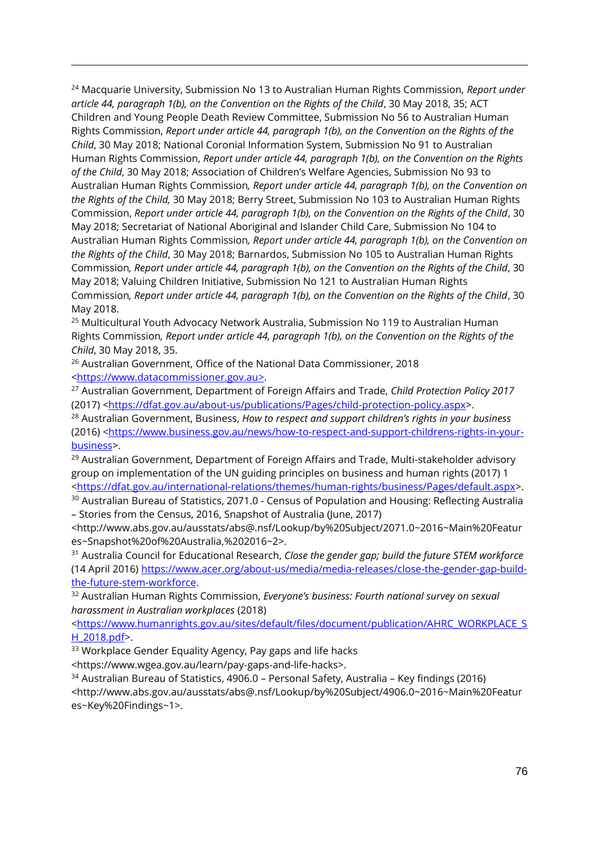<sup>24</sup> Macquarie University, Submission No 13 to Australian Human Rights Commission*, Report under article 44, paragraph 1(b), on the Convention on the Rights of the Child*, 30 May 2018, 35; ACT Children and Young People Death Review Committee, Submission No 56 to Australian Human Rights Commission, *Report under article 44, paragraph 1(b), on the Convention on the Rights of the Child*, 30 May 2018; National Coronial Information System, Submission No 91 to Australian Human Rights Commission, *Report under article 44, paragraph 1(b), on the Convention on the Rights of the Child*, 30 May 2018; Association of Children's Welfare Agencies, Submission No 93 to Australian Human Rights Commission*, Report under article 44, paragraph 1(b), on the Convention on the Rights of the Child,* 30 May 2018; Berry Street, Submission No 103 to Australian Human Rights Commission, *Report under article 44, paragraph 1(b), on the Convention on the Rights of the Child*, 30 May 2018; Secretariat of National Aboriginal and Islander Child Care, Submission No 104 to Australian Human Rights Commission*, Report under article 44, paragraph 1(b), on the Convention on the Rights of the Child*, 30 May 2018; Barnardos, Submission No 105 to Australian Human Rights Commission*, Report under article 44, paragraph 1(b), on the Convention on the Rights of the Child*, 30 May 2018; Valuing Children Initiative, Submission No 121 to Australian Human Rights Commission*, Report under article 44, paragraph 1(b), on the Convention on the Rights of the Child*, 30 May 2018.

<sup>25</sup> Multicultural Youth Advocacy Network Australia, Submission No 119 to Australian Human Rights Commission*, Report under article 44, paragraph 1(b), on the Convention on the Rights of the Child*, 30 May 2018, 35.

<sup>26</sup> Australian Government, Office of the National Data Commissioner, 2018 [<https://www.datacommissioner.gov.au>](https://www.datacommissioner.gov.au/).

 $\overline{a}$ 

<sup>27</sup> Australian Government, Department of Foreign Affairs and Trade, *Child Protection Policy 2017* (2017) [<https://dfat.gov.au/about-us/publications/Pages/child-protection-policy.aspx>](https://dfat.gov.au/about-us/publications/Pages/child-protection-policy.aspx).

<sup>28</sup> Australian Government, Business, *How to respect and support children's rights in your business* (2016) [<https://www.business.gov.au/news/how-to-respect-and-support-childrens-rights-in-your](https://www.business.gov.au/news/how-to-respect-and-support-childrens-rights-in-your-business)[business>](https://www.business.gov.au/news/how-to-respect-and-support-childrens-rights-in-your-business).

 $29$  Australian Government, Department of Foreign Affairs and Trade, Multi-stakeholder advisory group on implementation of the UN guiding principles on business and human rights (2017) 1 [<https://dfat.gov.au/international-relations/themes/human-rights/business/Pages/default.aspx>](https://dfat.gov.au/international-relations/themes/human-rights/business/Pages/default.aspx).

<sup>30</sup> Australian Bureau of Statistics, 2071.0 - Census of Population and Housing: Reflecting Australia – Stories from the Census, 2016, Snapshot of Australia (June, 2017)

<http://www.abs.gov.au/ausstats/abs@.nsf/Lookup/by%20Subject/2071.0~2016~Main%20Featur es~Snapshot%20of%20Australia,%202016~2>.

<sup>31</sup> Australia Council for Educational Research, *Close the gender gap; build the future STEM workforce* (14 April 2016) [https://www.acer.org/about-us/media/media-releases/close-the-gender-gap-build](https://www.acer.org/about-us/media/media-releases/close-the-gender-gap-build-the-future-stem-workforce)[the-future-stem-workforce](https://www.acer.org/about-us/media/media-releases/close-the-gender-gap-build-the-future-stem-workforce).

<sup>32</sup> Australian Human Rights Commission, *Everyone's business: Fourth national survey on sexual harassment in Australian workplaces* (2018)

[<https://www.humanrights.gov.au/sites/default/files/document/publication/AHRC\\_WORKPLACE\\_S](https://www.humanrights.gov.au/sites/default/files/document/publication/AHRC_WORKPLACE_SH_2018.pdf) [H\\_2018.pdf>](https://www.humanrights.gov.au/sites/default/files/document/publication/AHRC_WORKPLACE_SH_2018.pdf).

33 Workplace Gender Equality Agency, Pay gaps and life hacks

<https://www.wgea.gov.au/learn/pay-gaps-and-life-hacks>.

<sup>34</sup> Australian Bureau of Statistics, 4906.0 – Personal Safety, Australia – Key findings (2016) <http://www.abs.gov.au/ausstats/abs@.nsf/Lookup/by%20Subject/4906.0~2016~Main%20Featur es~Key%20Findings~1>.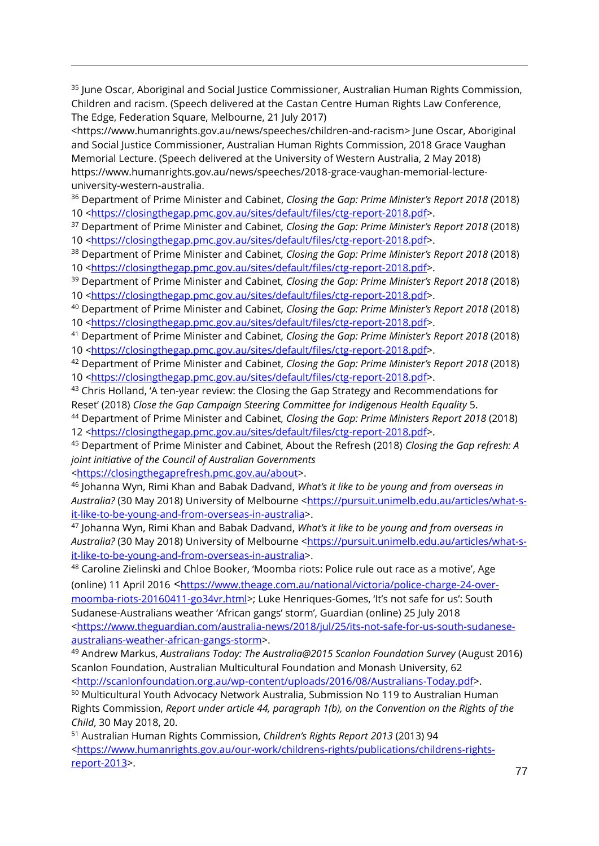<sup>35</sup> June Oscar, Aboriginal and Social Justice Commissioner, Australian Human Rights Commission, Children and racism. (Speech delivered at the Castan Centre Human Rights Law Conference, The Edge, Federation Square, Melbourne, 21 July 2017)

[<https://www.humanrights.gov.au/news/speeches/children-and-racism>](https://www.humanrights.gov.au/news/speeches/children-and-racism) June Oscar, Aboriginal and Social Justice Commissioner, Australian Human Rights Commission, 2018 Grace Vaughan Memorial Lecture. (Speech delivered at the University of Western Australia, 2 May 2018) [https://www.humanrights.gov.au/news/speeches/2018-grace-vaughan-memorial-lecture](https://www.humanrights.gov.au/news/speeches/2018-grace-vaughan-memorial-lecture-university-western-australia)[university-western-australia.](https://www.humanrights.gov.au/news/speeches/2018-grace-vaughan-memorial-lecture-university-western-australia)

<sup>36</sup> Department of Prime Minister and Cabinet, *Closing the Gap: Prime Minister's Report 2018* (2018) 10 [<https://closingthegap.pmc.gov.au/sites/default/files/ctg-report-2018.pdf>](https://closingthegap.pmc.gov.au/sites/default/files/ctg-report-2018.pdf).

<sup>37</sup> Department of Prime Minister and Cabinet, *Closing the Gap: Prime Minister's Report 2018* (2018) 10 [<https://closingthegap.pmc.gov.au/sites/default/files/ctg-report-2018.pdf>](https://closingthegap.pmc.gov.au/sites/default/files/ctg-report-2018.pdf).

<sup>38</sup> Department of Prime Minister and Cabinet, *Closing the Gap: Prime Minister's Report 2018* (2018) 10 [<https://closingthegap.pmc.gov.au/sites/default/files/ctg-report-2018.pdf>](https://closingthegap.pmc.gov.au/sites/default/files/ctg-report-2018.pdf).

<sup>39</sup> Department of Prime Minister and Cabinet, *Closing the Gap: Prime Minister's Report 2018* (2018) 10 [<https://closingthegap.pmc.gov.au/sites/default/files/ctg-report-2018.pdf>](https://closingthegap.pmc.gov.au/sites/default/files/ctg-report-2018.pdf).

<sup>40</sup> Department of Prime Minister and Cabinet, *Closing the Gap: Prime Minister's Report 2018* (2018) 10 [<https://closingthegap.pmc.gov.au/sites/default/files/ctg-report-2018.pdf>](https://closingthegap.pmc.gov.au/sites/default/files/ctg-report-2018.pdf).

<sup>41</sup> Department of Prime Minister and Cabinet, *Closing the Gap: Prime Minister's Report 2018* (2018) 10 [<https://closingthegap.pmc.gov.au/sites/default/files/ctg-report-2018.pdf>](https://closingthegap.pmc.gov.au/sites/default/files/ctg-report-2018.pdf).

<sup>42</sup> Department of Prime Minister and Cabinet, *Closing the Gap: Prime Minister's Report 2018* (2018) 10 [<https://closingthegap.pmc.gov.au/sites/default/files/ctg-report-2018.pdf>](https://closingthegap.pmc.gov.au/sites/default/files/ctg-report-2018.pdf).

<sup>43</sup> Chris Holland, 'A ten-year review: the Closing the Gap Strategy and Recommendations for Reset' (2018) *Close the Gap Campaign Steering Committee for Indigenous Health Equality* 5.

<sup>44</sup> Department of Prime Minister and Cabinet, *Closing the Gap: Prime Ministers Report 2018* (2018) 12 [<https://closingthegap.pmc.gov.au/sites/default/files/ctg-report-2018.pdf>](https://closingthegap.pmc.gov.au/sites/default/files/ctg-report-2018.pdf).

<sup>45</sup> Department of Prime Minister and Cabinet, About the Refresh (2018) *Closing the Gap refresh: A joint initiative of the Council of Australian Governments* 

*<*[https://closingthegaprefresh.pmc.gov.au/about>](https://closingthegaprefresh.pmc.gov.au/about).

 $\overline{a}$ 

<sup>46</sup> Johanna Wyn, Rimi Khan and Babak Dadvand, *What's it like to be young and from overseas in*  Australia? (30 May 2018) University of Melbourne [<https://pursuit.unimelb.edu.au/articles/what-s](https://pursuit.unimelb.edu.au/articles/what-s-it-like-to-be-young-and-from-overseas-in-australia)[it-like-to-be-young-and-from-overseas-in-australia>](https://pursuit.unimelb.edu.au/articles/what-s-it-like-to-be-young-and-from-overseas-in-australia).

<sup>47</sup> Johanna Wyn, Rimi Khan and Babak Dadvand, *What's it like to be young and from overseas in*  Australia? (30 May 2018) University of Melbourne [<https://pursuit.unimelb.edu.au/articles/what-s](https://pursuit.unimelb.edu.au/articles/what-s-it-like-to-be-young-and-from-overseas-in-australia)[it-like-to-be-young-and-from-overseas-in-australia>](https://pursuit.unimelb.edu.au/articles/what-s-it-like-to-be-young-and-from-overseas-in-australia).

<sup>48</sup> Caroline Zielinski and Chloe Booker, 'Moomba riots: Police rule out race as a motive', Age (online) 11 April 2016 <[https://www.theage.com.au/national/victoria/police-charge-24-over](https://www.theage.com.au/national/victoria/police-charge-24-over-moomba-riots-20160411-go34vr.html)[moomba-riots-20160411-go34vr.html>](https://www.theage.com.au/national/victoria/police-charge-24-over-moomba-riots-20160411-go34vr.html); Luke Henriques-Gomes, 'It's not safe for us': South Sudanese-Australians weather 'African gangs' storm', Guardian (online) 25 July 2018 [<https://www.theguardian.com/australia-news/2018/jul/25/its-not-safe-for-us-south-sudanese](https://www.theguardian.com/australia-news/2018/jul/25/its-not-safe-for-us-south-sudanese-australians-weather-african-gangs-storm)[australians-weather-african-gangs-storm>](https://www.theguardian.com/australia-news/2018/jul/25/its-not-safe-for-us-south-sudanese-australians-weather-african-gangs-storm).

<sup>49</sup> Andrew Markus, *Australians Today: The Australia@2015 Scanlon Foundation Survey* (August 2016) Scanlon Foundation, Australian Multicultural Foundation and Monash University, 62 [<http://scanlonfoundation.org.au/wp-content/uploads/2016/08/Australians-Today.pdf>](http://scanlonfoundation.org.au/wp-content/uploads/2016/08/Australians-Today.pdf).

<sup>50</sup> Multicultural Youth Advocacy Network Australia, Submission No 119 to Australian Human Rights Commission, *Report under article 44, paragraph 1(b), on the Convention on the Rights of the Child*, 30 May 2018, 20.

<sup>51</sup> Australian Human Rights Commission, *Children's Rights Report 2013* (2013) 94 [<https://www.humanrights.gov.au/our-work/childrens-rights/publications/childrens-rights](https://www.humanrights.gov.au/our-work/childrens-rights/publications/childrens-rights-report-2013)[report-2013>](https://www.humanrights.gov.au/our-work/childrens-rights/publications/childrens-rights-report-2013).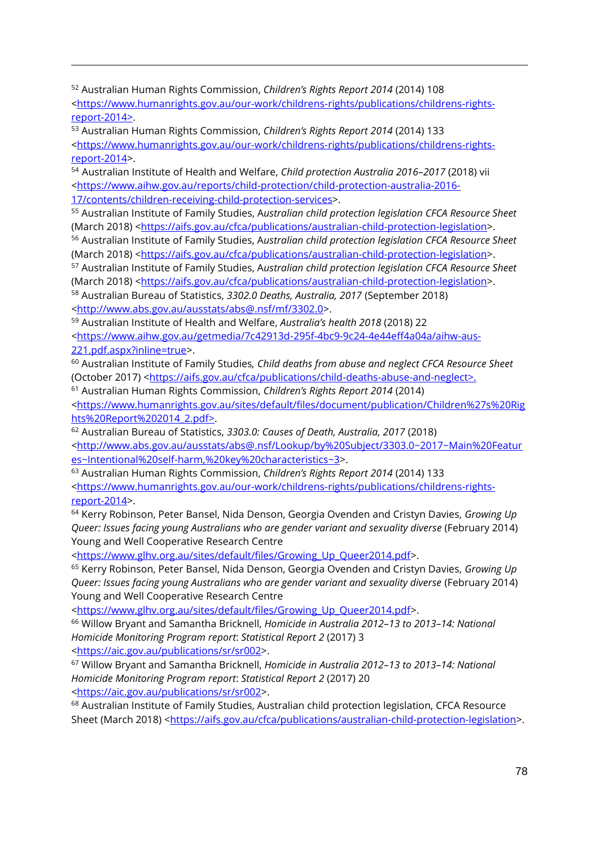<sup>52</sup> Australian Human Rights Commission, *Children's Rights Report 2014* (2014) 108 [<https://www.humanrights.gov.au/our-work/childrens-rights/publications/childrens-rights](https://www.humanrights.gov.au/our-work/childrens-rights/publications/childrens-rights-report-2014)[report-2014>](https://www.humanrights.gov.au/our-work/childrens-rights/publications/childrens-rights-report-2014).

<sup>53</sup> Australian Human Rights Commission, *Children's Rights Report 2014* (2014) 133 [<https://www.humanrights.gov.au/our-work/childrens-rights/publications/childrens-rights](https://www.humanrights.gov.au/our-work/childrens-rights/publications/childrens-rights-report-2014)[report-2014>](https://www.humanrights.gov.au/our-work/childrens-rights/publications/childrens-rights-report-2014).

<sup>54</sup> Australian Institute of Health and Welfare, *Child protection Australia 2016–2017* (2018) vii [<https://www.aihw.gov.au/reports/child-protection/child-protection-australia-2016-](https://www.aihw.gov.au/reports/child-protection/child-protection-australia-2016-17/contents/children-receiving-child-protection-services) [17/contents/children-receiving-child-protection-services>](https://www.aihw.gov.au/reports/child-protection/child-protection-australia-2016-17/contents/children-receiving-child-protection-services).

<sup>55</sup> Australian Institute of Family Studies, A*ustralian child protection legislation CFCA Resource Sheet* (March 2018) [<https://aifs.gov.au/cfca/publications/australian-child-protection-legislation>](https://aifs.gov.au/cfca/publications/australian-child-protection-legislation).

<sup>56</sup> Australian Institute of Family Studies, A*ustralian child protection legislation CFCA Resource Sheet* (March 2018) [<https://aifs.gov.au/cfca/publications/australian-child-protection-legislation>](https://aifs.gov.au/cfca/publications/australian-child-protection-legislation).

<sup>57</sup> Australian Institute of Family Studies, A*ustralian child protection legislation CFCA Resource Sheet* (March 2018) [<https://aifs.gov.au/cfca/publications/australian-child-protection-legislation>](https://aifs.gov.au/cfca/publications/australian-child-protection-legislation).

<sup>58</sup> Australian Bureau of Statistics, *3302.0 Deaths, Australia, 2017* (September 2018) [<http://www.abs.gov.au/ausstats/abs@.nsf/mf/3302.0>](http://www.abs.gov.au/ausstats/abs@.nsf/mf/3302.0).

<sup>59</sup> Australian Institute of Health and Welfare, *Australia's health 2018* (2018) 22 [<https://www.aihw.gov.au/getmedia/7c42913d-295f-4bc9-9c24-4e44eff4a04a/aihw-aus-](https://www.aihw.gov.au/getmedia/7c42913d-295f-4bc9-9c24-4e44eff4a04a/aihw-aus-221.pdf.aspx?inline=true)[221.pdf.aspx?inline=true>](https://www.aihw.gov.au/getmedia/7c42913d-295f-4bc9-9c24-4e44eff4a04a/aihw-aus-221.pdf.aspx?inline=true).

<sup>60</sup> Australian Institute of Family Studies*, Child deaths from abuse and neglect CFCA Resource Sheet* (October 2017) [<https://aifs.gov.au/cfca/publications/child-deaths-abuse-and-neglect>](https://aifs.gov.au/cfca/publications/child-deaths-abuse-and-neglect).

<sup>61</sup> Australian Human Rights Commission, *Children's Rights Report 2014* (2014)

[<https://www.humanrights.gov.au/sites/default/files/document/publication/Children%27s%20Rig](https://www.humanrights.gov.au/sites/default/files/document/publication/Children%27s%20Rights%20Report%202014_2.pdf) [hts%20Report%202014\\_2.pdf>](https://www.humanrights.gov.au/sites/default/files/document/publication/Children%27s%20Rights%20Report%202014_2.pdf).

<sup>62</sup> Australian Bureau of Statistics, *3303.0: Causes of Death, Australia, 2017* (2018) [<http://www.abs.gov.au/ausstats/abs@.nsf/Lookup/by%20Subject/3303.0~2017~Main%20Featur](http://www.abs.gov.au/ausstats/abs@.nsf/Lookup/by%20Subject/3303.0~2017~Main%20Features~Intentional%20self-harm,%20key%20characteristics~3) [es~Intentional%20self-harm,%20key%20characteristics~3>](http://www.abs.gov.au/ausstats/abs@.nsf/Lookup/by%20Subject/3303.0~2017~Main%20Features~Intentional%20self-harm,%20key%20characteristics~3).

<sup>63</sup> Australian Human Rights Commission, *Children's Rights Report 2014* (2014) 133 [<https://www.humanrights.gov.au/our-work/childrens-rights/publications/childrens-rights](https://www.humanrights.gov.au/our-work/childrens-rights/publications/childrens-rights-report-2014)[report-2014>](https://www.humanrights.gov.au/our-work/childrens-rights/publications/childrens-rights-report-2014).

<sup>64</sup> Kerry Robinson, Peter Bansel, Nida Denson, Georgia Ovenden and Cristyn Davies, *Growing Up Queer: Issues facing young Australians who are gender variant and sexuality diverse* (February 2014) Young and Well Cooperative Research Centre

[<https://www.glhv.org.au/sites/default/files/Growing\\_Up\\_Queer2014.pdf>](https://www.glhv.org.au/sites/default/files/Growing_Up_Queer2014.pdf).

<sup>65</sup> Kerry Robinson, Peter Bansel, Nida Denson, Georgia Ovenden and Cristyn Davies, *Growing Up Queer: Issues facing young Australians who are gender variant and sexuality diverse* (February 2014) Young and Well Cooperative Research Centre

[<https://www.glhv.org.au/sites/default/files/Growing\\_Up\\_Queer2014.pdf>](https://www.glhv.org.au/sites/default/files/Growing_Up_Queer2014.pdf).

<sup>66</sup> Willow Bryant and Samantha Bricknell, *Homicide in Australia 2012–13 to 2013–14: National Homicide Monitoring Program report*: *Statistical Report 2* (2017) 3

[<https://aic.gov.au/publications/sr/sr002>](https://aic.gov.au/publications/sr/sr002).

 $\overline{a}$ 

<sup>67</sup> Willow Bryant and Samantha Bricknell, *Homicide in Australia 2012–13 to 2013–14: National Homicide Monitoring Program report*: *Statistical Report 2* (2017) 20 [<https://aic.gov.au/publications/sr/sr002>](https://aic.gov.au/publications/sr/sr002).

<sup>68</sup> Australian Institute of Family Studies, Australian child protection legislation, CFCA Resource Sheet (March 2018) [<https://aifs.gov.au/cfca/publications/australian-child-protection-legislation>](https://aifs.gov.au/cfca/publications/australian-child-protection-legislation).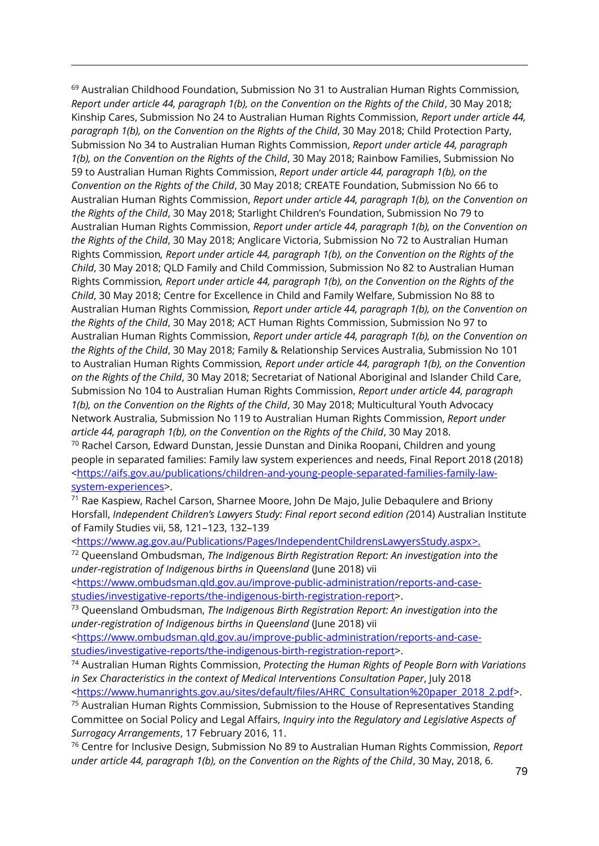<sup>69</sup> Australian Childhood Foundation, Submission No 31 to Australian Human Rights Commission*, Report under article 44, paragraph 1(b), on the Convention on the Rights of the Child*, 30 May 2018; Kinship Cares, Submission No 24 to Australian Human Rights Commission, *Report under article 44, paragraph 1(b), on the Convention on the Rights of the Child*, 30 May 2018; Child Protection Party, Submission No 34 to Australian Human Rights Commission, *Report under article 44, paragraph 1(b), on the Convention on the Rights of the Child*, 30 May 2018; Rainbow Families, Submission No 59 to Australian Human Rights Commission, *Report under article 44, paragraph 1(b), on the Convention on the Rights of the Child*, 30 May 2018; CREATE Foundation, Submission No 66 to Australian Human Rights Commission, *Report under article 44, paragraph 1(b), on the Convention on the Rights of the Child*, 30 May 2018; Starlight Children's Foundation, Submission No 79 to Australian Human Rights Commission, *Report under article 44, paragraph 1(b), on the Convention on the Rights of the Child*, 30 May 2018; Anglicare Victoria, Submission No 72 to Australian Human Rights Commission*, Report under article 44, paragraph 1(b), on the Convention on the Rights of the Child*, 30 May 2018; QLD Family and Child Commission, Submission No 82 to Australian Human Rights Commission*, Report under article 44, paragraph 1(b), on the Convention on the Rights of the Child*, 30 May 2018; Centre for Excellence in Child and Family Welfare, Submission No 88 to Australian Human Rights Commission*, Report under article 44, paragraph 1(b), on the Convention on the Rights of the Child*, 30 May 2018; ACT Human Rights Commission, Submission No 97 to Australian Human Rights Commission, *Report under article 44, paragraph 1(b), on the Convention on the Rights of the Child*, 30 May 2018; Family & Relationship Services Australia, Submission No 101 to Australian Human Rights Commission*, Report under article 44, paragraph 1(b), on the Convention on the Rights of the Child*, 30 May 2018; Secretariat of National Aboriginal and Islander Child Care, Submission No 104 to Australian Human Rights Commission, *Report under article 44, paragraph 1(b), on the Convention on the Rights of the Child*, 30 May 2018; Multicultural Youth Advocacy Network Australia, Submission No 119 to Australian Human Rights Commission, *Report under article 44, paragraph 1(b), on the Convention on the Rights of the Child*, 30 May 2018.  $70$  Rachel Carson, Edward Dunstan, Jessie Dunstan and Dinika Roopani, Children and young

 $\overline{a}$ 

people in separated families: Family law system experiences and needs, Final Report 2018 (2018) [<https://aifs.gov.au/publications/children-and-young-people-separated-families-family-law](https://aifs.gov.au/publications/children-and-young-people-separated-families-family-law-system-experiences)[system-experiences>](https://aifs.gov.au/publications/children-and-young-people-separated-families-family-law-system-experiences).

<sup>71</sup> Rae Kaspiew, Rachel Carson, Sharnee Moore, John De Majo, Julie Debaqulere and Briony Horsfall, *Independent Children's Lawyers Study: Final report second edition (*2014) Australian Institute of Family Studies vii, 58, 121–123, 132–139

[<https://www.ag.gov.au/Publications/Pages/IndependentChildrensLawyersStudy.aspx>](https://www.ag.gov.au/Publications/Pages/IndependentChildrensLawyersStudy.aspx).

<sup>72</sup> Queensland Ombudsman, *The Indigenous Birth Registration Report: An investigation into the under-registration of Indigenous births in Queensland* (June 2018) vii

[<https://www.ombudsman.qld.gov.au/improve-public-administration/reports-and-case](https://www.ombudsman.qld.gov.au/improve-public-administration/reports-and-case-studies/investigative-reports/the-indigenous-birth-registration-report)[studies/investigative-reports/the-indigenous-birth-registration-report>](https://www.ombudsman.qld.gov.au/improve-public-administration/reports-and-case-studies/investigative-reports/the-indigenous-birth-registration-report).

<sup>73</sup> Queensland Ombudsman, *The Indigenous Birth Registration Report: An investigation into the under-registration of Indigenous births in Queensland* (June 2018) vii

[<https://www.ombudsman.qld.gov.au/improve-public-administration/reports-and-case](https://www.ombudsman.qld.gov.au/improve-public-administration/reports-and-case-studies/investigative-reports/the-indigenous-birth-registration-report)[studies/investigative-reports/the-indigenous-birth-registration-report>](https://www.ombudsman.qld.gov.au/improve-public-administration/reports-and-case-studies/investigative-reports/the-indigenous-birth-registration-report).

<sup>74</sup> Australian Human Rights Commission, *Protecting the Human Rights of People Born with Variations in Sex Characteristics in the context of Medical Interventions Consultation Paper*, July 2018

[<https://www.humanrights.gov.au/sites/default/files/AHRC\\_Consultation%20paper\\_2018\\_2.pdf>](https://www.humanrights.gov.au/sites/default/files/AHRC_Consultation%20paper_2018_2.pdf).

<sup>75</sup> Australian Human Rights Commission, Submission to the House of Representatives Standing Committee on Social Policy and Legal Affairs, *Inquiry into the Regulatory and Legislative Aspects of Surrogacy Arrangements*, 17 February 2016, 11.

<sup>76</sup> Centre for Inclusive Design, Submission No 89 to Australian Human Rights Commission, *Report under article 44, paragraph 1(b), on the Convention on the Rights of the Child*, 30 May, 2018, 6.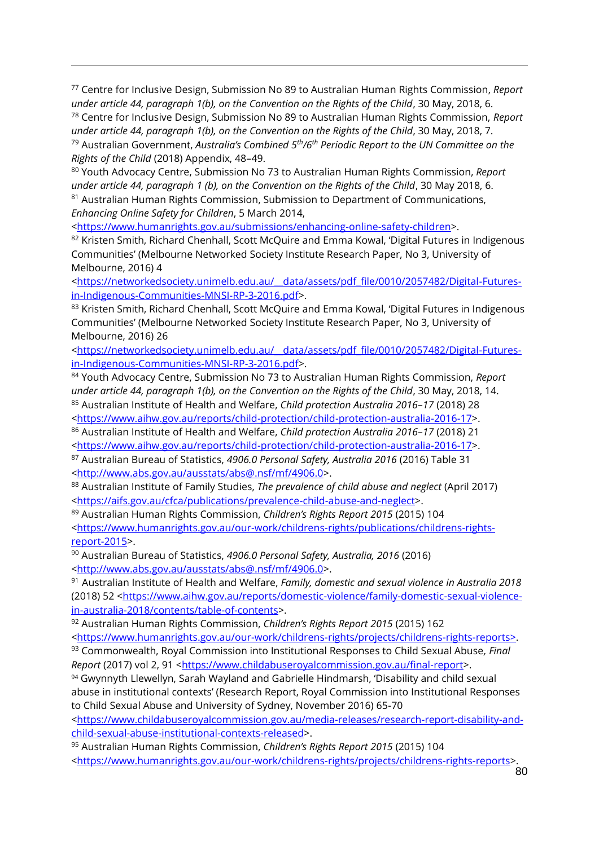<sup>77</sup> Centre for Inclusive Design, Submission No 89 to Australian Human Rights Commission, *Report under article 44, paragraph 1(b), on the Convention on the Rights of the Child*, 30 May, 2018, 6. <sup>78</sup> Centre for Inclusive Design, Submission No 89 to Australian Human Rights Commission, *Report* 

under article 44, paragraph 1(b), on the Convention on the Rights of the Child, 30 May, 2018, 7. <sup>79</sup> Australian Government, *Australia's Combined 5th/6th Periodic Report to the UN Committee on the Rights of the Child* (2018) Appendix, 48–49.

<sup>80</sup> Youth Advocacy Centre, Submission No 73 to Australian Human Rights Commission, *Report under article 44, paragraph 1 (b), on the Convention on the Rights of the Child*, 30 May 2018, 6.

<sup>81</sup> Australian Human Rights Commission, Submission to Department of Communications, *Enhancing Online Safety for Children*, 5 March 2014,

[<https://www.humanrights.gov.au/submissions/enhancing-online-safety-children>](https://www.humanrights.gov.au/submissions/enhancing-online-safety-children).

 $\overline{a}$ 

82 Kristen Smith, Richard Chenhall, Scott McQuire and Emma Kowal, 'Digital Futures in Indigenous Communities' (Melbourne Networked Society Institute Research Paper, No 3, University of Melbourne, 2016) 4

[<https://networkedsociety.unimelb.edu.au/\\_\\_data/assets/pdf\\_file/0010/2057482/Digital-Futures](https://networkedsociety.unimelb.edu.au/__data/assets/pdf_file/0010/2057482/Digital-Futures-in-Indigenous-Communities-MNSI-RP-3-2016.pdf)[in-Indigenous-Communities-MNSI-RP-3-2016.pdf>](https://networkedsociety.unimelb.edu.au/__data/assets/pdf_file/0010/2057482/Digital-Futures-in-Indigenous-Communities-MNSI-RP-3-2016.pdf).

83 Kristen Smith, Richard Chenhall, Scott McQuire and Emma Kowal, 'Digital Futures in Indigenous Communities' (Melbourne Networked Society Institute Research Paper, No 3, University of Melbourne, 2016) 26

[<https://networkedsociety.unimelb.edu.au/\\_\\_data/assets/pdf\\_file/0010/2057482/Digital-Futures](https://networkedsociety.unimelb.edu.au/__data/assets/pdf_file/0010/2057482/Digital-Futures-in-Indigenous-Communities-MNSI-RP-3-2016.pdf)[in-Indigenous-Communities-MNSI-RP-3-2016.pdf>](https://networkedsociety.unimelb.edu.au/__data/assets/pdf_file/0010/2057482/Digital-Futures-in-Indigenous-Communities-MNSI-RP-3-2016.pdf).

<sup>84</sup> Youth Advocacy Centre, Submission No 73 to Australian Human Rights Commission, *Report under article 44, paragraph 1(b), on the Convention on the Rights of the Child*, 30 May, 2018, 14. <sup>85</sup> Australian Institute of Health and Welfare, *Child protection Australia 2016–17* (2018) 28 [<https://www.aihw.gov.au/reports/child-protection/child-protection-australia-2016-17>](https://www.aihw.gov.au/reports/child-protection/child-protection-australia-2016-17).

<sup>86</sup> Australian Institute of Health and Welfare, *Child protection Australia 2016–17* (2018) 21 [<https://www.aihw.gov.au/reports/child-protection/child-protection-australia-2016-17>](https://www.aihw.gov.au/reports/child-protection/child-protection-australia-2016-17).

<sup>87</sup> Australian Bureau of Statistics, *4906.0 Personal Safety, Australia 2016* (2016) Table 31 [<http://www.abs.gov.au/ausstats/abs@.nsf/mf/4906.0>](http://www.abs.gov.au/ausstats/abs@.nsf/mf/4906.0).

<sup>88</sup> Australian Institute of Family Studies, *The prevalence of child abuse and neglect* (April 2017) [<https://aifs.gov.au/cfca/publications/prevalence-child-abuse-and-neglect>](https://aifs.gov.au/cfca/publications/prevalence-child-abuse-and-neglect).

<sup>89</sup> Australian Human Rights Commission, *Children's Rights Report 2015* (2015) 104 [<https://www.humanrights.gov.au/our-work/childrens-rights/publications/childrens-rights](https://www.humanrights.gov.au/our-work/childrens-rights/publications/childrens-rights-report-2015)[report-2015>](https://www.humanrights.gov.au/our-work/childrens-rights/publications/childrens-rights-report-2015).

<sup>90</sup> Australian Bureau of Statistics, *4906.0 Personal Safety, Australia, 2016* (2016) [<http://www.abs.gov.au/ausstats/abs@.nsf/mf/4906.0>](http://www.abs.gov.au/ausstats/abs@.nsf/mf/4906.0).

<sup>91</sup> Australian Institute of Health and Welfare, *Family, domestic and sexual violence in Australia 2018* (2018) 52 [<https://www.aihw.gov.au/reports/domestic-violence/family-domestic-sexual-violence](https://www.aihw.gov.au/reports/domestic-violence/family-domestic-sexual-violence-in-australia-2018/contents/table-of-contents)[in-australia-2018/contents/table-of-contents>](https://www.aihw.gov.au/reports/domestic-violence/family-domestic-sexual-violence-in-australia-2018/contents/table-of-contents).

<sup>92</sup> Australian Human Rights Commission, *Children's Rights Report 2015* (2015) 162

[<https://www.humanrights.gov.au/our-work/childrens-rights/projects/childrens-rights-reports>](https://www.humanrights.gov.au/our-work/childrens-rights/projects/childrens-rights-reports).

<sup>93</sup> Commonwealth, Royal Commission into Institutional Responses to Child Sexual Abuse*, Final Report* (2017) vol 2, 91 [<https://www.childabuseroyalcommission.gov.au/final-report>](https://www.childabuseroyalcommission.gov.au/final-report).

94 Gwynnyth Llewellyn, Sarah Wayland and Gabrielle Hindmarsh, 'Disability and child sexual abuse in institutional contexts' (Research Report, Royal Commission into Institutional Responses to Child Sexual Abuse and University of Sydney, November 2016) 65-70

[<https://www.childabuseroyalcommission.gov.au/media-releases/research-report-disability-and](https://www.childabuseroyalcommission.gov.au/media-releases/research-report-disability-and-child-sexual-abuse-institutional-contexts-released)[child-sexual-abuse-institutional-contexts-released>](https://www.childabuseroyalcommission.gov.au/media-releases/research-report-disability-and-child-sexual-abuse-institutional-contexts-released).

<sup>95</sup> Australian Human Rights Commission, *Children's Rights Report 2015* (2015) 104 [<https://www.humanrights.gov.au/our-work/childrens-rights/projects/childrens-rights-reports>](https://www.humanrights.gov.au/our-work/childrens-rights/projects/childrens-rights-reports).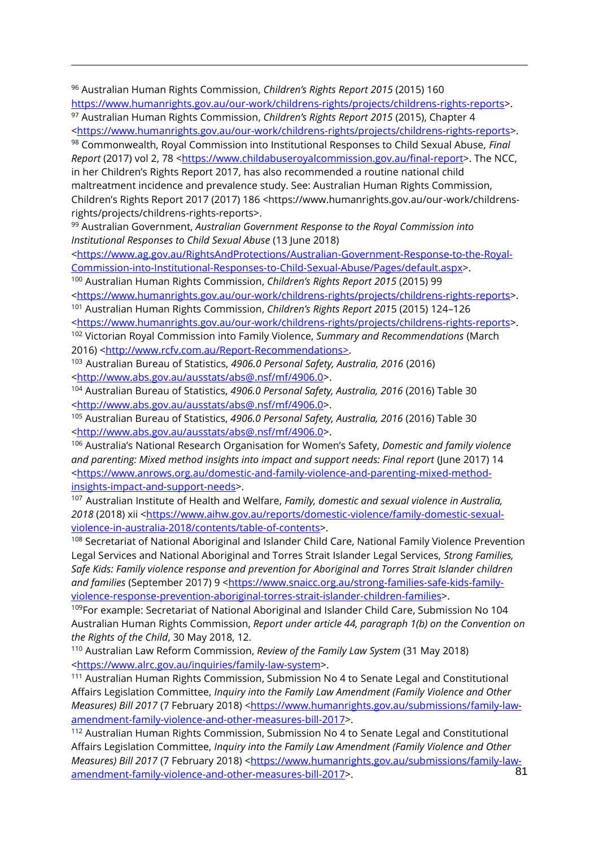<sup>96</sup> Australian Human Rights Commission, *Children's Rights Report 2015* (2015) 160 [https://www.humanrights.gov.au/our-work/childrens-rights/projects/childrens-rights-reports>](https://www.humanrights.gov.au/our-work/childrens-rights/projects/childrens-rights-reports).

 $\overline{a}$ 

<sup>97</sup> Australian Human Rights Commission, *Children's Rights Report 2015* (2015), Chapter 4 [<https://www.humanrights.gov.au/our-work/childrens-rights/projects/childrens-rights-reports>](https://www.humanrights.gov.au/our-work/childrens-rights/projects/childrens-rights-reports).

<sup>98</sup> Commonwealth, Royal Commission into Institutional Responses to Child Sexual Abuse*, Final Report* (2017) vol 2, 78 [<https://www.childabuseroyalcommission.gov.au/final-report>](https://www.childabuseroyalcommission.gov.au/final-report). The NCC, in her Children's Rights Report 2017, has also recommended a routine national child

maltreatment incidence and prevalence study. See: Australian Human Rights Commission, Children's Rights Report 2017 (2017) 186 <https://www.humanrights.gov.au/our-work/childrensrights/projects/childrens-rights-reports>.

<sup>99</sup> Australian Government, *Australian Government Response to the Royal Commission into Institutional Responses to Child Sexual Abuse* (13 June 2018)

[<https://www.ag.gov.au/RightsAndProtections/Australian-Government-Response-to-the-Royal-](https://www.ag.gov.au/RightsAndProtections/Australian-Government-Response-to-the-Royal-Commission-into-Institutional-Responses-to-Child-Sexual-Abuse/Pages/default.aspx)[Commission-into-Institutional-Responses-to-Child-Sexual-Abuse/Pages/default.aspx>](https://www.ag.gov.au/RightsAndProtections/Australian-Government-Response-to-the-Royal-Commission-into-Institutional-Responses-to-Child-Sexual-Abuse/Pages/default.aspx).

<sup>100</sup> Australian Human Rights Commission, *Children's Rights Report 2015* (2015) 99 [<https://www.humanrights.gov.au/our-work/childrens-rights/projects/childrens-rights-reports>](https://www.humanrights.gov.au/our-work/childrens-rights/projects/childrens-rights-reports).

<sup>101</sup> Australian Human Rights Commission, *Children's Rights Report 201*5 (2015) 124–126 [<https://www.humanrights.gov.au/our-work/childrens-rights/projects/childrens-rights-reports>](https://www.humanrights.gov.au/our-work/childrens-rights/projects/childrens-rights-reports).

<sup>102</sup> Victorian Royal Commission into Family Violence, *Summary and Recommendations* (March 2016) [<http://www.rcfv.com.au/Report-Recommendations>](http://www.rcfv.com.au/Report-Recommendations).

<sup>103</sup> Australian Bureau of Statistics, *4906.0 Personal Safety, Australia, 2016* (2016) [<http://www.abs.gov.au/ausstats/abs@.nsf/mf/4906.0>](http://www.abs.gov.au/ausstats/abs@.nsf/mf/4906.0).

<sup>104</sup> Australian Bureau of Statistics, *4906.0 Personal Safety, Australia, 2016* (2016) Table 30 [<http://www.abs.gov.au/ausstats/abs@.nsf/mf/4906.0>](http://www.abs.gov.au/ausstats/abs@.nsf/mf/4906.0).

<sup>105</sup> Australian Bureau of Statistics, *4906.0 Personal Safety, Australia, 2016* (2016) Table 30 [<http://www.abs.gov.au/ausstats/abs@.nsf/mf/4906.0>](http://www.abs.gov.au/ausstats/abs@.nsf/mf/4906.0).

<sup>106</sup> Australia's National Research Organisation for Women's Safety, *Domestic and family violence and parenting: Mixed method insights into impact and support needs: Final report* (June 2017) 14 [<https://www.anrows.org.au/domestic-and-family-violence-and-parenting-mixed-method](https://www.anrows.org.au/domestic-and-family-violence-and-parenting-mixed-method-insights-impact-and-support-needs)[insights-impact-and-support-needs>](https://www.anrows.org.au/domestic-and-family-violence-and-parenting-mixed-method-insights-impact-and-support-needs).

<sup>107</sup> Australian Institute of Health and Welfare, *Family, domestic and sexual violence in Australia, 2018* (2018) xii [<https://www.aihw.gov.au/reports/domestic-violence/family-domestic-sexual](https://www.aihw.gov.au/reports/domestic-violence/family-domestic-sexual-violence-in-australia-2018/contents/table-of-contents)[violence-in-australia-2018/contents/table-of-contents>](https://www.aihw.gov.au/reports/domestic-violence/family-domestic-sexual-violence-in-australia-2018/contents/table-of-contents).

<sup>108</sup> Secretariat of National Aboriginal and Islander Child Care, National Family Violence Prevention Legal Services and National Aboriginal and Torres Strait Islander Legal Services, *Strong Families, Safe Kids: Family violence response and prevention for Aboriginal and Torres Strait Islander children*  and families (September 2017) 9 [<https://www.snaicc.org.au/strong-families-safe-kids-family](https://www.snaicc.org.au/strong-families-safe-kids-family-violence-response-prevention-aboriginal-torres-strait-islander-children-families)[violence-response-prevention-aboriginal-torres-strait-islander-children-families>](https://www.snaicc.org.au/strong-families-safe-kids-family-violence-response-prevention-aboriginal-torres-strait-islander-children-families).

109For example: Secretariat of National Aboriginal and Islander Child Care, Submission No 104 Australian Human Rights Commission, *Report under article 44, paragraph 1(b) on the Convention on the Rights of the Child*, 30 May 2018, 12.

<sup>110</sup> Australian Law Reform Commission, *Review of the Family Law System* (31 May 2018) [<https://www.alrc.gov.au/inquiries/family-law-system>](https://www.alrc.gov.au/inquiries/family-law-system).

<sup>111</sup> Australian Human Rights Commission, Submission No 4 to Senate Legal and Constitutional Affairs Legislation Committee, *Inquiry into the Family Law Amendment (Family Violence and Other Measures) Bill 2017* (7 February 2018) [<https://www.humanrights.gov.au/submissions/family-law](https://www.humanrights.gov.au/submissions/family-law-amendment-family-violence-and-other-measures-bill-2017)[amendment-family-violence-and-other-measures-bill-2017>](https://www.humanrights.gov.au/submissions/family-law-amendment-family-violence-and-other-measures-bill-2017).

 $\overline{8}1$ <sup>112</sup> Australian Human Rights Commission, Submission No 4 to Senate Legal and Constitutional Affairs Legislation Committee, *Inquiry into the Family Law Amendment (Family Violence and Other Measures) Bill 2017* (7 February 2018) [<https://www.humanrights.gov.au/submissions/family-law](https://www.humanrights.gov.au/submissions/family-law-amendment-family-violence-and-other-measures-bill-2017)[amendment-family-violence-and-other-measures-bill-2017>](https://www.humanrights.gov.au/submissions/family-law-amendment-family-violence-and-other-measures-bill-2017).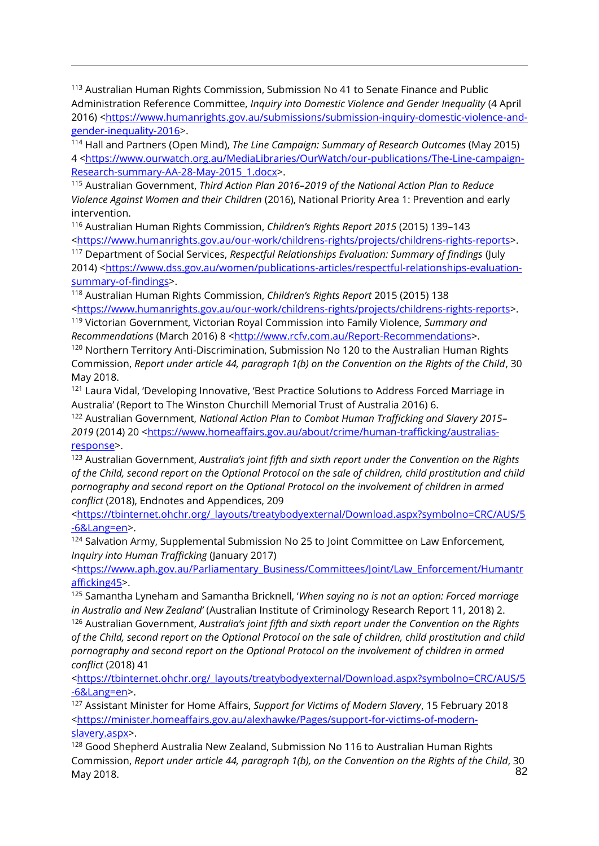<sup>113</sup> Australian Human Rights Commission, Submission No 41 to Senate Finance and Public Administration Reference Committee, *Inquiry into Domestic Violence and Gender Inequality* (4 April 2016) [<https://www.humanrights.gov.au/submissions/submission-inquiry-domestic-violence-and](https://www.humanrights.gov.au/submissions/submission-inquiry-domestic-violence-and-gender-inequality-2016)[gender-inequality-2016>](https://www.humanrights.gov.au/submissions/submission-inquiry-domestic-violence-and-gender-inequality-2016).

 $\overline{a}$ 

<sup>114</sup> Hall and Partners (Open Mind), *The Line Campaign: Summary of Research Outcomes* (May 2015) 4 [<https://www.ourwatch.org.au/MediaLibraries/OurWatch/our-publications/The-Line-campaign-](https://www.ourwatch.org.au/MediaLibraries/OurWatch/our-publications/The-Line-campaign-Research-summary-AA-28-May-2015_1.docx)[Research-summary-AA-28-May-2015\\_1.docx>](https://www.ourwatch.org.au/MediaLibraries/OurWatch/our-publications/The-Line-campaign-Research-summary-AA-28-May-2015_1.docx).

<sup>115</sup> Australian Government, *Third Action Plan 2016–2019 of the National Action Plan to Reduce Violence Against Women and their Children* (2016), National Priority Area 1: Prevention and early intervention.

<sup>116</sup> Australian Human Rights Commission, *Children's Rights Report 2015* (2015) 139–143 [<https://www.humanrights.gov.au/our-work/childrens-rights/projects/childrens-rights-reports>](https://www.humanrights.gov.au/our-work/childrens-rights/projects/childrens-rights-reports).

<sup>117</sup> Department of Social Services, *Respectful Relationships Evaluation: Summary of findings* (July 2014) [<https://www.dss.gov.au/women/publications-articles/respectful-relationships-evaluation](https://www.dss.gov.au/women/publications-articles/respectful-relationships-evaluation-summary-of-findings)[summary-of-findings>](https://www.dss.gov.au/women/publications-articles/respectful-relationships-evaluation-summary-of-findings).

<sup>118</sup> Australian Human Rights Commission, *Children's Rights Report* 2015 (2015) 138 [<https://www.humanrights.gov.au/our-work/childrens-rights/projects/childrens-rights-reports>](https://www.humanrights.gov.au/our-work/childrens-rights/projects/childrens-rights-reports).

<sup>119</sup> Victorian Government, Victorian Royal Commission into Family Violence, *Summary and Recommendations* (March 2016) 8 [<http://www.rcfv.com.au/Report-Recommendations>](http://www.rcfv.com.au/Report-Recommendations).

<sup>120</sup> Northern Territory Anti-Discrimination, Submission No 120 to the Australian Human Rights Commission, *Report under article 44, paragraph 1(b) on the Convention on the Rights of the Child*, 30 May 2018.

<sup>121</sup> Laura Vidal, 'Developing Innovative, 'Best Practice Solutions to Address Forced Marriage in Australia' (Report to The Winston Churchill Memorial Trust of Australia 2016) 6.

<sup>122</sup> Australian Government, *National Action Plan to Combat Human Trafficking and Slavery 2015–* 2019 (2014) 20 [<https://www.homeaffairs.gov.au/about/crime/human-trafficking/australias](https://www.homeaffairs.gov.au/about/crime/human-trafficking/australias-response)[response>](https://www.homeaffairs.gov.au/about/crime/human-trafficking/australias-response).

<sup>123</sup> Australian Government, *Australia's joint fifth and sixth report under the Convention on the Rights of the Child, second report on the Optional Protocol on the sale of children, child prostitution and child pornography and second report on the Optional Protocol on the involvement of children in armed conflict* (2018), Endnotes and Appendices, 209

[<https://tbinternet.ohchr.org/\\_layouts/treatybodyexternal/Download.aspx?symbolno=CRC/AUS/5](https://tbinternet.ohchr.org/_layouts/treatybodyexternal/Download.aspx?symbolno=CRC/AUS/5-6&Lang=en) [-6&Lang=en>](https://tbinternet.ohchr.org/_layouts/treatybodyexternal/Download.aspx?symbolno=CRC/AUS/5-6&Lang=en).

<sup>124</sup> Salvation Army, Supplemental Submission No 25 to Joint Committee on Law Enforcement, *Inquiry into Human Trafficking* (January 2017)

[<https://www.aph.gov.au/Parliamentary\\_Business/Committees/Joint/Law\\_Enforcement/Humantr](https://www.aph.gov.au/Parliamentary_Business/Committees/Joint/Law_Enforcement/Humantrafficking45) [afficking45>](https://www.aph.gov.au/Parliamentary_Business/Committees/Joint/Law_Enforcement/Humantrafficking45).

<sup>125</sup> Samantha Lyneham and Samantha Bricknell, '*When saying no is not an option: Forced marriage in Australia and New Zealand'* (Australian Institute of Criminology Research Report 11, 2018) 2.

<sup>126</sup> Australian Government, *Australia's joint fifth and sixth report under the Convention on the Rights of the Child, second report on the Optional Protocol on the sale of children, child prostitution and child pornography and second report on the Optional Protocol on the involvement of children in armed conflict* (2018) 41

[<https://tbinternet.ohchr.org/\\_layouts/treatybodyexternal/Download.aspx?symbolno=CRC/AUS/5](https://tbinternet.ohchr.org/_layouts/treatybodyexternal/Download.aspx?symbolno=CRC/AUS/5-6&Lang=en) [-6&Lang=en>](https://tbinternet.ohchr.org/_layouts/treatybodyexternal/Download.aspx?symbolno=CRC/AUS/5-6&Lang=en).

<sup>127</sup> Assistant Minister for Home Affairs, *Support for Victims of Modern Slavery*, 15 February 2018 [<https://minister.homeaffairs.gov.au/alexhawke/Pages/support-for-victims-of-modern](https://minister.homeaffairs.gov.au/alexhawke/Pages/support-for-victims-of-modern-slavery.aspx)[slavery.aspx>](https://minister.homeaffairs.gov.au/alexhawke/Pages/support-for-victims-of-modern-slavery.aspx).

82 <sup>128</sup> Good Shepherd Australia New Zealand, Submission No 116 to Australian Human Rights Commission, *Report under article 44, paragraph 1(b), on the Convention on the Rights of the Child*, 30 May 2018.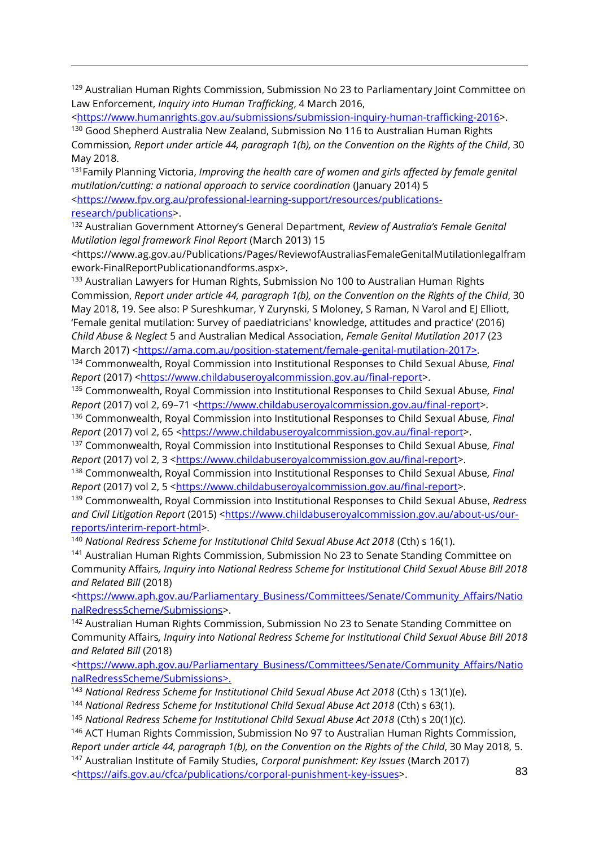<sup>129</sup> Australian Human Rights Commission, Submission No 23 to Parliamentary Joint Committee on Law Enforcement, *Inquiry into Human Trafficking*, 4 March 2016,

[<https://www.humanrights.gov.au/submissions/submission-inquiry-human-trafficking-2016>](https://www.humanrights.gov.au/submissions/submission-inquiry-human-trafficking-2016).

<sup>130</sup> Good Shepherd Australia New Zealand, Submission No 116 to Australian Human Rights Commission*, Report under article 44, paragraph 1(b), on the Convention on the Rights of the Child*, 30 May 2018.

<sup>131</sup>Family Planning Victoria, *[Improving the health care of women and girls affected by female genital](http://www.fpv.org.au/assets/resources/FGM-ServeCoOrdinationGuideNationalWeb.pdf)  [mutilation/cutting: a national approach to service coordination](http://www.fpv.org.au/assets/resources/FGM-ServeCoOrdinationGuideNationalWeb.pdf)* (January 2014) 5

[<https://www.fpv.org.au/professional-learning-support/resources/publications](https://www.fpv.org.au/professional-learning-support/resources/publications-research/publications)[research/publications>](https://www.fpv.org.au/professional-learning-support/resources/publications-research/publications).

 $\overline{a}$ 

<sup>132</sup> Australian Government Attorney's General Department, *Review of Australia's Female Genital Mutilation legal framework Final Report* (March 2013) 15

<https://www.ag.gov.au/Publications/Pages/ReviewofAustraliasFemaleGenitalMutilationlegalfram ework-FinalReportPublicationandforms.aspx>.

<sup>133</sup> Australian Lawyers for Human Rights, Submission No 100 to Australian Human Rights Commission, *Report under article 44, paragraph 1(b), on the Convention on the Rights of the Child*, 30 May 2018, 19. See also: P Sureshkumar, Y Zurynski, S Moloney, S Raman, N Varol and EJ Elliott, 'Female genital mutilation: Survey of paediatricians' knowledge, attitudes and practice' (2016) *Child Abuse & Neglect* 5 and Australian Medical Association, *Female Genital Mutilation 2017* (23 March 2017) [<https://ama.com.au/position-statement/female-genital-mutilation-2017>](https://ama.com.au/position-statement/female-genital-mutilation-2017).

<sup>134</sup> Commonwealth, Royal Commission into Institutional Responses to Child Sexual Abuse*, Final Report* (2017) [<https://www.childabuseroyalcommission.gov.au/final-report>](https://www.childabuseroyalcommission.gov.au/final-report).

<sup>135</sup> Commonwealth, Royal Commission into Institutional Responses to Child Sexual Abuse*, Final Report* (2017) vol 2, 69-71 [<https://www.childabuseroyalcommission.gov.au/final-report>](https://www.childabuseroyalcommission.gov.au/final-report).

<sup>136</sup> Commonwealth, Royal Commission into Institutional Responses to Child Sexual Abuse*, Final Report* (2017) vol 2, 65 [<https://www.childabuseroyalcommission.gov.au/final-report>](https://www.childabuseroyalcommission.gov.au/final-report).

<sup>137</sup> Commonwealth, Royal Commission into Institutional Responses to Child Sexual Abuse*, Final Report* (2017) vol 2, 3 [<https://www.childabuseroyalcommission.gov.au/final-report>](https://www.childabuseroyalcommission.gov.au/final-report).

<sup>138</sup> Commonwealth, Royal Commission into Institutional Responses to Child Sexual Abuse*, Final Report* (2017) vol 2, 5 [<https://www.childabuseroyalcommission.gov.au/final-report>](https://www.childabuseroyalcommission.gov.au/final-report).

<sup>139</sup> Commonwealth, Royal Commission into Institutional Responses to Child Sexual Abuse, *Redress*  and Civil Litigation Report (2015) [<https://www.childabuseroyalcommission.gov.au/about-us/our](https://www.childabuseroyalcommission.gov.au/about-us/our-reports/interim-report-html)[reports/interim-report-html>](https://www.childabuseroyalcommission.gov.au/about-us/our-reports/interim-report-html).

<sup>140</sup> National Redress Scheme for Institutional Child Sexual Abuse Act 2018 (Cth) s 16(1).

<sup>141</sup> Australian Human Rights Commission, Submission No 23 to Senate Standing Committee on Community Affairs*, Inquiry into National Redress Scheme for Institutional Child Sexual Abuse Bill 2018 and Related Bill* (2018)

[<https://www.aph.gov.au/Parliamentary\\_Business/Committees/Senate/Community\\_Affairs/Natio](https://www.aph.gov.au/Parliamentary_Business/Committees/Senate/Community_Affairs/NationalRedressScheme/Submissions) [nalRedressScheme/Submissions>](https://www.aph.gov.au/Parliamentary_Business/Committees/Senate/Community_Affairs/NationalRedressScheme/Submissions).

<sup>142</sup> Australian Human Rights Commission, Submission No 23 to Senate Standing Committee on Community Affairs*, Inquiry into National Redress Scheme for Institutional Child Sexual Abuse Bill 2018 and Related Bill* (2018)

[<https://www.aph.gov.au/Parliamentary\\_Business/Committees/Senate/Community\\_Affairs/Natio](https://www.aph.gov.au/Parliamentary_Business/Committees/Senate/Community_Affairs/NationalRedressScheme/Submissions) [nalRedressScheme/Submissions>](https://www.aph.gov.au/Parliamentary_Business/Committees/Senate/Community_Affairs/NationalRedressScheme/Submissions).

<sup>143</sup> National Redress Scheme for Institutional Child Sexual Abuse Act 2018 (Cth) s 13(1)(e).

<sup>144</sup> National Redress Scheme for Institutional Child Sexual Abuse Act 2018 (Cth) s 63(1).

<sup>145</sup> National Redress Scheme for Institutional Child Sexual Abuse Act 2018 (Cth) s 20(1)(c).

<sup>146</sup> ACT Human Rights Commission, Submission No 97 to Australian Human Rights Commission, *Report under article 44, paragraph 1(b), on the Convention on the Rights of the Child*, 30 May 2018, 5. <sup>147</sup> Australian Institute of Family Studies, *Corporal punishment: Key Issues* (March 2017)

[<https://aifs.gov.au/cfca/publications/corporal-punishment-key-issues>](https://aifs.gov.au/cfca/publications/corporal-punishment-key-issues).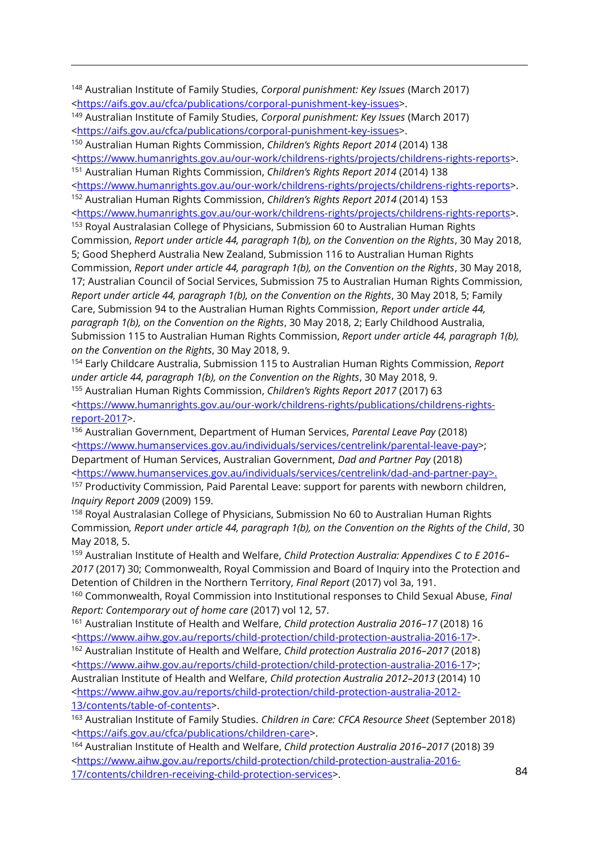<sup>148</sup> Australian Institute of Family Studies, *Corporal punishment: Key Issues* (March 2017) [<https://aifs.gov.au/cfca/publications/corporal-punishment-key-issues>](https://aifs.gov.au/cfca/publications/corporal-punishment-key-issues).

<sup>149</sup> Australian Institute of Family Studies, *Corporal punishment: Key Issues* (March 2017) [<https://aifs.gov.au/cfca/publications/corporal-punishment-key-issues>](https://aifs.gov.au/cfca/publications/corporal-punishment-key-issues).

<sup>150</sup> Australian Human Rights Commission, *Children's Rights Report 2014* (2014) 138

 $\overline{a}$ 

[<https://www.humanrights.gov.au/our-work/childrens-rights/projects/childrens-rights-reports>](https://www.humanrights.gov.au/our-work/childrens-rights/projects/childrens-rights-reports).

<sup>151</sup> Australian Human Rights Commission, *Children's Rights Report 2014* (2014) 138

[<https://www.humanrights.gov.au/our-work/childrens-rights/projects/childrens-rights-reports>](https://www.humanrights.gov.au/our-work/childrens-rights/projects/childrens-rights-reports). <sup>152</sup> Australian Human Rights Commission, *Children's Rights Report 2014* (2014) 153

[<https://www.humanrights.gov.au/our-work/childrens-rights/projects/childrens-rights-reports>](https://www.humanrights.gov.au/our-work/childrens-rights/projects/childrens-rights-reports). <sup>153</sup> Royal Australasian College of Physicians, Submission 60 to Australian Human Rights

Commission, *Report under article 44, paragraph 1(b), on the Convention on the Rights*, 30 May 2018, 5; Good Shepherd Australia New Zealand, Submission 116 to Australian Human Rights Commission, *Report under article 44, paragraph 1(b), on the Convention on the Rights*, 30 May 2018, 17; Australian Council of Social Services, Submission 75 to Australian Human Rights Commission*, Report under article 44, paragraph 1(b), on the Convention on the Rights*, 30 May 2018, 5; Family Care, Submission 94 to the Australian Human Rights Commission, *Report under article 44, paragraph 1(b), on the Convention on the Rights*, 30 May 2018, 2; Early Childhood Australia, Submission 115 to Australian Human Rights Commission, *Report under article 44, paragraph 1(b), on the Convention on the Rights*, 30 May 2018, 9.

<sup>154</sup> Early Childcare Australia, Submission 115 to Australian Human Rights Commission, *Report under article 44, paragraph 1(b), on the Convention on the Rights*, 30 May 2018, 9. <sup>155</sup> Australian Human Rights Commission, *Children's Rights Report 2017* (2017) 63 [<https://www.humanrights.gov.au/our-work/childrens-rights/publications/childrens-rights](https://www.humanrights.gov.au/our-work/childrens-rights/publications/childrens-rights-report-2017)[report-2017>](https://www.humanrights.gov.au/our-work/childrens-rights/publications/childrens-rights-report-2017).

<sup>156</sup> Australian Government, Department of Human Services, *Parental Leave Pay* (2018) [<https://www.humanservices.gov.au/individuals/services/centrelink/parental-leave-pay>](https://www.humanservices.gov.au/individuals/services/centrelink/parental-leave-pay); Department of Human Services, Australian Government, *Dad and Partner Pay* (2018) [<https://www.humanservices.gov.au/individuals/services/centrelink/dad-and-partner-pay>](https://www.humanservices.gov.au/individuals/services/centrelink/dad-and-partner-pay). <sup>157</sup> Productivity Commission, Paid Parental Leave: support for parents with newborn children, *Inquiry Report 2009* (2009) 159.

<sup>158</sup> Royal Australasian College of Physicians, Submission No 60 to Australian Human Rights Commission*, Report under article 44, paragraph 1(b), on the Convention on the Rights of the Child*, 30 May 2018, 5.

<sup>159</sup> Australian Institute of Health and Welfare, *Child Protection Australia: Appendixes C to E 2016– 2017* (2017) 30; Commonwealth, Royal Commission and Board of Inquiry into the Protection and Detention of Children in the Northern Territory, *Final Report* (2017) vol 3a, 191.

<sup>160</sup> Commonwealth, Royal Commission into Institutional responses to Child Sexual Abuse, *Final Report: Contemporary out of home care* (2017) vol 12, 57.

<sup>161</sup> Australian Institute of Health and Welfare, *Child protection Australia 2016–17* (2018) 16 [<https://www.aihw.gov.au/reports/child-protection/child-protection-australia-2016-17>](https://www.aihw.gov.au/reports/child-protection/child-protection-australia-2016-17).

<sup>162</sup> Australian Institute of Health and Welfare, *Child protection Australia 2016–2017* (2018) [<https://www.aihw.gov.au/reports/child-protection/child-protection-australia-2016-17>](https://www.aihw.gov.au/reports/child-protection/child-protection-australia-2016-17); Australian Institute of Health and Welfare, *Child protection Australia 2012–2013* (2014) 10 [<https://www.aihw.gov.au/reports/child-protection/child-protection-australia-2012-](https://www.aihw.gov.au/reports/child-protection/child-protection-australia-2012-13/contents/table-of-contents) [13/contents/table-of-contents>](https://www.aihw.gov.au/reports/child-protection/child-protection-australia-2012-13/contents/table-of-contents).

<sup>163</sup> Australian Institute of Family Studies. *Children in Care: CFCA Resource Sheet* (September 2018) [<https://aifs.gov.au/cfca/publications/children-care>](https://aifs.gov.au/cfca/publications/children-care).

<sup>164</sup> Australian Institute of Health and Welfare, *Child protection Australia 2016–2017* (2018) 39 [<https://www.aihw.gov.au/reports/child-protection/child-protection-australia-2016-](https://www.aihw.gov.au/reports/child-protection/child-protection-australia-2016-17/contents/children-receiving-child-protection-services) [17/contents/children-receiving-child-protection-services>](https://www.aihw.gov.au/reports/child-protection/child-protection-australia-2016-17/contents/children-receiving-child-protection-services).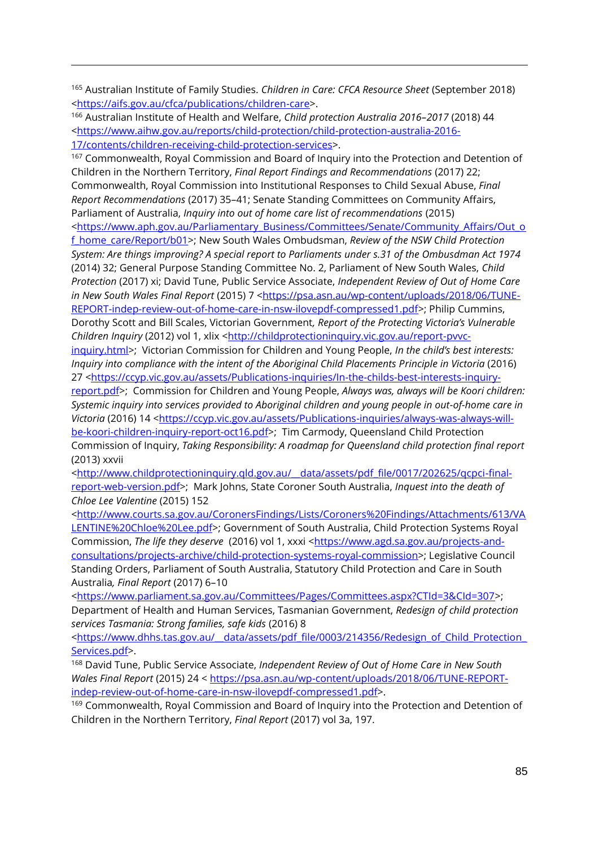<sup>165</sup> Australian Institute of Family Studies. *Children in Care: CFCA Resource Sheet* (September 2018) [<https://aifs.gov.au/cfca/publications/children-care>](https://aifs.gov.au/cfca/publications/children-care).

<sup>166</sup> Australian Institute of Health and Welfare, *Child protection Australia 2016–2017* (2018) 44 [<https://www.aihw.gov.au/reports/child-protection/child-protection-australia-2016-](https://www.aihw.gov.au/reports/child-protection/child-protection-australia-2016-17/contents/children-receiving-child-protection-services) [17/contents/children-receiving-child-protection-services>](https://www.aihw.gov.au/reports/child-protection/child-protection-australia-2016-17/contents/children-receiving-child-protection-services).

<sup>167</sup> Commonwealth, Royal Commission and Board of Inquiry into the Protection and Detention of Children in the Northern Territory, *Final Report Findings and Recommendations* (2017) 22; Commonwealth, Royal Commission into Institutional Responses to Child Sexual Abuse, *Final Report Recommendations* (2017) 35–41; Senate Standing Committees on Community Affairs, Parliament of Australia, *Inquiry into out of home care list of recommendations* (2015)

[<https://www.aph.gov.au/Parliamentary\\_Business/Committees/Senate/Community\\_Affairs/Out\\_o](https://www.aph.gov.au/Parliamentary_Business/Committees/Senate/Community_Affairs/Out_of_home_care/Report/b01) [f\\_home\\_care/Report/b01>](https://www.aph.gov.au/Parliamentary_Business/Committees/Senate/Community_Affairs/Out_of_home_care/Report/b01); New South Wales Ombudsman, *Review of the NSW Child Protection System: Are things improving? A special report to Parliaments under s.31 of the Ombusdman Act 1974* (2014) 32; General Purpose Standing Committee No. 2, Parliament of New South Wales, *Child Protection* (2017) xi; David Tune, Public Service Associate, *Independent Review of Out of Home Care in New South Wales Final Report* (2015) 7 [<https://psa.asn.au/wp-content/uploads/2018/06/TUNE-](https://psa.asn.au/wp-content/uploads/2018/06/TUNE-REPORT-indep-review-out-of-home-care-in-nsw-ilovepdf-compressed1.pdf)[REPORT-indep-review-out-of-home-care-in-nsw-ilovepdf-compressed1.pdf>](https://psa.asn.au/wp-content/uploads/2018/06/TUNE-REPORT-indep-review-out-of-home-care-in-nsw-ilovepdf-compressed1.pdf); Philip Cummins, Dorothy Scott and Bill Scales, Victorian Government*, Report of the Protecting Victoria's Vulnerable Children Inquiry* (2012) vol 1, xlix [<http://childprotectioninquiry.vic.gov.au/report-pvvc-](http://childprotectioninquiry.vic.gov.au/report-pvvc-inquiry.html)

[inquiry.html>](http://childprotectioninquiry.vic.gov.au/report-pvvc-inquiry.html); Victorian Commission for Children and Young People, *In the child's best interests: Inquiry into compliance with the intent of the Aboriginal Child Placements Principle in Victoria* (2016) 27 [<https://ccyp.vic.gov.au/assets/Publications-inquiries/In-the-childs-best-interests-inquiry-](https://ccyp.vic.gov.au/assets/Publications-inquiries/In-the-childs-best-interests-inquiry-report.pdf)

[report.pdf>](https://ccyp.vic.gov.au/assets/Publications-inquiries/In-the-childs-best-interests-inquiry-report.pdf); Commission for Children and Young People, *Always was, always will be Koori children: Systemic inquiry into services provided to Aboriginal children and young people in out-of-home care in Victoria* (2016) 14 [<https://ccyp.vic.gov.au/assets/Publications-inquiries/always-was-always-will](https://ccyp.vic.gov.au/assets/Publications-inquiries/always-was-always-will-be-koori-children-inquiry-report-oct16.pdf)[be-koori-children-inquiry-report-oct16.pdf>](https://ccyp.vic.gov.au/assets/Publications-inquiries/always-was-always-will-be-koori-children-inquiry-report-oct16.pdf); Tim Carmody, Queensland Child Protection Commission of Inquiry, *Taking Responsibility: A roadmap for Queensland child protection final report*

(2013) xxvii

 $\overline{a}$ 

[<http://www.childprotectioninquiry.qld.gov.au/\\_\\_data/assets/pdf\\_file/0017/202625/qcpci-final](http://www.childprotectioninquiry.qld.gov.au/__data/assets/pdf_file/0017/202625/qcpci-final-report-web-version.pdf)[report-web-version.pdf>](http://www.childprotectioninquiry.qld.gov.au/__data/assets/pdf_file/0017/202625/qcpci-final-report-web-version.pdf); Mark Johns, State Coroner South Australia, *Inquest into the death of Chloe Lee Valentine* (2015) 152

[<http://www.courts.sa.gov.au/CoronersFindings/Lists/Coroners%20Findings/Attachments/613/VA](http://www.courts.sa.gov.au/CoronersFindings/Lists/Coroners%20Findings/Attachments/613/VALENTINE%20Chloe%20Lee.pdf) [LENTINE%20Chloe%20Lee.pdf>](http://www.courts.sa.gov.au/CoronersFindings/Lists/Coroners%20Findings/Attachments/613/VALENTINE%20Chloe%20Lee.pdf); Government of South Australia, Child Protection Systems Royal Commission, *The life they deserve* (2016) vol 1, xxxi [<https://www.agd.sa.gov.au/projects-and](https://www.agd.sa.gov.au/projects-and-consultations/projects-archive/child-protection-systems-royal-commission)[consultations/projects-archive/child-protection-systems-royal-commission>](https://www.agd.sa.gov.au/projects-and-consultations/projects-archive/child-protection-systems-royal-commission); Legislative Council Standing Orders, Parliament of South Australia, Statutory Child Protection and Care in South Australia*, Final Report* (2017) 6–10

[<https://www.parliament.sa.gov.au/Committees/Pages/Committees.aspx?CTId=3&CId=307>](https://www.parliament.sa.gov.au/Committees/Pages/Committees.aspx?CTId=3&CId=307); Department of Health and Human Services, Tasmanian Government, *Redesign of child protection services Tasmania: Strong families, safe kids* (2016) 8

<https://www.dhhs.tas.gov.au/\_data/assets/pdf\_file/0003/214356/Redesign\_of\_Child\_Protection\_ [Services.pdf>](https://www.dhhs.tas.gov.au/__data/assets/pdf_file/0003/214356/Redesign_of_Child_Protection_Services.pdf).

<sup>168</sup> David Tune, Public Service Associate, *Independent Review of Out of Home Care in New South Wales Final Report* (2015) 24 < [https://psa.asn.au/wp-content/uploads/2018/06/TUNE-REPORT](https://psa.asn.au/wp-content/uploads/2018/06/TUNE-REPORT-indep-review-out-of-home-care-in-nsw-ilovepdf-compressed1.pdf)[indep-review-out-of-home-care-in-nsw-ilovepdf-compressed1.pdf>](https://psa.asn.au/wp-content/uploads/2018/06/TUNE-REPORT-indep-review-out-of-home-care-in-nsw-ilovepdf-compressed1.pdf).

<sup>169</sup> Commonwealth, Royal Commission and Board of Inquiry into the Protection and Detention of Children in the Northern Territory, *Final Report* (2017) vol 3a, 197.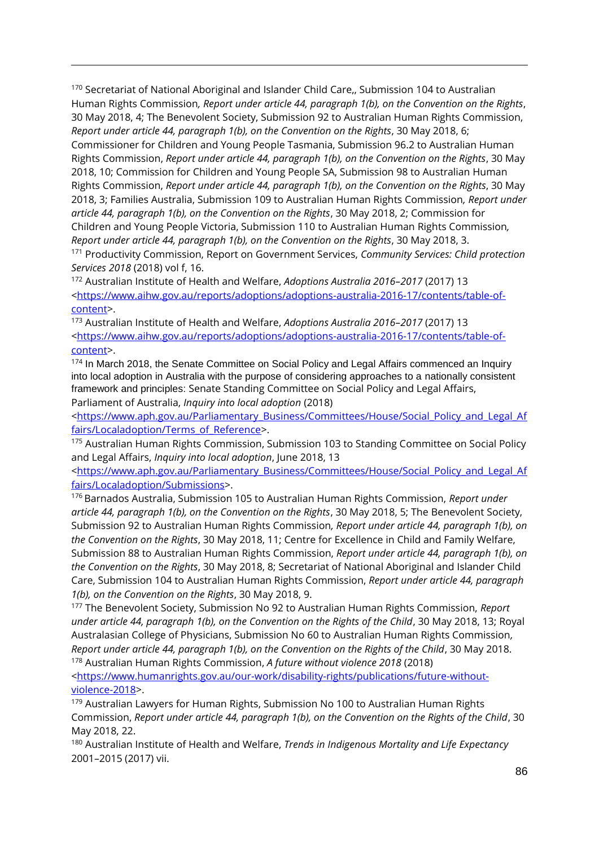<sup>170</sup> Secretariat of National Aboriginal and Islander Child Care,, Submission 104 to Australian Human Rights Commission*, Report under article 44, paragraph 1(b), on the Convention on the Rights*, 30 May 2018, 4; The Benevolent Society, Submission 92 to Australian Human Rights Commission, *Report under article 44, paragraph 1(b), on the Convention on the Rights*, 30 May 2018, 6; Commissioner for Children and Young People Tasmania, Submission 96.2 to Australian Human Rights Commission, *Report under article 44, paragraph 1(b), on the Convention on the Rights*, 30 May 2018, 10; Commission for Children and Young People SA, Submission 98 to Australian Human Rights Commission, *Report under article 44, paragraph 1(b), on the Convention on the Rights*, 30 May 2018, 3; Families Australia, Submission 109 to Australian Human Rights Commission*, Report under article 44, paragraph 1(b), on the Convention on the Rights*, 30 May 2018, 2; Commission for Children and Young People Victoria, Submission 110 to Australian Human Rights Commission*, Report under article 44, paragraph 1(b), on the Convention on the Rights*, 30 May 2018, 3. <sup>171</sup> Productivity Commission, Report on Government Services, *Community Services: Child protection Services 2018* (2018) vol f, 16.

 $\overline{a}$ 

<sup>172</sup> Australian Institute of Health and Welfare, *Adoptions Australia 2016–2017* (2017) 13 [<https://www.aihw.gov.au/reports/adoptions/adoptions-australia-2016-17/contents/table-of](https://www.aihw.gov.au/reports/adoptions/adoptions-australia-2016-17/contents/table-of-content)[content>](https://www.aihw.gov.au/reports/adoptions/adoptions-australia-2016-17/contents/table-of-content).

<sup>173</sup> Australian Institute of Health and Welfare, *Adoptions Australia 2016–2017* (2017) 13 [<https://www.aihw.gov.au/reports/adoptions/adoptions-australia-2016-17/contents/table-of](https://www.aihw.gov.au/reports/adoptions/adoptions-australia-2016-17/contents/table-of-content)[content>](https://www.aihw.gov.au/reports/adoptions/adoptions-australia-2016-17/contents/table-of-content).

<sup>174</sup> In March 2018, the Senate Committee on Social Policy and Legal Affairs commenced an Inquiry into local adoption in Australia with the purpose of considering approaches to a nationally consistent framework and principles: Senate Standing Committee on Social Policy and Legal Affairs, Parliament of Australia, *Inquiry into local adoption* (2018)

[<https://www.aph.gov.au/Parliamentary\\_Business/Committees/House/Social\\_Policy\\_and\\_Legal\\_Af](https://www.aph.gov.au/Parliamentary_Business/Committees/House/Social_Policy_and_Legal_Affairs/Localadoption/Terms_of_Reference) [fairs/Localadoption/Terms\\_of\\_Reference>](https://www.aph.gov.au/Parliamentary_Business/Committees/House/Social_Policy_and_Legal_Affairs/Localadoption/Terms_of_Reference).

<sup>175</sup> Australian Human Rights Commission, Submission 103 to Standing Committee on Social Policy and Legal Affairs, *Inquiry into local adoption*, June 2018, 13

[<https://www.aph.gov.au/Parliamentary\\_Business/Committees/House/Social\\_Policy\\_and\\_Legal\\_Af](https://www.aph.gov.au/Parliamentary_Business/Committees/House/Social_Policy_and_Legal_Affairs/Localadoption/Submissions) [fairs/Localadoption/Submissions>](https://www.aph.gov.au/Parliamentary_Business/Committees/House/Social_Policy_and_Legal_Affairs/Localadoption/Submissions).

<sup>176</sup> Barnados Australia, Submission 105 to Australian Human Rights Commission, *Report under article 44, paragraph 1(b), on the Convention on the Rights*, 30 May 2018, 5; The Benevolent Society, Submission 92 to Australian Human Rights Commission*, Report under article 44, paragraph 1(b), on the Convention on the Rights*, 30 May 2018, 11; Centre for Excellence in Child and Family Welfare, Submission 88 to Australian Human Rights Commission, *Report under article 44, paragraph 1(b), on the Convention on the Rights*, 30 May 2018, 8; Secretariat of National Aboriginal and Islander Child Care, Submission 104 to Australian Human Rights Commission, *Report under article 44, paragraph 1(b), on the Convention on the Rights*, 30 May 2018, 9.

<sup>177</sup> The Benevolent Society, Submission No 92 to Australian Human Rights Commission, *Report under article 44, paragraph 1(b), on the Convention on the Rights of the Child*, 30 May 2018, 13; Royal Australasian College of Physicians, Submission No 60 to Australian Human Rights Commission*, Report under article 44, paragraph 1(b), on the Convention on the Rights of the Child*, 30 May 2018. <sup>178</sup> Australian Human Rights Commission, *A future without violence 2018* (2018)

[<https://www.humanrights.gov.au/our-work/disability-rights/publications/future-without](https://www.humanrights.gov.au/our-work/disability-rights/publications/future-without-violence-2018)[violence-2018>](https://www.humanrights.gov.au/our-work/disability-rights/publications/future-without-violence-2018).

179 Australian Lawyers for Human Rights, Submission No 100 to Australian Human Rights Commission, *Report under article 44, paragraph 1(b), on the Convention on the Rights of the Child*, 30 May 2018, 22.

<sup>180</sup> Australian Institute of Health and Welfare, *Trends in Indigenous Mortality and Life Expectancy* 2001–2015 (2017) vii.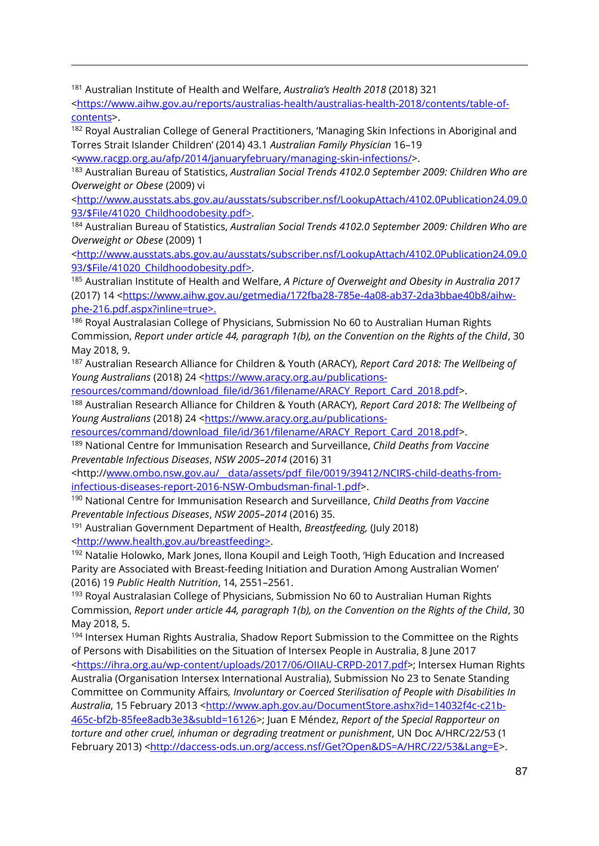<sup>181</sup> Australian Institute of Health and Welfare, *Australia's Health 2018* (2018) 321

 $\overline{a}$ 

[<https://www.aihw.gov.au/reports/australias-health/australias-health-2018/contents/table-of](https://www.aihw.gov.au/reports/australias-health/australias-health-2018/contents/table-of-contents)[contents>](https://www.aihw.gov.au/reports/australias-health/australias-health-2018/contents/table-of-contents).

<sup>182</sup> Royal Australian College of General Practitioners, 'Managing Skin Infections in Aboriginal and Torres Strait Islander Children' (2014) 43.1 *Australian Family Physician* 16–19

[<www.racgp.org.au/afp/2014/januaryfebruary/managing-skin-infections/>](http://www.racgp.org.au/afp/2014/januaryfebruary/managing-skin-infections/).

<sup>183</sup> Australian Bureau of Statistics, *Australian Social Trends 4102.0 September 2009: Children Who are Overweight or Obese* (2009) vi

[<http://www.ausstats.abs.gov.au/ausstats/subscriber.nsf/LookupAttach/4102.0Publication24.09.0](http://www.ausstats.abs.gov.au/ausstats/subscriber.nsf/LookupAttach/4102.0Publication24.09.093/$File/41020_Childhoodobesity.pdf) [93/\\$File/41020\\_Childhoodobesity.pdf>](http://www.ausstats.abs.gov.au/ausstats/subscriber.nsf/LookupAttach/4102.0Publication24.09.093/$File/41020_Childhoodobesity.pdf).

<sup>184</sup> Australian Bureau of Statistics, *Australian Social Trends 4102.0 September 2009: Children Who are Overweight or Obese* (2009) 1

[<http://www.ausstats.abs.gov.au/ausstats/subscriber.nsf/LookupAttach/4102.0Publication24.09.0](http://www.ausstats.abs.gov.au/ausstats/subscriber.nsf/LookupAttach/4102.0Publication24.09.093/$File/41020_Childhoodobesity.pdf) [93/\\$File/41020\\_Childhoodobesity.pdf>](http://www.ausstats.abs.gov.au/ausstats/subscriber.nsf/LookupAttach/4102.0Publication24.09.093/$File/41020_Childhoodobesity.pdf).

<sup>185</sup> Australian Institute of Health and Welfare, *A Picture of Overweight and Obesity in Australia 2017* (2017) 14 [<https://www.aihw.gov.au/getmedia/172fba28-785e-4a08-ab37-2da3bbae40b8/aihw](https://www.aihw.gov.au/getmedia/172fba28-785e-4a08-ab37-2da3bbae40b8/aihw-phe-216.pdf.aspx?inline=true)[phe-216.pdf.aspx?inline=true>](https://www.aihw.gov.au/getmedia/172fba28-785e-4a08-ab37-2da3bbae40b8/aihw-phe-216.pdf.aspx?inline=true).

<sup>186</sup> Royal Australasian College of Physicians, Submission No 60 to Australian Human Rights Commission, *Report under article 44, paragraph 1(b), on the Convention on the Rights of the Child*, 30 May 2018, 9.

<sup>187</sup> Australian Research Alliance for Children & Youth (ARACY), *Report Card 2018: The Wellbeing of Young Australians* (2018) 24 [<https://www.aracy.org.au/publications-](https://www.aracy.org.au/publications-resources/command/download_file/id/361/filename/ARACY_Report_Card_2018.pdf)

[resources/command/download\\_file/id/361/filename/ARACY\\_Report\\_Card\\_2018.pdf>](https://www.aracy.org.au/publications-resources/command/download_file/id/361/filename/ARACY_Report_Card_2018.pdf).

<sup>188</sup> Australian Research Alliance for Children & Youth (ARACY), *Report Card 2018: The Wellbeing of Young Australians* (2018) 24 [<https://www.aracy.org.au/publications-](https://www.aracy.org.au/publications-resources/command/download_file/id/361/filename/ARACY_Report_Card_2018.pdf)

[resources/command/download\\_file/id/361/filename/ARACY\\_Report\\_Card\\_2018.pdf>](https://www.aracy.org.au/publications-resources/command/download_file/id/361/filename/ARACY_Report_Card_2018.pdf).

<sup>189</sup> National Centre for Immunisation Research and Surveillance, *Child Deaths from Vaccine Preventable Infectious Diseases*, *NSW 2005–2014* (2016) 31

<http:/[/www.ombo.nsw.gov.au/\\_\\_data/assets/pdf\\_file/0019/39412/NCIRS-child-deaths-from](http://www.ombo.nsw.gov.au/__data/assets/pdf_file/0019/39412/NCIRS-child-deaths-from-infectious-diseases-report-2016-NSW-Ombudsman-final-1.pdf)[infectious-diseases-report-2016-NSW-Ombudsman-final-1.pdf>](http://www.ombo.nsw.gov.au/__data/assets/pdf_file/0019/39412/NCIRS-child-deaths-from-infectious-diseases-report-2016-NSW-Ombudsman-final-1.pdf).

<sup>190</sup> National Centre for Immunisation Research and Surveillance, *Child Deaths from Vaccine Preventable Infectious Diseases*, *NSW 2005–2014* (2016) 35.

<sup>191</sup> Australian Government Department of Health, *Breastfeeding,* (July 2018) [<http://www.health.gov.au/breastfeeding>](http://www.health.gov.au/breastfeeding).

<sup>192</sup> Natalie Holowko, Mark Jones, Ilona Koupil and Leigh Tooth, 'High Education and Increased Parity are Associated with Breast-feeding Initiation and Duration Among Australian Women' (2016) 19 *Public Health Nutrition*, 14, 2551–2561.

<sup>193</sup> Royal Australasian College of Physicians, Submission No 60 to Australian Human Rights Commission, *Report under article 44, paragraph 1(b), on the Convention on the Rights of the Child*, 30 May 2018, 5.

194 Intersex Human Rights Australia, Shadow Report Submission to the Committee on the Rights of Persons with Disabilities on the Situation of Intersex People in Australia, 8 June 2017 [<https://ihra.org.au/wp-content/uploads/2017/06/OIIAU-CRPD-2017.pdf>](https://ihra.org.au/wp-content/uploads/2017/06/OIIAU-CRPD-2017.pdf); Intersex Human Rights Australia (Organisation Intersex International Australia), Submission No 23 to Senate Standing Committee on Community Affairs*, Involuntary or Coerced Sterilisation of People with Disabilities In*  Australia, 15 February 2013 [<http://www.aph.gov.au/DocumentStore.ashx?id=14032f4c-c21b-](http://www.aph.gov.au/DocumentStore.ashx?id=14032f4c-c21b-465c-bf2b-85fee8adb3e3&subId=16126)[465c-bf2b-85fee8adb3e3&subId=16126>](http://www.aph.gov.au/DocumentStore.ashx?id=14032f4c-c21b-465c-bf2b-85fee8adb3e3&subId=16126); Juan E Méndez, *Report of the Special Rapporteur on torture and other cruel, inhuman or degrading treatment or punishment*, UN Doc A/HRC/22/53 (1 February 2013) [<http://daccess-ods.un.org/access.nsf/Get?Open&DS=A/HRC/22/53&Lang=E>](http://daccess-ods.un.org/access.nsf/Get?Open&DS=A/HRC/22/53&Lang=E).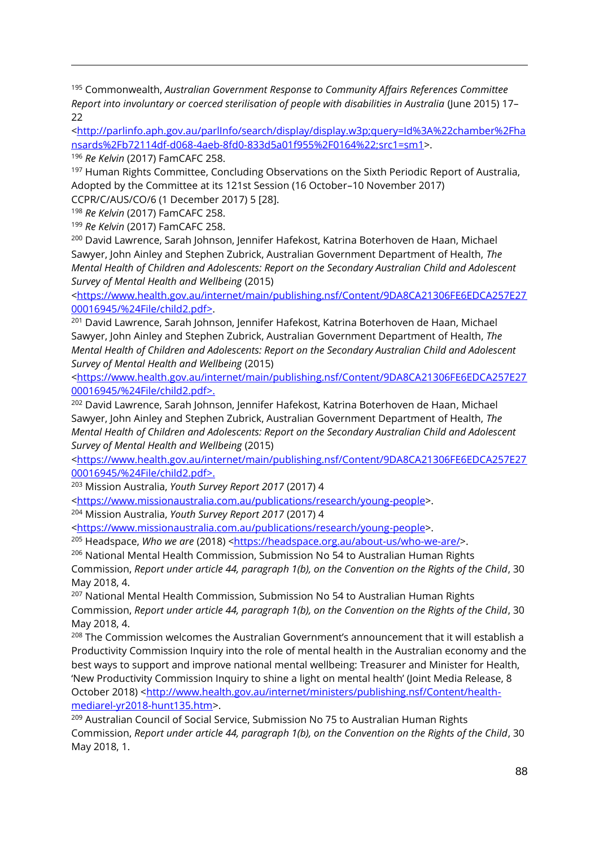<sup>195</sup> Commonwealth, *Australian Government Response to Community Affairs References Committee Report into involuntary or coerced sterilisation of people with disabilities in Australia* (June 2015) 17– 22

[<http://parlinfo.aph.gov.au/parlInfo/search/display/display.w3p;query=Id%3A%22chamber%2Fha](http://parlinfo.aph.gov.au/parlInfo/search/display/display.w3p;query=Id%3A%22chamber%2Fhansards%2Fb72114df-d068-4aeb-8fd0-833d5a01f955%2F0164%22;src1=sm1) [nsards%2Fb72114df-d068-4aeb-8fd0-833d5a01f955%2F0164%22;src1=sm1>](http://parlinfo.aph.gov.au/parlInfo/search/display/display.w3p;query=Id%3A%22chamber%2Fhansards%2Fb72114df-d068-4aeb-8fd0-833d5a01f955%2F0164%22;src1=sm1).

<sup>196</sup> *Re Kelvin* (2017) FamCAFC 258.

 $\overline{a}$ 

<sup>197</sup> Human Rights Committee, Concluding Observations on the Sixth Periodic Report of Australia, Adopted by the Committee at its 121st Session (16 October–10 November 2017)

CCPR/C/AUS/CO/6 (1 December 2017) 5 [28].

<sup>198</sup> *Re Kelvin* (2017) FamCAFC 258. <sup>199</sup> *Re Kelvin* (2017) FamCAFC 258.

<sup>200</sup> David Lawrence, Sarah Johnson, Jennifer Hafekost, Katrina Boterhoven de Haan, Michael Sawyer, John Ainley and Stephen Zubrick, Australian Government Department of Health, *The Mental Health of Children and Adolescents: Report on the Secondary Australian Child and Adolescent Survey of Mental Health and Wellbeing* (2015)

[<https://www.health.gov.au/internet/main/publishing.nsf/Content/9DA8CA21306FE6EDCA257E27](https://www.health.gov.au/internet/main/publishing.nsf/Content/9DA8CA21306FE6EDCA257E2700016945/%24File/child2.pdf) [00016945/%24File/child2.pdf>](https://www.health.gov.au/internet/main/publishing.nsf/Content/9DA8CA21306FE6EDCA257E2700016945/%24File/child2.pdf).

<sup>201</sup> David Lawrence, Sarah Johnson, Jennifer Hafekost, Katrina Boterhoven de Haan, Michael Sawyer, John Ainley and Stephen Zubrick, Australian Government Department of Health, *The Mental Health of Children and Adolescents: Report on the Secondary Australian Child and Adolescent Survey of Mental Health and Wellbeing* (2015)

[<https://www.health.gov.au/internet/main/publishing.nsf/Content/9DA8CA21306FE6EDCA257E27](https://www.health.gov.au/internet/main/publishing.nsf/Content/9DA8CA21306FE6EDCA257E2700016945/%24File/child2.pdf) [00016945/%24File/child2.pdf>](https://www.health.gov.au/internet/main/publishing.nsf/Content/9DA8CA21306FE6EDCA257E2700016945/%24File/child2.pdf).

<sup>202</sup> David Lawrence, Sarah Johnson, Jennifer Hafekost, Katrina Boterhoven de Haan, Michael Sawyer, John Ainley and Stephen Zubrick, Australian Government Department of Health, *The Mental Health of Children and Adolescents: Report on the Secondary Australian Child and Adolescent Survey of Mental Health and Wellbeing* (2015)

[<https://www.health.gov.au/internet/main/publishing.nsf/Content/9DA8CA21306FE6EDCA257E27](https://www.health.gov.au/internet/main/publishing.nsf/Content/9DA8CA21306FE6EDCA257E2700016945/%24File/child2.pdf) [00016945/%24File/child2.pdf>](https://www.health.gov.au/internet/main/publishing.nsf/Content/9DA8CA21306FE6EDCA257E2700016945/%24File/child2.pdf).

<sup>203</sup> Mission Australia, *Youth Survey Report 2017* (2017) 4

[<https://www.missionaustralia.com.au/publications/research/young-people>](https://www.missionaustralia.com.au/publications/research/young-people).

<sup>204</sup> Mission Australia, *Youth Survey Report 2017* (2017) 4

[<https://www.missionaustralia.com.au/publications/research/young-people>](https://www.missionaustralia.com.au/publications/research/young-people).

<sup>205</sup> Headspace, *Who we are* (2018) [<https://headspace.org.au/about-us/who-we-are/>](https://headspace.org.au/about-us/who-we-are/).

<sup>206</sup> National Mental Health Commission, Submission No 54 to Australian Human Rights Commission, *Report under article 44, paragraph 1(b), on the Convention on the Rights of the Child*, 30 May 2018, 4.

<sup>207</sup> National Mental Health Commission, Submission No 54 to Australian Human Rights Commission, *Report under article 44, paragraph 1(b), on the Convention on the Rights of the Child*, 30 May 2018, 4.

 $208$  The Commission welcomes the Australian Government's announcement that it will establish a Productivity Commission Inquiry into the role of mental health in the Australian economy and the best ways to support and improve national mental wellbeing: Treasurer and Minister for Health, 'New Productivity Commission Inquiry to shine a light on mental health' (Joint Media Release, 8 October 2018) [<http://www.health.gov.au/internet/ministers/publishing.nsf/Content/health](http://www.health.gov.au/internet/ministers/publishing.nsf/Content/health-mediarel-yr2018-hunt135.htm)[mediarel-yr2018-hunt135.htm>](http://www.health.gov.au/internet/ministers/publishing.nsf/Content/health-mediarel-yr2018-hunt135.htm).

<sup>209</sup> Australian Council of Social Service, Submission No 75 to Australian Human Rights Commission, *Report under article 44, paragraph 1(b), on the Convention on the Rights of the Child*, 30 May 2018, 1.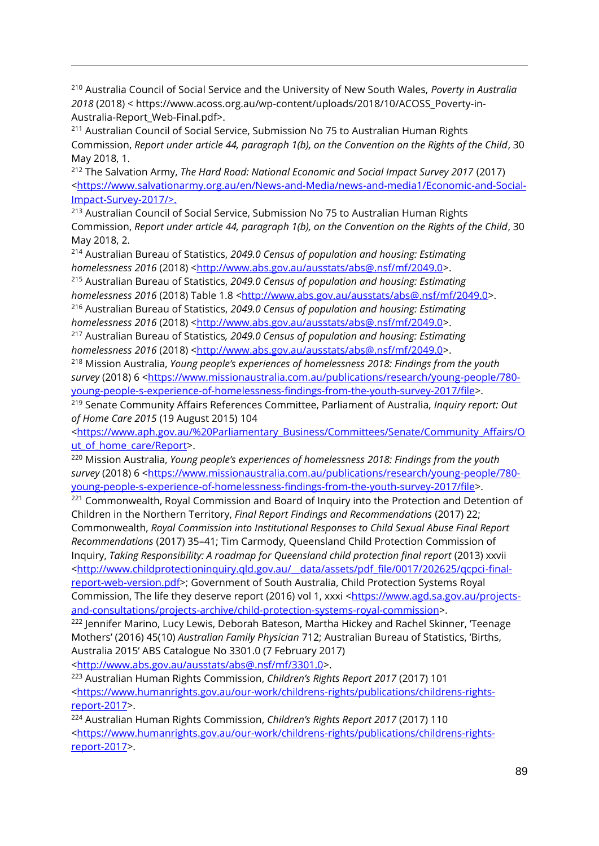<sup>210</sup> Australia Council of Social Service and the University of New South Wales, *Poverty in Australia 2018* (2018) < https://www.acoss.org.au/wp-content/uploads/2018/10/ACOSS\_Poverty-in-Australia-Report\_Web-Final.pdf>.

 $\overline{a}$ 

<sup>211</sup> Australian Council of Social Service, Submission No 75 to Australian Human Rights Commission, *Report under article 44, paragraph 1(b), on the Convention on the Rights of the Child*, 30 May 2018, 1.

<sup>212</sup> The Salvation Army, *The Hard Road: National Economic and Social Impact Survey 2017* (2017) [<https://www.salvationarmy.org.au/en/News-and-Media/news-and-media1/Economic-and-Social-](https://www.salvationarmy.org.au/en/News-and-Media/news-and-media1/Economic-and-Social-Impact-Survey-2017/)[Impact-Survey-2017/>](https://www.salvationarmy.org.au/en/News-and-Media/news-and-media1/Economic-and-Social-Impact-Survey-2017/).

<sup>213</sup> Australian Council of Social Service, Submission No 75 to Australian Human Rights Commission, *Report under article 44, paragraph 1(b), on the Convention on the Rights of the Child*, 30 May 2018, 2.

<sup>214</sup> Australian Bureau of Statistics, *2049.0 Census of population and housing: Estimating homelessness 2016* (2018) [<http://www.abs.gov.au/ausstats/abs@.nsf/mf/2049.0>](http://www.abs.gov.au/ausstats/abs@.nsf/mf/2049.0).

<sup>215</sup> Australian Bureau of Statistics, *2049.0 Census of population and housing: Estimating*  homelessness 2016 (2018) Table 1.8 [<http://www.abs.gov.au/ausstats/abs@.nsf/mf/2049.0>](http://www.abs.gov.au/ausstats/abs@.nsf/mf/2049.0).

<sup>216</sup> Australian Bureau of Statistics, *2049.0 Census of population and housing: Estimating homelessness 2016* (2018) [<http://www.abs.gov.au/ausstats/abs@.nsf/mf/2049.0>](http://www.abs.gov.au/ausstats/abs@.nsf/mf/2049.0).

<sup>217</sup> Australian Bureau of Statistics*, 2049.0 Census of population and housing: Estimating homelessness 2016* (2018) [<http://www.abs.gov.au/ausstats/abs@.nsf/mf/2049.0>](http://www.abs.gov.au/ausstats/abs@.nsf/mf/2049.0).

<sup>218</sup> Mission Australia, *Young people's experiences of homelessness 2018: Findings from the youth*  survey (2018) 6 [<https://www.missionaustralia.com.au/publications/research/young-people/780](https://www.missionaustralia.com.au/publications/research/young-people/780-young-people-s-experience-of-homelessness-findings-from-the-youth-survey-2017/file) [young-people-s-experience-of-homelessness-findings-from-the-youth-survey-2017/file>](https://www.missionaustralia.com.au/publications/research/young-people/780-young-people-s-experience-of-homelessness-findings-from-the-youth-survey-2017/file).

<sup>219</sup> Senate Community Affairs References Committee, Parliament of Australia, *Inquiry report: Out of Home Care 2015* (19 August 2015) 104

[<https://www.aph.gov.au/%20Parliamentary\\_Business/Committees/Senate/Community\\_Affairs/O](https://www.aph.gov.au/%20Parliamentary_Business/Committees/Senate/Community_Affairs/Out_of_home_care/Report) ut of home care/Report>.

<sup>220</sup> Mission Australia, *Young people's experiences of homelessness 2018: Findings from the youth*  survey (2018) 6 [<https://www.missionaustralia.com.au/publications/research/young-people/780](https://www.missionaustralia.com.au/publications/research/young-people/780-young-people-s-experience-of-homelessness-findings-from-the-youth-survey-2017/file) [young-people-s-experience-of-homelessness-findings-from-the-youth-survey-2017/file>](https://www.missionaustralia.com.au/publications/research/young-people/780-young-people-s-experience-of-homelessness-findings-from-the-youth-survey-2017/file).

<sup>221</sup> Commonwealth, Royal Commission and Board of Inquiry into the Protection and Detention of Children in the Northern Territory, *Final Report Findings and Recommendations* (2017) 22; Commonwealth, *Royal Commission into Institutional Responses to Child Sexual Abuse Final Report Recommendations* (2017) 35–41; Tim Carmody, Queensland Child Protection Commission of Inquiry, *Taking Responsibility: A roadmap for Queensland child protection final report* (2013) xxvii [<http://www.childprotectioninquiry.qld.gov.au/\\_\\_data/assets/pdf\\_file/0017/202625/qcpci-final](http://www.childprotectioninquiry.qld.gov.au/__data/assets/pdf_file/0017/202625/qcpci-final-report-web-version.pdf)[report-web-version.pdf>](http://www.childprotectioninquiry.qld.gov.au/__data/assets/pdf_file/0017/202625/qcpci-final-report-web-version.pdf); Government of South Australia, Child Protection Systems Royal

Commission, The life they deserve report (2016) vol 1, xxxi [<https://www.agd.sa.gov.au/projects](https://www.agd.sa.gov.au/projects-and-consultations/projects-archive/child-protection-systems-royal-commission)[and-consultations/projects-archive/child-protection-systems-royal-commission>](https://www.agd.sa.gov.au/projects-and-consultations/projects-archive/child-protection-systems-royal-commission).

<sup>222</sup> Jennifer Marino, Lucy Lewis, Deborah Bateson, Martha Hickey and Rachel Skinner, 'Teenage Mothers' (2016) 45(10) *Australian Family Physician* 712; Australian Bureau of Statistics, 'Births, Australia 2015' ABS Catalogue No 3301.0 (7 February 2017)

[<http://www.abs.gov.au/ausstats/abs@.nsf/mf/3301.0>](http://www.abs.gov.au/ausstats/abs@.nsf/mf/3301.0).

<sup>223</sup> Australian Human Rights Commission, *Children's Rights Report 2017* (2017) 101 [<https://www.humanrights.gov.au/our-work/childrens-rights/publications/childrens-rights](https://www.humanrights.gov.au/our-work/childrens-rights/publications/childrens-rights-report-2017)[report-2017>](https://www.humanrights.gov.au/our-work/childrens-rights/publications/childrens-rights-report-2017).

<sup>224</sup> Australian Human Rights Commission, *Children's Rights Report 2017* (2017) 110 [<https://www.humanrights.gov.au/our-work/childrens-rights/publications/childrens-rights](https://www.humanrights.gov.au/our-work/childrens-rights/publications/childrens-rights-report-2017)[report-2017>](https://www.humanrights.gov.au/our-work/childrens-rights/publications/childrens-rights-report-2017).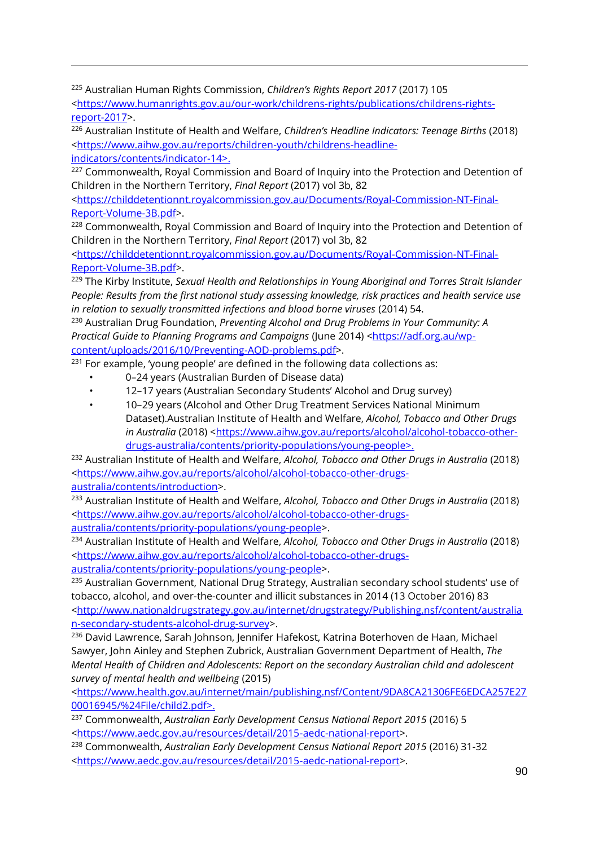<sup>225</sup> Australian Human Rights Commission, *Children's Rights Report 2017* (2017) 105

 $\overline{a}$ 

[<https://www.humanrights.gov.au/our-work/childrens-rights/publications/childrens-rights](https://www.humanrights.gov.au/our-work/childrens-rights/publications/childrens-rights-report-2017)[report-2017>](https://www.humanrights.gov.au/our-work/childrens-rights/publications/childrens-rights-report-2017).

<sup>226</sup> Australian Institute of Health and Welfare, *Children's Headline Indicators: Teenage Births* (2018) [<https://www.aihw.gov.au/reports/children-youth/childrens-headline](https://www.aihw.gov.au/reports/children-youth/childrens-headline-indicators/contents/indicator-14)[indicators/contents/indicator-14>](https://www.aihw.gov.au/reports/children-youth/childrens-headline-indicators/contents/indicator-14).

 $227$  Commonwealth, Royal Commission and Board of Inquiry into the Protection and Detention of Children in the Northern Territory, *Final Report* (2017) vol 3b, 82

[<https://childdetentionnt.royalcommission.gov.au/Documents/Royal-Commission-NT-Final-](https://childdetentionnt.royalcommission.gov.au/Documents/Royal-Commission-NT-Final-Report-Volume-3B.pdf)[Report-Volume-3B.pdf>](https://childdetentionnt.royalcommission.gov.au/Documents/Royal-Commission-NT-Final-Report-Volume-3B.pdf).

<sup>228</sup> Commonwealth, Royal Commission and Board of Inquiry into the Protection and Detention of Children in the Northern Territory, *Final Report* (2017) vol 3b, 82

[<https://childdetentionnt.royalcommission.gov.au/Documents/Royal-Commission-NT-Final-](https://childdetentionnt.royalcommission.gov.au/Documents/Royal-Commission-NT-Final-Report-Volume-3B.pdf)[Report-Volume-3B.pdf>](https://childdetentionnt.royalcommission.gov.au/Documents/Royal-Commission-NT-Final-Report-Volume-3B.pdf).

<sup>229</sup> The Kirby Institute, *Sexual Health and Relationships in Young Aboriginal and Torres Strait Islander People: Results from the first national study assessing knowledge, risk practices and health service use in relation to sexually transmitted infections and blood borne viruses* (2014) 54.

<sup>230</sup> Australian Drug Foundation, *Preventing Alcohol and Drug Problems in Your Community: A Practical Guide to Planning Programs and Campaigns* (June 2014) [<https://adf.org.au/wp](https://adf.org.au/wp-content/uploads/2016/10/Preventing-AOD-problems.pdf)[content/uploads/2016/10/Preventing-AOD-problems.pdf>](https://adf.org.au/wp-content/uploads/2016/10/Preventing-AOD-problems.pdf).

<sup>231</sup> For example, 'young people' are defined in the following data collections as:

- 0–24 years (Australian Burden of Disease data)
- 12–17 years (Australian Secondary Students' Alcohol and Drug survey)
- 10–29 years (Alcohol and Other Drug Treatment Services National Minimum Dataset).Australian Institute of Health and Welfare, *Alcohol, Tobacco and Other Drugs in Australia* (2018) [<https://www.aihw.gov.au/reports/alcohol/alcohol-tobacco-other](https://www.aihw.gov.au/reports/alcohol/alcohol-tobacco-other-drugs-australia/contents/priority-populations/young-people)[drugs-australia/contents/priority-populations/young-people>](https://www.aihw.gov.au/reports/alcohol/alcohol-tobacco-other-drugs-australia/contents/priority-populations/young-people).

<sup>232</sup> Australian Institute of Health and Welfare, *Alcohol, Tobacco and Other Drugs in Australia* (2018) [<https://www.aihw.gov.au/reports/alcohol/alcohol-tobacco-other-drugs](https://www.aihw.gov.au/reports/alcohol/alcohol-tobacco-other-drugs-australia/contents/introduction)[australia/contents/introduction>](https://www.aihw.gov.au/reports/alcohol/alcohol-tobacco-other-drugs-australia/contents/introduction).

<sup>233</sup> Australian Institute of Health and Welfare, *Alcohol, Tobacco and Other Drugs in Australia* (2018) [<https://www.aihw.gov.au/reports/alcohol/alcohol-tobacco-other-drugs](https://www.aihw.gov.au/reports/alcohol/alcohol-tobacco-other-drugs-australia/contents/priority-populations/young-people)[australia/contents/priority-populations/young-people>](https://www.aihw.gov.au/reports/alcohol/alcohol-tobacco-other-drugs-australia/contents/priority-populations/young-people).

<sup>234</sup> Australian Institute of Health and Welfare, *Alcohol, Tobacco and Other Drugs in Australia* (2018) [<https://www.aihw.gov.au/reports/alcohol/alcohol-tobacco-other-drugs-](https://www.aihw.gov.au/reports/alcohol/alcohol-tobacco-other-drugs-australia/contents/priority-populations/young-people)

[australia/contents/priority-populations/young-people>](https://www.aihw.gov.au/reports/alcohol/alcohol-tobacco-other-drugs-australia/contents/priority-populations/young-people).

<sup>235</sup> Australian Government, National Drug Strategy, Australian secondary school students' use of tobacco, alcohol, and over-the-counter and illicit substances in 2014 (13 October 2016) 83 [<http://www.nationaldrugstrategy.gov.au/internet/drugstrategy/Publishing.nsf/content/australia](http://www.nationaldrugstrategy.gov.au/internet/drugstrategy/Publishing.nsf/content/australian-secondary-students-alcohol-drug-survey) [n-secondary-students-alcohol-drug-survey>](http://www.nationaldrugstrategy.gov.au/internet/drugstrategy/Publishing.nsf/content/australian-secondary-students-alcohol-drug-survey).

<sup>236</sup> David Lawrence, Sarah Johnson, Jennifer Hafekost, Katrina Boterhoven de Haan, Michael Sawyer, John Ainley and Stephen Zubrick, Australian Government Department of Health, *The Mental Health of Children and Adolescents: Report on the secondary Australian child and adolescent survey of mental health and wellbeing* (2015)

[<https://www.health.gov.au/internet/main/publishing.nsf/Content/9DA8CA21306FE6EDCA257E27](https://www.health.gov.au/internet/main/publishing.nsf/Content/9DA8CA21306FE6EDCA257E2700016945/%24File/child2.pdf) [00016945/%24File/child2.pdf>](https://www.health.gov.au/internet/main/publishing.nsf/Content/9DA8CA21306FE6EDCA257E2700016945/%24File/child2.pdf).

<sup>237</sup> Commonwealth, *Australian Early Development Census National Report 2015* (2016) 5 [<https://www.aedc.gov.au/resources/detail/2015-aedc-national-report>](https://www.aedc.gov.au/resources/detail/2015-aedc-national-report).

<sup>238</sup> Commonwealth, *Australian Early Development Census National Report 2015* (2016) 31-32 [<https://www.aedc.gov.au/resources/detail/2015-aedc-national-report>](https://www.aedc.gov.au/resources/detail/2015-aedc-national-report).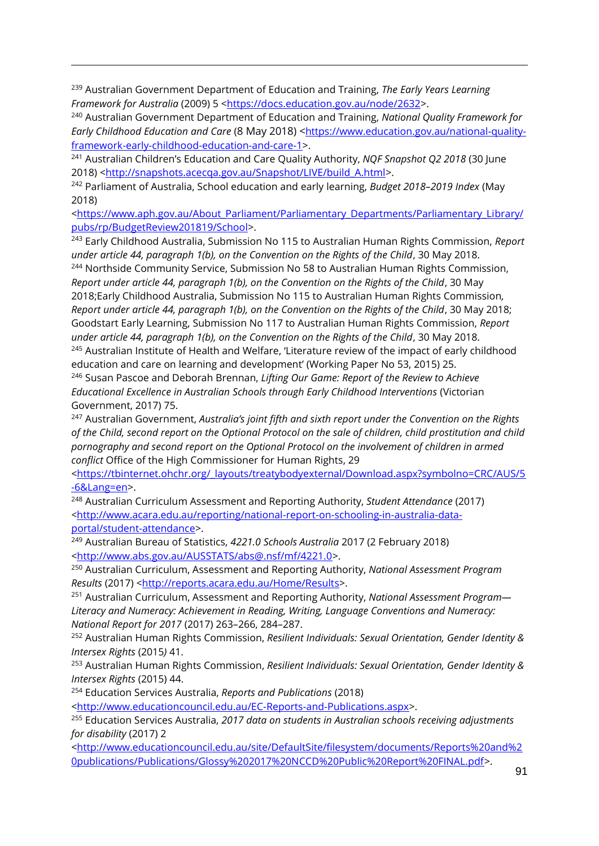<sup>239</sup> Australian Government Department of Education and Training, *The Early Years Learning Framework for Australia* (2009) 5 [<https://docs.education.gov.au/node/2632>](https://docs.education.gov.au/node/2632).

 $\overline{a}$ 

<sup>240</sup> Australian Government Department of Education and Training, *National Quality Framework for Early Childhood Education and Care* (8 May 2018) <[https://www.education.gov.au/national-quality](https://www.education.gov.au/national-quality-framework-early-childhood-education-and-care-1)[framework-early-childhood-education-and-care-1>](https://www.education.gov.au/national-quality-framework-early-childhood-education-and-care-1).

<sup>241</sup> Australian Children's Education and Care Quality Authority, *NQF Snapshot Q2 2018* (30 June 2018) [<http://snapshots.acecqa.gov.au/Snapshot/LIVE/build\\_A.html>](http://snapshots.acecqa.gov.au/Snapshot/LIVE/build_A.html).

<sup>242</sup> Parliament of Australia, School education and early learning, *Budget 2018–2019 Index* (May 2018)

[<https://www.aph.gov.au/About\\_Parliament/Parliamentary\\_Departments/Parliamentary\\_Library/](https://www.aph.gov.au/About_Parliament/Parliamentary_Departments/Parliamentary_Library/pubs/rp/BudgetReview201819/School) [pubs/rp/BudgetReview201819/School>](https://www.aph.gov.au/About_Parliament/Parliamentary_Departments/Parliamentary_Library/pubs/rp/BudgetReview201819/School).

<sup>243</sup> Early Childhood Australia, Submission No 115 to Australian Human Rights Commission, *Report under article 44, paragraph 1(b), on the Convention on the Rights of the Child*, 30 May 2018.

<sup>244</sup> Northside Community Service, Submission No 58 to Australian Human Rights Commission, *Report under article 44, paragraph 1(b), on the Convention on the Rights of the Child*, 30 May 2018;Early Childhood Australia, Submission No 115 to Australian Human Rights Commission*, Report under article 44, paragraph 1(b), on the Convention on the Rights of the Child*, 30 May 2018; Goodstart Early Learning, Submission No 117 to Australian Human Rights Commission, *Report under article 44, paragraph 1(b), on the Convention on the Rights of the Child*, 30 May 2018. <sup>245</sup> Australian Institute of Health and Welfare, 'Literature review of the impact of early childhood education and care on learning and development' (Working Paper No 53, 2015) 25.

<sup>246</sup> Susan Pascoe and Deborah Brennan, *Lifting Our Game: Report of the Review to Achieve Educational Excellence in Australian Schools through Early Childhood Interventions* (Victorian Government, 2017) 75.

<sup>247</sup> Australian Government, *Australia's joint fifth and sixth report under the Convention on the Rights of the Child, second report on the Optional Protocol on the sale of children, child prostitution and child pornography and second report on the Optional Protocol on the involvement of children in armed conflict* Office of the High Commissioner for Human Rights, 29

[<https://tbinternet.ohchr.org/\\_layouts/treatybodyexternal/Download.aspx?symbolno=CRC/AUS/5](https://tbinternet.ohchr.org/_layouts/treatybodyexternal/Download.aspx?symbolno=CRC/AUS/5-6&Lang=en) [-6&Lang=en>](https://tbinternet.ohchr.org/_layouts/treatybodyexternal/Download.aspx?symbolno=CRC/AUS/5-6&Lang=en).

<sup>248</sup> Australian Curriculum Assessment and Reporting Authority, *Student Attendance* (2017) *<*[http://www.acara.edu.au/reporting/national-report-on-schooling-in-australia-data](http://www.acara.edu.au/reporting/national-report-on-schooling-in-australia-data-portal/student-attendance)[portal/student-attendance>](http://www.acara.edu.au/reporting/national-report-on-schooling-in-australia-data-portal/student-attendance).

<sup>249</sup> Australian Bureau of Statistics, *4221.0 Schools Australia* 2017 (2 February 2018) [<http://www.abs.gov.au/AUSSTATS/abs@.nsf/mf/4221.0>](http://www.abs.gov.au/AUSSTATS/abs@.nsf/mf/4221.0).

<sup>250</sup> Australian Curriculum, Assessment and Reporting Authority, *National Assessment Program Results* (2017) [<http://reports.acara.edu.au/Home/Results>](http://reports.acara.edu.au/Home/Results).

<sup>251</sup> Australian Curriculum, Assessment and Reporting Authority, *National Assessment Program— Literacy and Numeracy: Achievement in Reading, Writing, Language Conventions and Numeracy: National Report for 2017* (2017) 263–266, 284–287.

<sup>252</sup> Australian Human Rights Commission, *Resilient Individuals: Sexual Orientation, Gender Identity & Intersex Rights* (2015*)* 41.

<sup>253</sup> Australian Human Rights Commission, *Resilient Individuals: Sexual Orientation, Gender Identity & Intersex Rights* (2015) 44.

<sup>254</sup> Education Services Australia, *Reports and Publications* (2018)

[<http://www.educationcouncil.edu.au/EC-Reports-and-Publications.aspx>](http://www.educationcouncil.edu.au/EC-Reports-and-Publications.aspx).

<sup>255</sup> Education Services Australia, *2017 data on students in Australian schools receiving adjustments for disability* (2017) 2

[<http://www.educationcouncil.edu.au/site/DefaultSite/filesystem/documents/Reports%20and%2](http://www.educationcouncil.edu.au/site/DefaultSite/filesystem/documents/Reports%20and%20publications/Publications/Glossy%202017%20NCCD%20Public%20Report%20FINAL.pdf) [0publications/Publications/Glossy%202017%20NCCD%20Public%20Report%20FINAL.pdf>](http://www.educationcouncil.edu.au/site/DefaultSite/filesystem/documents/Reports%20and%20publications/Publications/Glossy%202017%20NCCD%20Public%20Report%20FINAL.pdf).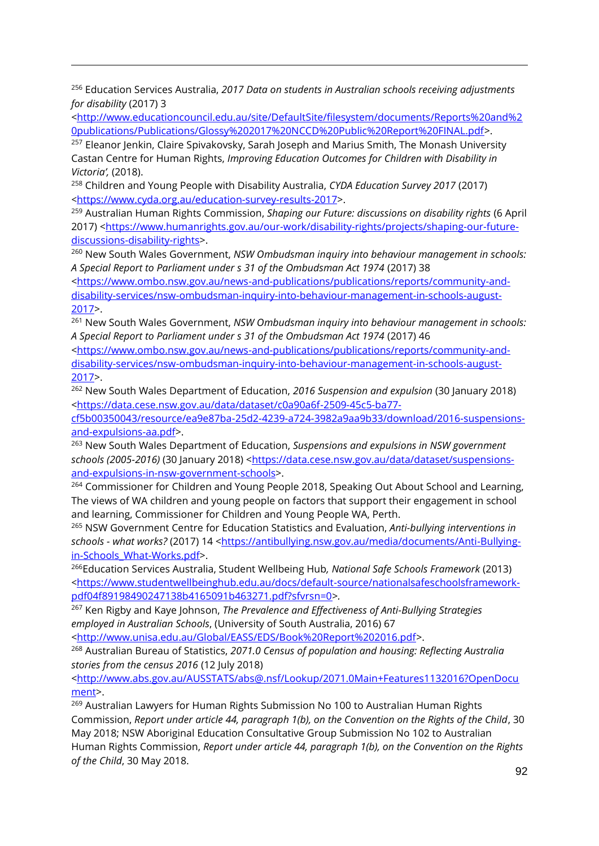<sup>256</sup> Education Services Australia, *2017 Data on students in Australian schools receiving adjustments for disability* (2017) 3

 $\overline{a}$ 

[<http://www.educationcouncil.edu.au/site/DefaultSite/filesystem/documents/Reports%20and%2](http://www.educationcouncil.edu.au/site/DefaultSite/filesystem/documents/Reports%20and%20publications/Publications/Glossy%202017%20NCCD%20Public%20Report%20FINAL.pdf) [0publications/Publications/Glossy%202017%20NCCD%20Public%20Report%20FINAL.pdf>](http://www.educationcouncil.edu.au/site/DefaultSite/filesystem/documents/Reports%20and%20publications/Publications/Glossy%202017%20NCCD%20Public%20Report%20FINAL.pdf).

<sup>257</sup> Eleanor Jenkin, Claire Spivakovsky, Sarah Joseph and Marius Smith, The Monash University Castan Centre for Human Rights, *Improving Education Outcomes for Children with Disability in Victoria',* (2018).

<sup>258</sup> Children and Young People with Disability Australia, *CYDA Education Survey 2017* (2017) *<*[https://www.cyda.org.au/education-survey-results-2017>](https://www.cyda.org.au/education-survey-results-2017).

<sup>259</sup> Australian Human Rights Commission, *Shaping our Future: discussions on disability rights* (6 April 2017) [<https://www.humanrights.gov.au/our-work/disability-rights/projects/shaping-our-future](https://www.humanrights.gov.au/our-work/disability-rights/projects/shaping-our-future-discussions-disability-rights)[discussions-disability-rights>](https://www.humanrights.gov.au/our-work/disability-rights/projects/shaping-our-future-discussions-disability-rights).

<sup>260</sup> New South Wales Government, *NSW Ombudsman inquiry into behaviour management in schools: A Special Report to Parliament under s 31 of the Ombudsman Act 1974* (2017) 38

[<https://www.ombo.nsw.gov.au/news-and-publications/publications/reports/community-and](https://www.ombo.nsw.gov.au/news-and-publications/publications/reports/community-and-disability-services/nsw-ombudsman-inquiry-into-behaviour-management-in-schools-august-2017)[disability-services/nsw-ombudsman-inquiry-into-behaviour-management-in-schools-august-](https://www.ombo.nsw.gov.au/news-and-publications/publications/reports/community-and-disability-services/nsw-ombudsman-inquiry-into-behaviour-management-in-schools-august-2017)[2017>](https://www.ombo.nsw.gov.au/news-and-publications/publications/reports/community-and-disability-services/nsw-ombudsman-inquiry-into-behaviour-management-in-schools-august-2017).

<sup>261</sup> New South Wales Government, *NSW Ombudsman inquiry into behaviour management in schools: A Special Report to Parliament under s 31 of the Ombudsman Act 1974* (2017) 46

[<https://www.ombo.nsw.gov.au/news-and-publications/publications/reports/community-and](https://www.ombo.nsw.gov.au/news-and-publications/publications/reports/community-and-disability-services/nsw-ombudsman-inquiry-into-behaviour-management-in-schools-august-2017)[disability-services/nsw-ombudsman-inquiry-into-behaviour-management-in-schools-august-](https://www.ombo.nsw.gov.au/news-and-publications/publications/reports/community-and-disability-services/nsw-ombudsman-inquiry-into-behaviour-management-in-schools-august-2017)[2017>](https://www.ombo.nsw.gov.au/news-and-publications/publications/reports/community-and-disability-services/nsw-ombudsman-inquiry-into-behaviour-management-in-schools-august-2017).

<sup>262</sup> New South Wales Department of Education, *2016 Suspension and expulsion* (30 January 2018) [<https://data.cese.nsw.gov.au/data/dataset/c0a90a6f-2509-45c5-ba77-](https://data.cese.nsw.gov.au/data/dataset/c0a90a6f-2509-45c5-ba77-cf5b00350043/resource/ea9e87ba-25d2-4239-a724-3982a9aa9b33/download/2016-suspensions-and-expulsions-aa.pdf)

[cf5b00350043/resource/ea9e87ba-25d2-4239-a724-3982a9aa9b33/download/2016-suspensions](https://data.cese.nsw.gov.au/data/dataset/c0a90a6f-2509-45c5-ba77-cf5b00350043/resource/ea9e87ba-25d2-4239-a724-3982a9aa9b33/download/2016-suspensions-and-expulsions-aa.pdf)[and-expulsions-aa.pdf>](https://data.cese.nsw.gov.au/data/dataset/c0a90a6f-2509-45c5-ba77-cf5b00350043/resource/ea9e87ba-25d2-4239-a724-3982a9aa9b33/download/2016-suspensions-and-expulsions-aa.pdf).

<sup>263</sup> New South Wales Department of Education, *Suspensions and expulsions in NSW government schools (2005-2016)* (30 January 2018) [<https://data.cese.nsw.gov.au/data/dataset/suspensions](https://data.cese.nsw.gov.au/data/dataset/suspensions-and-expulsions-in-nsw-government-schools)[and-expulsions-in-nsw-government-schools>](https://data.cese.nsw.gov.au/data/dataset/suspensions-and-expulsions-in-nsw-government-schools).

<sup>264</sup> Commissioner for Children and Young People 2018, Speaking Out About School and Learning, The views of WA children and young people on factors that support their engagement in school and learning, Commissioner for Children and Young People WA, Perth.

<sup>265</sup> NSW Government Centre for Education Statistics and Evaluation, *Anti-bullying interventions in*  schools - what works? (2017) 14 [<https://antibullying.nsw.gov.au/media/documents/Anti-Bullying](https://antibullying.nsw.gov.au/media/documents/Anti-Bullying-in-Schools_What-Works.pdf)[in-Schools\\_What-Works.pdf>](https://antibullying.nsw.gov.au/media/documents/Anti-Bullying-in-Schools_What-Works.pdf).

<sup>266</sup>Education Services Australia, Student Wellbeing Hub*, National Safe Schools Framework* (2013) *<*[https://www.studentwellbeinghub.edu.au/docs/default-source/nationalsafeschoolsframework](https://www.studentwellbeinghub.edu.au/docs/default-source/nationalsafeschoolsframework-pdf04f89198490247138b4165091b463271.pdf?sfvrsn=0)[pdf04f89198490247138b4165091b463271.pdf?sfvrsn=0>](https://www.studentwellbeinghub.edu.au/docs/default-source/nationalsafeschoolsframework-pdf04f89198490247138b4165091b463271.pdf?sfvrsn=0)*.*

<sup>267</sup> Ken Rigby and Kaye Johnson, *The Prevalence and Effectiveness of Anti-Bullying Strategies employed in Australian Schools*, (University of South Australia, 2016) 67

[<http://www.unisa.edu.au/Global/EASS/EDS/Book%20Report%202016.pdf>](http://www.unisa.edu.au/Global/EASS/EDS/Book%20Report%202016.pdf).

<sup>268</sup> Australian Bureau of Statistics, *2071.0 Census of population and housing: Reflecting Australia stories from the census 2016* (12 July 2018)

[<http://www.abs.gov.au/AUSSTATS/abs@.nsf/Lookup/2071.0Main+Features1132016?OpenDocu](http://www.abs.gov.au/AUSSTATS/abs@.nsf/Lookup/2071.0Main+Features1132016?OpenDocument) [ment>](http://www.abs.gov.au/AUSSTATS/abs@.nsf/Lookup/2071.0Main+Features1132016?OpenDocument).

<sup>269</sup> Australian Lawyers for Human Rights Submission No 100 to Australian Human Rights Commission, *Report under article 44, paragraph 1(b), on the Convention on the Rights of the Child*, 30 May 2018; NSW Aboriginal Education Consultative Group Submission No 102 to Australian Human Rights Commission, *Report under article 44, paragraph 1(b), on the Convention on the Rights of the Child*, 30 May 2018.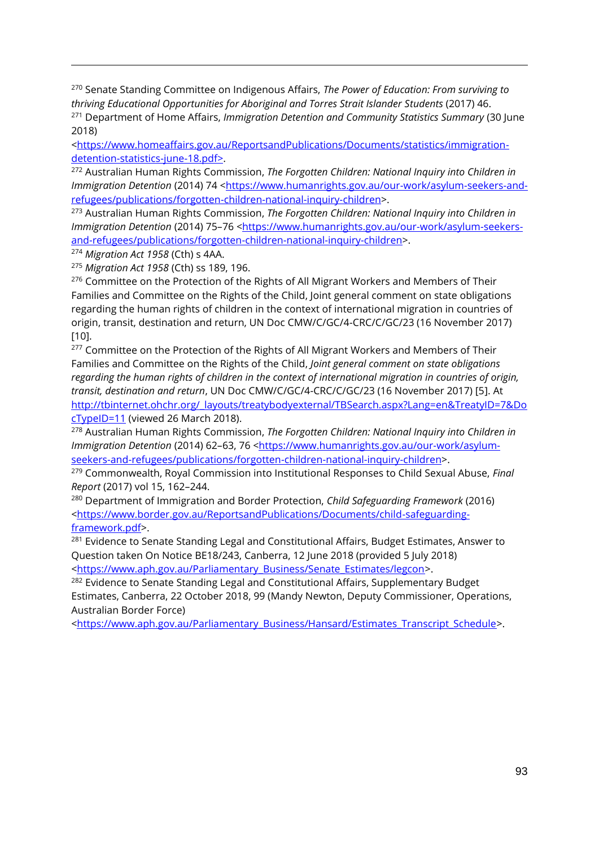<sup>270</sup> Senate Standing Committee on Indigenous Affairs, *The Power of Education: From surviving to thriving Educational Opportunities for Aboriginal and Torres Strait Islander Students* (2017) 46. <sup>271</sup> Department of Home Affairs, *Immigration Detention and Community Statistics Summary* (30 June 2018)

[<https://www.homeaffairs.gov.au/ReportsandPublications/Documents/statistics/immigration](https://www.homeaffairs.gov.au/ReportsandPublications/Documents/statistics/immigration-detention-statistics-june-18.pdf)[detention-statistics-june-18.pdf>](https://www.homeaffairs.gov.au/ReportsandPublications/Documents/statistics/immigration-detention-statistics-june-18.pdf).

<sup>272</sup> Australian Human Rights Commission, *The Forgotten Children: National Inquiry into Children in Immigration Detention (2014) 74 [<https://www.humanrights.gov.au/our-work/asylum-seekers-and](https://www.humanrights.gov.au/our-work/asylum-seekers-and-refugees/publications/forgotten-children-national-inquiry-children)*[refugees/publications/forgotten-children-national-inquiry-children>](https://www.humanrights.gov.au/our-work/asylum-seekers-and-refugees/publications/forgotten-children-national-inquiry-children).

<sup>273</sup> Australian Human Rights Commission, *The Forgotten Children: National Inquiry into Children in Immigration Detention (2014) 75-76 [<https://www.humanrights.gov.au/our-work/asylum-seekers](https://www.humanrights.gov.au/our-work/asylum-seekers-and-refugees/publications/forgotten-children-national-inquiry-children)*[and-refugees/publications/forgotten-children-national-inquiry-children>](https://www.humanrights.gov.au/our-work/asylum-seekers-and-refugees/publications/forgotten-children-national-inquiry-children).

<sup>274</sup> *Migration Act 1958* (Cth) s 4AA.

 $\overline{a}$ 

<sup>275</sup> *Migration Act 1958* (Cth) ss 189, 196.

<sup>276</sup> Committee on the Protection of the Rights of All Migrant Workers and Members of Their Families and Committee on the Rights of the Child, Joint general comment on state obligations regarding the human rights of children in the context of international migration in countries of origin, transit, destination and return, UN Doc CMW/C/GC/4-CRC/C/GC/23 (16 November 2017) [10].

<sup>277</sup> Committee on the Protection of the Rights of All Migrant Workers and Members of Their Families and Committee on the Rights of the Child, *Joint general comment on state obligations regarding the human rights of children in the context of international migration in countries of origin, transit, destination and return*, UN Doc CMW/C/GC/4-CRC/C/GC/23 (16 November 2017) [5]. At [http://tbinternet.ohchr.org/\\_layouts/treatybodyexternal/TBSearch.aspx?Lang=en&TreatyID=7&Do](http://tbinternet.ohchr.org/_layouts/treatybodyexternal/TBSearch.aspx?Lang=en&TreatyID=7&DocTypeID=11) [cTypeID=11](http://tbinternet.ohchr.org/_layouts/treatybodyexternal/TBSearch.aspx?Lang=en&TreatyID=7&DocTypeID=11) (viewed 26 March 2018).

<sup>278</sup> Australian Human Rights Commission, *The Forgotten Children: National Inquiry into Children in Immigration Detention (2014) 62-63, 76 [<https://www.humanrights.gov.au/our-work/asylum](https://www.humanrights.gov.au/our-work/asylum-seekers-and-refugees/publications/forgotten-children-national-inquiry-children)*[seekers-and-refugees/publications/forgotten-children-national-inquiry-children>](https://www.humanrights.gov.au/our-work/asylum-seekers-and-refugees/publications/forgotten-children-national-inquiry-children).

<sup>279</sup> Commonwealth, Royal Commission into Institutional Responses to Child Sexual Abuse, *Final Report* (2017) vol 15, 162–244.

<sup>280</sup> Department of Immigration and Border Protection, *Child Safeguarding Framework* (2016) [<https://www.border.gov.au/ReportsandPublications/Documents/child-safeguarding](https://www.border.gov.au/ReportsandPublications/Documents/child-safeguarding-framework.pdf)[framework.pdf>](https://www.border.gov.au/ReportsandPublications/Documents/child-safeguarding-framework.pdf).

<sup>281</sup> Evidence to Senate Standing Legal and Constitutional Affairs, Budget Estimates, Answer to Question taken On Notice BE18/243, Canberra, 12 June 2018 (provided 5 July 2018) [<https://www.aph.gov.au/Parliamentary\\_Business/Senate\\_Estimates/legcon>](https://www.aph.gov.au/Parliamentary_Business/Senate_Estimates/legcon).

<sup>282</sup> Evidence to Senate Standing Legal and Constitutional Affairs, Supplementary Budget Estimates, Canberra, 22 October 2018, 99 (Mandy Newton, Deputy Commissioner, Operations, Australian Border Force)

[<https://www.aph.gov.au/Parliamentary\\_Business/Hansard/Estimates\\_Transcript\\_Schedule>](https://www.aph.gov.au/Parliamentary_Business/Hansard/Estimates_Transcript_Schedule).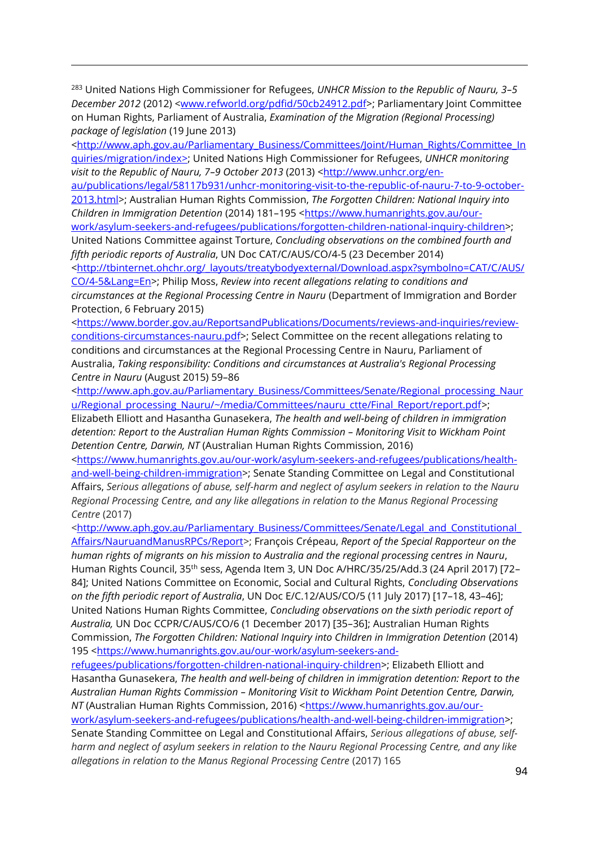<sup>283</sup> United Nations High Commissioner for Refugees, *UNHCR Mission to the Republic of Nauru, 3–5 December 2012* (2012) [<www.refworld.org/pdfid/50cb24912.pdf>](http://www.refworld.org/pdfid/50cb24912.pdf); Parliamentary Joint Committee on Human Rights, Parliament of Australia, *Examination of the Migration (Regional Processing) package of legislation* (19 June 2013)

 $\overline{a}$ 

[<http://www.aph.gov.au/Parliamentary\\_Business/Committees/Joint/Human\\_Rights/Committee\\_In](http://www.aph.gov.au/Parliamentary_Business/Committees/Joint/Human_Rights/Committee_Inquiries/migration/index) [quiries/migration/index>](http://www.aph.gov.au/Parliamentary_Business/Committees/Joint/Human_Rights/Committee_Inquiries/migration/index); United Nations High Commissioner for Refugees, *UNHCR monitoring visit to the Republic of Nauru, 7–9 October 2013* (2013) [<http://www.unhcr.org/en-](http://www.unhcr.org/en-au/publications/legal/58117b931/unhcr-monitoring-visit-to-the-republic-of-nauru-7-to-9-october-2013.html)

[au/publications/legal/58117b931/unhcr-monitoring-visit-to-the-republic-of-nauru-7-to-9-october-](http://www.unhcr.org/en-au/publications/legal/58117b931/unhcr-monitoring-visit-to-the-republic-of-nauru-7-to-9-october-2013.html)[2013.html>](http://www.unhcr.org/en-au/publications/legal/58117b931/unhcr-monitoring-visit-to-the-republic-of-nauru-7-to-9-october-2013.html); Australian Human Rights Commission, *The Forgotten Children: National Inquiry into Children in Immigration Detention* (2014) 181-195 [<https://www.humanrights.gov.au/our-](https://www.humanrights.gov.au/our-work/asylum-seekers-and-refugees/publications/forgotten-children-national-inquiry-children)

[work/asylum-seekers-and-refugees/publications/forgotten-children-national-inquiry-children>](https://www.humanrights.gov.au/our-work/asylum-seekers-and-refugees/publications/forgotten-children-national-inquiry-children); United Nations Committee against Torture, *Concluding observations on the combined fourth and fifth periodic reports of Australia*, UN Doc CAT/C/AUS/CO/4-5 (23 December 2014)

[<http://tbinternet.ohchr.org/\\_layouts/treatybodyexternal/Download.aspx?symbolno=CAT/C/AUS/](http://tbinternet.ohchr.org/_layouts/treatybodyexternal/Download.aspx?symbolno=CAT/C/AUS/CO/4-5&Lang=En) [CO/4-5&Lang=En>](http://tbinternet.ohchr.org/_layouts/treatybodyexternal/Download.aspx?symbolno=CAT/C/AUS/CO/4-5&Lang=En); Philip Moss, *Review into recent allegations relating to conditions and circumstances at the Regional Processing Centre in Nauru* (Department of Immigration and Border Protection, 6 February 2015)

[<https://www.border.gov.au/ReportsandPublications/Documents/reviews-and-inquiries/review](https://www.border.gov.au/ReportsandPublications/Documents/reviews-and-inquiries/review-conditions-circumstances-nauru.pdf)[conditions-circumstances-nauru.pdf>](https://www.border.gov.au/ReportsandPublications/Documents/reviews-and-inquiries/review-conditions-circumstances-nauru.pdf); Select Committee on the recent allegations relating to conditions and circumstances at the Regional Processing Centre in Nauru, Parliament of Australia, *Taking responsibility: Conditions and circumstances at Australia's Regional Processing Centre in Nauru* (August 2015) 59–86

[<http://www.aph.gov.au/Parliamentary\\_Business/Committees/Senate/Regional\\_processing\\_Naur](http://www.aph.gov.au/Parliamentary_Business/Committees/Senate/Regional_processing_Nauru/Regional_processing_Nauru/~/media/Committees/nauru_ctte/Final_Report/report.pdf) [u/Regional\\_processing\\_Nauru/~/media/Committees/nauru\\_ctte/Final\\_Report/report.pdf>](http://www.aph.gov.au/Parliamentary_Business/Committees/Senate/Regional_processing_Nauru/Regional_processing_Nauru/~/media/Committees/nauru_ctte/Final_Report/report.pdf);

Elizabeth Elliott and Hasantha Gunasekera, *The health and well-being of children in immigration detention: Report to the Australian Human Rights Commission – Monitoring Visit to Wickham Point Detention Centre, Darwin, NT* (Australian Human Rights Commission, 2016)

[<https://www.humanrights.gov.au/our-work/asylum-seekers-and-refugees/publications/health](https://www.humanrights.gov.au/our-work/asylum-seekers-and-refugees/publications/health-and-well-being-children-immigration)[and-well-being-children-immigration>](https://www.humanrights.gov.au/our-work/asylum-seekers-and-refugees/publications/health-and-well-being-children-immigration); Senate Standing Committee on Legal and Constitutional Affairs, *Serious allegations of abuse, self-harm and neglect of asylum seekers in relation to the Nauru Regional Processing Centre, and any like allegations in relation to the Manus Regional Processing Centre* (2017)

[<http://www.aph.gov.au/Parliamentary\\_Business/Committees/Senate/Legal\\_and\\_Constitutional\\_](http://www.aph.gov.au/Parliamentary_Business/Committees/Senate/Legal_and_Constitutional_Affairs/NauruandManusRPCs/Report) [Affairs/NauruandManusRPCs/Report>](http://www.aph.gov.au/Parliamentary_Business/Committees/Senate/Legal_and_Constitutional_Affairs/NauruandManusRPCs/Report); François Crépeau, *Report of the Special Rapporteur on the human rights of migrants on his mission to Australia and the regional processing centres in Nauru*, Human Rights Council, 35th sess, Agenda Item 3, UN Doc A/HRC/35/25/Add.3 (24 April 2017) [72– 84]; United Nations Committee on Economic, Social and Cultural Rights, *Concluding Observations on the fifth periodic report of Australia*, UN Doc E/C.12/AUS/CO/5 (11 July 2017) [17–18, 43–46]; United Nations Human Rights Committee, *Concluding observations on the sixth periodic report of Australia,* UN Doc CCPR/C/AUS/CO/6 (1 December 2017) [35–36]; Australian Human Rights Commission, *The Forgotten Children: National Inquiry into Children in Immigration Detention* (2014) 195 [<https://www.humanrights.gov.au/our-work/asylum-seekers-and-](https://www.humanrights.gov.au/our-work/asylum-seekers-and-refugees/publications/forgotten-children-national-inquiry-children)

[refugees/publications/forgotten-children-national-inquiry-children>](https://www.humanrights.gov.au/our-work/asylum-seekers-and-refugees/publications/forgotten-children-national-inquiry-children); Elizabeth Elliott and Hasantha Gunasekera, *The health and well-being of children in immigration detention: Report to the Australian Human Rights Commission – Monitoring Visit to Wickham Point Detention Centre, Darwin, NT* (Australian Human Rights Commission, 2016) [<https://www.humanrights.gov.au/our](https://www.humanrights.gov.au/our-work/asylum-seekers-and-refugees/publications/health-and-well-being-children-immigration)[work/asylum-seekers-and-refugees/publications/health-and-well-being-children-immigration>](https://www.humanrights.gov.au/our-work/asylum-seekers-and-refugees/publications/health-and-well-being-children-immigration); Senate Standing Committee on Legal and Constitutional Affairs, *Serious allegations of abuse, selfharm and neglect of asylum seekers in relation to the Nauru Regional Processing Centre, and any like* 

*allegations in relation to the Manus Regional Processing Centre* (2017) 165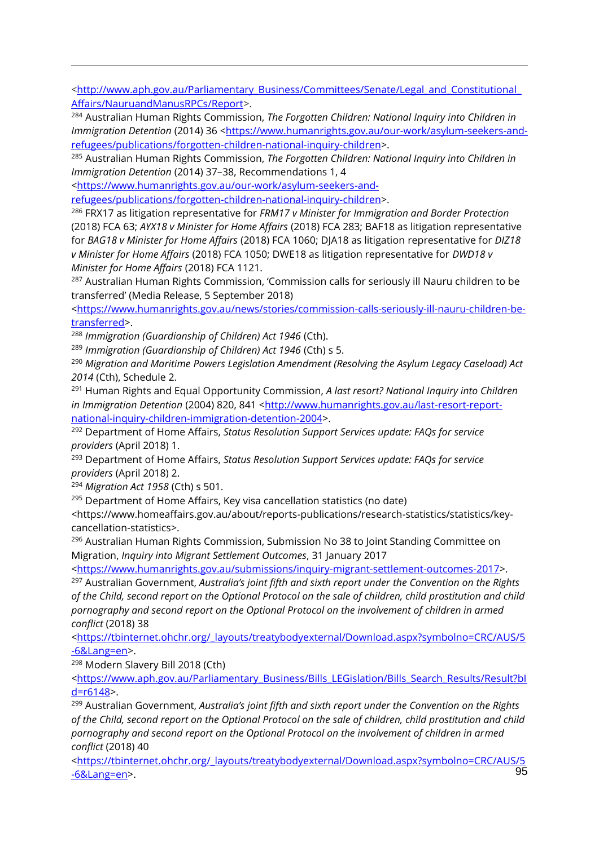[<http://www.aph.gov.au/Parliamentary\\_Business/Committees/Senate/Legal\\_and\\_Constitutional\\_](http://www.aph.gov.au/Parliamentary_Business/Committees/Senate/Legal_and_Constitutional_Affairs/NauruandManusRPCs/Report) [Affairs/NauruandManusRPCs/Report>](http://www.aph.gov.au/Parliamentary_Business/Committees/Senate/Legal_and_Constitutional_Affairs/NauruandManusRPCs/Report).

<sup>284</sup> Australian Human Rights Commission, *The Forgotten Children: National Inquiry into Children in Immigration Detention* (2014) 36 [<https://www.humanrights.gov.au/our-work/asylum-seekers-and](https://www.humanrights.gov.au/our-work/asylum-seekers-and-refugees/publications/forgotten-children-national-inquiry-children)[refugees/publications/forgotten-children-national-inquiry-children>](https://www.humanrights.gov.au/our-work/asylum-seekers-and-refugees/publications/forgotten-children-national-inquiry-children).

<sup>285</sup> Australian Human Rights Commission, *The Forgotten Children: National Inquiry into Children in Immigration Detention* (2014) 37–38, Recommendations 1, 4

[<https://www.humanrights.gov.au/our-work/asylum-seekers-and-](https://www.humanrights.gov.au/our-work/asylum-seekers-and-refugees/publications/forgotten-children-national-inquiry-children)

[refugees/publications/forgotten-children-national-inquiry-children>](https://www.humanrights.gov.au/our-work/asylum-seekers-and-refugees/publications/forgotten-children-national-inquiry-children).

<sup>286</sup> FRX17 as litigation representative for *FRM17 v Minister for Immigration and Border Protection*  (2018) FCA 63; *AYX18 v Minister for Home Affairs* (2018) FCA 283; BAF18 as litigation representative for *BAG18 v Minister for Home Affairs* (2018) FCA 1060; DJA18 as litigation representative for *DIZ18 v Minister for Home Affairs* (2018) FCA 1050; DWE18 as litigation representative for *DWD18 v Minister for Home Affairs* (2018) FCA 1121.

<sup>287</sup> Australian Human Rights Commission, 'Commission calls for seriously ill Nauru children to be transferred' (Media Release, 5 September 2018)

[<https://www.humanrights.gov.au/news/stories/commission-calls-seriously-ill-nauru-children-be](https://www.humanrights.gov.au/news/stories/commission-calls-seriously-ill-nauru-children-be-transferred)[transferred>](https://www.humanrights.gov.au/news/stories/commission-calls-seriously-ill-nauru-children-be-transferred).

<sup>288</sup> *Immigration (Guardianship of Children) Act 1946* (Cth).

<sup>289</sup> *Immigration (Guardianship of Children) Act 1946* (Cth) s 5.

<sup>290</sup> *Migration and Maritime Powers Legislation Amendment (Resolving the Asylum Legacy Caseload) Act 2014* (Cth), Schedule 2.

<sup>291</sup> Human Rights and Equal Opportunity Commission, *A last resort? National Inquiry into Children in Immigration Detention* (2004) 820, 841 [<http://www.humanrights.gov.au/last-resort-report](http://www.humanrights.gov.au/last-resort-report-national-inquiry-children-immigration-detention-2004)[national-inquiry-children-immigration-detention-2004>](http://www.humanrights.gov.au/last-resort-report-national-inquiry-children-immigration-detention-2004).

<sup>292</sup> Department of Home Affairs, *Status Resolution Support Services update: FAQs for service providers* (April 2018) 1.

<sup>293</sup> Department of Home Affairs, *Status Resolution Support Services update: FAQs for service providers* (April 2018) 2.

<sup>294</sup> *Migration Act 1958* (Cth) s 501.

 $\overline{a}$ 

<sup>295</sup> Department of Home Affairs, Key visa cancellation statistics (no date)

[<https://www.homeaffairs.gov.au/about/reports-publications/research-statistics/statistics/key](https://www.homeaffairs.gov.au/about/reports-publications/research-statistics/statistics/key-cancellation-statistics)[cancellation-statistics>](https://www.homeaffairs.gov.au/about/reports-publications/research-statistics/statistics/key-cancellation-statistics).

<sup>296</sup> Australian Human Rights Commission, Submission No 38 to Joint Standing Committee on Migration, *Inquiry into Migrant Settlement Outcomes*, 31 January 2017

[<https://www.humanrights.gov.au/submissions/inquiry-migrant-settlement-outcomes-2017>](https://www.humanrights.gov.au/submissions/inquiry-migrant-settlement-outcomes-2017).

<sup>297</sup> Australian Government, *Australia's joint fifth and sixth report under the Convention on the Rights of the Child, second report on the Optional Protocol on the sale of children, child prostitution and child pornography and second report on the Optional Protocol on the involvement of children in armed conflict* (2018) 38

[<https://tbinternet.ohchr.org/\\_layouts/treatybodyexternal/Download.aspx?symbolno=CRC/AUS/5](https://tbinternet.ohchr.org/_layouts/treatybodyexternal/Download.aspx?symbolno=CRC/AUS/5-6&Lang=en) [-6&Lang=en>](https://tbinternet.ohchr.org/_layouts/treatybodyexternal/Download.aspx?symbolno=CRC/AUS/5-6&Lang=en).

<sup>298</sup> Modern Slavery Bill 2018 (Cth)

[<https://www.aph.gov.au/Parliamentary\\_Business/Bills\\_LEGislation/Bills\\_Search\\_Results/Result?bI](https://www.aph.gov.au/Parliamentary_Business/Bills_LEGislation/Bills_Search_Results/Result?bId=r6148) [d=r6148>](https://www.aph.gov.au/Parliamentary_Business/Bills_LEGislation/Bills_Search_Results/Result?bId=r6148).

<sup>299</sup> Australian Government, *Australia's joint fifth and sixth report under the Convention on the Rights of the Child, second report on the Optional Protocol on the sale of children, child prostitution and child pornography and second report on the Optional Protocol on the involvement of children in armed conflict* (2018) 40

95 [<https://tbinternet.ohchr.org/\\_layouts/treatybodyexternal/Download.aspx?symbolno=CRC/AUS/5](https://tbinternet.ohchr.org/_layouts/treatybodyexternal/Download.aspx?symbolno=CRC/AUS/5-6&Lang=en) [-6&Lang=en>](https://tbinternet.ohchr.org/_layouts/treatybodyexternal/Download.aspx?symbolno=CRC/AUS/5-6&Lang=en).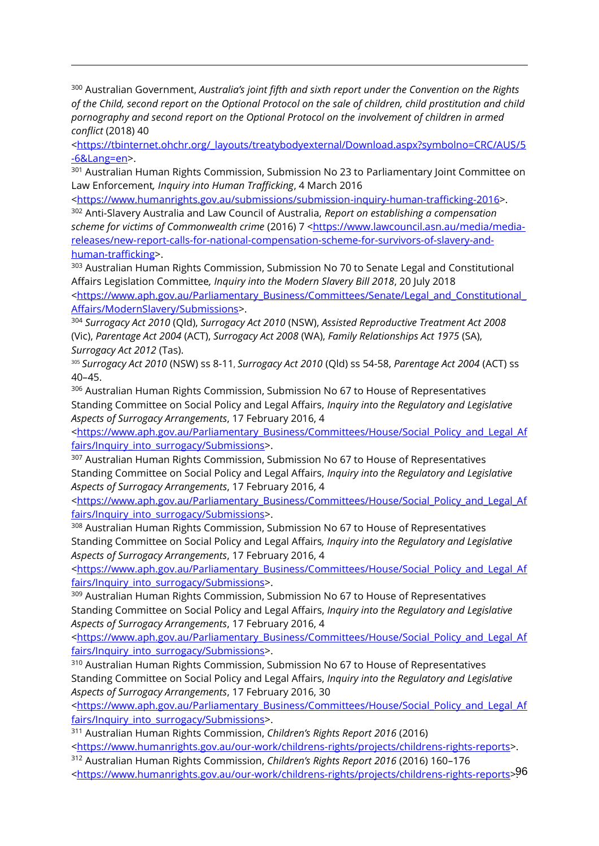<sup>300</sup> Australian Government, *Australia's joint fifth and sixth report under the Convention on the Rights of the Child, second report on the Optional Protocol on the sale of children, child prostitution and child pornography and second report on the Optional Protocol on the involvement of children in armed conflict* (2018) 40

 $\overline{a}$ 

[<https://tbinternet.ohchr.org/\\_layouts/treatybodyexternal/Download.aspx?symbolno=CRC/AUS/5](https://tbinternet.ohchr.org/_layouts/treatybodyexternal/Download.aspx?symbolno=CRC/AUS/5-6&Lang=en) [-6&Lang=en>](https://tbinternet.ohchr.org/_layouts/treatybodyexternal/Download.aspx?symbolno=CRC/AUS/5-6&Lang=en).

<sup>301</sup> Australian Human Rights Commission, Submission No 23 to Parliamentary Joint Committee on Law Enforcement*, Inquiry into Human Trafficking*, 4 March 2016

[<https://www.humanrights.gov.au/submissions/submission-inquiry-human-trafficking-2016>](https://www.humanrights.gov.au/submissions/submission-inquiry-human-trafficking-2016).

<sup>302</sup> Anti-Slavery Australia and Law Council of Australia, *Report on establishing a compensation*  scheme for victims of Commonwealth crime (2016) 7 [<https://www.lawcouncil.asn.au/media/media](https://www.lawcouncil.asn.au/media/media-releases/new-report-calls-for-national-compensation-scheme-for-survivors-of-slavery-and-human-trafficking)[releases/new-report-calls-for-national-compensation-scheme-for-survivors-of-slavery-and](https://www.lawcouncil.asn.au/media/media-releases/new-report-calls-for-national-compensation-scheme-for-survivors-of-slavery-and-human-trafficking)[human-trafficking>](https://www.lawcouncil.asn.au/media/media-releases/new-report-calls-for-national-compensation-scheme-for-survivors-of-slavery-and-human-trafficking).

<sup>303</sup> Australian Human Rights Commission, Submission No 70 to Senate Legal and Constitutional Affairs Legislation Committee*, Inquiry into the Modern Slavery Bill 2018*, 20 July 2018 [<https://www.aph.gov.au/Parliamentary\\_Business/Committees/Senate/Legal\\_and\\_Constitutional\\_](https://www.aph.gov.au/Parliamentary_Business/Committees/Senate/Legal_and_Constitutional_Affairs/ModernSlavery/Submissions) [Affairs/ModernSlavery/Submissions>](https://www.aph.gov.au/Parliamentary_Business/Committees/Senate/Legal_and_Constitutional_Affairs/ModernSlavery/Submissions).

<sup>304</sup> *Surrogacy Act 2010* (Qld), *Surrogacy Act 2010* (NSW), *Assisted Reproductive Treatment Act 2008* (Vic), *Parentage Act 2004* (ACT), *Surrogacy Act 2008* (WA), *Family Relationships Act 1975* (SA), *Surrogacy Act 2012* (Tas).

<sup>305</sup> *Surrogacy Act 2010* (NSW) ss 8-11, *Surrogacy Act 2010* (Qld) ss 54-58, *Parentage Act 2004* (ACT) ss 40–45.

<sup>306</sup> Australian Human Rights Commission, Submission No 67 to House of Representatives Standing Committee on Social Policy and Legal Affairs, *Inquiry into the Regulatory and Legislative Aspects of Surrogacy Arrangements*, 17 February 2016, 4

[<https://www.aph.gov.au/Parliamentary\\_Business/Committees/House/Social\\_Policy\\_and\\_Legal\\_Af](https://www.aph.gov.au/Parliamentary_Business/Committees/House/Social_Policy_and_Legal_Affairs/Inquiry_into_surrogacy/Submissions) [fairs/Inquiry\\_into\\_surrogacy/Submissions>](https://www.aph.gov.au/Parliamentary_Business/Committees/House/Social_Policy_and_Legal_Affairs/Inquiry_into_surrogacy/Submissions).

<sup>307</sup> Australian Human Rights Commission, Submission No 67 to House of Representatives Standing Committee on Social Policy and Legal Affairs, *Inquiry into the Regulatory and Legislative Aspects of Surrogacy Arrangements*, 17 February 2016, 4

[<https://www.aph.gov.au/Parliamentary\\_Business/Committees/House/Social\\_Policy\\_and\\_Legal\\_Af](https://www.aph.gov.au/Parliamentary_Business/Committees/House/Social_Policy_and_Legal_Affairs/Inquiry_into_surrogacy/Submissions) [fairs/Inquiry\\_into\\_surrogacy/Submissions>](https://www.aph.gov.au/Parliamentary_Business/Committees/House/Social_Policy_and_Legal_Affairs/Inquiry_into_surrogacy/Submissions).

308 Australian Human Rights Commission, Submission No 67 to House of Representatives Standing Committee on Social Policy and Legal Affairs*, Inquiry into the Regulatory and Legislative Aspects of Surrogacy Arrangements*, 17 February 2016, 4

[<https://www.aph.gov.au/Parliamentary\\_Business/Committees/House/Social\\_Policy\\_and\\_Legal\\_Af](https://www.aph.gov.au/Parliamentary_Business/Committees/House/Social_Policy_and_Legal_Affairs/Inquiry_into_surrogacy/Submissions) [fairs/Inquiry\\_into\\_surrogacy/Submissions>](https://www.aph.gov.au/Parliamentary_Business/Committees/House/Social_Policy_and_Legal_Affairs/Inquiry_into_surrogacy/Submissions).

<sup>309</sup> Australian Human Rights Commission, Submission No 67 to House of Representatives Standing Committee on Social Policy and Legal Affairs, *Inquiry into the Regulatory and Legislative Aspects of Surrogacy Arrangements*, 17 February 2016, 4

[<https://www.aph.gov.au/Parliamentary\\_Business/Committees/House/Social\\_Policy\\_and\\_Legal\\_Af](https://www.aph.gov.au/Parliamentary_Business/Committees/House/Social_Policy_and_Legal_Affairs/Inquiry_into_surrogacy/Submissions) [fairs/Inquiry\\_into\\_surrogacy/Submissions>](https://www.aph.gov.au/Parliamentary_Business/Committees/House/Social_Policy_and_Legal_Affairs/Inquiry_into_surrogacy/Submissions).

<sup>310</sup> Australian Human Rights Commission, Submission No 67 to House of Representatives Standing Committee on Social Policy and Legal Affairs, *Inquiry into the Regulatory and Legislative Aspects of Surrogacy Arrangements*, 17 February 2016, 30

[<https://www.aph.gov.au/Parliamentary\\_Business/Committees/House/Social\\_Policy\\_and\\_Legal\\_Af](https://www.aph.gov.au/Parliamentary_Business/Committees/House/Social_Policy_and_Legal_Affairs/Inquiry_into_surrogacy/Submissions) [fairs/Inquiry\\_into\\_surrogacy/Submissions>](https://www.aph.gov.au/Parliamentary_Business/Committees/House/Social_Policy_and_Legal_Affairs/Inquiry_into_surrogacy/Submissions).

<sup>311</sup> Australian Human Rights Commission, *Children's Rights Report 2016* (2016) [<https://www.humanrights.gov.au/our-work/childrens-rights/projects/childrens-rights-reports>](https://www.humanrights.gov.au/our-work/childrens-rights/projects/childrens-rights-reports).

<sup>312</sup> Australian Human Rights Commission, *Children's Rights Report 2016* (2016) 160–176

96 [<https://www.humanrights.gov.au/our-work/childrens-rights/projects/childrens-rights-reports>](https://www.humanrights.gov.au/our-work/childrens-rights/projects/childrens-rights-reports).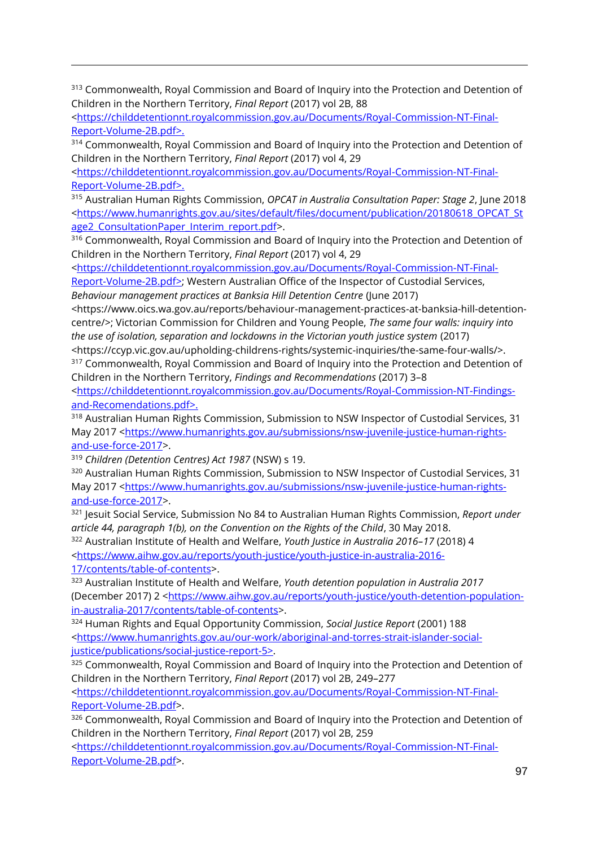<sup>313</sup> Commonwealth, Royal Commission and Board of Inquiry into the Protection and Detention of Children in the Northern Territory, *Final Report* (2017) vol 2B, 88

[<https://childdetentionnt.royalcommission.gov.au/Documents/Royal-Commission-NT-Final-](https://childdetentionnt.royalcommission.gov.au/Documents/Royal-Commission-NT-Final-Report-Volume-2B.pdf)[Report-Volume-2B.pdf>](https://childdetentionnt.royalcommission.gov.au/Documents/Royal-Commission-NT-Final-Report-Volume-2B.pdf).

314 Commonwealth, Royal Commission and Board of Inquiry into the Protection and Detention of Children in the Northern Territory, *Final Report* (2017) vol 4, 29

[<https://childdetentionnt.royalcommission.gov.au/Documents/Royal-Commission-NT-Final-](https://childdetentionnt.royalcommission.gov.au/Documents/Royal-Commission-NT-Final-Report-Volume-2B.pdf)[Report-Volume-2B.pdf>](https://childdetentionnt.royalcommission.gov.au/Documents/Royal-Commission-NT-Final-Report-Volume-2B.pdf).

<sup>315</sup> Australian Human Rights Commission, *OPCAT in Australia Consultation Paper: Stage 2*, June 2018 [<https://www.humanrights.gov.au/sites/default/files/document/publication/20180618\\_OPCAT\\_St](https://www.humanrights.gov.au/sites/default/files/document/publication/20180618_OPCAT_Stage2_ConsultationPaper_Interim_report.pdf) age2 ConsultationPaper Interim report.pdf>.

<sup>316</sup> Commonwealth, Royal Commission and Board of Inquiry into the Protection and Detention of Children in the Northern Territory, *Final Report* (2017) vol 4, 29

[<https://childdetentionnt.royalcommission.gov.au/Documents/Royal-Commission-NT-Final-](https://childdetentionnt.royalcommission.gov.au/Documents/Royal-Commission-NT-Final-Report-Volume-2B.pdf)[Report-Volume-2B.pdf>](https://childdetentionnt.royalcommission.gov.au/Documents/Royal-Commission-NT-Final-Report-Volume-2B.pdf); Western Australian Office of the Inspector of Custodial Services,

*Behaviour management practices at Banksia Hill Detention Centre* (June 2017)

<https://www.oics.wa.gov.au/reports/behaviour-management-practices-at-banksia-hill-detentioncentre/>; Victorian Commission for Children and Young People, *The same four walls: inquiry into the use of isolation, separation and lockdowns in the Victorian youth justice system* (2017)

<https://ccyp.vic.gov.au/upholding-childrens-rights/systemic-inquiries/the-same-four-walls/>. <sup>317</sup> Commonwealth, Royal Commission and Board of Inquiry into the Protection and Detention of Children in the Northern Territory, *Findings and Recommendations* (2017) 3–8

[<https://childdetentionnt.royalcommission.gov.au/Documents/Royal-Commission-NT-Findings](https://childdetentionnt.royalcommission.gov.au/Documents/Royal-Commission-NT-Findings-and-Recomendations.pdf)[and-Recomendations.pdf>](https://childdetentionnt.royalcommission.gov.au/Documents/Royal-Commission-NT-Findings-and-Recomendations.pdf).

<sup>318</sup> Australian Human Rights Commission, Submission to NSW Inspector of Custodial Services, 31 May 2017 [<https://www.humanrights.gov.au/submissions/nsw-juvenile-justice-human-rights](https://www.humanrights.gov.au/submissions/nsw-juvenile-justice-human-rights-and-use-force-2017)[and-use-force-2017>](https://www.humanrights.gov.au/submissions/nsw-juvenile-justice-human-rights-and-use-force-2017).

<sup>319</sup> *Children (Detention Centres) Act 1987* (NSW) s 19.

<sup>320</sup> Australian Human Rights Commission, Submission to NSW Inspector of Custodial Services, 31 May 2017 [<https://www.humanrights.gov.au/submissions/nsw-juvenile-justice-human-rights](https://www.humanrights.gov.au/submissions/nsw-juvenile-justice-human-rights-and-use-force-2017)[and-use-force-2017>](https://www.humanrights.gov.au/submissions/nsw-juvenile-justice-human-rights-and-use-force-2017).

<sup>321</sup> Jesuit Social Service, Submission No 84 to Australian Human Rights Commission, *Report under article 44, paragraph 1(b), on the Convention on the Rights of the Child*, 30 May 2018. <sup>322</sup> Australian Institute of Health and Welfare, *Youth Justice in Australia 2016–17* (2018) 4

[<https://www.aihw.gov.au/reports/youth-justice/youth-justice-in-australia-2016-](https://www.aihw.gov.au/reports/youth-justice/youth-justice-in-australia-2016-17/contents/table-of-contents)

[17/contents/table-of-contents>](https://www.aihw.gov.au/reports/youth-justice/youth-justice-in-australia-2016-17/contents/table-of-contents).

 $\overline{a}$ 

<sup>323</sup> Australian Institute of Health and Welfare, *Youth detention population in Australia 2017* (December 2017) 2 [<https://www.aihw.gov.au/reports/youth-justice/youth-detention-population](https://www.aihw.gov.au/reports/youth-justice/youth-detention-population-in-australia-2017/contents/table-of-contents)[in-australia-2017/contents/table-of-contents>](https://www.aihw.gov.au/reports/youth-justice/youth-detention-population-in-australia-2017/contents/table-of-contents).

<sup>324</sup> Human Rights and Equal Opportunity Commission, *Social Justice Report* (2001) 188 [<https://www.humanrights.gov.au/our-work/aboriginal-and-torres-strait-islander-social](https://www.humanrights.gov.au/our-work/aboriginal-and-torres-strait-islander-social-justice/publications/social-justice-report-5)[justice/publications/social-justice-report-5>](https://www.humanrights.gov.au/our-work/aboriginal-and-torres-strait-islander-social-justice/publications/social-justice-report-5).

<sup>325</sup> Commonwealth, Royal Commission and Board of Inquiry into the Protection and Detention of Children in the Northern Territory, *Final Report* (2017) vol 2B, 249–277

[<https://childdetentionnt.royalcommission.gov.au/Documents/Royal-Commission-NT-Final-](https://childdetentionnt.royalcommission.gov.au/Documents/Royal-Commission-NT-Final-Report-Volume-2B.pdf)[Report-Volume-2B.pdf>](https://childdetentionnt.royalcommission.gov.au/Documents/Royal-Commission-NT-Final-Report-Volume-2B.pdf).

326 Commonwealth, Royal Commission and Board of Inquiry into the Protection and Detention of Children in the Northern Territory, *Final Report* (2017) vol 2B, 259

[<https://childdetentionnt.royalcommission.gov.au/Documents/Royal-Commission-NT-Final-](https://childdetentionnt.royalcommission.gov.au/Documents/Royal-Commission-NT-Final-Report-Volume-2B.pdf)[Report-Volume-2B.pdf>](https://childdetentionnt.royalcommission.gov.au/Documents/Royal-Commission-NT-Final-Report-Volume-2B.pdf).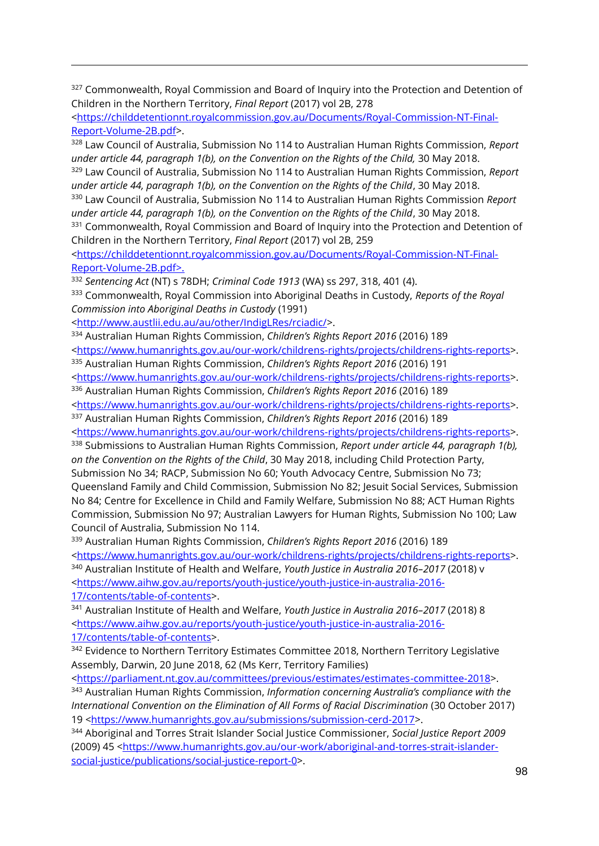<sup>327</sup> Commonwealth, Royal Commission and Board of Inquiry into the Protection and Detention of Children in the Northern Territory, *Final Report* (2017) vol 2B, 278

[<https://childdetentionnt.royalcommission.gov.au/Documents/Royal-Commission-NT-Final-](https://childdetentionnt.royalcommission.gov.au/Documents/Royal-Commission-NT-Final-Report-Volume-2B.pdf)[Report-Volume-2B.pdf>](https://childdetentionnt.royalcommission.gov.au/Documents/Royal-Commission-NT-Final-Report-Volume-2B.pdf).

<sup>328</sup> Law Council of Australia, Submission No 114 to Australian Human Rights Commission, *Report under article 44, paragraph 1(b), on the Convention on the Rights of the Child,* 30 May 2018. <sup>329</sup> Law Council of Australia, Submission No 114 to Australian Human Rights Commission, *Report* 

*under article 44, paragraph 1(b), on the Convention on the Rights of the Child*, 30 May 2018.

<sup>330</sup> Law Council of Australia, Submission No 114 to Australian Human Rights Commission *Report under article 44, paragraph 1(b), on the Convention on the Rights of the Child*, 30 May 2018.

<sup>331</sup> Commonwealth, Royal Commission and Board of Inquiry into the Protection and Detention of Children in the Northern Territory, *Final Report* (2017) vol 2B, 259

[<https://childdetentionnt.royalcommission.gov.au/Documents/Royal-Commission-NT-Final-](https://childdetentionnt.royalcommission.gov.au/Documents/Royal-Commission-NT-Final-Report-Volume-2B.pdf)[Report-Volume-2B.pdf>](https://childdetentionnt.royalcommission.gov.au/Documents/Royal-Commission-NT-Final-Report-Volume-2B.pdf).

<sup>332</sup> *Sentencing Act* (NT) s 78DH; *Criminal Code 1913* (WA) ss 297, 318, 401 (4).

<sup>333</sup> Commonwealth, Royal Commission into Aboriginal Deaths in Custody, *Reports of the Royal Commission into Aboriginal Deaths in Custody* (1991)

[<http://www.austlii.edu.au/au/other/IndigLRes/rciadic/>](http://www.austlii.edu.au/au/other/IndigLRes/rciadic/).

<sup>334</sup> Australian Human Rights Commission, *Children's Rights Report 2016* (2016) 189

[<https://www.humanrights.gov.au/our-work/childrens-rights/projects/childrens-rights-reports>](https://www.humanrights.gov.au/our-work/childrens-rights/projects/childrens-rights-reports). <sup>335</sup> Australian Human Rights Commission, *Children's Rights Report 2016* (2016) 191

[<https://www.humanrights.gov.au/our-work/childrens-rights/projects/childrens-rights-reports>](https://www.humanrights.gov.au/our-work/childrens-rights/projects/childrens-rights-reports).

<sup>336</sup> Australian Human Rights Commission, *Children's Rights Report 2016* (2016) 189

[<https://www.humanrights.gov.au/our-work/childrens-rights/projects/childrens-rights-reports>](https://www.humanrights.gov.au/our-work/childrens-rights/projects/childrens-rights-reports). <sup>337</sup> Australian Human Rights Commission, *Children's Rights Report 2016* (2016) 189

[<https://www.humanrights.gov.au/our-work/childrens-rights/projects/childrens-rights-reports>](https://www.humanrights.gov.au/our-work/childrens-rights/projects/childrens-rights-reports).

<sup>338</sup> Submissions to Australian Human Rights Commission, *Report under article 44, paragraph 1(b), on the Convention on the Rights of the Child*, 30 May 2018, including Child Protection Party,

Submission No 34; RACP, Submission No 60; Youth Advocacy Centre, Submission No 73;

Queensland Family and Child Commission, Submission No 82; Jesuit Social Services, Submission No 84; Centre for Excellence in Child and Family Welfare, Submission No 88; ACT Human Rights Commission, Submission No 97; Australian Lawyers for Human Rights, Submission No 100; Law Council of Australia, Submission No 114.

<sup>339</sup> Australian Human Rights Commission, *Children's Rights Report 2016* (2016) 189

[<https://www.humanrights.gov.au/our-work/childrens-rights/projects/childrens-rights-reports>](https://www.humanrights.gov.au/our-work/childrens-rights/projects/childrens-rights-reports).

<sup>340</sup> Australian Institute of Health and Welfare, *Youth Justice in Australia 2016–2017* (2018) v [<https://www.aihw.gov.au/reports/youth-justice/youth-justice-in-australia-2016-](https://www.aihw.gov.au/reports/youth-justice/youth-justice-in-australia-2016-17/contents/table-of-contents)

[17/contents/table-of-contents>](https://www.aihw.gov.au/reports/youth-justice/youth-justice-in-australia-2016-17/contents/table-of-contents).

 $\overline{a}$ 

<sup>341</sup> Australian Institute of Health and Welfare, *Youth Justice in Australia 2016–2017* (2018) 8 [<https://www.aihw.gov.au/reports/youth-justice/youth-justice-in-australia-2016-](https://www.aihw.gov.au/reports/youth-justice/youth-justice-in-australia-2016-17/contents/table-of-contents) [17/contents/table-of-contents>](https://www.aihw.gov.au/reports/youth-justice/youth-justice-in-australia-2016-17/contents/table-of-contents).

<sup>342</sup> Evidence to Northern Territory Estimates Committee 2018, Northern Territory Legislative Assembly, Darwin, 20 June 2018, 62 (Ms Kerr, Territory Families)

[<https://parliament.nt.gov.au/committees/previous/estimates/estimates-committee-2018>](https://parliament.nt.gov.au/committees/previous/estimates/estimates-committee-2018).

<sup>343</sup> Australian Human Rights Commission, *Information concerning Australia's compliance with the International Convention on the Elimination of All Forms of Racial Discrimination* (30 October 2017) 19 [<https://www.humanrights.gov.au/submissions/submission-cerd-2017>](https://www.humanrights.gov.au/submissions/submission-cerd-2017).

<sup>344</sup> Aboriginal and Torres Strait Islander Social Justice Commissioner, *Social Justice Report 2009* (2009) 45 [<https://www.humanrights.gov.au/our-work/aboriginal-and-torres-strait-islander](https://www.humanrights.gov.au/our-work/aboriginal-and-torres-strait-islander-social-justice/publications/social-justice-report-0)[social-justice/publications/social-justice-report-0>](https://www.humanrights.gov.au/our-work/aboriginal-and-torres-strait-islander-social-justice/publications/social-justice-report-0).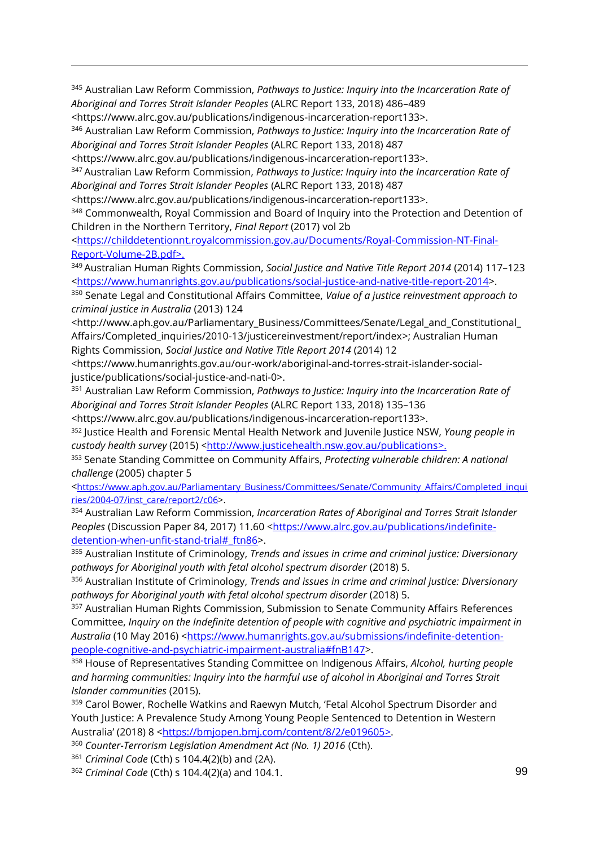<sup>345</sup> Australian Law Reform Commission, *Pathways to Justice: Inquiry into the Incarceration Rate of Aboriginal and Torres Strait Islander Peoples* (ALRC Report 133, 2018) 486–489

[<https://www.alrc.gov.au/publications/indigenous-incarceration-report133>](https://www.alrc.gov.au/publications/indigenous-incarceration-report133).

 $\overline{a}$ 

<sup>346</sup> Australian Law Reform Commission, *Pathways to Justice: Inquiry into the Incarceration Rate of Aboriginal and Torres Strait Islander Peoples* (ALRC Report 133, 2018) 487

[<https://www.alrc.gov.au/publications/indigenous-incarceration-report133>](https://www.alrc.gov.au/publications/indigenous-incarceration-report133).

<sup>347</sup> Australian Law Reform Commission, *Pathways to Justice: Inquiry into the Incarceration Rate of Aboriginal and Torres Strait Islander Peoples* (ALRC Report 133, 2018) 487

[<https://www.alrc.gov.au/publications/indigenous-incarceration-report133>](https://www.alrc.gov.au/publications/indigenous-incarceration-report133).

<sup>348</sup> Commonwealth, Royal Commission and Board of Inquiry into the Protection and Detention of Children in the Northern Territory, *Final Report* (2017) vol 2b

[<https://childdetentionnt.royalcommission.gov.au/Documents/Royal-Commission-NT-Final-](https://childdetentionnt.royalcommission.gov.au/Documents/Royal-Commission-NT-Final-Report-Volume-2B.pdf)[Report-Volume-2B.pdf>](https://childdetentionnt.royalcommission.gov.au/Documents/Royal-Commission-NT-Final-Report-Volume-2B.pdf).

<sup>349</sup> Australian Human Rights Commission, *Social Justice and Native Title Report 2014* (2014) 117–123 [<https://www.humanrights.gov.au/publications/social-justice-and-native-title-report-2014>](https://www.humanrights.gov.au/publications/social-justice-and-native-title-report-2014).

<sup>350</sup> Senate Legal and Constitutional Affairs Committee, *Value of a justice reinvestment approach to criminal justice in Australia* (2013) 124

[<http://www.aph.gov.au/Parliamentary\\_Business/Committees/Senate/Legal\\_and\\_Constitutional\\_](http://www.aph.gov.au/Parliamentary_Business/Committees/Senate/Legal_and_Constitutional_Affairs/Completed_inquiries/2010-13/justicereinvestment/report/index) [Affairs/Completed\\_inquiries/2010-13/justicereinvestment/report/index>](http://www.aph.gov.au/Parliamentary_Business/Committees/Senate/Legal_and_Constitutional_Affairs/Completed_inquiries/2010-13/justicereinvestment/report/index); Australian Human Rights Commission, *Social Justice and Native Title Report 2014* (2014) 12

[<https://www.humanrights.gov.au/our-work/aboriginal-and-torres-strait-islander-social](https://www.humanrights.gov.au/our-work/aboriginal-and-torres-strait-islander-social-justice/publications/social-justice-and-nati-0)[justice/publications/social-justice-and-nati-0>](https://www.humanrights.gov.au/our-work/aboriginal-and-torres-strait-islander-social-justice/publications/social-justice-and-nati-0).

<sup>351</sup> Australian Law Reform Commission, *Pathways to Justice: Inquiry into the Incarceration Rate of Aboriginal and Torres Strait Islander Peoples* (ALRC Report 133, 2018) 135–136

[<https://www.alrc.gov.au/publications/indigenous-incarceration-report133>](https://www.alrc.gov.au/publications/indigenous-incarceration-report133).

<sup>352</sup> Justice Health and Forensic Mental Health Network and Juvenile Justice NSW, *Young people in custody health survey* (2015) *<*[http://www.justicehealth.nsw.gov.au/publications>](http://www.justicehealth.nsw.gov.au/publications).

<sup>353</sup> Senate Standing Committee on Community Affairs, *Protecting vulnerable children: A national challenge* (2005) chapter 5

<[https://www.aph.gov.au/Parliamentary\\_Business/Committees/Senate/Community\\_Affairs/Completed\\_inqui](https://www.aph.gov.au/Parliamentary_Business/Committees/Senate/Community_Affairs/Completed_inquiries/2004-07/inst_care/report2/c06) [ries/2004-07/inst\\_care/report2/c06>](https://www.aph.gov.au/Parliamentary_Business/Committees/Senate/Community_Affairs/Completed_inquiries/2004-07/inst_care/report2/c06).

<sup>354</sup> Australian Law Reform Commission, *Incarceration Rates of Aboriginal and Torres Strait Islander Peoples* (Discussion Paper 84, 2017) 11.60 [<https://www.alrc.gov.au/publications/indefinite](https://www.alrc.gov.au/publications/indefinite-detention-when-unfit-stand-trial#_ftn86)[detention-when-unfit-stand-trial#\\_ftn86>](https://www.alrc.gov.au/publications/indefinite-detention-when-unfit-stand-trial#_ftn86).

<sup>355</sup> Australian Institute of Criminology, *Trends and issues in crime and criminal justice: Diversionary pathways for Aboriginal youth with fetal alcohol spectrum disorder* (2018) 5.

<sup>356</sup> Australian Institute of Criminology, *Trends and issues in crime and criminal justice: Diversionary pathways for Aboriginal youth with fetal alcohol spectrum disorder* (2018) 5.

<sup>357</sup> Australian Human Rights Commission, Submission to Senate Community Affairs References Committee, *Inquiry on the Indefinite detention of people with cognitive and psychiatric impairment in Australia* (10 May 2016) [<https://www.humanrights.gov.au/submissions/indefinite-detention](https://www.humanrights.gov.au/submissions/indefinite-detention-people-cognitive-and-psychiatric-impairment-australia#fnB147)[people-cognitive-and-psychiatric-impairment-australia#fnB147>](https://www.humanrights.gov.au/submissions/indefinite-detention-people-cognitive-and-psychiatric-impairment-australia#fnB147).

<sup>358</sup> House of Representatives Standing Committee on Indigenous Affairs, *Alcohol, hurting people and harming communities: Inquiry into the harmful use of alcohol in Aboriginal and Torres Strait Islander communities* (2015).

<sup>359</sup> Carol Bower, Rochelle Watkins and Raewyn Mutch, 'Fetal Alcohol Spectrum Disorder and Youth Justice: A Prevalence Study Among Young People Sentenced to Detention in Western Australia' (2018) 8 <[https://bmjopen.bmj.com/content/8/2/e019605>](https://bmjopen.bmj.com/content/8/2/e019605).

<sup>360</sup> *Counter-Terrorism Legislation Amendment Act (No. 1) 2016* (Cth).

<sup>361</sup> *Criminal Code* (Cth) s 104.4(2)(b) and (2A).

<sup>362</sup> *Criminal Code* (Cth) s 104.4(2)(a) and 104.1.